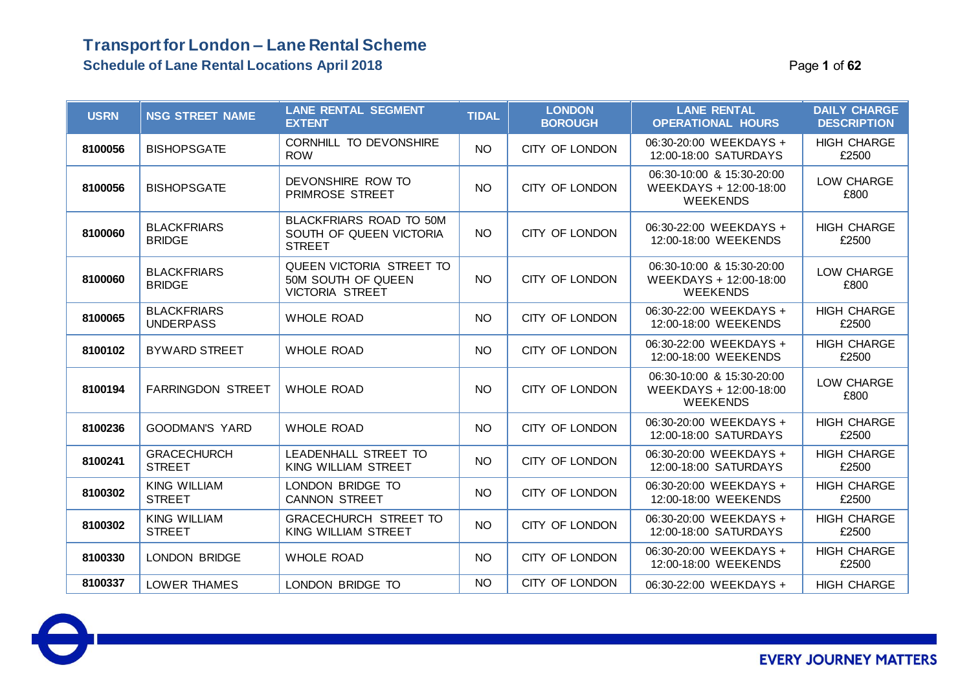### **Transport for London – Lane Rental Scheme Schedule of Lane Rental Locations April 2018 Page 1** of 62

| <b>USRN</b> | <b>NSG STREET NAME</b>                 | <b>LANE RENTAL SEGMENT</b><br><b>EXTENT</b>                              | <b>TIDAL</b>    | <b>LONDON</b><br><b>BOROUGH</b> | <b>LANE RENTAL</b><br><b>OPERATIONAL HOURS</b>                         | <b>DAILY CHARGE</b><br><b>DESCRIPTION</b> |
|-------------|----------------------------------------|--------------------------------------------------------------------------|-----------------|---------------------------------|------------------------------------------------------------------------|-------------------------------------------|
| 8100056     | <b>BISHOPSGATE</b>                     | CORNHILL TO DEVONSHIRE<br><b>ROW</b>                                     | <b>NO</b>       | CITY OF LONDON                  | 06:30-20:00 WEEKDAYS +<br>12:00-18:00 SATURDAYS                        | <b>HIGH CHARGE</b><br>£2500               |
| 8100056     | <b>BISHOPSGATE</b>                     | DEVONSHIRE ROW TO<br><b>PRIMROSE STREET</b>                              | NO <sub>1</sub> | CITY OF LONDON                  | 06:30-10:00 & 15:30-20:00<br>WEEKDAYS + 12:00-18:00<br><b>WEEKENDS</b> | LOW CHARGE<br>£800                        |
| 8100060     | <b>BLACKFRIARS</b><br><b>BRIDGE</b>    | BLACKFRIARS ROAD TO 50M<br>SOUTH OF QUEEN VICTORIA<br><b>STREET</b>      | NO <sub>1</sub> | CITY OF LONDON                  | 06:30-22:00 WEEKDAYS +<br>12:00-18:00 WEEKENDS                         | <b>HIGH CHARGE</b><br>£2500               |
| 8100060     | <b>BLACKFRIARS</b><br><b>BRIDGE</b>    | QUEEN VICTORIA STREET TO<br>50M SOUTH OF QUEEN<br><b>VICTORIA STREET</b> | NO              | CITY OF LONDON                  | 06:30-10:00 & 15:30-20:00<br>WEEKDAYS + 12:00-18:00<br><b>WEEKENDS</b> | LOW CHARGE<br>£800                        |
| 8100065     | <b>BLACKFRIARS</b><br><b>UNDERPASS</b> | <b>WHOLE ROAD</b>                                                        | <b>NO</b>       | CITY OF LONDON                  | 06:30-22:00 WEEKDAYS +<br>12:00-18:00 WEEKENDS                         | <b>HIGH CHARGE</b><br>£2500               |
| 8100102     | <b>BYWARD STREET</b>                   | <b>WHOLE ROAD</b>                                                        | <b>NO</b>       | CITY OF LONDON                  | 06:30-22:00 WEEKDAYS +<br>12:00-18:00 WEEKENDS                         | <b>HIGH CHARGE</b><br>£2500               |
| 8100194     | <b>FARRINGDON STREET</b>               | <b>WHOLE ROAD</b>                                                        | <b>NO</b>       | CITY OF LONDON                  | 06:30-10:00 & 15:30-20:00<br>WEEKDAYS + 12:00-18:00<br><b>WEEKENDS</b> | LOW CHARGE<br>£800                        |
| 8100236     | <b>GOODMAN'S YARD</b>                  | <b>WHOLE ROAD</b>                                                        | <b>NO</b>       | CITY OF LONDON                  | 06:30-20:00 WEEKDAYS +<br>12:00-18:00 SATURDAYS                        | <b>HIGH CHARGE</b><br>£2500               |
| 8100241     | <b>GRACECHURCH</b><br><b>STREET</b>    | LEADENHALL STREET TO<br>KING WILLIAM STREET                              | NO              | CITY OF LONDON                  | 06:30-20:00 WEEKDAYS +<br>12:00-18:00 SATURDAYS                        | <b>HIGH CHARGE</b><br>£2500               |
| 8100302     | <b>KING WILLIAM</b><br><b>STREET</b>   | LONDON BRIDGE TO<br><b>CANNON STREET</b>                                 | NO              | CITY OF LONDON                  | 06:30-20:00 WEEKDAYS +<br>12:00-18:00 WEEKENDS                         | <b>HIGH CHARGE</b><br>£2500               |
| 8100302     | <b>KING WILLIAM</b><br><b>STREET</b>   | GRACECHURCH STREET TO<br>KING WILLIAM STREET                             | <b>NO</b>       | CITY OF LONDON                  | 06:30-20:00 WEEKDAYS +<br>12:00-18:00 SATURDAYS                        | <b>HIGH CHARGE</b><br>£2500               |
| 8100330     | <b>LONDON BRIDGE</b>                   | <b>WHOLE ROAD</b>                                                        | NO              | CITY OF LONDON                  | 06:30-20:00 WEEKDAYS +<br>12:00-18:00 WEEKENDS                         | <b>HIGH CHARGE</b><br>£2500               |
| 8100337     | <b>LOWER THAMES</b>                    | LONDON BRIDGE TO                                                         | <b>NO</b>       | CITY OF LONDON                  | 06:30-22:00 WEEKDAYS +                                                 | <b>HIGH CHARGE</b>                        |

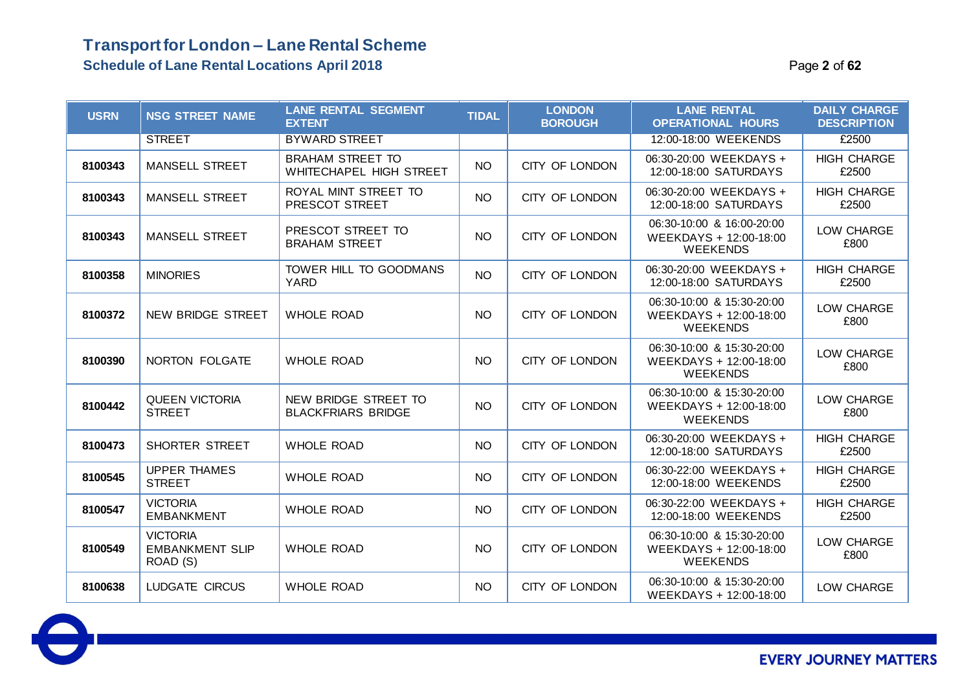| <b>USRN</b> | <b>NSG STREET NAME</b>                                | <b>LANE RENTAL SEGMENT</b><br><b>EXTENT</b>        | <b>TIDAL</b> | <b>LONDON</b><br><b>BOROUGH</b> | <b>LANE RENTAL</b><br><b>OPERATIONAL HOURS</b>                         | <b>DAILY CHARGE</b><br><b>DESCRIPTION</b> |
|-------------|-------------------------------------------------------|----------------------------------------------------|--------------|---------------------------------|------------------------------------------------------------------------|-------------------------------------------|
|             | <b>STREET</b>                                         | <b>BYWARD STREET</b>                               |              |                                 | 12:00-18:00 WEEKENDS                                                   | £2500                                     |
| 8100343     | <b>MANSELL STREET</b>                                 | <b>BRAHAM STREET TO</b><br>WHITECHAPEL HIGH STREET | <b>NO</b>    | CITY OF LONDON                  | 06:30-20:00 WEEKDAYS +<br>12:00-18:00 SATURDAYS                        | <b>HIGH CHARGE</b><br>£2500               |
| 8100343     | <b>MANSELL STREET</b>                                 | ROYAL MINT STREET TO<br>PRESCOT STREET             | <b>NO</b>    | CITY OF LONDON                  | 06:30-20:00 WEEKDAYS +<br>12:00-18:00 SATURDAYS                        | <b>HIGH CHARGE</b><br>£2500               |
| 8100343     | <b>MANSELL STREET</b>                                 | PRESCOT STREET TO<br><b>BRAHAM STREET</b>          | <b>NO</b>    | CITY OF LONDON                  | 06:30-10:00 & 16:00-20:00<br>WEEKDAYS + 12:00-18:00<br><b>WEEKENDS</b> | LOW CHARGE<br>£800                        |
| 8100358     | <b>MINORIES</b>                                       | TOWER HILL TO GOODMANS<br><b>YARD</b>              | <b>NO</b>    | CITY OF LONDON                  | 06:30-20:00 WEEKDAYS +<br>12:00-18:00 SATURDAYS                        | <b>HIGH CHARGE</b><br>£2500               |
| 8100372     | NEW BRIDGE STREET                                     | <b>WHOLE ROAD</b>                                  | <b>NO</b>    | CITY OF LONDON                  | 06:30-10:00 & 15:30-20:00<br>WEEKDAYS + 12:00-18:00<br><b>WEEKENDS</b> | LOW CHARGE<br>£800                        |
| 8100390     | NORTON FOLGATE                                        | <b>WHOLE ROAD</b>                                  | <b>NO</b>    | CITY OF LONDON                  | 06:30-10:00 & 15:30-20:00<br>WEEKDAYS + 12:00-18:00<br><b>WEEKENDS</b> | LOW CHARGE<br>£800                        |
| 8100442     | <b>QUEEN VICTORIA</b><br><b>STREET</b>                | NEW BRIDGE STREET TO<br><b>BLACKFRIARS BRIDGE</b>  | <b>NO</b>    | CITY OF LONDON                  | 06:30-10:00 & 15:30-20:00<br>WEEKDAYS + 12:00-18:00<br><b>WEEKENDS</b> | LOW CHARGE<br>£800                        |
| 8100473     | <b>SHORTER STREET</b>                                 | <b>WHOLE ROAD</b>                                  | <b>NO</b>    | CITY OF LONDON                  | 06:30-20:00 WEEKDAYS +<br>12:00-18:00 SATURDAYS                        | <b>HIGH CHARGE</b><br>£2500               |
| 8100545     | <b>UPPER THAMES</b><br><b>STREET</b>                  | <b>WHOLE ROAD</b>                                  | <b>NO</b>    | CITY OF LONDON                  | 06:30-22:00 WEEKDAYS +<br>12:00-18:00 WEEKENDS                         | <b>HIGH CHARGE</b><br>£2500               |
| 8100547     | <b>VICTORIA</b><br><b>EMBANKMENT</b>                  | <b>WHOLE ROAD</b>                                  | <b>NO</b>    | CITY OF LONDON                  | 06:30-22:00 WEEKDAYS +<br>12:00-18:00 WEEKENDS                         | <b>HIGH CHARGE</b><br>£2500               |
| 8100549     | <b>VICTORIA</b><br><b>EMBANKMENT SLIP</b><br>ROAD (S) | <b>WHOLE ROAD</b>                                  | <b>NO</b>    | CITY OF LONDON                  | 06:30-10:00 & 15:30-20:00<br>WEEKDAYS + 12:00-18:00<br><b>WEEKENDS</b> | LOW CHARGE<br>£800                        |
| 8100638     | LUDGATE CIRCUS                                        | <b>WHOLE ROAD</b>                                  | <b>NO</b>    | CITY OF LONDON                  | 06:30-10:00 & 15:30-20:00<br>WEEKDAYS + 12:00-18:00                    | LOW CHARGE                                |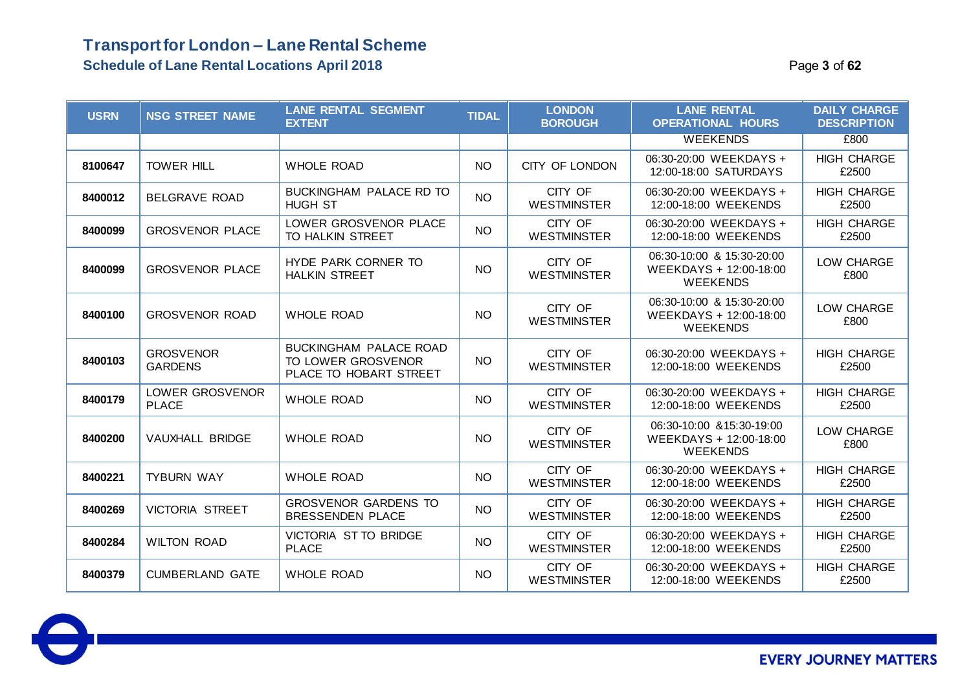### **Transport for London – Lane Rental Scheme Schedule of Lane Rental Locations April 2018** Page **3** of **62**

| <b>USRN</b> | <b>NSG STREET NAME</b>             | <b>LANE RENTAL SEGMENT</b><br><b>EXTENT</b>                                   | <b>TIDAL</b>    | <b>LONDON</b><br><b>BOROUGH</b> | <b>LANE RENTAL</b><br><b>OPERATIONAL HOURS</b>                         | <b>DAILY CHARGE</b><br><b>DESCRIPTION</b> |
|-------------|------------------------------------|-------------------------------------------------------------------------------|-----------------|---------------------------------|------------------------------------------------------------------------|-------------------------------------------|
|             |                                    |                                                                               |                 |                                 | <b>WEEKENDS</b>                                                        | £800                                      |
| 8100647     | <b>TOWER HILL</b>                  | <b>WHOLE ROAD</b>                                                             | <b>NO</b>       | CITY OF LONDON                  | 06:30-20:00 WEEKDAYS +<br>12:00-18:00 SATURDAYS                        | <b>HIGH CHARGE</b><br>£2500               |
| 8400012     | <b>BELGRAVE ROAD</b>               | BUCKINGHAM PALACE RD TO<br><b>HUGH ST</b>                                     | <b>NO</b>       | CITY OF<br><b>WESTMINSTER</b>   | 06:30-20:00 WEEKDAYS +<br>12:00-18:00 WEEKENDS                         | <b>HIGH CHARGE</b><br>£2500               |
| 8400099     | <b>GROSVENOR PLACE</b>             | LOWER GROSVENOR PLACE<br>TO HALKIN STREET                                     | <b>NO</b>       | CITY OF<br><b>WESTMINSTER</b>   | 06:30-20:00 WEEKDAYS +<br>12:00-18:00 WEEKENDS                         | <b>HIGH CHARGE</b><br>£2500               |
| 8400099     | <b>GROSVENOR PLACE</b>             | HYDE PARK CORNER TO<br><b>HALKIN STREET</b>                                   | NO <sub>1</sub> | CITY OF<br><b>WESTMINSTER</b>   | 06:30-10:00 & 15:30-20:00<br>WEEKDAYS + 12:00-18:00<br><b>WEEKENDS</b> | LOW CHARGE<br>£800                        |
| 8400100     | <b>GROSVENOR ROAD</b>              | <b>WHOLE ROAD</b>                                                             | <b>NO</b>       | CITY OF<br><b>WESTMINSTER</b>   | 06:30-10:00 & 15:30-20:00<br>WEEKDAYS + 12:00-18:00<br><b>WEEKENDS</b> | LOW CHARGE<br>£800                        |
| 8400103     | <b>GROSVENOR</b><br><b>GARDENS</b> | <b>BUCKINGHAM PALACE ROAD</b><br>TO LOWER GROSVENOR<br>PLACE TO HOBART STREET | <b>NO</b>       | CITY OF<br><b>WESTMINSTER</b>   | 06:30-20:00 WEEKDAYS +<br>12:00-18:00 WEEKENDS                         | <b>HIGH CHARGE</b><br>£2500               |
| 8400179     | LOWER GROSVENOR<br><b>PLACE</b>    | <b>WHOLE ROAD</b>                                                             | <b>NO</b>       | CITY OF<br><b>WESTMINSTER</b>   | 06:30-20:00 WEEKDAYS +<br>12:00-18:00 WEEKENDS                         | <b>HIGH CHARGE</b><br>£2500               |
| 8400200     | VAUXHALL BRIDGE                    | <b>WHOLE ROAD</b>                                                             | <b>NO</b>       | CITY OF<br><b>WESTMINSTER</b>   | 06:30-10:00 & 15:30-19:00<br>WEEKDAYS + 12:00-18:00<br><b>WEEKENDS</b> | LOW CHARGE<br>£800                        |
| 8400221     | <b>TYBURN WAY</b>                  | <b>WHOLE ROAD</b>                                                             | <b>NO</b>       | CITY OF<br><b>WESTMINSTER</b>   | 06:30-20:00 WEEKDAYS +<br>12:00-18:00 WEEKENDS                         | <b>HIGH CHARGE</b><br>£2500               |
| 8400269     | <b>VICTORIA STREET</b>             | <b>GROSVENOR GARDENS TO</b><br><b>BRESSENDEN PLACE</b>                        | <b>NO</b>       | CITY OF<br><b>WESTMINSTER</b>   | 06:30-20:00 WEEKDAYS +<br>12:00-18:00 WEEKENDS                         | <b>HIGH CHARGE</b><br>£2500               |
| 8400284     | <b>WILTON ROAD</b>                 | VICTORIA ST TO BRIDGE<br><b>PLACE</b>                                         | <b>NO</b>       | CITY OF<br><b>WESTMINSTER</b>   | 06:30-20:00 WEEKDAYS +<br>12:00-18:00 WEEKENDS                         | <b>HIGH CHARGE</b><br>£2500               |
| 8400379     | <b>CUMBERLAND GATE</b>             | <b>WHOLE ROAD</b>                                                             | <b>NO</b>       | CITY OF<br><b>WESTMINSTER</b>   | 06:30-20:00 WEEKDAYS +<br>12:00-18:00 WEEKENDS                         | <b>HIGH CHARGE</b><br>£2500               |

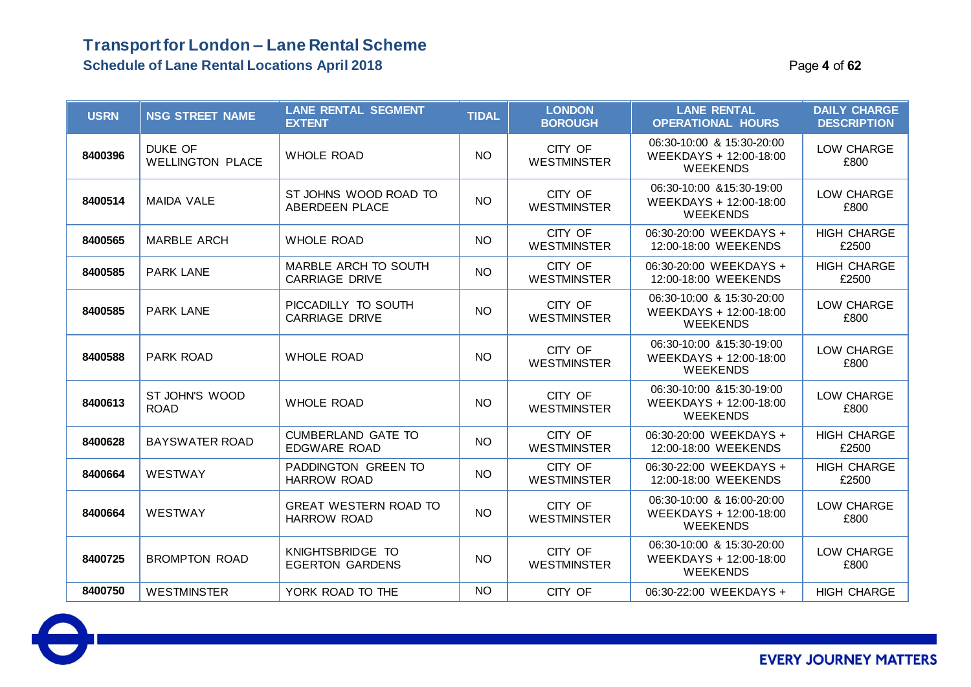### **Transport for London – Lane Rental Scheme Schedule of Lane Rental Locations April 2018 Page 4** of 62

| <b>USRN</b> | <b>NSG STREET NAME</b>                    | <b>LANE RENTAL SEGMENT</b><br><b>EXTENT</b>        | <b>TIDAL</b>    | <b>LONDON</b><br><b>BOROUGH</b> | <b>LANE RENTAL</b><br><b>OPERATIONAL HOURS</b>                         | <b>DAILY CHARGE</b><br><b>DESCRIPTION</b> |
|-------------|-------------------------------------------|----------------------------------------------------|-----------------|---------------------------------|------------------------------------------------------------------------|-------------------------------------------|
| 8400396     | <b>DUKE OF</b><br><b>WELLINGTON PLACE</b> | <b>WHOLE ROAD</b>                                  | <b>NO</b>       | CITY OF<br><b>WESTMINSTER</b>   | 06:30-10:00 & 15:30-20:00<br>WEEKDAYS + 12:00-18:00<br><b>WEEKENDS</b> | LOW CHARGE<br>£800                        |
| 8400514     | <b>MAIDA VALE</b>                         | ST JOHNS WOOD ROAD TO<br><b>ABERDEEN PLACE</b>     | <b>NO</b>       | CITY OF<br><b>WESTMINSTER</b>   | 06:30-10:00 & 15:30-19:00<br>WEEKDAYS + 12:00-18:00<br><b>WEEKENDS</b> | LOW CHARGE<br>£800                        |
| 8400565     | <b>MARBLE ARCH</b>                        | <b>WHOLE ROAD</b>                                  | <b>NO</b>       | CITY OF<br><b>WESTMINSTER</b>   | 06:30-20:00 WEEKDAYS +<br>12:00-18:00 WEEKENDS                         | <b>HIGH CHARGE</b><br>£2500               |
| 8400585     | <b>PARK LANE</b>                          | MARBLE ARCH TO SOUTH<br><b>CARRIAGE DRIVE</b>      | <b>NO</b>       | CITY OF<br><b>WESTMINSTER</b>   | 06:30-20:00 WEEKDAYS +<br>12:00-18:00 WEEKENDS                         | <b>HIGH CHARGE</b><br>£2500               |
| 8400585     | <b>PARK LANE</b>                          | PICCADILLY TO SOUTH<br><b>CARRIAGE DRIVE</b>       | <b>NO</b>       | CITY OF<br><b>WESTMINSTER</b>   | 06:30-10:00 & 15:30-20:00<br>WEEKDAYS + 12:00-18:00<br><b>WEEKENDS</b> | LOW CHARGE<br>£800                        |
| 8400588     | <b>PARK ROAD</b>                          | <b>WHOLE ROAD</b>                                  | <b>NO</b>       | CITY OF<br><b>WESTMINSTER</b>   | 06:30-10:00 & 15:30-19:00<br>WEEKDAYS + 12:00-18:00<br><b>WEEKENDS</b> | LOW CHARGE<br>£800                        |
| 8400613     | ST JOHN'S WOOD<br><b>ROAD</b>             | <b>WHOLE ROAD</b>                                  | <b>NO</b>       | CITY OF<br><b>WESTMINSTER</b>   | 06:30-10:00 & 15:30-19:00<br>WEEKDAYS + 12:00-18:00<br><b>WEEKENDS</b> | LOW CHARGE<br>£800                        |
| 8400628     | <b>BAYSWATER ROAD</b>                     | <b>CUMBERLAND GATE TO</b><br><b>EDGWARE ROAD</b>   | <b>NO</b>       | CITY OF<br><b>WESTMINSTER</b>   | 06:30-20:00 WEEKDAYS +<br>12:00-18:00 WEEKENDS                         | <b>HIGH CHARGE</b><br>£2500               |
| 8400664     | <b>WESTWAY</b>                            | PADDINGTON GREEN TO<br><b>HARROW ROAD</b>          | <b>NO</b>       | CITY OF<br><b>WESTMINSTER</b>   | 06:30-22:00 WEEKDAYS +<br>12:00-18:00 WEEKENDS                         | <b>HIGH CHARGE</b><br>£2500               |
| 8400664     | <b>WESTWAY</b>                            | <b>GREAT WESTERN ROAD TO</b><br><b>HARROW ROAD</b> | <b>NO</b>       | CITY OF<br><b>WESTMINSTER</b>   | 06:30-10:00 & 16:00-20:00<br>WEEKDAYS + 12:00-18:00<br><b>WEEKENDS</b> | LOW CHARGE<br>£800                        |
| 8400725     | <b>BROMPTON ROAD</b>                      | KNIGHTSBRIDGE TO<br><b>EGERTON GARDENS</b>         | <b>NO</b>       | CITY OF<br><b>WESTMINSTER</b>   | 06:30-10:00 & 15:30-20:00<br>WEEKDAYS + 12:00-18:00<br><b>WEEKENDS</b> | LOW CHARGE<br>£800                        |
| 8400750     | <b>WESTMINSTER</b>                        | YORK ROAD TO THE                                   | NO <sub>1</sub> | CITY OF                         | 06:30-22:00 WEEKDAYS +                                                 | <b>HIGH CHARGE</b>                        |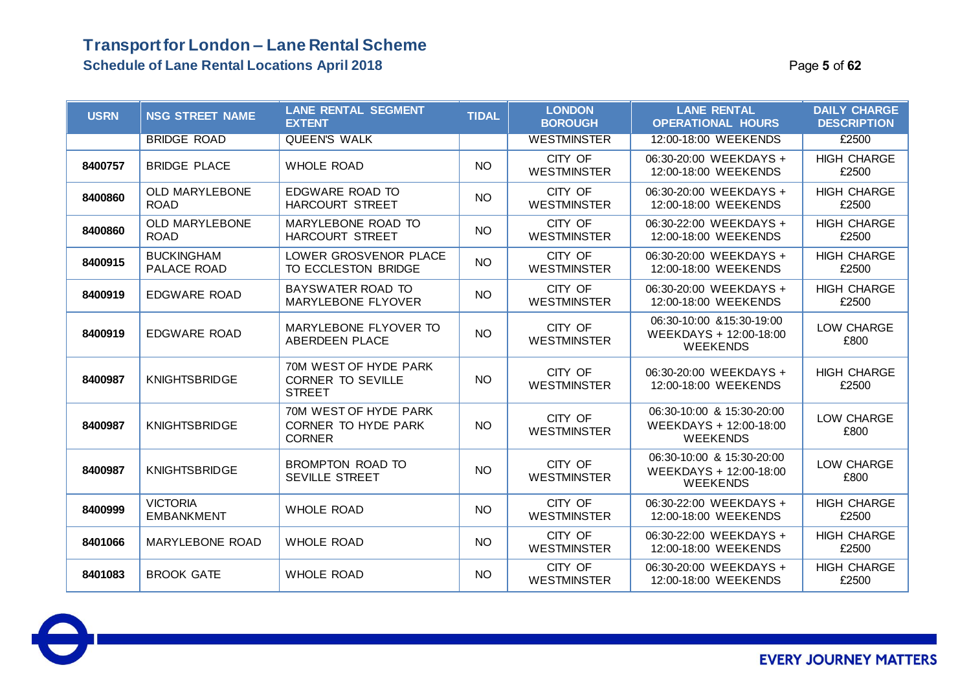#### **Transport for London – Lane Rental Scheme Schedule of Lane Rental Locations April 2018 Page 1 013 12018** Page 1 013

| <b>USRN</b> | <b>NSG STREET NAME</b>               | <b>LANE RENTAL SEGMENT</b><br><b>EXTENT</b>                        | <b>TIDAL</b> | <b>LONDON</b><br><b>BOROUGH</b> | <b>LANE RENTAL</b><br><b>OPERATIONAL HOURS</b>                         | <b>DAILY CHARGE</b><br><b>DESCRIPTION</b> |
|-------------|--------------------------------------|--------------------------------------------------------------------|--------------|---------------------------------|------------------------------------------------------------------------|-------------------------------------------|
|             | <b>BRIDGE ROAD</b>                   | <b>QUEEN'S WALK</b>                                                |              | <b>WESTMINSTER</b>              | 12:00-18:00 WEEKENDS                                                   | £2500                                     |
| 8400757     | <b>BRIDGE PLACE</b>                  | <b>WHOLE ROAD</b>                                                  | <b>NO</b>    | CITY OF<br><b>WESTMINSTER</b>   | 06:30-20:00 WEEKDAYS +<br>12:00-18:00 WEEKENDS                         | <b>HIGH CHARGE</b><br>£2500               |
| 8400860     | <b>OLD MARYLEBONE</b><br><b>ROAD</b> | EDGWARE ROAD TO<br>HARCOURT STREET                                 | <b>NO</b>    | CITY OF<br><b>WESTMINSTER</b>   | 06:30-20:00 WEEKDAYS +<br>12:00-18:00 WEEKENDS                         | <b>HIGH CHARGE</b><br>£2500               |
| 8400860     | <b>OLD MARYLEBONE</b><br><b>ROAD</b> | MARYLEBONE ROAD TO<br><b>HARCOURT STREET</b>                       | <b>NO</b>    | CITY OF<br><b>WESTMINSTER</b>   | 06:30-22:00 WEEKDAYS +<br>12:00-18:00 WEEKENDS                         | <b>HIGH CHARGE</b><br>£2500               |
| 8400915     | <b>BUCKINGHAM</b><br>PALACE ROAD     | LOWER GROSVENOR PLACE<br>TO ECCLESTON BRIDGE                       | NO           | CITY OF<br><b>WESTMINSTER</b>   | 06:30-20:00 WEEKDAYS +<br>12:00-18:00 WEEKENDS                         | <b>HIGH CHARGE</b><br>£2500               |
| 8400919     | EDGWARE ROAD                         | BAYSWATER ROAD TO<br><b>MARYLEBONE FLYOVER</b>                     | <b>NO</b>    | CITY OF<br><b>WESTMINSTER</b>   | 06:30-20:00 WEEKDAYS +<br>12:00-18:00 WEEKENDS                         | <b>HIGH CHARGE</b><br>£2500               |
| 8400919     | <b>EDGWARE ROAD</b>                  | MARYLEBONE FLYOVER TO<br>ABERDEEN PLACE                            | <b>NO</b>    | CITY OF<br><b>WESTMINSTER</b>   | 06:30-10:00 & 15:30-19:00<br>WEEKDAYS + 12:00-18:00<br><b>WEEKENDS</b> | LOW CHARGE<br>£800                        |
| 8400987     | <b>KNIGHTSBRIDGE</b>                 | 70M WEST OF HYDE PARK<br><b>CORNER TO SEVILLE</b><br><b>STREET</b> | <b>NO</b>    | CITY OF<br><b>WESTMINSTER</b>   | 06:30-20:00 WEEKDAYS +<br>12:00-18:00 WEEKENDS                         | <b>HIGH CHARGE</b><br>£2500               |
| 8400987     | <b>KNIGHTSBRIDGE</b>                 | 70M WEST OF HYDE PARK<br>CORNER TO HYDE PARK<br><b>CORNER</b>      | <b>NO</b>    | CITY OF<br><b>WESTMINSTER</b>   | 06:30-10:00 & 15:30-20:00<br>WEEKDAYS + 12:00-18:00<br><b>WEEKENDS</b> | LOW CHARGE<br>£800                        |
| 8400987     | <b>KNIGHTSBRIDGE</b>                 | BROMPTON ROAD TO<br><b>SEVILLE STREET</b>                          | <b>NO</b>    | CITY OF<br><b>WESTMINSTER</b>   | 06:30-10:00 & 15:30-20:00<br>WEEKDAYS + 12:00-18:00<br><b>WEEKENDS</b> | LOW CHARGE<br>£800                        |
| 8400999     | <b>VICTORIA</b><br><b>EMBANKMENT</b> | <b>WHOLE ROAD</b>                                                  | <b>NO</b>    | CITY OF<br><b>WESTMINSTER</b>   | 06:30-22:00 WEEKDAYS +<br>12:00-18:00 WEEKENDS                         | <b>HIGH CHARGE</b><br>£2500               |
| 8401066     | MARYLEBONE ROAD                      | <b>WHOLE ROAD</b>                                                  | <b>NO</b>    | CITY OF<br><b>WESTMINSTER</b>   | 06:30-22:00 WEEKDAYS +<br>12:00-18:00 WEEKENDS                         | <b>HIGH CHARGE</b><br>£2500               |
| 8401083     | <b>BROOK GATE</b>                    | <b>WHOLE ROAD</b>                                                  | <b>NO</b>    | CITY OF<br><b>WESTMINSTER</b>   | 06:30-20:00 WEEKDAYS +<br>12:00-18:00 WEEKENDS                         | <b>HIGH CHARGE</b><br>£2500               |

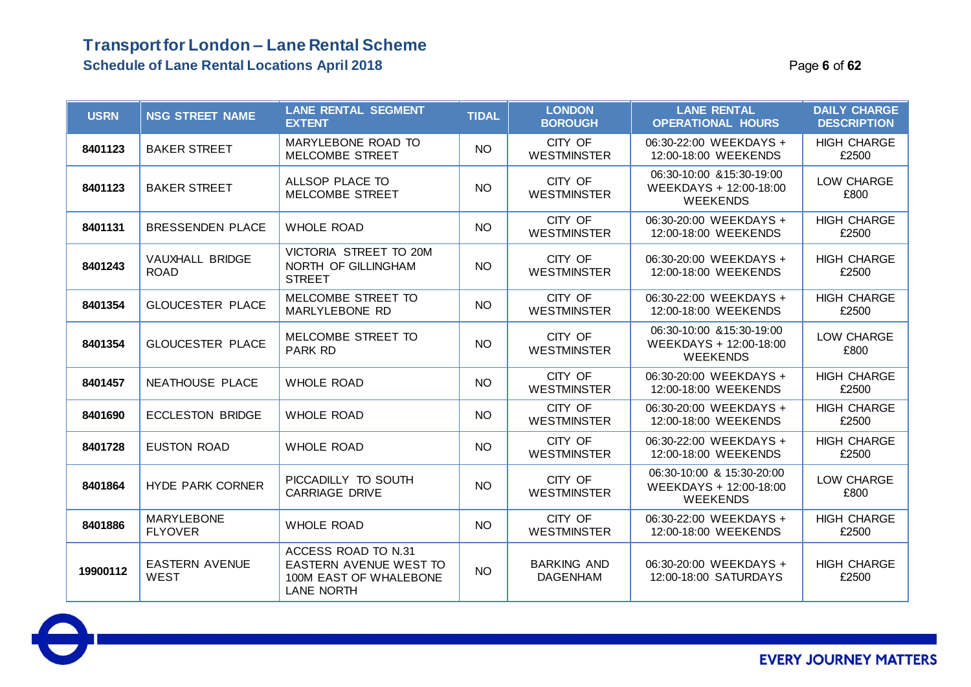| <b>USRN</b> | <b>NSG STREET NAME</b>               | <b>LANE RENTAL SEGMENT</b><br><b>EXTENT</b>                                           | <b>TIDAL</b> | <b>LONDON</b><br><b>BOROUGH</b>       | <b>LANE RENTAL</b><br><b>OPERATIONAL HOURS</b>                         | <b>DAILY CHARGE</b><br><b>DESCRIPTION</b> |
|-------------|--------------------------------------|---------------------------------------------------------------------------------------|--------------|---------------------------------------|------------------------------------------------------------------------|-------------------------------------------|
| 8401123     | <b>BAKER STREET</b>                  | MARYLEBONE ROAD TO<br><b>MELCOMBE STREET</b>                                          | NO.          | CITY OF<br><b>WESTMINSTER</b>         | 06:30-22:00 WEEKDAYS +<br>12:00-18:00 WEEKENDS                         | <b>HIGH CHARGE</b><br>£2500               |
| 8401123     | <b>BAKER STREET</b>                  | ALLSOP PLACE TO<br>MELCOMBE STREET                                                    | <b>NO</b>    | CITY OF<br><b>WESTMINSTER</b>         | 06:30-10:00 & 15:30-19:00<br>WEEKDAYS + 12:00-18:00<br><b>WEEKENDS</b> | LOW CHARGE<br>£800                        |
| 8401131     | <b>BRESSENDEN PLACE</b>              | <b>WHOLE ROAD</b>                                                                     | <b>NO</b>    | CITY OF<br><b>WESTMINSTER</b>         | 06:30-20:00 WEEKDAYS +<br>12:00-18:00 WEEKENDS                         | <b>HIGH CHARGE</b><br>£2500               |
| 8401243     | VAUXHALL BRIDGE<br><b>ROAD</b>       | VICTORIA STREET TO 20M<br>NORTH OF GILLINGHAM<br><b>STREET</b>                        | <b>NO</b>    | CITY OF<br><b>WESTMINSTER</b>         | 06:30-20:00 WEEKDAYS +<br>12:00-18:00 WEEKENDS                         | <b>HIGH CHARGE</b><br>£2500               |
| 8401354     | <b>GLOUCESTER PLACE</b>              | MELCOMBE STREET TO<br>MARLYLEBONE RD                                                  | <b>NO</b>    | CITY OF<br><b>WESTMINSTER</b>         | 06:30-22:00 WEEKDAYS +<br>12:00-18:00 WEEKENDS                         | <b>HIGH CHARGE</b><br>£2500               |
| 8401354     | <b>GLOUCESTER PLACE</b>              | MELCOMBE STREET TO<br><b>PARK RD</b>                                                  | <b>NO</b>    | CITY OF<br><b>WESTMINSTER</b>         | 06:30-10:00 & 15:30-19:00<br>WEEKDAYS + 12:00-18:00<br><b>WEEKENDS</b> | LOW CHARGE<br>£800                        |
| 8401457     | NEATHOUSE PLACE                      | <b>WHOLE ROAD</b>                                                                     | <b>NO</b>    | CITY OF<br><b>WESTMINSTER</b>         | 06:30-20:00 WEEKDAYS +<br>12:00-18:00 WEEKENDS                         | <b>HIGH CHARGE</b><br>£2500               |
| 8401690     | <b>ECCLESTON BRIDGE</b>              | <b>WHOLE ROAD</b>                                                                     | <b>NO</b>    | CITY OF<br><b>WESTMINSTER</b>         | 06:30-20:00 WEEKDAYS +<br>12:00-18:00 WEEKENDS                         | <b>HIGH CHARGE</b><br>£2500               |
| 8401728     | <b>EUSTON ROAD</b>                   | <b>WHOLE ROAD</b>                                                                     | <b>NO</b>    | CITY OF<br><b>WESTMINSTER</b>         | 06:30-22:00 WEEKDAYS +<br>12:00-18:00 WEEKENDS                         | <b>HIGH CHARGE</b><br>£2500               |
| 8401864     | <b>HYDE PARK CORNER</b>              | PICCADILLY TO SOUTH<br><b>CARRIAGE DRIVE</b>                                          | <b>NO</b>    | CITY OF<br><b>WESTMINSTER</b>         | 06:30-10:00 & 15:30-20:00<br>WEEKDAYS + 12:00-18:00<br><b>WEEKENDS</b> | LOW CHARGE<br>£800                        |
| 8401886     | <b>MARYLEBONE</b><br><b>FLYOVER</b>  | <b>WHOLE ROAD</b>                                                                     | <b>NO</b>    | CITY OF<br><b>WESTMINSTER</b>         | 06:30-22:00 WEEKDAYS +<br>12:00-18:00 WEEKENDS                         | <b>HIGH CHARGE</b><br>£2500               |
| 19900112    | <b>EASTERN AVENUE</b><br><b>WEST</b> | ACCESS ROAD TO N.31<br>EASTERN AVENUE WEST TO<br>100M EAST OF WHALEBONE<br>LANE NORTH | <b>NO</b>    | <b>BARKING AND</b><br><b>DAGENHAM</b> | 06:30-20:00 WEEKDAYS +<br>12:00-18:00 SATURDAYS                        | <b>HIGH CHARGE</b><br>£2500               |

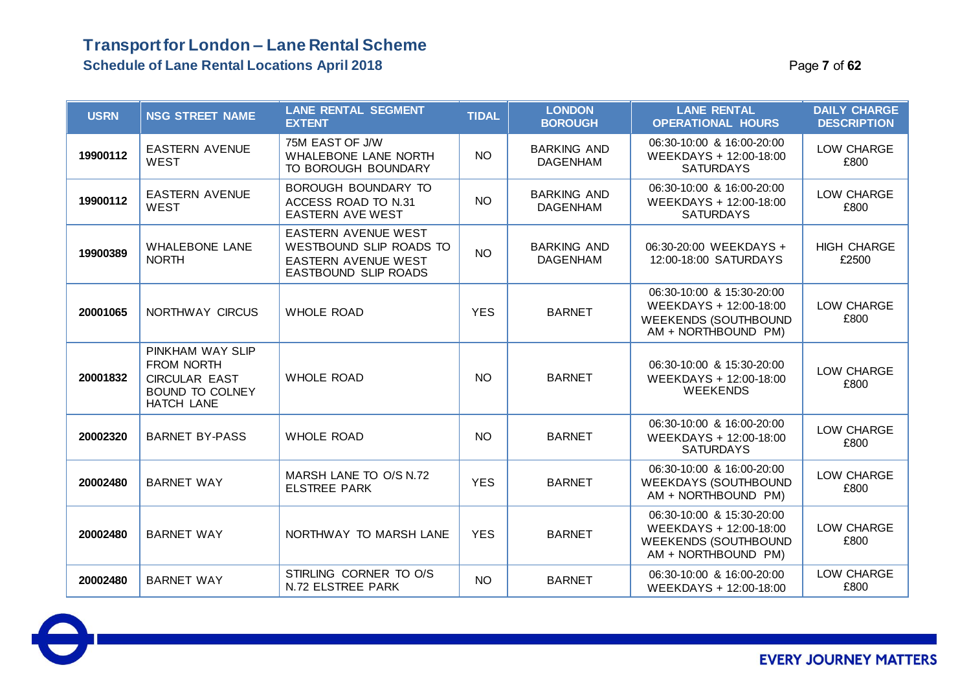### **Transport for London – Lane Rental Scheme Schedule of Lane Rental Locations April 2018 Page 7** of 62

| <b>USRN</b> | <b>NSG STREET NAME</b>                                                                                | <b>LANE RENTAL SEGMENT</b><br><b>EXTENT</b>                                                          | <b>TIDAL</b>    | <b>LONDON</b><br><b>BOROUGH</b>       | <b>LANE RENTAL</b><br><b>OPERATIONAL HOURS</b>                                                            | <b>DAILY CHARGE</b><br><b>DESCRIPTION</b> |
|-------------|-------------------------------------------------------------------------------------------------------|------------------------------------------------------------------------------------------------------|-----------------|---------------------------------------|-----------------------------------------------------------------------------------------------------------|-------------------------------------------|
| 19900112    | <b>EASTERN AVENUE</b><br><b>WEST</b>                                                                  | 75M EAST OF J/W<br>WHALEBONE LANE NORTH<br>TO BOROUGH BOUNDARY                                       | <b>NO</b>       | <b>BARKING AND</b><br><b>DAGENHAM</b> | 06:30-10:00 & 16:00-20:00<br>WEEKDAYS + 12:00-18:00<br><b>SATURDAYS</b>                                   | LOW CHARGE<br>£800                        |
| 19900112    | <b>EASTERN AVENUE</b><br><b>WEST</b>                                                                  | BOROUGH BOUNDARY TO<br>ACCESS ROAD TO N.31<br><b>EASTERN AVE WEST</b>                                | <b>NO</b>       | <b>BARKING AND</b><br><b>DAGENHAM</b> | 06:30-10:00 & 16:00-20:00<br>WEEKDAYS + 12:00-18:00<br><b>SATURDAYS</b>                                   | LOW CHARGE<br>£800                        |
| 19900389    | <b>WHALEBONE LANE</b><br><b>NORTH</b>                                                                 | EASTERN AVENUE WEST<br>WESTBOUND SLIP ROADS TO<br><b>EASTERN AVENUE WEST</b><br>EASTBOUND SLIP ROADS | NO <sub>1</sub> | <b>BARKING AND</b><br><b>DAGENHAM</b> | 06:30-20:00 WEEKDAYS +<br>12:00-18:00 SATURDAYS                                                           | <b>HIGH CHARGE</b><br>£2500               |
| 20001065    | NORTHWAY CIRCUS                                                                                       | <b>WHOLE ROAD</b>                                                                                    | <b>YES</b>      | <b>BARNET</b>                         | 06:30-10:00 & 15:30-20:00<br>WEEKDAYS + 12:00-18:00<br><b>WEEKENDS (SOUTHBOUND</b><br>AM + NORTHBOUND PM) | LOW CHARGE<br>£800                        |
| 20001832    | PINKHAM WAY SLIP<br>FROM NORTH<br><b>CIRCULAR EAST</b><br><b>BOUND TO COLNEY</b><br><b>HATCH LANE</b> | <b>WHOLE ROAD</b>                                                                                    | <b>NO</b>       | <b>BARNET</b>                         | 06:30-10:00 & 15:30-20:00<br>WEEKDAYS + 12:00-18:00<br><b>WEEKENDS</b>                                    | LOW CHARGE<br>£800                        |
| 20002320    | <b>BARNET BY-PASS</b>                                                                                 | <b>WHOLE ROAD</b>                                                                                    | <b>NO</b>       | <b>BARNET</b>                         | 06:30-10:00 & 16:00-20:00<br>WEEKDAYS + 12:00-18:00<br><b>SATURDAYS</b>                                   | LOW CHARGE<br>£800                        |
| 20002480    | <b>BARNET WAY</b>                                                                                     | MARSH LANE TO O/S N.72<br><b>ELSTREE PARK</b>                                                        | <b>YES</b>      | <b>BARNET</b>                         | 06:30-10:00 & 16:00-20:00<br><b>WEEKDAYS (SOUTHBOUND</b><br>AM + NORTHBOUND PM)                           | LOW CHARGE<br>£800                        |
| 20002480    | <b>BARNET WAY</b>                                                                                     | NORTHWAY TO MARSH LANE                                                                               | <b>YES</b>      | <b>BARNET</b>                         | 06:30-10:00 & 15:30-20:00<br>WEEKDAYS + 12:00-18:00<br><b>WEEKENDS (SOUTHBOUND</b><br>AM + NORTHBOUND PM) | LOW CHARGE<br>£800                        |
| 20002480    | <b>BARNET WAY</b>                                                                                     | STIRLING CORNER TO O/S<br>N.72 ELSTREE PARK                                                          | <b>NO</b>       | <b>BARNET</b>                         | 06:30-10:00 & 16:00-20:00<br>WEEKDAYS + 12:00-18:00                                                       | LOW CHARGE<br>£800                        |

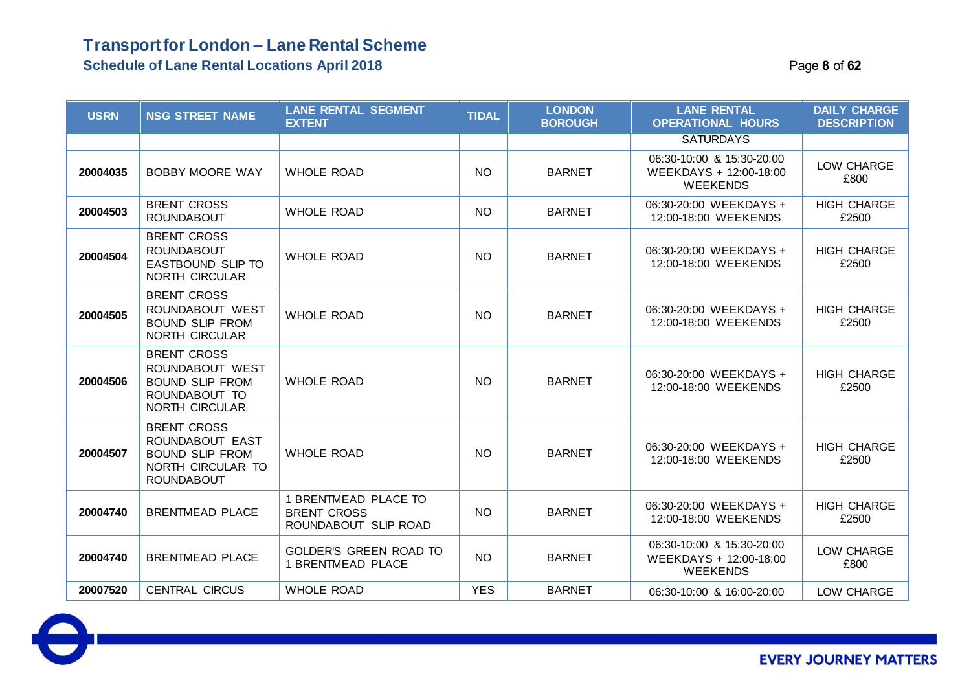| <b>USRN</b> | <b>NSG STREET NAME</b>                                                                                    | <b>LANE RENTAL SEGMENT</b><br><b>EXTENT</b>                        | <b>TIDAL</b> | <b>LONDON</b><br><b>BOROUGH</b> | <b>LANE RENTAL</b><br><b>OPERATIONAL HOURS</b>                         | <b>DAILY CHARGE</b><br><b>DESCRIPTION</b> |
|-------------|-----------------------------------------------------------------------------------------------------------|--------------------------------------------------------------------|--------------|---------------------------------|------------------------------------------------------------------------|-------------------------------------------|
|             |                                                                                                           |                                                                    |              |                                 | <b>SATURDAYS</b>                                                       |                                           |
| 20004035    | <b>BOBBY MOORE WAY</b>                                                                                    | <b>WHOLE ROAD</b>                                                  | <b>NO</b>    | <b>BARNET</b>                   | 06:30-10:00 & 15:30-20:00<br>WEEKDAYS + 12:00-18:00<br><b>WEEKENDS</b> | LOW CHARGE<br>£800                        |
| 20004503    | <b>BRENT CROSS</b><br><b>ROUNDABOUT</b>                                                                   | <b>WHOLE ROAD</b>                                                  | <b>NO</b>    | <b>BARNET</b>                   | 06:30-20:00 WEEKDAYS +<br>12:00-18:00 WEEKENDS                         | <b>HIGH CHARGE</b><br>£2500               |
| 20004504    | <b>BRENT CROSS</b><br><b>ROUNDABOUT</b><br>EASTBOUND SLIP TO<br>NORTH CIRCULAR                            | <b>WHOLE ROAD</b>                                                  | <b>NO</b>    | <b>BARNET</b>                   | 06:30-20:00 WEEKDAYS +<br>12:00-18:00 WEEKENDS                         | <b>HIGH CHARGE</b><br>£2500               |
| 20004505    | <b>BRENT CROSS</b><br>ROUNDABOUT WEST<br><b>BOUND SLIP FROM</b><br>NORTH CIRCULAR                         | <b>WHOLE ROAD</b>                                                  | <b>NO</b>    | <b>BARNET</b>                   | 06:30-20:00 WEEKDAYS +<br>12:00-18:00 WEEKENDS                         | <b>HIGH CHARGE</b><br>£2500               |
| 20004506    | <b>BRENT CROSS</b><br>ROUNDABOUT WEST<br><b>BOUND SLIP FROM</b><br>ROUNDABOUT TO<br>NORTH CIRCULAR        | <b>WHOLE ROAD</b>                                                  | <b>NO</b>    | <b>BARNET</b>                   | 06:30-20:00 WEEKDAYS +<br>12:00-18:00 WEEKENDS                         | <b>HIGH CHARGE</b><br>£2500               |
| 20004507    | <b>BRENT CROSS</b><br>ROUNDABOUT EAST<br><b>BOUND SLIP FROM</b><br>NORTH CIRCULAR TO<br><b>ROUNDABOUT</b> | <b>WHOLE ROAD</b>                                                  | <b>NO</b>    | <b>BARNET</b>                   | 06:30-20:00 WEEKDAYS +<br>12:00-18:00 WEEKENDS                         | <b>HIGH CHARGE</b><br>£2500               |
| 20004740    | <b>BRENTMEAD PLACE</b>                                                                                    | 1 BRENTMEAD PLACE TO<br><b>BRENT CROSS</b><br>ROUNDABOUT SLIP ROAD | <b>NO</b>    | <b>BARNET</b>                   | 06:30-20:00 WEEKDAYS +<br>12:00-18:00 WEEKENDS                         | <b>HIGH CHARGE</b><br>£2500               |
| 20004740    | <b>BRENTMEAD PLACE</b>                                                                                    | <b>GOLDER'S GREEN ROAD TO</b><br><b>1 BRENTMEAD PLACE</b>          | <b>NO</b>    | <b>BARNET</b>                   | 06:30-10:00 & 15:30-20:00<br>WEEKDAYS + 12:00-18:00<br><b>WEEKENDS</b> | LOW CHARGE<br>£800                        |
| 20007520    | <b>CENTRAL CIRCUS</b>                                                                                     | <b>WHOLE ROAD</b>                                                  | <b>YES</b>   | <b>BARNET</b>                   | 06:30-10:00 & 16:00-20:00                                              | LOW CHARGE                                |

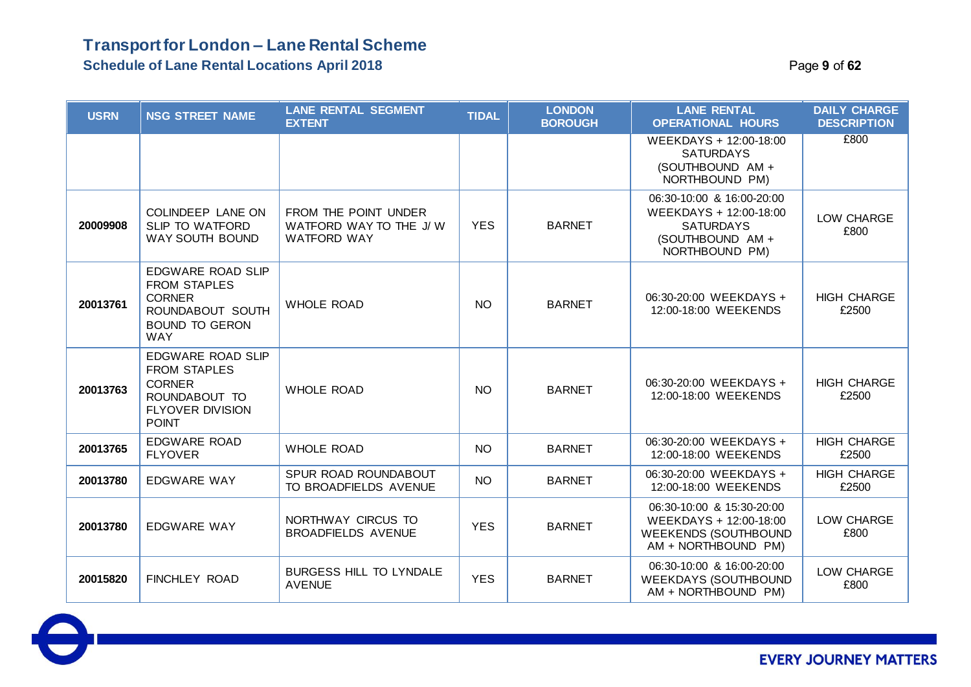### **Schedule of Lane Rental Locations April 2018** Page **9** of **62**

| <b>USRN</b> | <b>NSG STREET NAME</b>                                                                                                       | <b>LANE RENTAL SEGMENT</b><br><b>EXTENT</b>                          | <b>TIDAL</b> | <b>LONDON</b><br><b>BOROUGH</b> | <b>LANE RENTAL</b><br><b>OPERATIONAL HOURS</b>                                                                | <b>DAILY CHARGE</b><br><b>DESCRIPTION</b> |
|-------------|------------------------------------------------------------------------------------------------------------------------------|----------------------------------------------------------------------|--------------|---------------------------------|---------------------------------------------------------------------------------------------------------------|-------------------------------------------|
|             |                                                                                                                              |                                                                      |              |                                 | WEEKDAYS + 12:00-18:00<br><b>SATURDAYS</b><br>(SOUTHBOUND AM +<br>NORTHBOUND PM)                              | £800                                      |
| 20009908    | COLINDEEP LANE ON<br>SLIP TO WATFORD<br>WAY SOUTH BOUND                                                                      | FROM THE POINT UNDER<br>WATFORD WAY TO THE J/W<br><b>WATFORD WAY</b> | <b>YES</b>   | <b>BARNET</b>                   | 06:30-10:00 & 16:00-20:00<br>WEEKDAYS + 12:00-18:00<br><b>SATURDAYS</b><br>(SOUTHBOUND AM +<br>NORTHBOUND PM) | LOW CHARGE<br>£800                        |
| 20013761    | <b>EDGWARE ROAD SLIP</b><br><b>FROM STAPLES</b><br><b>CORNER</b><br>ROUNDABOUT SOUTH<br><b>BOUND TO GERON</b><br><b>WAY</b>  | <b>WHOLE ROAD</b>                                                    | <b>NO</b>    | <b>BARNET</b>                   | 06:30-20:00 WEEKDAYS +<br>12:00-18:00 WEEKENDS                                                                | <b>HIGH CHARGE</b><br>£2500               |
| 20013763    | <b>EDGWARE ROAD SLIP</b><br><b>FROM STAPLES</b><br><b>CORNER</b><br>ROUNDABOUT TO<br><b>FLYOVER DIVISION</b><br><b>POINT</b> | <b>WHOLE ROAD</b>                                                    | <b>NO</b>    | <b>BARNET</b>                   | 06:30-20:00 WEEKDAYS +<br>12:00-18:00 WEEKENDS                                                                | <b>HIGH CHARGE</b><br>£2500               |
| 20013765    | <b>EDGWARE ROAD</b><br><b>FLYOVER</b>                                                                                        | <b>WHOLE ROAD</b>                                                    | <b>NO</b>    | <b>BARNET</b>                   | 06:30-20:00 WEEKDAYS +<br>12:00-18:00 WEEKENDS                                                                | <b>HIGH CHARGE</b><br>£2500               |
| 20013780    | EDGWARE WAY                                                                                                                  | SPUR ROAD ROUNDABOUT<br>TO BROADFIELDS AVENUE                        | <b>NO</b>    | <b>BARNET</b>                   | 06:30-20:00 WEEKDAYS +<br>12:00-18:00 WEEKENDS                                                                | <b>HIGH CHARGE</b><br>£2500               |
| 20013780    | EDGWARE WAY                                                                                                                  | NORTHWAY CIRCUS TO<br><b>BROADFIELDS AVENUE</b>                      | <b>YES</b>   | <b>BARNET</b>                   | 06:30-10:00 & 15:30-20:00<br>WEEKDAYS + 12:00-18:00<br><b>WEEKENDS (SOUTHBOUND</b><br>AM + NORTHBOUND PM)     | LOW CHARGE<br>£800                        |
| 20015820    | <b>FINCHLEY ROAD</b>                                                                                                         | BURGESS HILL TO LYNDALE<br><b>AVENUE</b>                             | <b>YES</b>   | <b>BARNET</b>                   | 06:30-10:00 & 16:00-20:00<br><b>WEEKDAYS (SOUTHBOUND</b><br>AM + NORTHBOUND PM)                               | LOW CHARGE<br>£800                        |

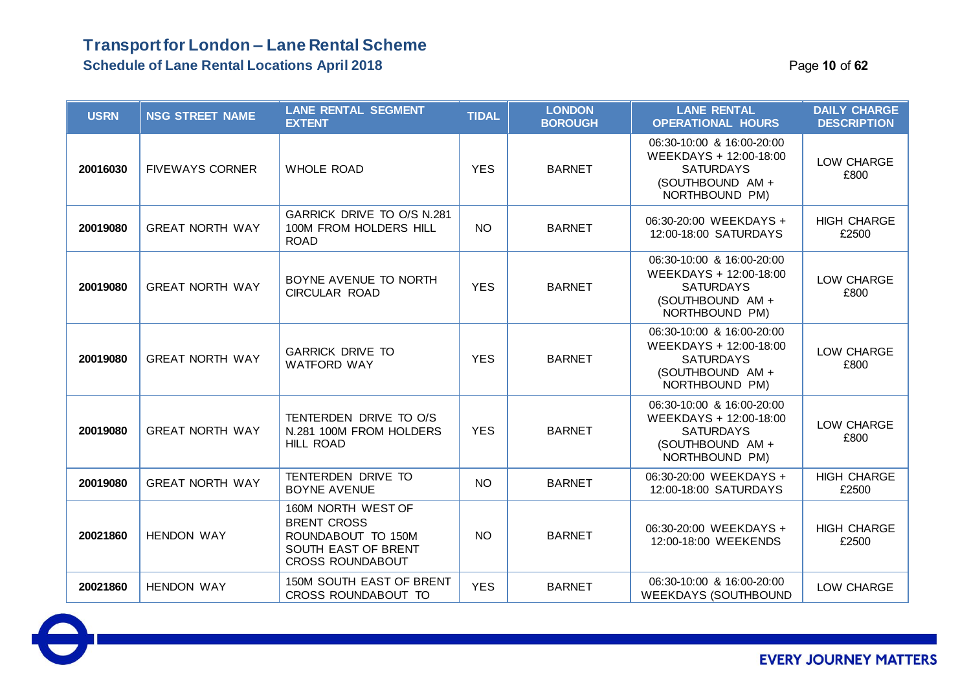**Schedule of Lane Rental Locations April 2018** Page **10** of **62**

 $\bullet$ 

| <b>USRN</b> | <b>NSG STREET NAME</b> | <b>LANE RENTAL SEGMENT</b><br><b>EXTENT</b>                                                                      | <b>TIDAL</b> | <b>LONDON</b><br><b>BOROUGH</b> | <b>LANE RENTAL</b><br><b>OPERATIONAL HOURS</b>                                                                | <b>DAILY CHARGE</b><br><b>DESCRIPTION</b> |
|-------------|------------------------|------------------------------------------------------------------------------------------------------------------|--------------|---------------------------------|---------------------------------------------------------------------------------------------------------------|-------------------------------------------|
| 20016030    | <b>FIVEWAYS CORNER</b> | <b>WHOLE ROAD</b>                                                                                                | <b>YES</b>   | <b>BARNET</b>                   | 06:30-10:00 & 16:00-20:00<br>WEEKDAYS + 12:00-18:00<br><b>SATURDAYS</b><br>(SOUTHBOUND AM +<br>NORTHBOUND PM) | LOW CHARGE<br>£800                        |
| 20019080    | <b>GREAT NORTH WAY</b> | GARRICK DRIVE TO O/S N.281<br>100M FROM HOLDERS HILL<br><b>ROAD</b>                                              | <b>NO</b>    | <b>BARNET</b>                   | 06:30-20:00 WEEKDAYS +<br>12:00-18:00 SATURDAYS                                                               | <b>HIGH CHARGE</b><br>£2500               |
| 20019080    | <b>GREAT NORTH WAY</b> | BOYNE AVENUE TO NORTH<br><b>CIRCULAR ROAD</b>                                                                    | <b>YES</b>   | <b>BARNET</b>                   | 06:30-10:00 & 16:00-20:00<br>WEEKDAYS + 12:00-18:00<br><b>SATURDAYS</b><br>(SOUTHBOUND AM +<br>NORTHBOUND PM) | LOW CHARGE<br>£800                        |
| 20019080    | <b>GREAT NORTH WAY</b> | <b>GARRICK DRIVE TO</b><br><b>WATFORD WAY</b>                                                                    | <b>YES</b>   | <b>BARNET</b>                   | 06:30-10:00 & 16:00-20:00<br>WEEKDAYS + 12:00-18:00<br><b>SATURDAYS</b><br>(SOUTHBOUND AM +<br>NORTHBOUND PM) | LOW CHARGE<br>£800                        |
| 20019080    | <b>GREAT NORTH WAY</b> | TENTERDEN DRIVE TO O/S<br>N.281 100M FROM HOLDERS<br><b>HILL ROAD</b>                                            | <b>YES</b>   | <b>BARNET</b>                   | 06:30-10:00 & 16:00-20:00<br>WEEKDAYS + 12:00-18:00<br><b>SATURDAYS</b><br>(SOUTHBOUND AM +<br>NORTHBOUND PM) | LOW CHARGE<br>£800                        |
| 20019080    | <b>GREAT NORTH WAY</b> | TENTERDEN DRIVE TO<br><b>BOYNE AVENUE</b>                                                                        | <b>NO</b>    | <b>BARNET</b>                   | 06:30-20:00 WEEKDAYS +<br>12:00-18:00 SATURDAYS                                                               | <b>HIGH CHARGE</b><br>£2500               |
| 20021860    | <b>HENDON WAY</b>      | 160M NORTH WEST OF<br><b>BRENT CROSS</b><br>ROUNDABOUT TO 150M<br>SOUTH EAST OF BRENT<br><b>CROSS ROUNDABOUT</b> | <b>NO</b>    | <b>BARNET</b>                   | 06:30-20:00 WEEKDAYS +<br>12:00-18:00 WEEKENDS                                                                | <b>HIGH CHARGE</b><br>£2500               |
| 20021860    | <b>HENDON WAY</b>      | 150M SOUTH EAST OF BRENT<br>CROSS ROUNDABOUT TO                                                                  | <b>YES</b>   | <b>BARNET</b>                   | 06:30-10:00 & 16:00-20:00<br><b>WEEKDAYS (SOUTHBOUND</b>                                                      | LOW CHARGE                                |

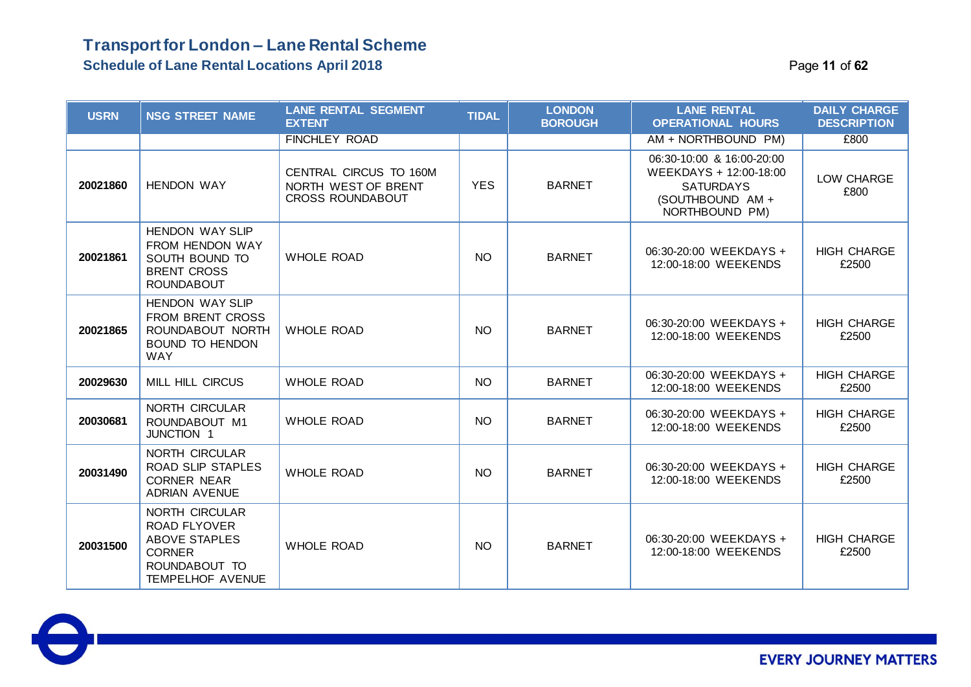#### **Schedule of Lane Rental Locations April 2018** Page **11** of **62**

| <b>Schedule of Lane Rental Locations April 2018</b> |  |
|-----------------------------------------------------|--|
|-----------------------------------------------------|--|

| <b>USRN</b> | <b>NSG STREET NAME</b>                                                                                                            | <b>LANE RENTAL SEGMENT</b><br><b>EXTENT</b>                              | <b>TIDAL</b> | <b>LONDON</b><br><b>BOROUGH</b> | <b>LANE RENTAL</b><br><b>OPERATIONAL HOURS</b>                                                                | <b>DAILY CHARGE</b><br><b>DESCRIPTION</b> |
|-------------|-----------------------------------------------------------------------------------------------------------------------------------|--------------------------------------------------------------------------|--------------|---------------------------------|---------------------------------------------------------------------------------------------------------------|-------------------------------------------|
|             |                                                                                                                                   | <b>FINCHLEY ROAD</b>                                                     |              |                                 | AM + NORTHBOUND PM)                                                                                           | £800                                      |
| 20021860    | <b>HENDON WAY</b>                                                                                                                 | CENTRAL CIRCUS TO 160M<br>NORTH WEST OF BRENT<br><b>CROSS ROUNDABOUT</b> | <b>YES</b>   | <b>BARNET</b>                   | 06:30-10:00 & 16:00-20:00<br>WEEKDAYS + 12:00-18:00<br><b>SATURDAYS</b><br>(SOUTHBOUND AM +<br>NORTHBOUND PM) | LOW CHARGE<br>£800                        |
| 20021861    | <b>HENDON WAY SLIP</b><br>FROM HENDON WAY<br>SOUTH BOUND TO<br><b>BRENT CROSS</b><br><b>ROUNDABOUT</b>                            | <b>WHOLE ROAD</b>                                                        | <b>NO</b>    | <b>BARNET</b>                   | 06:30-20:00 WEEKDAYS +<br>12:00-18:00 WEEKENDS                                                                | <b>HIGH CHARGE</b><br>£2500               |
| 20021865    | <b>HENDON WAY SLIP</b><br><b>FROM BRENT CROSS</b><br>ROUNDABOUT NORTH<br><b>BOUND TO HENDON</b><br><b>WAY</b>                     | <b>WHOLE ROAD</b>                                                        | NO.          | <b>BARNET</b>                   | 06:30-20:00 WEEKDAYS +<br>12:00-18:00 WEEKENDS                                                                | <b>HIGH CHARGE</b><br>£2500               |
| 20029630    | <b>MILL HILL CIRCUS</b>                                                                                                           | <b>WHOLE ROAD</b>                                                        | <b>NO</b>    | <b>BARNET</b>                   | 06:30-20:00 WEEKDAYS +<br>12:00-18:00 WEEKENDS                                                                | <b>HIGH CHARGE</b><br>£2500               |
| 20030681    | NORTH CIRCULAR<br>ROUNDABOUT M1<br>JUNCTION 1                                                                                     | <b>WHOLE ROAD</b>                                                        | <b>NO</b>    | <b>BARNET</b>                   | 06:30-20:00 WEEKDAYS +<br>12:00-18:00 WEEKENDS                                                                | <b>HIGH CHARGE</b><br>£2500               |
| 20031490    | NORTH CIRCULAR<br>ROAD SLIP STAPLES<br><b>CORNER NEAR</b><br><b>ADRIAN AVENUE</b>                                                 | <b>WHOLE ROAD</b>                                                        | <b>NO</b>    | <b>BARNET</b>                   | 06:30-20:00 WEEKDAYS +<br>12:00-18:00 WEEKENDS                                                                | <b>HIGH CHARGE</b><br>£2500               |
| 20031500    | <b>NORTH CIRCULAR</b><br><b>ROAD FLYOVER</b><br><b>ABOVE STAPLES</b><br><b>CORNER</b><br>ROUNDABOUT TO<br><b>TEMPELHOF AVENUE</b> | <b>WHOLE ROAD</b>                                                        | <b>NO</b>    | <b>BARNET</b>                   | 06:30-20:00 WEEKDAYS +<br>12:00-18:00 WEEKENDS                                                                | <b>HIGH CHARGE</b><br>£2500               |

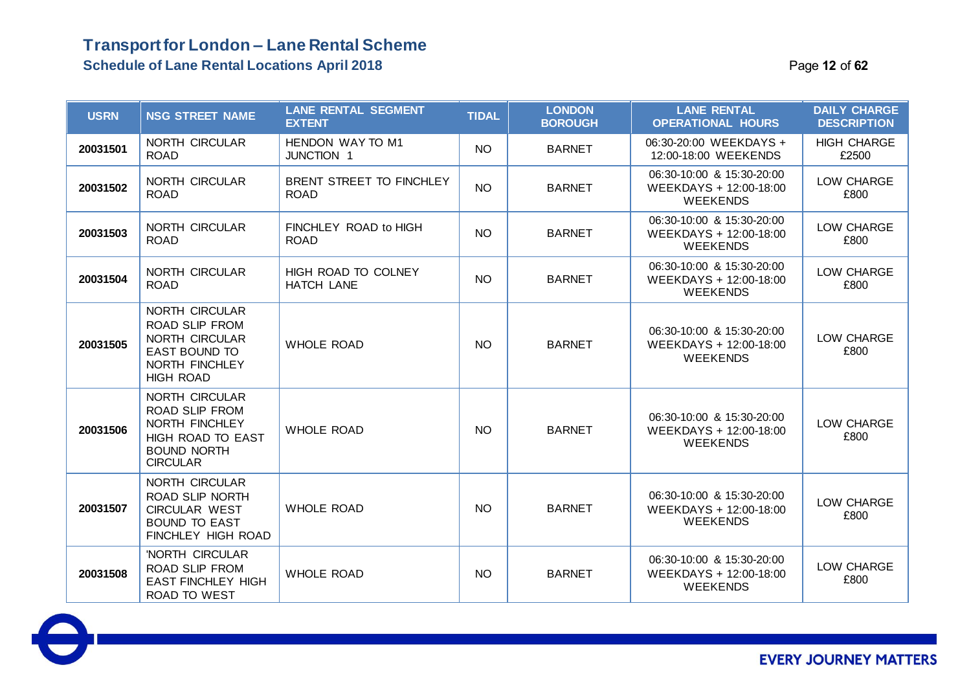### **Transport for London – Lane Rental Scheme Schedule of Lane Rental Locations April 2018** Page **12** of **62**

| <b>USRN</b> | <b>NSG STREET NAME</b>                                                                                                         | <b>LANE RENTAL SEGMENT</b><br><b>EXTENT</b> | <b>TIDAL</b> | <b>LONDON</b><br><b>BOROUGH</b> | <b>LANE RENTAL</b><br><b>OPERATIONAL HOURS</b>                         | <b>DAILY CHARGE</b><br><b>DESCRIPTION</b> |
|-------------|--------------------------------------------------------------------------------------------------------------------------------|---------------------------------------------|--------------|---------------------------------|------------------------------------------------------------------------|-------------------------------------------|
| 20031501    | NORTH CIRCULAR<br><b>ROAD</b>                                                                                                  | HENDON WAY TO M1<br><b>JUNCTION 1</b>       | <b>NO</b>    | <b>BARNET</b>                   | 06:30-20:00 WEEKDAYS +<br>12:00-18:00 WEEKENDS                         | <b>HIGH CHARGE</b><br>£2500               |
| 20031502    | NORTH CIRCULAR<br><b>ROAD</b>                                                                                                  | BRENT STREET TO FINCHLEY<br><b>ROAD</b>     | <b>NO</b>    | <b>BARNET</b>                   | 06:30-10:00 & 15:30-20:00<br>WEEKDAYS + 12:00-18:00<br><b>WEEKENDS</b> | LOW CHARGE<br>£800                        |
| 20031503    | <b>NORTH CIRCULAR</b><br><b>ROAD</b>                                                                                           | FINCHLEY ROAD to HIGH<br><b>ROAD</b>        | <b>NO</b>    | <b>BARNET</b>                   | 06:30-10:00 & 15:30-20:00<br>WEEKDAYS + 12:00-18:00<br><b>WEEKENDS</b> | LOW CHARGE<br>£800                        |
| 20031504    | NORTH CIRCULAR<br><b>ROAD</b>                                                                                                  | HIGH ROAD TO COLNEY<br><b>HATCH LANE</b>    | <b>NO</b>    | <b>BARNET</b>                   | 06:30-10:00 & 15:30-20:00<br>WEEKDAYS + 12:00-18:00<br><b>WEEKENDS</b> | LOW CHARGE<br>£800                        |
| 20031505    | <b>NORTH CIRCULAR</b><br>ROAD SLIP FROM<br>NORTH CIRCULAR<br><b>EAST BOUND TO</b><br>NORTH FINCHLEY<br><b>HIGH ROAD</b>        | <b>WHOLE ROAD</b>                           | <b>NO</b>    | <b>BARNET</b>                   | 06:30-10:00 & 15:30-20:00<br>WEEKDAYS + 12:00-18:00<br><b>WEEKENDS</b> | LOW CHARGE<br>£800                        |
| 20031506    | <b>NORTH CIRCULAR</b><br><b>ROAD SLIP FROM</b><br>NORTH FINCHLEY<br>HIGH ROAD TO EAST<br><b>BOUND NORTH</b><br><b>CIRCULAR</b> | <b>WHOLE ROAD</b>                           | <b>NO</b>    | <b>BARNET</b>                   | 06:30-10:00 & 15:30-20:00<br>WEEKDAYS + 12:00-18:00<br><b>WEEKENDS</b> | LOW CHARGE<br>£800                        |
| 20031507    | NORTH CIRCULAR<br><b>ROAD SLIP NORTH</b><br><b>CIRCULAR WEST</b><br><b>BOUND TO EAST</b><br>FINCHLEY HIGH ROAD                 | <b>WHOLE ROAD</b>                           | <b>NO</b>    | <b>BARNET</b>                   | 06:30-10:00 & 15:30-20:00<br>WEEKDAYS + 12:00-18:00<br><b>WEEKENDS</b> | LOW CHARGE<br>£800                        |
| 20031508    | 'NORTH CIRCULAR<br>ROAD SLIP FROM<br><b>EAST FINCHLEY HIGH</b><br>ROAD TO WEST                                                 | <b>WHOLE ROAD</b>                           | <b>NO</b>    | <b>BARNET</b>                   | 06:30-10:00 & 15:30-20:00<br>WEEKDAYS + 12:00-18:00<br><b>WEEKENDS</b> | LOW CHARGE<br>£800                        |

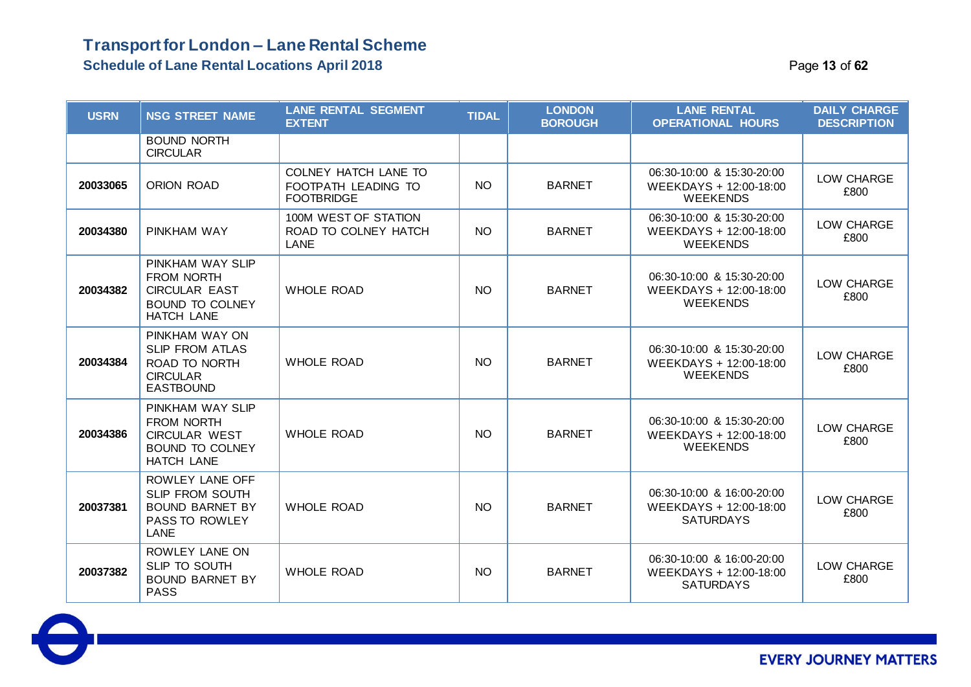**Schedule of Lane Rental Locations April 2018 Page 13 of 62 Page 13 of 62** 

| <b>USRN</b> | <b>NSG STREET NAME</b>                                                                                       | <b>LANE RENTAL SEGMENT</b><br><b>EXTENT</b>                      | <b>TIDAL</b> | <b>LONDON</b><br><b>BOROUGH</b> | <b>LANE RENTAL</b><br><b>OPERATIONAL HOURS</b>                          | <b>DAILY CHARGE</b><br><b>DESCRIPTION</b> |
|-------------|--------------------------------------------------------------------------------------------------------------|------------------------------------------------------------------|--------------|---------------------------------|-------------------------------------------------------------------------|-------------------------------------------|
|             | <b>BOUND NORTH</b><br><b>CIRCULAR</b>                                                                        |                                                                  |              |                                 |                                                                         |                                           |
| 20033065    | ORION ROAD                                                                                                   | COLNEY HATCH LANE TO<br>FOOTPATH LEADING TO<br><b>FOOTBRIDGE</b> | <b>NO</b>    | <b>BARNET</b>                   | 06:30-10:00 & 15:30-20:00<br>WEEKDAYS + 12:00-18:00<br><b>WEEKENDS</b>  | LOW CHARGE<br>£800                        |
| 20034380    | PINKHAM WAY                                                                                                  | 100M WEST OF STATION<br>ROAD TO COLNEY HATCH<br><b>LANE</b>      | <b>NO</b>    | <b>BARNET</b>                   | 06:30-10:00 & 15:30-20:00<br>WEEKDAYS + 12:00-18:00<br><b>WEEKENDS</b>  | LOW CHARGE<br>£800                        |
| 20034382    | PINKHAM WAY SLIP<br><b>FROM NORTH</b><br><b>CIRCULAR EAST</b><br><b>BOUND TO COLNEY</b><br>HATCH LANE        | <b>WHOLE ROAD</b>                                                | <b>NO</b>    | <b>BARNET</b>                   | 06:30-10:00 & 15:30-20:00<br>WEEKDAYS + 12:00-18:00<br><b>WEEKENDS</b>  | LOW CHARGE<br>£800                        |
| 20034384    | PINKHAM WAY ON<br><b>SLIP FROM ATLAS</b><br><b>ROAD TO NORTH</b><br><b>CIRCULAR</b><br><b>EASTBOUND</b>      | <b>WHOLE ROAD</b>                                                | <b>NO</b>    | <b>BARNET</b>                   | 06:30-10:00 & 15:30-20:00<br>WEEKDAYS + 12:00-18:00<br><b>WEEKENDS</b>  | LOW CHARGE<br>£800                        |
| 20034386    | PINKHAM WAY SLIP<br><b>FROM NORTH</b><br><b>CIRCULAR WEST</b><br><b>BOUND TO COLNEY</b><br><b>HATCH LANE</b> | <b>WHOLE ROAD</b>                                                | <b>NO</b>    | <b>BARNET</b>                   | 06:30-10:00 & 15:30-20:00<br>WEEKDAYS + 12:00-18:00<br><b>WEEKENDS</b>  | LOW CHARGE<br>£800                        |
| 20037381    | ROWLEY LANE OFF<br>SLIP FROM SOUTH<br><b>BOUND BARNET BY</b><br>PASS TO ROWLEY<br>LANE                       | <b>WHOLE ROAD</b>                                                | <b>NO</b>    | <b>BARNET</b>                   | 06:30-10:00 & 16:00-20:00<br>WEEKDAYS + 12:00-18:00<br><b>SATURDAYS</b> | LOW CHARGE<br>£800                        |
| 20037382    | ROWLEY LANE ON<br>SLIP TO SOUTH<br><b>BOUND BARNET BY</b><br><b>PASS</b>                                     | <b>WHOLE ROAD</b>                                                | <b>NO</b>    | <b>BARNET</b>                   | 06:30-10:00 & 16:00-20:00<br>WEEKDAYS + 12:00-18:00<br><b>SATURDAYS</b> | LOW CHARGE<br>£800                        |

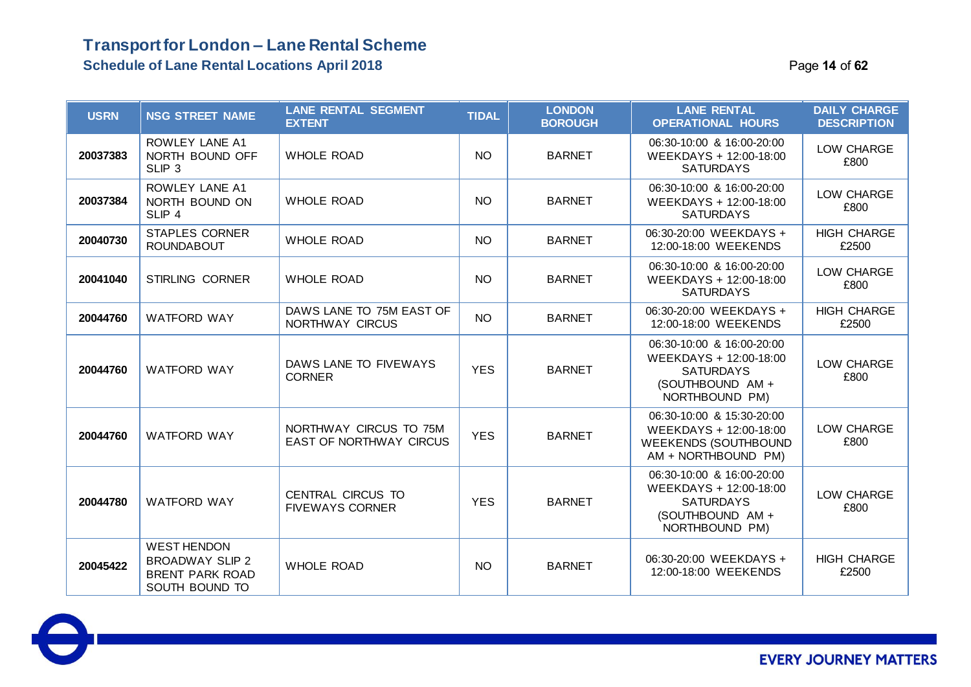#### **Schedule of Lane Rental Locations April 2018** Page **14** of **62**

| <b>USRN</b> | <b>NSG STREET NAME</b>                                                                   | <b>LANE RENTAL SEGMENT</b><br><b>EXTENT</b>              | <b>TIDAL</b> | <b>LONDON</b><br><b>BOROUGH</b> | <b>LANE RENTAL</b><br><b>OPERATIONAL HOURS</b>                                                                | <b>DAILY CHARGE</b><br><b>DESCRIPTION</b> |
|-------------|------------------------------------------------------------------------------------------|----------------------------------------------------------|--------------|---------------------------------|---------------------------------------------------------------------------------------------------------------|-------------------------------------------|
| 20037383    | ROWLEY LANE A1<br>NORTH BOUND OFF<br>SLIP <sub>3</sub>                                   | <b>WHOLE ROAD</b>                                        | <b>NO</b>    | <b>BARNET</b>                   | 06:30-10:00 & 16:00-20:00<br>WEEKDAYS + 12:00-18:00<br><b>SATURDAYS</b>                                       | LOW CHARGE<br>£800                        |
| 20037384    | ROWLEY LANE A1<br>NORTH BOUND ON<br>SLIP <sub>4</sub>                                    | <b>WHOLE ROAD</b>                                        | <b>NO</b>    | <b>BARNET</b>                   | 06:30-10:00 & 16:00-20:00<br>WEEKDAYS + 12:00-18:00<br><b>SATURDAYS</b>                                       | LOW CHARGE<br>£800                        |
| 20040730    | <b>STAPLES CORNER</b><br><b>ROUNDABOUT</b>                                               | <b>WHOLE ROAD</b>                                        | <b>NO</b>    | <b>BARNET</b>                   | 06:30-20:00 WEEKDAYS +<br>12:00-18:00 WEEKENDS                                                                | <b>HIGH CHARGE</b><br>£2500               |
| 20041040    | STIRLING CORNER                                                                          | <b>WHOLE ROAD</b>                                        | <b>NO</b>    | <b>BARNET</b>                   | 06:30-10:00 & 16:00-20:00<br>WEEKDAYS + 12:00-18:00<br><b>SATURDAYS</b>                                       | LOW CHARGE<br>£800                        |
| 20044760    | <b>WATFORD WAY</b>                                                                       | DAWS LANE TO 75M EAST OF<br>NORTHWAY CIRCUS              | <b>NO</b>    | <b>BARNET</b>                   | 06:30-20:00 WEEKDAYS +<br>12:00-18:00 WEEKENDS                                                                | <b>HIGH CHARGE</b><br>£2500               |
| 20044760    | <b>WATFORD WAY</b>                                                                       | DAWS LANE TO FIVEWAYS<br><b>CORNER</b>                   | <b>YES</b>   | <b>BARNET</b>                   | 06:30-10:00 & 16:00-20:00<br>WEEKDAYS + 12:00-18:00<br><b>SATURDAYS</b><br>(SOUTHBOUND AM +<br>NORTHBOUND PM) | LOW CHARGE<br>£800                        |
| 20044760    | <b>WATFORD WAY</b>                                                                       | NORTHWAY CIRCUS TO 75M<br><b>EAST OF NORTHWAY CIRCUS</b> | <b>YES</b>   | <b>BARNET</b>                   | 06:30-10:00 & 15:30-20:00<br>WEEKDAYS + 12:00-18:00<br><b>WEEKENDS (SOUTHBOUND</b><br>AM + NORTHBOUND PM)     | LOW CHARGE<br>£800                        |
| 20044780    | <b>WATFORD WAY</b>                                                                       | CENTRAL CIRCUS TO<br><b>FIVEWAYS CORNER</b>              | <b>YES</b>   | <b>BARNET</b>                   | 06:30-10:00 & 16:00-20:00<br>WEEKDAYS + 12:00-18:00<br><b>SATURDAYS</b><br>(SOUTHBOUND AM +<br>NORTHBOUND PM) | LOW CHARGE<br>£800                        |
| 20045422    | <b>WEST HENDON</b><br><b>BROADWAY SLIP 2</b><br><b>BRENT PARK ROAD</b><br>SOUTH BOUND TO | <b>WHOLE ROAD</b>                                        | <b>NO</b>    | <b>BARNET</b>                   | 06:30-20:00 WEEKDAYS +<br>12:00-18:00 WEEKENDS                                                                | <b>HIGH CHARGE</b><br>£2500               |

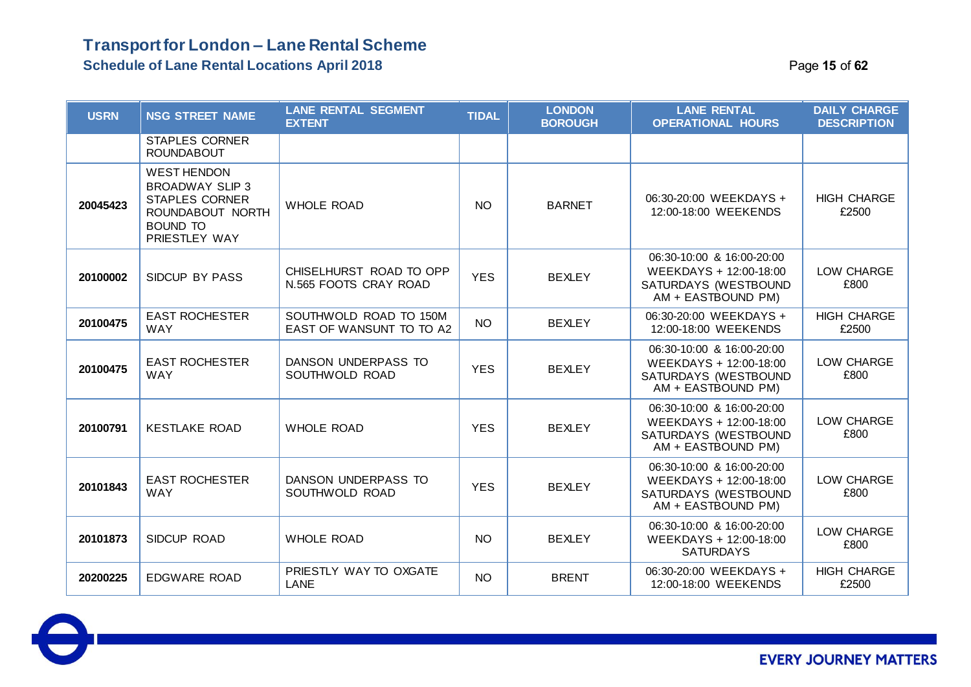#### **Schedule of Lane Rental Locations April 2018** Page **15** of **62**

| <b>USRN</b> | <b>NSG STREET NAME</b>                                                                                                        | <b>LANE RENTAL SEGMENT</b><br><b>EXTENT</b>        | <b>TIDAL</b> | <b>LONDON</b><br><b>BOROUGH</b> | <b>LANE RENTAL</b><br><b>OPERATIONAL HOURS</b>                                                    | <b>DAILY CHARGE</b><br><b>DESCRIPTION</b> |
|-------------|-------------------------------------------------------------------------------------------------------------------------------|----------------------------------------------------|--------------|---------------------------------|---------------------------------------------------------------------------------------------------|-------------------------------------------|
|             | <b>STAPLES CORNER</b><br><b>ROUNDABOUT</b>                                                                                    |                                                    |              |                                 |                                                                                                   |                                           |
| 20045423    | <b>WEST HENDON</b><br><b>BROADWAY SLIP 3</b><br><b>STAPLES CORNER</b><br>ROUNDABOUT NORTH<br><b>BOUND TO</b><br>PRIESTLEY WAY | <b>WHOLE ROAD</b>                                  | <b>NO</b>    | <b>BARNET</b>                   | 06:30-20:00 WEEKDAYS +<br>12:00-18:00 WEEKENDS                                                    | <b>HIGH CHARGE</b><br>£2500               |
| 20100002    | SIDCUP BY PASS                                                                                                                | CHISELHURST ROAD TO OPP<br>N.565 FOOTS CRAY ROAD   | <b>YES</b>   | <b>BEXLEY</b>                   | 06:30-10:00 & 16:00-20:00<br>WEEKDAYS + 12:00-18:00<br>SATURDAYS (WESTBOUND<br>AM + EASTBOUND PM) | LOW CHARGE<br>£800                        |
| 20100475    | <b>EAST ROCHESTER</b><br><b>WAY</b>                                                                                           | SOUTHWOLD ROAD TO 150M<br>EAST OF WANSUNT TO TO A2 | <b>NO</b>    | <b>BEXLEY</b>                   | 06:30-20:00 WEEKDAYS +<br>12:00-18:00 WEEKENDS                                                    | <b>HIGH CHARGE</b><br>£2500               |
| 20100475    | <b>EAST ROCHESTER</b><br><b>WAY</b>                                                                                           | DANSON UNDERPASS TO<br>SOUTHWOLD ROAD              | <b>YES</b>   | <b>BEXLEY</b>                   | 06:30-10:00 & 16:00-20:00<br>WEEKDAYS + 12:00-18:00<br>SATURDAYS (WESTBOUND<br>AM + EASTBOUND PM) | LOW CHARGE<br>£800                        |
| 20100791    | <b>KESTLAKE ROAD</b>                                                                                                          | <b>WHOLE ROAD</b>                                  | <b>YES</b>   | <b>BEXLEY</b>                   | 06:30-10:00 & 16:00-20:00<br>WEEKDAYS + 12:00-18:00<br>SATURDAYS (WESTBOUND<br>AM + EASTBOUND PM) | LOW CHARGE<br>£800                        |
| 20101843    | <b>EAST ROCHESTER</b><br><b>WAY</b>                                                                                           | DANSON UNDERPASS TO<br>SOUTHWOLD ROAD              | <b>YES</b>   | <b>BEXLEY</b>                   | 06:30-10:00 & 16:00-20:00<br>WEEKDAYS + 12:00-18:00<br>SATURDAYS (WESTBOUND<br>AM + EASTBOUND PM) | LOW CHARGE<br>£800                        |
| 20101873    | SIDCUP ROAD                                                                                                                   | <b>WHOLE ROAD</b>                                  | <b>NO</b>    | <b>BEXLEY</b>                   | 06:30-10:00 & 16:00-20:00<br>WEEKDAYS + 12:00-18:00<br><b>SATURDAYS</b>                           | LOW CHARGE<br>£800                        |
| 20200225    | <b>EDGWARE ROAD</b>                                                                                                           | PRIESTLY WAY TO OXGATE<br>LANE                     | <b>NO</b>    | <b>BRENT</b>                    | 06:30-20:00 WEEKDAYS +<br>12:00-18:00 WEEKENDS                                                    | <b>HIGH CHARGE</b><br>£2500               |

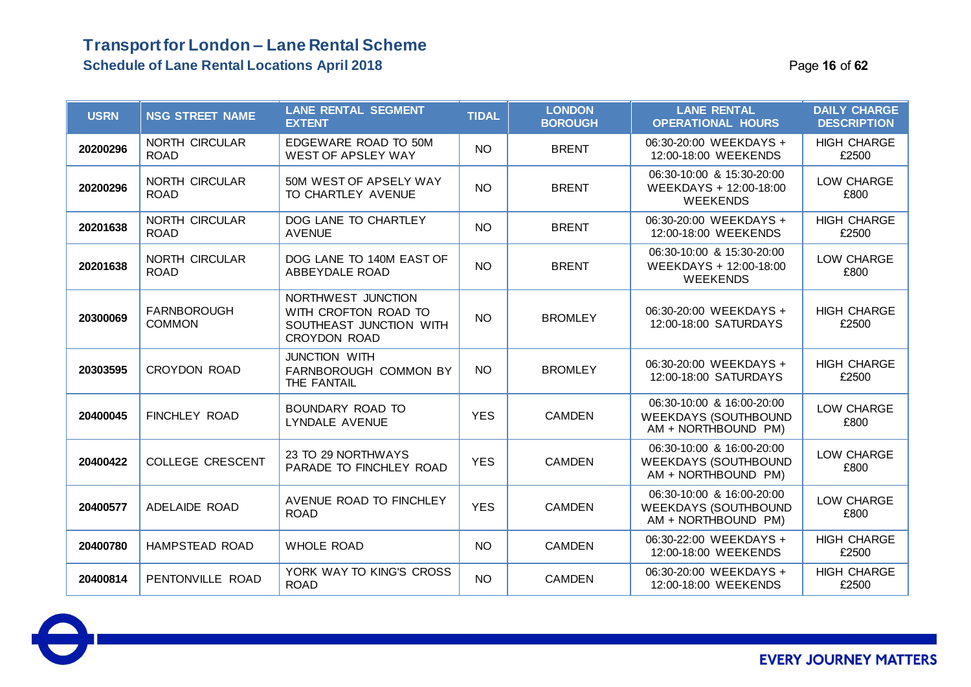### **Transport for London – Lane Rental Scheme Schedule of Lane Rental Locations April 2018 Page 16** of **62 Page 16** of **62**

| <b>USRN</b> | <b>NSG STREET NAME</b>               | <b>LANE RENTAL SEGMENT</b><br><b>EXTENT</b>                                                  | <b>TIDAL</b> | <b>LONDON</b><br><b>BOROUGH</b> | <b>LANE RENTAL</b><br><b>OPERATIONAL HOURS</b>                                  | <b>DAILY CHARGE</b><br><b>DESCRIPTION</b> |
|-------------|--------------------------------------|----------------------------------------------------------------------------------------------|--------------|---------------------------------|---------------------------------------------------------------------------------|-------------------------------------------|
| 20200296    | NORTH CIRCULAR<br><b>ROAD</b>        | EDGEWARE ROAD TO 50M<br><b>WEST OF APSLEY WAY</b>                                            | <b>NO</b>    | <b>BRENT</b>                    | 06:30-20:00 WEEKDAYS +<br>12:00-18:00 WEEKENDS                                  | <b>HIGH CHARGE</b><br>£2500               |
| 20200296    | <b>NORTH CIRCULAR</b><br><b>ROAD</b> | 50M WEST OF APSELY WAY<br>TO CHARTLEY AVENUE                                                 | <b>NO</b>    | <b>BRENT</b>                    | 06:30-10:00 & 15:30-20:00<br>WEEKDAYS + 12:00-18:00<br><b>WEEKENDS</b>          | LOW CHARGE<br>£800                        |
| 20201638    | <b>NORTH CIRCULAR</b><br><b>ROAD</b> | DOG LANE TO CHARTLEY<br><b>AVENUE</b>                                                        | <b>NO</b>    | <b>BRENT</b>                    | 06:30-20:00 WEEKDAYS +<br>12:00-18:00 WEEKENDS                                  | <b>HIGH CHARGE</b><br>£2500               |
| 20201638    | NORTH CIRCULAR<br><b>ROAD</b>        | DOG LANE TO 140M EAST OF<br>ABBEYDALE ROAD                                                   | <b>NO</b>    | <b>BRENT</b>                    | 06:30-10:00 & 15:30-20:00<br>WEEKDAYS + 12:00-18:00<br><b>WEEKENDS</b>          | LOW CHARGE<br>£800                        |
| 20300069    | <b>FARNBOROUGH</b><br><b>COMMON</b>  | NORTHWEST JUNCTION<br>WITH CROFTON ROAD TO<br>SOUTHEAST JUNCTION WITH<br><b>CROYDON ROAD</b> | <b>NO</b>    | <b>BROMLEY</b>                  | 06:30-20:00 WEEKDAYS +<br>12:00-18:00 SATURDAYS                                 | <b>HIGH CHARGE</b><br>£2500               |
| 20303595    | <b>CROYDON ROAD</b>                  | JUNCTION WITH<br>FARNBOROUGH COMMON BY<br>THE FANTAIL                                        | <b>NO</b>    | <b>BROMLEY</b>                  | 06:30-20:00 WEEKDAYS +<br>12:00-18:00 SATURDAYS                                 | <b>HIGH CHARGE</b><br>£2500               |
| 20400045    | <b>FINCHLEY ROAD</b>                 | BOUNDARY ROAD TO<br>LYNDALE AVENUE                                                           | <b>YES</b>   | <b>CAMDEN</b>                   | 06:30-10:00 & 16:00-20:00<br><b>WEEKDAYS (SOUTHBOUND</b><br>AM + NORTHBOUND PM) | LOW CHARGE<br>£800                        |
| 20400422    | <b>COLLEGE CRESCENT</b>              | 23 TO 29 NORTHWAYS<br>PARADE TO FINCHLEY ROAD                                                | <b>YES</b>   | <b>CAMDEN</b>                   | 06:30-10:00 & 16:00-20:00<br><b>WEEKDAYS (SOUTHBOUND</b><br>AM + NORTHBOUND PM) | LOW CHARGE<br>£800                        |
| 20400577    | ADELAIDE ROAD                        | AVENUE ROAD TO FINCHLEY<br><b>ROAD</b>                                                       | <b>YES</b>   | <b>CAMDEN</b>                   | 06:30-10:00 & 16:00-20:00<br><b>WEEKDAYS (SOUTHBOUND</b><br>AM + NORTHBOUND PM) | LOW CHARGE<br>£800                        |
| 20400780    | HAMPSTEAD ROAD                       | <b>WHOLE ROAD</b>                                                                            | <b>NO</b>    | <b>CAMDEN</b>                   | 06:30-22:00 WEEKDAYS +<br>12:00-18:00 WEEKENDS                                  | <b>HIGH CHARGE</b><br>£2500               |
| 20400814    | PENTONVILLE ROAD                     | YORK WAY TO KING'S CROSS<br><b>ROAD</b>                                                      | <b>NO</b>    | <b>CAMDEN</b>                   | 06:30-20:00 WEEKDAYS +<br>12:00-18:00 WEEKENDS                                  | <b>HIGH CHARGE</b><br>£2500               |

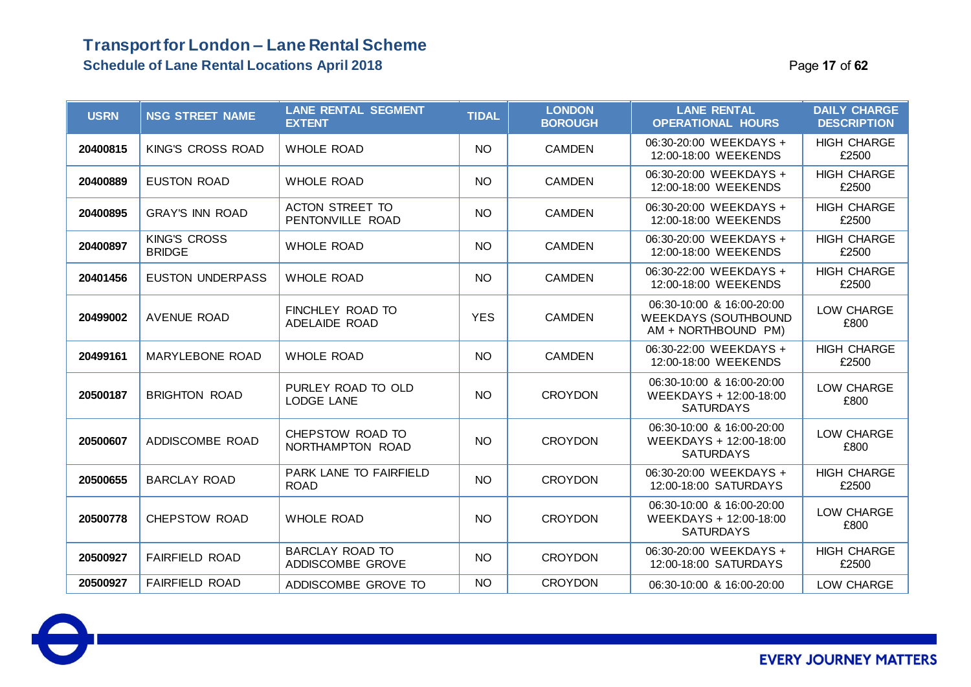### **Transport for London – Lane Rental Scheme Schedule of Lane Rental Locations April 2018** Page **17** of **62**

| <b>USRN</b> | <b>NSG STREET NAME</b>               | <b>LANE RENTAL SEGMENT</b><br><b>EXTENT</b> | <b>TIDAL</b> | <b>LONDON</b><br><b>BOROUGH</b> | <b>LANE RENTAL</b><br><b>OPERATIONAL HOURS</b>                                  | <b>DAILY CHARGE</b><br><b>DESCRIPTION</b> |
|-------------|--------------------------------------|---------------------------------------------|--------------|---------------------------------|---------------------------------------------------------------------------------|-------------------------------------------|
| 20400815    | KING'S CROSS ROAD                    | <b>WHOLE ROAD</b>                           | <b>NO</b>    | <b>CAMDEN</b>                   | 06:30-20:00 WEEKDAYS +<br>12:00-18:00 WEEKENDS                                  | <b>HIGH CHARGE</b><br>£2500               |
| 20400889    | <b>EUSTON ROAD</b>                   | <b>WHOLE ROAD</b>                           | <b>NO</b>    | <b>CAMDEN</b>                   | 06:30-20:00 WEEKDAYS +<br>12:00-18:00 WEEKENDS                                  | <b>HIGH CHARGE</b><br>£2500               |
| 20400895    | <b>GRAY'S INN ROAD</b>               | ACTON STREET TO<br>PENTONVILLE ROAD         | <b>NO</b>    | <b>CAMDEN</b>                   | 06:30-20:00 WEEKDAYS +<br>12:00-18:00 WEEKENDS                                  | <b>HIGH CHARGE</b><br>£2500               |
| 20400897    | <b>KING'S CROSS</b><br><b>BRIDGE</b> | <b>WHOLE ROAD</b>                           | <b>NO</b>    | <b>CAMDEN</b>                   | 06:30-20:00 WEEKDAYS +<br>12:00-18:00 WEEKENDS                                  | <b>HIGH CHARGE</b><br>£2500               |
| 20401456    | <b>EUSTON UNDERPASS</b>              | <b>WHOLE ROAD</b>                           | <b>NO</b>    | <b>CAMDEN</b>                   | 06:30-22:00 WEEKDAYS +<br>12:00-18:00 WEEKENDS                                  | <b>HIGH CHARGE</b><br>£2500               |
| 20499002    | <b>AVENUE ROAD</b>                   | FINCHLEY ROAD TO<br>ADELAIDE ROAD           | <b>YES</b>   | <b>CAMDEN</b>                   | 06:30-10:00 & 16:00-20:00<br><b>WEEKDAYS (SOUTHBOUND</b><br>AM + NORTHBOUND PM) | LOW CHARGE<br>£800                        |
| 20499161    | MARYLEBONE ROAD                      | <b>WHOLE ROAD</b>                           | <b>NO</b>    | <b>CAMDEN</b>                   | 06:30-22:00 WEEKDAYS +<br>12:00-18:00 WEEKENDS                                  | <b>HIGH CHARGE</b><br>£2500               |
| 20500187    | <b>BRIGHTON ROAD</b>                 | PURLEY ROAD TO OLD<br>LODGE LANE            | <b>NO</b>    | <b>CROYDON</b>                  | 06:30-10:00 & 16:00-20:00<br>WEEKDAYS + 12:00-18:00<br><b>SATURDAYS</b>         | LOW CHARGE<br>£800                        |
| 20500607    | ADDISCOMBE ROAD                      | CHEPSTOW ROAD TO<br>NORTHAMPTON ROAD        | <b>NO</b>    | <b>CROYDON</b>                  | 06:30-10:00 & 16:00-20:00<br>WEEKDAYS + 12:00-18:00<br><b>SATURDAYS</b>         | LOW CHARGE<br>£800                        |
| 20500655    | <b>BARCLAY ROAD</b>                  | PARK LANE TO FAIRFIELD<br><b>ROAD</b>       | <b>NO</b>    | <b>CROYDON</b>                  | 06:30-20:00 WEEKDAYS +<br>12:00-18:00 SATURDAYS                                 | <b>HIGH CHARGE</b><br>£2500               |
| 20500778    | <b>CHEPSTOW ROAD</b>                 | <b>WHOLE ROAD</b>                           | <b>NO</b>    | <b>CROYDON</b>                  | 06:30-10:00 & 16:00-20:00<br>WEEKDAYS + 12:00-18:00<br><b>SATURDAYS</b>         | LOW CHARGE<br>£800                        |
| 20500927    | <b>FAIRFIELD ROAD</b>                | <b>BARCLAY ROAD TO</b><br>ADDISCOMBE GROVE  | <b>NO</b>    | <b>CROYDON</b>                  | 06:30-20:00 WEEKDAYS +<br>12:00-18:00 SATURDAYS                                 | <b>HIGH CHARGE</b><br>£2500               |
| 20500927    | <b>FAIRFIELD ROAD</b>                | ADDISCOMBE GROVE TO                         | <b>NO</b>    | <b>CROYDON</b>                  | 06:30-10:00 & 16:00-20:00                                                       | LOW CHARGE                                |

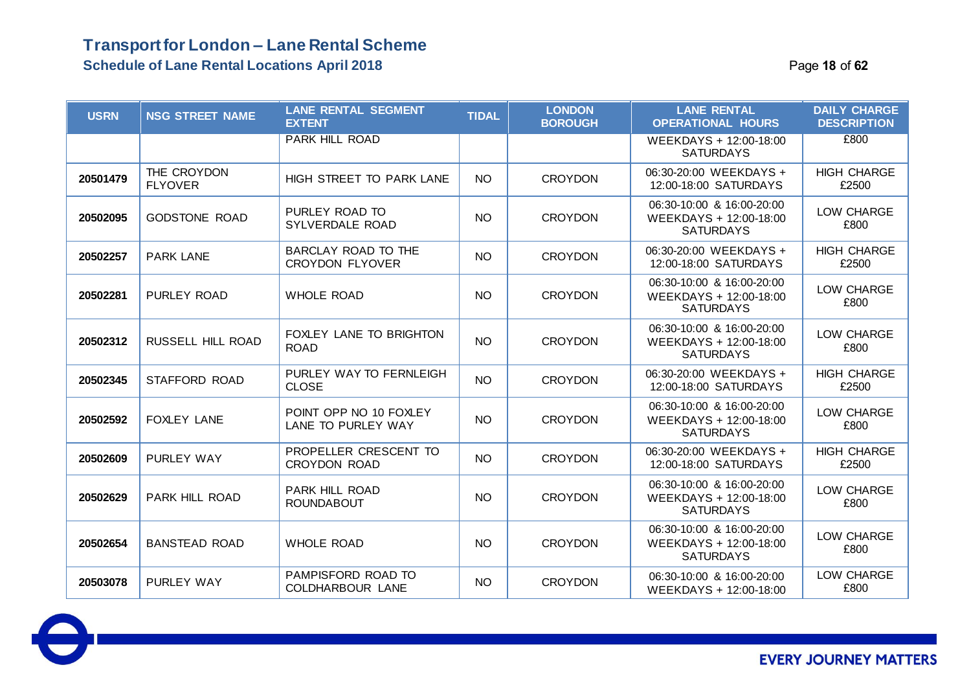### **Transport for London – Lane Rental Scheme Schedule of Lane Rental Locations April 2018** Page **18** of **62**

| <b>USRN</b> | <b>NSG STREET NAME</b>        | <b>LANE RENTAL SEGMENT</b><br><b>EXTENT</b>   | <b>TIDAL</b> | <b>LONDON</b><br><b>BOROUGH</b> | <b>LANE RENTAL</b><br><b>OPERATIONAL HOURS</b>                          | <b>DAILY CHARGE</b><br><b>DESCRIPTION</b> |
|-------------|-------------------------------|-----------------------------------------------|--------------|---------------------------------|-------------------------------------------------------------------------|-------------------------------------------|
|             |                               | <b>PARK HILL ROAD</b>                         |              |                                 | WEEKDAYS + 12:00-18:00<br><b>SATURDAYS</b>                              | £800                                      |
| 20501479    | THE CROYDON<br><b>FLYOVER</b> | HIGH STREET TO PARK LANE                      | <b>NO</b>    | <b>CROYDON</b>                  | 06:30-20:00 WEEKDAYS +<br>12:00-18:00 SATURDAYS                         | <b>HIGH CHARGE</b><br>£2500               |
| 20502095    | <b>GODSTONE ROAD</b>          | PURLEY ROAD TO<br>SYLVERDALE ROAD             | <b>NO</b>    | <b>CROYDON</b>                  | 06:30-10:00 & 16:00-20:00<br>WEEKDAYS + 12:00-18:00<br><b>SATURDAYS</b> | LOW CHARGE<br>£800                        |
| 20502257    | <b>PARK LANE</b>              | BARCLAY ROAD TO THE<br><b>CROYDON FLYOVER</b> | <b>NO</b>    | <b>CROYDON</b>                  | 06:30-20:00 WEEKDAYS +<br>12:00-18:00 SATURDAYS                         | <b>HIGH CHARGE</b><br>£2500               |
| 20502281    | <b>PURLEY ROAD</b>            | <b>WHOLE ROAD</b>                             | <b>NO</b>    | <b>CROYDON</b>                  | 06:30-10:00 & 16:00-20:00<br>WEEKDAYS + 12:00-18:00<br><b>SATURDAYS</b> | LOW CHARGE<br>£800                        |
| 20502312    | RUSSELL HILL ROAD             | FOXLEY LANE TO BRIGHTON<br><b>ROAD</b>        | <b>NO</b>    | <b>CROYDON</b>                  | 06:30-10:00 & 16:00-20:00<br>WEEKDAYS + 12:00-18:00<br><b>SATURDAYS</b> | LOW CHARGE<br>£800                        |
| 20502345    | <b>STAFFORD ROAD</b>          | PURLEY WAY TO FERNLEIGH<br><b>CLOSE</b>       | <b>NO</b>    | <b>CROYDON</b>                  | 06:30-20:00 WEEKDAYS +<br>12:00-18:00 SATURDAYS                         | <b>HIGH CHARGE</b><br>£2500               |
| 20502592    | <b>FOXLEY LANE</b>            | POINT OPP NO 10 FOXLEY<br>LANE TO PURLEY WAY  | <b>NO</b>    | <b>CROYDON</b>                  | 06:30-10:00 & 16:00-20:00<br>WEEKDAYS + 12:00-18:00<br><b>SATURDAYS</b> | LOW CHARGE<br>£800                        |
| 20502609    | <b>PURLEY WAY</b>             | PROPELLER CRESCENT TO<br><b>CROYDON ROAD</b>  | <b>NO</b>    | <b>CROYDON</b>                  | 06:30-20:00 WEEKDAYS +<br>12:00-18:00 SATURDAYS                         | <b>HIGH CHARGE</b><br>£2500               |
| 20502629    | <b>PARK HILL ROAD</b>         | PARK HILL ROAD<br><b>ROUNDABOUT</b>           | <b>NO</b>    | <b>CROYDON</b>                  | 06:30-10:00 & 16:00-20:00<br>WEEKDAYS + 12:00-18:00<br><b>SATURDAYS</b> | LOW CHARGE<br>£800                        |
| 20502654    | <b>BANSTEAD ROAD</b>          | <b>WHOLE ROAD</b>                             | <b>NO</b>    | <b>CROYDON</b>                  | 06:30-10:00 & 16:00-20:00<br>WEEKDAYS + 12:00-18:00<br><b>SATURDAYS</b> | LOW CHARGE<br>£800                        |
| 20503078    | PURLEY WAY                    | PAMPISFORD ROAD TO<br>COLDHARBOUR LANE        | <b>NO</b>    | <b>CROYDON</b>                  | 06:30-10:00 & 16:00-20:00<br>WEEKDAYS + 12:00-18:00                     | LOW CHARGE<br>£800                        |

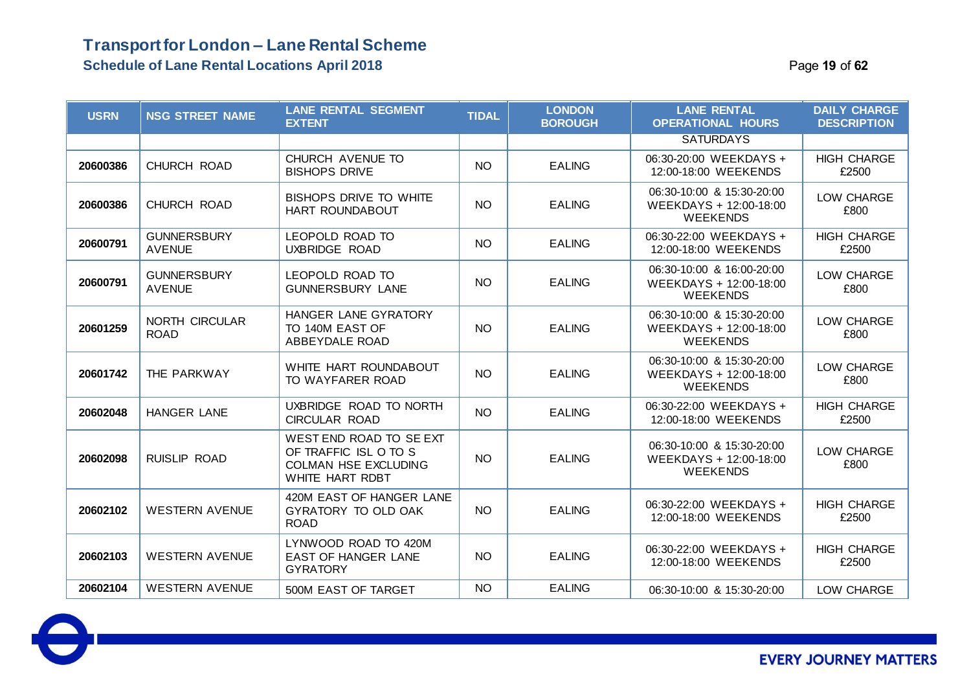### **Transport for London – Lane Rental Scheme Schedule of Lane Rental Locations April 2018 Page 19 of 62 Page 19 of 62**

| <b>USRN</b> | <b>NSG STREET NAME</b>               | <b>LANE RENTAL SEGMENT</b><br><b>EXTENT</b>                                                        | <b>TIDAL</b> | <b>LONDON</b><br><b>BOROUGH</b> | <b>LANE RENTAL</b><br><b>OPERATIONAL HOURS</b>                         | <b>DAILY CHARGE</b><br><b>DESCRIPTION</b> |
|-------------|--------------------------------------|----------------------------------------------------------------------------------------------------|--------------|---------------------------------|------------------------------------------------------------------------|-------------------------------------------|
|             |                                      |                                                                                                    |              |                                 | <b>SATURDAYS</b>                                                       |                                           |
| 20600386    | CHURCH ROAD                          | CHURCH AVENUE TO<br><b>BISHOPS DRIVE</b>                                                           | <b>NO</b>    | <b>EALING</b>                   | 06:30-20:00 WEEKDAYS +<br>12:00-18:00 WEEKENDS                         | <b>HIGH CHARGE</b><br>£2500               |
| 20600386    | CHURCH ROAD                          | <b>BISHOPS DRIVE TO WHITE</b><br>HART ROUNDABOUT                                                   | <b>NO</b>    | <b>EALING</b>                   | 06:30-10:00 & 15:30-20:00<br>WEEKDAYS + 12:00-18:00<br><b>WEEKENDS</b> | LOW CHARGE<br>£800                        |
| 20600791    | <b>GUNNERSBURY</b><br><b>AVENUE</b>  | LEOPOLD ROAD TO<br>UXBRIDGE ROAD                                                                   | <b>NO</b>    | <b>EALING</b>                   | 06:30-22:00 WEEKDAYS +<br>12:00-18:00 WEEKENDS                         | <b>HIGH CHARGE</b><br>£2500               |
| 20600791    | <b>GUNNERSBURY</b><br><b>AVENUE</b>  | LEOPOLD ROAD TO<br><b>GUNNERSBURY LANE</b>                                                         | <b>NO</b>    | <b>EALING</b>                   | 06:30-10:00 & 16:00-20:00<br>WEEKDAYS + 12:00-18:00<br><b>WEEKENDS</b> | LOW CHARGE<br>£800                        |
| 20601259    | <b>NORTH CIRCULAR</b><br><b>ROAD</b> | HANGER LANE GYRATORY<br>TO 140M EAST OF<br>ABBEYDALE ROAD                                          | NO           | <b>EALING</b>                   | 06:30-10:00 & 15:30-20:00<br>WEEKDAYS + 12:00-18:00<br><b>WEEKENDS</b> | LOW CHARGE<br>£800                        |
| 20601742    | THE PARKWAY                          | WHITE HART ROUNDABOUT<br>TO WAYFARER ROAD                                                          | <b>NO</b>    | <b>EALING</b>                   | 06:30-10:00 & 15:30-20:00<br>WEEKDAYS + 12:00-18:00<br><b>WEEKENDS</b> | LOW CHARGE<br>£800                        |
| 20602048    | <b>HANGER LANE</b>                   | UXBRIDGE ROAD TO NORTH<br><b>CIRCULAR ROAD</b>                                                     | <b>NO</b>    | <b>EALING</b>                   | 06:30-22:00 WEEKDAYS +<br>12:00-18:00 WEEKENDS                         | <b>HIGH CHARGE</b><br>£2500               |
| 20602098    | <b>RUISLIP ROAD</b>                  | WEST END ROAD TO SE EXT<br>OF TRAFFIC ISL O TO S<br><b>COLMAN HSE EXCLUDING</b><br>WHITE HART RDBT | <b>NO</b>    | <b>EALING</b>                   | 06:30-10:00 & 15:30-20:00<br>WEEKDAYS + 12:00-18:00<br><b>WEEKENDS</b> | LOW CHARGE<br>£800                        |
| 20602102    | <b>WESTERN AVENUE</b>                | 420M EAST OF HANGER LANE<br>GYRATORY TO OLD OAK<br><b>ROAD</b>                                     | NO           | <b>EALING</b>                   | 06:30-22:00 WEEKDAYS +<br>12:00-18:00 WEEKENDS                         | <b>HIGH CHARGE</b><br>£2500               |
| 20602103    | <b>WESTERN AVENUE</b>                | LYNWOOD ROAD TO 420M<br><b>EAST OF HANGER LANE</b><br><b>GYRATORY</b>                              | NO           | <b>EALING</b>                   | 06:30-22:00 WEEKDAYS +<br>12:00-18:00 WEEKENDS                         | <b>HIGH CHARGE</b><br>£2500               |
| 20602104    | <b>WESTERN AVENUE</b>                | 500M EAST OF TARGET                                                                                | <b>NO</b>    | <b>EALING</b>                   | 06:30-10:00 & 15:30-20:00                                              | LOW CHARGE                                |

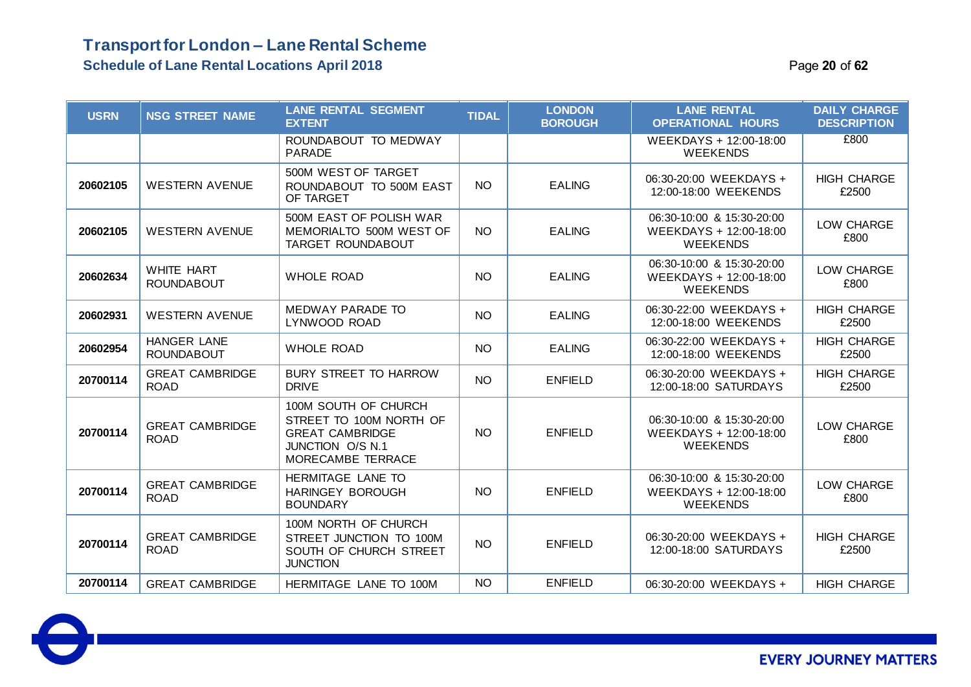#### **Schedule of Lane Rental Locations April 2018** Page **20** of **62**

 $\color{blue}\Theta$ 

| <b>USRN</b> | <b>NSG STREET NAME</b>                  | <b>LANE RENTAL SEGMENT</b><br><b>EXTENT</b>                                                                        | <b>TIDAL</b>    | <b>LONDON</b><br><b>BOROUGH</b> | <b>LANE RENTAL</b><br><b>OPERATIONAL HOURS</b>                         | <b>DAILY CHARGE</b><br><b>DESCRIPTION</b> |
|-------------|-----------------------------------------|--------------------------------------------------------------------------------------------------------------------|-----------------|---------------------------------|------------------------------------------------------------------------|-------------------------------------------|
|             |                                         | ROUNDABOUT TO MEDWAY<br><b>PARADE</b>                                                                              |                 |                                 | WEEKDAYS + 12:00-18:00<br><b>WEEKENDS</b>                              | £800                                      |
| 20602105    | <b>WESTERN AVENUE</b>                   | 500M WEST OF TARGET<br>ROUNDABOUT TO 500M EAST<br>OF TARGET                                                        | <b>NO</b>       | <b>EALING</b>                   | 06:30-20:00 WEEKDAYS +<br>12:00-18:00 WEEKENDS                         | <b>HIGH CHARGE</b><br>£2500               |
| 20602105    | <b>WESTERN AVENUE</b>                   | 500M EAST OF POLISH WAR<br>MEMORIALTO 500M WEST OF<br><b>TARGET ROUNDABOUT</b>                                     | <b>NO</b>       | <b>EALING</b>                   | 06:30-10:00 & 15:30-20:00<br>WEEKDAYS + 12:00-18:00<br><b>WEEKENDS</b> | LOW CHARGE<br>£800                        |
| 20602634    | <b>WHITE HART</b><br><b>ROUNDABOUT</b>  | <b>WHOLE ROAD</b>                                                                                                  | <b>NO</b>       | <b>EALING</b>                   | 06:30-10:00 & 15:30-20:00<br>WEEKDAYS + 12:00-18:00<br><b>WEEKENDS</b> | LOW CHARGE<br>£800                        |
| 20602931    | <b>WESTERN AVENUE</b>                   | MEDWAY PARADE TO<br>LYNWOOD ROAD                                                                                   | <b>NO</b>       | <b>EALING</b>                   | 06:30-22:00 WEEKDAYS +<br>12:00-18:00 WEEKENDS                         | <b>HIGH CHARGE</b><br>£2500               |
| 20602954    | <b>HANGER LANE</b><br><b>ROUNDABOUT</b> | <b>WHOLE ROAD</b>                                                                                                  | <b>NO</b>       | <b>EALING</b>                   | 06:30-22:00 WEEKDAYS +<br>12:00-18:00 WEEKENDS                         | <b>HIGH CHARGE</b><br>£2500               |
| 20700114    | <b>GREAT CAMBRIDGE</b><br><b>ROAD</b>   | <b>BURY STREET TO HARROW</b><br><b>DRIVE</b>                                                                       | <b>NO</b>       | <b>ENFIELD</b>                  | 06:30-20:00 WEEKDAYS +<br>12:00-18:00 SATURDAYS                        | <b>HIGH CHARGE</b><br>£2500               |
| 20700114    | <b>GREAT CAMBRIDGE</b><br><b>ROAD</b>   | 100M SOUTH OF CHURCH<br>STREET TO 100M NORTH OF<br><b>GREAT CAMBRIDGE</b><br>JUNCTION O/S N.1<br>MORECAMBE TERRACE | <b>NO</b>       | <b>ENFIELD</b>                  | 06:30-10:00 & 15:30-20:00<br>WEEKDAYS + 12:00-18:00<br><b>WEEKENDS</b> | LOW CHARGE<br>£800                        |
| 20700114    | <b>GREAT CAMBRIDGE</b><br><b>ROAD</b>   | HERMITAGE LANE TO<br><b>HARINGEY BOROUGH</b><br><b>BOUNDARY</b>                                                    | NO <sub>1</sub> | <b>ENFIELD</b>                  | 06:30-10:00 & 15:30-20:00<br>WEEKDAYS + 12:00-18:00<br><b>WEEKENDS</b> | LOW CHARGE<br>£800                        |
| 20700114    | <b>GREAT CAMBRIDGE</b><br><b>ROAD</b>   | 100M NORTH OF CHURCH<br>STREET JUNCTION TO 100M<br>SOUTH OF CHURCH STREET<br><b>JUNCTION</b>                       | <b>NO</b>       | <b>ENFIELD</b>                  | 06:30-20:00 WEEKDAYS +<br>12:00-18:00 SATURDAYS                        | <b>HIGH CHARGE</b><br>£2500               |
| 20700114    | <b>GREAT CAMBRIDGE</b>                  | HERMITAGE LANE TO 100M                                                                                             | <b>NO</b>       | <b>ENFIELD</b>                  | 06:30-20:00 WEEKDAYS +                                                 | <b>HIGH CHARGE</b>                        |

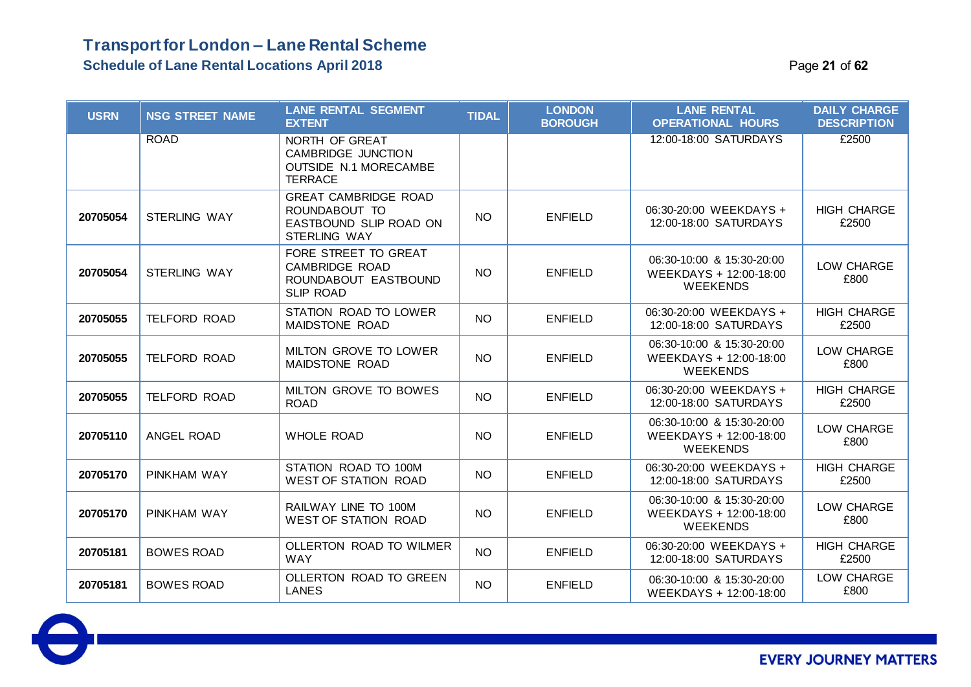### **Transport for London – Lane Rental Scheme Schedule of Lane Rental Locations April 2018** Page **21** of **62**

| <b>USRN</b> | <b>NSG STREET NAME</b> | <b>LANE RENTAL SEGMENT</b><br><b>EXTENT</b>                                                   | <b>TIDAL</b> | <b>LONDON</b><br><b>BOROUGH</b> | <b>LANE RENTAL</b><br><b>OPERATIONAL HOURS</b>                         | <b>DAILY CHARGE</b><br><b>DESCRIPTION</b> |
|-------------|------------------------|-----------------------------------------------------------------------------------------------|--------------|---------------------------------|------------------------------------------------------------------------|-------------------------------------------|
|             | <b>ROAD</b>            | NORTH OF GREAT<br><b>CAMBRIDGE JUNCTION</b><br><b>OUTSIDE N.1 MORECAMBE</b><br><b>TERRACE</b> |              |                                 | 12:00-18:00 SATURDAYS                                                  | £2500                                     |
| 20705054    | STERLING WAY           | <b>GREAT CAMBRIDGE ROAD</b><br>ROUNDABOUT TO<br>EASTBOUND SLIP ROAD ON<br><b>STERLING WAY</b> | <b>NO</b>    | <b>ENFIELD</b>                  | 06:30-20:00 WEEKDAYS +<br>12:00-18:00 SATURDAYS                        | <b>HIGH CHARGE</b><br>£2500               |
| 20705054    | <b>STERLING WAY</b>    | FORE STREET TO GREAT<br><b>CAMBRIDGE ROAD</b><br>ROUNDABOUT EASTBOUND<br><b>SLIP ROAD</b>     | NO.          | <b>ENFIELD</b>                  | 06:30-10:00 & 15:30-20:00<br>WEEKDAYS + 12:00-18:00<br><b>WEEKENDS</b> | LOW CHARGE<br>£800                        |
| 20705055    | <b>TELFORD ROAD</b>    | STATION ROAD TO LOWER<br>MAIDSTONE ROAD                                                       | <b>NO</b>    | <b>ENFIELD</b>                  | 06:30-20:00 WEEKDAYS +<br>12:00-18:00 SATURDAYS                        | <b>HIGH CHARGE</b><br>£2500               |
| 20705055    | <b>TELFORD ROAD</b>    | MILTON GROVE TO LOWER<br>MAIDSTONE ROAD                                                       | <b>NO</b>    | <b>ENFIELD</b>                  | 06:30-10:00 & 15:30-20:00<br>WEEKDAYS + 12:00-18:00<br><b>WEEKENDS</b> | LOW CHARGE<br>£800                        |
| 20705055    | <b>TELFORD ROAD</b>    | MILTON GROVE TO BOWES<br><b>ROAD</b>                                                          | <b>NO</b>    | <b>ENFIELD</b>                  | 06:30-20:00 WEEKDAYS +<br>12:00-18:00 SATURDAYS                        | <b>HIGH CHARGE</b><br>£2500               |
| 20705110    | <b>ANGEL ROAD</b>      | <b>WHOLE ROAD</b>                                                                             | NO.          | <b>ENFIELD</b>                  | 06:30-10:00 & 15:30-20:00<br>WEEKDAYS + 12:00-18:00<br><b>WEEKENDS</b> | LOW CHARGE<br>£800                        |
| 20705170    | PINKHAM WAY            | STATION ROAD TO 100M<br><b>WEST OF STATION ROAD</b>                                           | NO           | <b>ENFIELD</b>                  | 06:30-20:00 WEEKDAYS +<br>12:00-18:00 SATURDAYS                        | <b>HIGH CHARGE</b><br>£2500               |
| 20705170    | PINKHAM WAY            | RAILWAY LINE TO 100M<br><b>WEST OF STATION ROAD</b>                                           | <b>NO</b>    | <b>ENFIELD</b>                  | 06:30-10:00 & 15:30-20:00<br>WEEKDAYS + 12:00-18:00<br><b>WEEKENDS</b> | LOW CHARGE<br>£800                        |
| 20705181    | <b>BOWES ROAD</b>      | OLLERTON ROAD TO WILMER<br><b>WAY</b>                                                         | <b>NO</b>    | <b>ENFIELD</b>                  | 06:30-20:00 WEEKDAYS +<br>12:00-18:00 SATURDAYS                        | <b>HIGH CHARGE</b><br>£2500               |
| 20705181    | <b>BOWES ROAD</b>      | OLLERTON ROAD TO GREEN<br><b>LANES</b>                                                        | <b>NO</b>    | <b>ENFIELD</b>                  | 06:30-10:00 & 15:30-20:00<br>WEEKDAYS + 12:00-18:00                    | LOW CHARGE<br>£800                        |

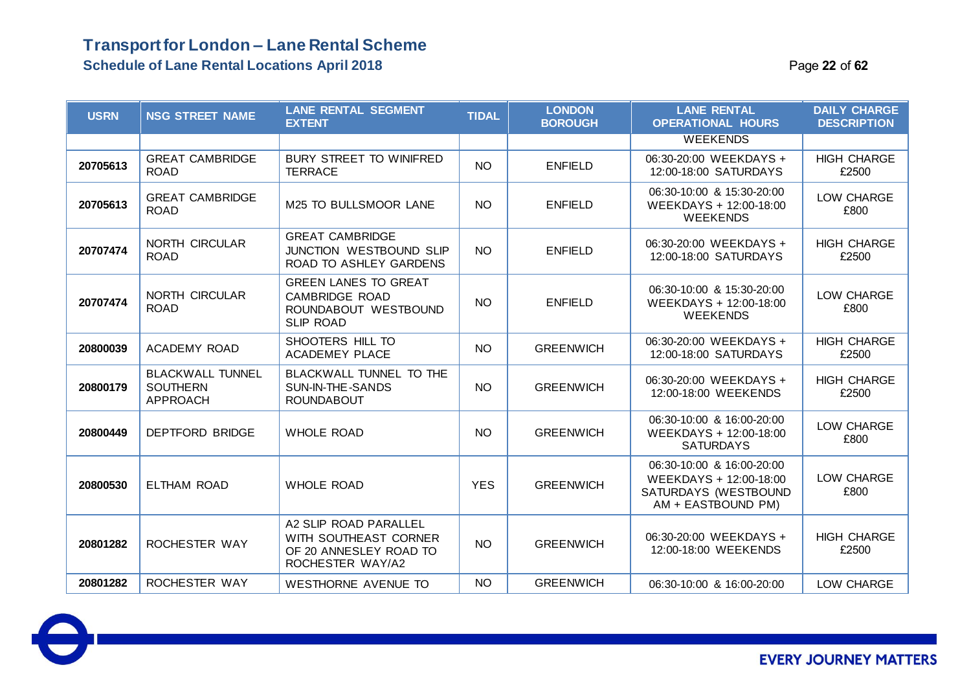| <b>USRN</b> | <b>NSG STREET NAME</b>                                 | <b>LANE RENTAL SEGMENT</b><br><b>EXTENT</b>                                                      | <b>TIDAL</b> | <b>LONDON</b><br><b>BOROUGH</b> | <b>LANE RENTAL</b><br><b>OPERATIONAL HOURS</b>                                                    | <b>DAILY CHARGE</b><br><b>DESCRIPTION</b> |
|-------------|--------------------------------------------------------|--------------------------------------------------------------------------------------------------|--------------|---------------------------------|---------------------------------------------------------------------------------------------------|-------------------------------------------|
|             |                                                        |                                                                                                  |              |                                 | <b>WEEKENDS</b>                                                                                   |                                           |
| 20705613    | <b>GREAT CAMBRIDGE</b><br><b>ROAD</b>                  | <b>BURY STREET TO WINIFRED</b><br><b>TERRACE</b>                                                 | <b>NO</b>    | <b>ENFIELD</b>                  | 06:30-20:00 WEEKDAYS +<br>12:00-18:00 SATURDAYS                                                   | <b>HIGH CHARGE</b><br>£2500               |
| 20705613    | <b>GREAT CAMBRIDGE</b><br><b>ROAD</b>                  | M25 TO BULLSMOOR LANE                                                                            | <b>NO</b>    | <b>ENFIELD</b>                  | 06:30-10:00 & 15:30-20:00<br>WEEKDAYS + 12:00-18:00<br><b>WEEKENDS</b>                            | LOW CHARGE<br>£800                        |
| 20707474    | NORTH CIRCULAR<br><b>ROAD</b>                          | <b>GREAT CAMBRIDGE</b><br>JUNCTION WESTBOUND SLIP<br>ROAD TO ASHLEY GARDENS                      | <b>NO</b>    | <b>ENFIELD</b>                  | 06:30-20:00 WEEKDAYS +<br>12:00-18:00 SATURDAYS                                                   | <b>HIGH CHARGE</b><br>£2500               |
| 20707474    | NORTH CIRCULAR<br><b>ROAD</b>                          | <b>GREEN LANES TO GREAT</b><br><b>CAMBRIDGE ROAD</b><br>ROUNDABOUT WESTBOUND<br><b>SLIP ROAD</b> | <b>NO</b>    | <b>ENFIELD</b>                  | 06:30-10:00 & 15:30-20:00<br>WEEKDAYS + 12:00-18:00<br><b>WEEKENDS</b>                            | LOW CHARGE<br>£800                        |
| 20800039    | <b>ACADEMY ROAD</b>                                    | SHOOTERS HILL TO<br><b>ACADEMEY PLACE</b>                                                        | <b>NO</b>    | <b>GREENWICH</b>                | 06:30-20:00 WEEKDAYS +<br>12:00-18:00 SATURDAYS                                                   | <b>HIGH CHARGE</b><br>£2500               |
| 20800179    | <b>BLACKWALL TUNNEL</b><br><b>SOUTHERN</b><br>APPROACH | BLACKWALL TUNNEL TO THE<br>SUN-IN-THE-SANDS<br><b>ROUNDABOUT</b>                                 | <b>NO</b>    | <b>GREENWICH</b>                | 06:30-20:00 WEEKDAYS +<br>12:00-18:00 WEEKENDS                                                    | <b>HIGH CHARGE</b><br>£2500               |
| 20800449    | <b>DEPTFORD BRIDGE</b>                                 | <b>WHOLE ROAD</b>                                                                                | <b>NO</b>    | <b>GREENWICH</b>                | 06:30-10:00 & 16:00-20:00<br>WEEKDAYS + 12:00-18:00<br><b>SATURDAYS</b>                           | LOW CHARGE<br>£800                        |
| 20800530    | <b>ELTHAM ROAD</b>                                     | <b>WHOLE ROAD</b>                                                                                | <b>YES</b>   | <b>GREENWICH</b>                | 06:30-10:00 & 16:00-20:00<br>WEEKDAYS + 12:00-18:00<br>SATURDAYS (WESTBOUND<br>AM + EASTBOUND PM) | LOW CHARGE<br>£800                        |
| 20801282    | ROCHESTER WAY                                          | A2 SLIP ROAD PARALLEL<br>WITH SOUTHEAST CORNER<br>OF 20 ANNESLEY ROAD TO<br>ROCHESTER WAY/A2     | <b>NO</b>    | <b>GREENWICH</b>                | 06:30-20:00 WEEKDAYS +<br>12:00-18:00 WEEKENDS                                                    | <b>HIGH CHARGE</b><br>£2500               |
| 20801282    | ROCHESTER WAY                                          | <b>WESTHORNE AVENUE TO</b>                                                                       | <b>NO</b>    | <b>GREENWICH</b>                | 06:30-10:00 & 16:00-20:00                                                                         | LOW CHARGE                                |

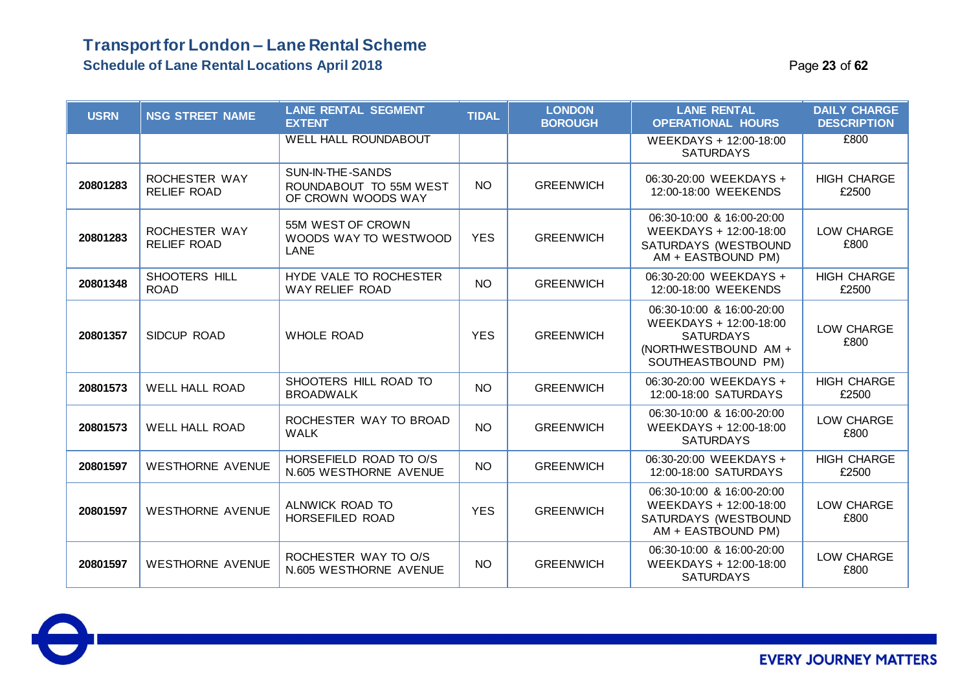### **Transport for London – Lane Rental Scheme Schedule of Lane Rental Locations April 2018** Page **23** of **62**

| <b>USRN</b> | <b>NSG STREET NAME</b>              | <b>LANE RENTAL SEGMENT</b><br><b>EXTENT</b>                      | <b>TIDAL</b> | <b>LONDON</b><br><b>BOROUGH</b> | <b>LANE RENTAL</b><br><b>OPERATIONAL HOURS</b>                                                                        | <b>DAILY CHARGE</b><br><b>DESCRIPTION</b> |
|-------------|-------------------------------------|------------------------------------------------------------------|--------------|---------------------------------|-----------------------------------------------------------------------------------------------------------------------|-------------------------------------------|
|             |                                     | <b>WELL HALL ROUNDABOUT</b>                                      |              |                                 | WEEKDAYS + 12:00-18:00<br><b>SATURDAYS</b>                                                                            | £800                                      |
| 20801283    | ROCHESTER WAY<br><b>RELIEF ROAD</b> | SUN-IN-THE-SANDS<br>ROUNDABOUT TO 55M WEST<br>OF CROWN WOODS WAY | NO.          | <b>GREENWICH</b>                | 06:30-20:00 WEEKDAYS +<br>12:00-18:00 WEEKENDS                                                                        | <b>HIGH CHARGE</b><br>£2500               |
| 20801283    | ROCHESTER WAY<br><b>RELIEF ROAD</b> | 55M WEST OF CROWN<br>WOODS WAY TO WESTWOOD<br><b>LANE</b>        | <b>YES</b>   | <b>GREENWICH</b>                | 06:30-10:00 & 16:00-20:00<br>WEEKDAYS + 12:00-18:00<br>SATURDAYS (WESTBOUND<br>AM + EASTBOUND PM)                     | LOW CHARGE<br>£800                        |
| 20801348    | SHOOTERS HILL<br><b>ROAD</b>        | HYDE VALE TO ROCHESTER<br>WAY RELIEF ROAD                        | <b>NO</b>    | <b>GREENWICH</b>                | 06:30-20:00 WEEKDAYS +<br>12:00-18:00 WEEKENDS                                                                        | <b>HIGH CHARGE</b><br>£2500               |
| 20801357    | SIDCUP ROAD                         | <b>WHOLE ROAD</b>                                                | <b>YES</b>   | <b>GREENWICH</b>                | 06:30-10:00 & 16:00-20:00<br>WEEKDAYS + 12:00-18:00<br><b>SATURDAYS</b><br>(NORTHWESTBOUND AM +<br>SOUTHEASTBOUND PM) | LOW CHARGE<br>£800                        |
| 20801573    | <b>WELL HALL ROAD</b>               | SHOOTERS HILL ROAD TO<br><b>BROADWALK</b>                        | <b>NO</b>    | <b>GREENWICH</b>                | 06:30-20:00 WEEKDAYS +<br>12:00-18:00 SATURDAYS                                                                       | <b>HIGH CHARGE</b><br>£2500               |
| 20801573    | <b>WELL HALL ROAD</b>               | ROCHESTER WAY TO BROAD<br><b>WALK</b>                            | <b>NO</b>    | <b>GREENWICH</b>                | 06:30-10:00 & 16:00-20:00<br>WEEKDAYS + 12:00-18:00<br><b>SATURDAYS</b>                                               | LOW CHARGE<br>£800                        |
| 20801597    | <b>WESTHORNE AVENUE</b>             | HORSEFIELD ROAD TO O/S<br>N.605 WESTHORNE AVENUE                 | <b>NO</b>    | <b>GREENWICH</b>                | 06:30-20:00 WEEKDAYS +<br>12:00-18:00 SATURDAYS                                                                       | <b>HIGH CHARGE</b><br>£2500               |
| 20801597    | <b>WESTHORNE AVENUE</b>             | ALNWICK ROAD TO<br>HORSEFILED ROAD                               | <b>YES</b>   | <b>GREENWICH</b>                | 06:30-10:00 & 16:00-20:00<br>WEEKDAYS + 12:00-18:00<br>SATURDAYS (WESTBOUND<br>AM + EASTBOUND PM)                     | LOW CHARGE<br>£800                        |
| 20801597    | <b>WESTHORNE AVENUE</b>             | ROCHESTER WAY TO O/S<br>N.605 WESTHORNE AVENUE                   | <b>NO</b>    | <b>GREENWICH</b>                | 06:30-10:00 & 16:00-20:00<br>WEEKDAYS + 12:00-18:00<br><b>SATURDAYS</b>                                               | LOW CHARGE<br>£800                        |

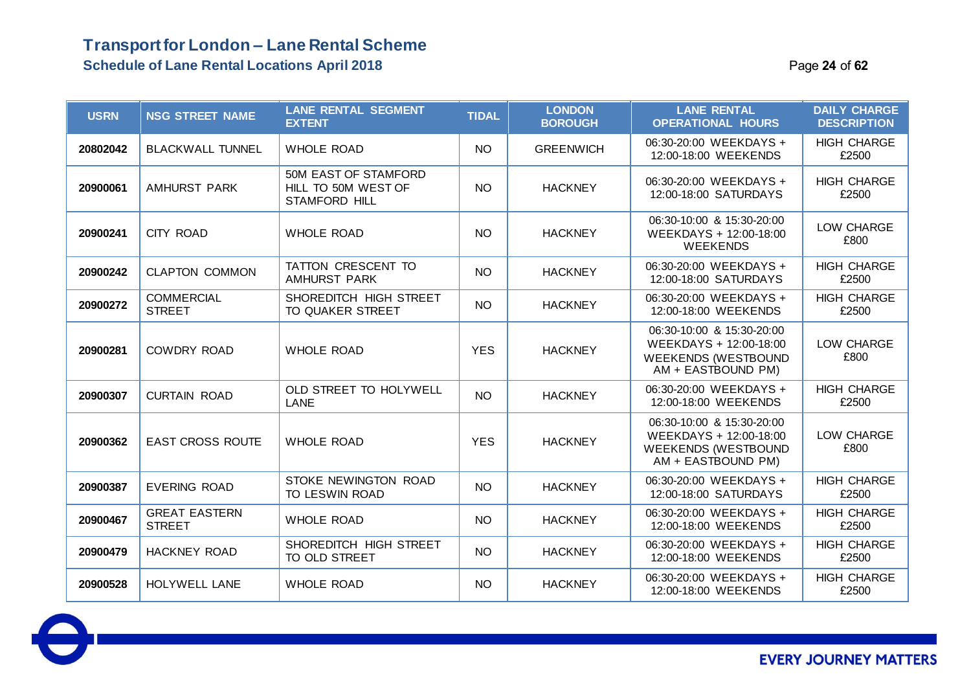### **Transport for London – Lane Rental Scheme Schedule of Lane Rental Locations April 2018** Page **24** of **62**

| <b>USRN</b> | <b>NSG STREET NAME</b>                | <b>LANE RENTAL SEGMENT</b><br><b>EXTENT</b>                  | <b>TIDAL</b> | <b>LONDON</b><br><b>BOROUGH</b> | <b>LANE RENTAL</b><br><b>OPERATIONAL HOURS</b>                                                          | <b>DAILY CHARGE</b><br><b>DESCRIPTION</b> |
|-------------|---------------------------------------|--------------------------------------------------------------|--------------|---------------------------------|---------------------------------------------------------------------------------------------------------|-------------------------------------------|
| 20802042    | <b>BLACKWALL TUNNEL</b>               | <b>WHOLE ROAD</b>                                            | <b>NO</b>    | <b>GREENWICH</b>                | 06:30-20:00 WEEKDAYS +<br>12:00-18:00 WEEKENDS                                                          | <b>HIGH CHARGE</b><br>£2500               |
| 20900061    | <b>AMHURST PARK</b>                   | 50M EAST OF STAMFORD<br>HILL TO 50M WEST OF<br>STAMFORD HILL | <b>NO</b>    | <b>HACKNEY</b>                  | 06:30-20:00 WEEKDAYS +<br>12:00-18:00 SATURDAYS                                                         | <b>HIGH CHARGE</b><br>£2500               |
| 20900241    | <b>CITY ROAD</b>                      | <b>WHOLE ROAD</b>                                            | <b>NO</b>    | <b>HACKNEY</b>                  | 06:30-10:00 & 15:30-20:00<br>WEEKDAYS + 12:00-18:00<br><b>WEEKENDS</b>                                  | LOW CHARGE<br>£800                        |
| 20900242    | <b>CLAPTON COMMON</b>                 | TATTON CRESCENT TO<br><b>AMHURST PARK</b>                    | <b>NO</b>    | <b>HACKNEY</b>                  | 06:30-20:00 WEEKDAYS +<br>12:00-18:00 SATURDAYS                                                         | <b>HIGH CHARGE</b><br>£2500               |
| 20900272    | <b>COMMERCIAL</b><br><b>STREET</b>    | SHOREDITCH HIGH STREET<br>TO QUAKER STREET                   | <b>NO</b>    | <b>HACKNEY</b>                  | 06:30-20:00 WEEKDAYS +<br>12:00-18:00 WEEKENDS                                                          | <b>HIGH CHARGE</b><br>£2500               |
| 20900281    | <b>COWDRY ROAD</b>                    | <b>WHOLE ROAD</b>                                            | <b>YES</b>   | <b>HACKNEY</b>                  | 06:30-10:00 & 15:30-20:00<br>WEEKDAYS + 12:00-18:00<br><b>WEEKENDS (WESTBOUND</b><br>AM + EASTBOUND PM) | LOW CHARGE<br>£800                        |
| 20900307    | <b>CURTAIN ROAD</b>                   | OLD STREET TO HOLYWELL<br>LANE                               | <b>NO</b>    | <b>HACKNEY</b>                  | 06:30-20:00 WEEKDAYS +<br>12:00-18:00 WEEKENDS                                                          | <b>HIGH CHARGE</b><br>£2500               |
| 20900362    | <b>EAST CROSS ROUTE</b>               | <b>WHOLE ROAD</b>                                            | <b>YES</b>   | <b>HACKNEY</b>                  | 06:30-10:00 & 15:30-20:00<br>WEEKDAYS + 12:00-18:00<br><b>WEEKENDS (WESTBOUND</b><br>AM + EASTBOUND PM) | LOW CHARGE<br>£800                        |
| 20900387    | <b>EVERING ROAD</b>                   | STOKE NEWINGTON ROAD<br>TO LESWIN ROAD                       | <b>NO</b>    | <b>HACKNEY</b>                  | 06:30-20:00 WEEKDAYS +<br>12:00-18:00 SATURDAYS                                                         | <b>HIGH CHARGE</b><br>£2500               |
| 20900467    | <b>GREAT EASTERN</b><br><b>STREET</b> | <b>WHOLE ROAD</b>                                            | <b>NO</b>    | <b>HACKNEY</b>                  | 06:30-20:00 WEEKDAYS +<br>12:00-18:00 WEEKENDS                                                          | <b>HIGH CHARGE</b><br>£2500               |
| 20900479    | <b>HACKNEY ROAD</b>                   | SHOREDITCH HIGH STREET<br>TO OLD STREET                      | <b>NO</b>    | <b>HACKNEY</b>                  | 06:30-20:00 WEEKDAYS +<br>12:00-18:00 WEEKENDS                                                          | <b>HIGH CHARGE</b><br>£2500               |
| 20900528    | <b>HOLYWELL LANE</b>                  | <b>WHOLE ROAD</b>                                            | <b>NO</b>    | <b>HACKNEY</b>                  | 06:30-20:00 WEEKDAYS +<br>12:00-18:00 WEEKENDS                                                          | <b>HIGH CHARGE</b><br>£2500               |

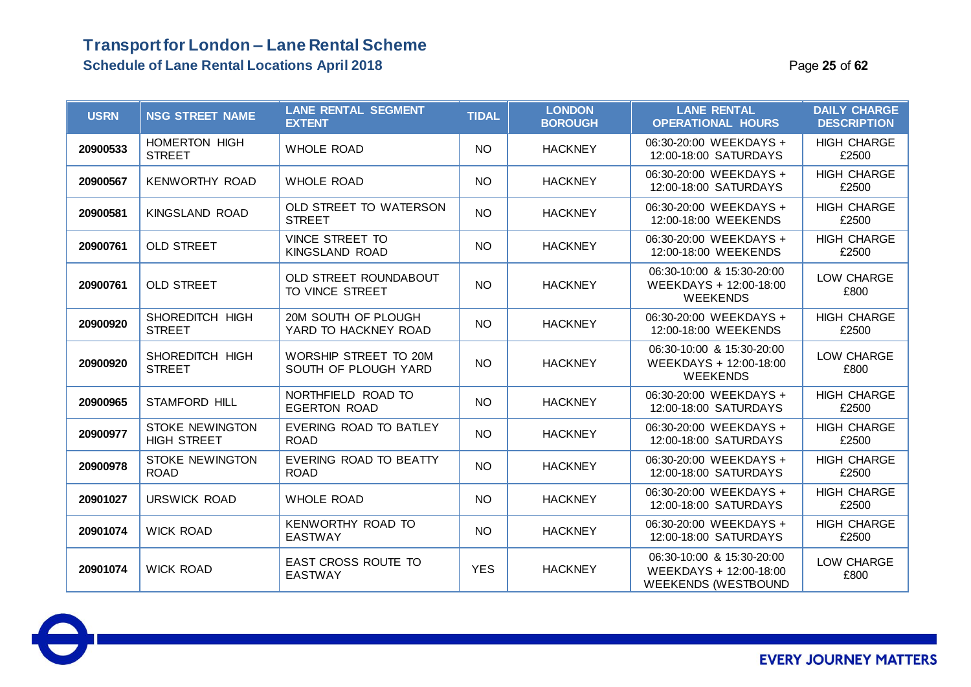### **Transport for London – Lane Rental Scheme Schedule of Lane Rental Locations April 2018 Page 25** of **62 Page 25** of **62**

| <b>USRN</b> | <b>NSG STREET NAME</b>                       | <b>LANE RENTAL SEGMENT</b><br><b>EXTENT</b>   | <b>TIDAL</b> | <b>LONDON</b><br><b>BOROUGH</b> | <b>LANE RENTAL</b><br><b>OPERATIONAL HOURS</b>                                    | <b>DAILY CHARGE</b><br><b>DESCRIPTION</b> |
|-------------|----------------------------------------------|-----------------------------------------------|--------------|---------------------------------|-----------------------------------------------------------------------------------|-------------------------------------------|
| 20900533    | <b>HOMERTON HIGH</b><br><b>STREET</b>        | <b>WHOLE ROAD</b>                             | <b>NO</b>    | <b>HACKNEY</b>                  | 06:30-20:00 WEEKDAYS +<br>12:00-18:00 SATURDAYS                                   | <b>HIGH CHARGE</b><br>£2500               |
| 20900567    | <b>KENWORTHY ROAD</b>                        | <b>WHOLE ROAD</b>                             | <b>NO</b>    | <b>HACKNEY</b>                  | 06:30-20:00 WEEKDAYS +<br>12:00-18:00 SATURDAYS                                   | <b>HIGH CHARGE</b><br>£2500               |
| 20900581    | KINGSLAND ROAD                               | OLD STREET TO WATERSON<br><b>STREET</b>       | <b>NO</b>    | <b>HACKNEY</b>                  | 06:30-20:00 WEEKDAYS +<br>12:00-18:00 WEEKENDS                                    | <b>HIGH CHARGE</b><br>£2500               |
| 20900761    | <b>OLD STREET</b>                            | <b>VINCE STREET TO</b><br>KINGSLAND ROAD      | <b>NO</b>    | <b>HACKNEY</b>                  | 06:30-20:00 WEEKDAYS +<br>12:00-18:00 WEEKENDS                                    | <b>HIGH CHARGE</b><br>£2500               |
| 20900761    | <b>OLD STREET</b>                            | OLD STREET ROUNDABOUT<br>TO VINCE STREET      | NO.          | <b>HACKNEY</b>                  | 06:30-10:00 & 15:30-20:00<br>WEEKDAYS + 12:00-18:00<br><b>WEEKENDS</b>            | LOW CHARGE<br>£800                        |
| 20900920    | SHOREDITCH HIGH<br><b>STREET</b>             | 20M SOUTH OF PLOUGH<br>YARD TO HACKNEY ROAD   | NO.          | <b>HACKNEY</b>                  | 06:30-20:00 WEEKDAYS +<br>12:00-18:00 WEEKENDS                                    | <b>HIGH CHARGE</b><br>£2500               |
| 20900920    | SHOREDITCH HIGH<br><b>STREET</b>             | WORSHIP STREET TO 20M<br>SOUTH OF PLOUGH YARD | NO.          | <b>HACKNEY</b>                  | 06:30-10:00 & 15:30-20:00<br>WEEKDAYS + 12:00-18:00<br><b>WEEKENDS</b>            | LOW CHARGE<br>£800                        |
| 20900965    | <b>STAMFORD HILL</b>                         | NORTHFIELD ROAD TO<br><b>EGERTON ROAD</b>     | <b>NO</b>    | <b>HACKNEY</b>                  | 06:30-20:00 WEEKDAYS +<br>12:00-18:00 SATURDAYS                                   | <b>HIGH CHARGE</b><br>£2500               |
| 20900977    | <b>STOKE NEWINGTON</b><br><b>HIGH STREET</b> | EVERING ROAD TO BATLEY<br><b>ROAD</b>         | <b>NO</b>    | <b>HACKNEY</b>                  | 06:30-20:00 WEEKDAYS +<br>12:00-18:00 SATURDAYS                                   | <b>HIGH CHARGE</b><br>£2500               |
| 20900978    | <b>STOKE NEWINGTON</b><br><b>ROAD</b>        | EVERING ROAD TO BEATTY<br><b>ROAD</b>         | NO.          | <b>HACKNEY</b>                  | 06:30-20:00 WEEKDAYS +<br>12:00-18:00 SATURDAYS                                   | <b>HIGH CHARGE</b><br>£2500               |
| 20901027    | URSWICK ROAD                                 | <b>WHOLE ROAD</b>                             | <b>NO</b>    | <b>HACKNEY</b>                  | 06:30-20:00 WEEKDAYS +<br>12:00-18:00 SATURDAYS                                   | <b>HIGH CHARGE</b><br>£2500               |
| 20901074    | <b>WICK ROAD</b>                             | KENWORTHY ROAD TO<br><b>EASTWAY</b>           | <b>NO</b>    | <b>HACKNEY</b>                  | 06:30-20:00 WEEKDAYS +<br>12:00-18:00 SATURDAYS                                   | <b>HIGH CHARGE</b><br>£2500               |
| 20901074    | <b>WICK ROAD</b>                             | <b>EAST CROSS ROUTE TO</b><br><b>EASTWAY</b>  | <b>YES</b>   | <b>HACKNEY</b>                  | 06:30-10:00 & 15:30-20:00<br>WEEKDAYS + 12:00-18:00<br><b>WEEKENDS (WESTBOUND</b> | LOW CHARGE<br>£800                        |

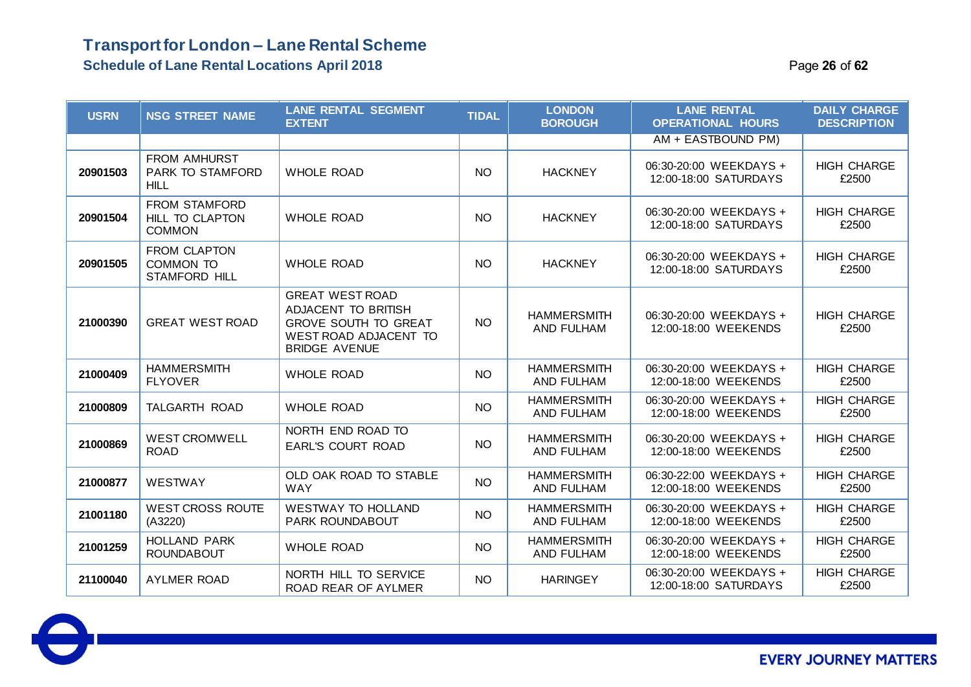#### **Schedule of Lane Rental Locations April 2018** Page **26** of **62**

| <b>USRN</b> | <b>NSG STREET NAME</b>                                        | <b>LANE RENTAL SEGMENT</b><br><b>EXTENT</b>                                                                                   | <b>TIDAL</b> | <b>LONDON</b><br><b>BOROUGH</b>         | <b>LANE RENTAL</b><br><b>OPERATIONAL HOURS</b>  | <b>DAILY CHARGE</b><br><b>DESCRIPTION</b> |
|-------------|---------------------------------------------------------------|-------------------------------------------------------------------------------------------------------------------------------|--------------|-----------------------------------------|-------------------------------------------------|-------------------------------------------|
|             |                                                               |                                                                                                                               |              |                                         | AM + EASTBOUND PM)                              |                                           |
| 20901503    | <b>FROM AMHURST</b><br><b>PARK TO STAMFORD</b><br><b>HILL</b> | <b>WHOLE ROAD</b>                                                                                                             | <b>NO</b>    | <b>HACKNEY</b>                          | 06:30-20:00 WEEKDAYS +<br>12:00-18:00 SATURDAYS | <b>HIGH CHARGE</b><br>£2500               |
| 20901504    | FROM STAMFORD<br><b>HILL TO CLAPTON</b><br><b>COMMON</b>      | <b>WHOLE ROAD</b>                                                                                                             | <b>NO</b>    | <b>HACKNEY</b>                          | 06:30-20:00 WEEKDAYS +<br>12:00-18:00 SATURDAYS | <b>HIGH CHARGE</b><br>£2500               |
| 20901505    | FROM CLAPTON<br>COMMON TO<br><b>STAMFORD HILL</b>             | <b>WHOLE ROAD</b>                                                                                                             | <b>NO</b>    | <b>HACKNEY</b>                          | 06:30-20:00 WEEKDAYS +<br>12:00-18:00 SATURDAYS | <b>HIGH CHARGE</b><br>£2500               |
| 21000390    | <b>GREAT WEST ROAD</b>                                        | <b>GREAT WEST ROAD</b><br>ADJACENT TO BRITISH<br><b>GROVE SOUTH TO GREAT</b><br>WEST ROAD ADJACENT TO<br><b>BRIDGE AVENUE</b> | <b>NO</b>    | <b>HAMMERSMITH</b><br>AND FULHAM        | 06:30-20:00 WEEKDAYS +<br>12:00-18:00 WEEKENDS  | <b>HIGH CHARGE</b><br>£2500               |
| 21000409    | <b>HAMMERSMITH</b><br><b>FLYOVER</b>                          | <b>WHOLE ROAD</b>                                                                                                             | <b>NO</b>    | <b>HAMMERSMITH</b><br><b>AND FULHAM</b> | 06:30-20:00 WEEKDAYS +<br>12:00-18:00 WEEKENDS  | <b>HIGH CHARGE</b><br>£2500               |
| 21000809    | TALGARTH ROAD                                                 | <b>WHOLE ROAD</b>                                                                                                             | <b>NO</b>    | <b>HAMMERSMITH</b><br>AND FULHAM        | 06:30-20:00 WEEKDAYS +<br>12:00-18:00 WEEKENDS  | <b>HIGH CHARGE</b><br>£2500               |
| 21000869    | <b>WEST CROMWELL</b><br><b>ROAD</b>                           | NORTH END ROAD TO<br><b>EARL'S COURT ROAD</b>                                                                                 | <b>NO</b>    | <b>HAMMERSMITH</b><br><b>AND FULHAM</b> | 06:30-20:00 WEEKDAYS +<br>12:00-18:00 WEEKENDS  | <b>HIGH CHARGE</b><br>£2500               |
| 21000877    | WESTWAY                                                       | OLD OAK ROAD TO STABLE<br><b>WAY</b>                                                                                          | <b>NO</b>    | <b>HAMMERSMITH</b><br>AND FULHAM        | 06:30-22:00 WEEKDAYS +<br>12:00-18:00 WEEKENDS  | <b>HIGH CHARGE</b><br>£2500               |
| 21001180    | <b>WEST CROSS ROUTE</b><br>(A3220)                            | <b>WESTWAY TO HOLLAND</b><br>PARK ROUNDABOUT                                                                                  | <b>NO</b>    | <b>HAMMERSMITH</b><br>AND FULHAM        | 06:30-20:00 WEEKDAYS +<br>12:00-18:00 WEEKENDS  | <b>HIGH CHARGE</b><br>£2500               |
| 21001259    | <b>HOLLAND PARK</b><br><b>ROUNDABOUT</b>                      | <b>WHOLE ROAD</b>                                                                                                             | <b>NO</b>    | <b>HAMMERSMITH</b><br>AND FULHAM        | 06:30-20:00 WEEKDAYS +<br>12:00-18:00 WEEKENDS  | <b>HIGH CHARGE</b><br>£2500               |
| 21100040    | <b>AYLMER ROAD</b>                                            | NORTH HILL TO SERVICE<br>ROAD REAR OF AYLMER                                                                                  | <b>NO</b>    | <b>HARINGEY</b>                         | 06:30-20:00 WEEKDAYS +<br>12:00-18:00 SATURDAYS | <b>HIGH CHARGE</b><br>£2500               |

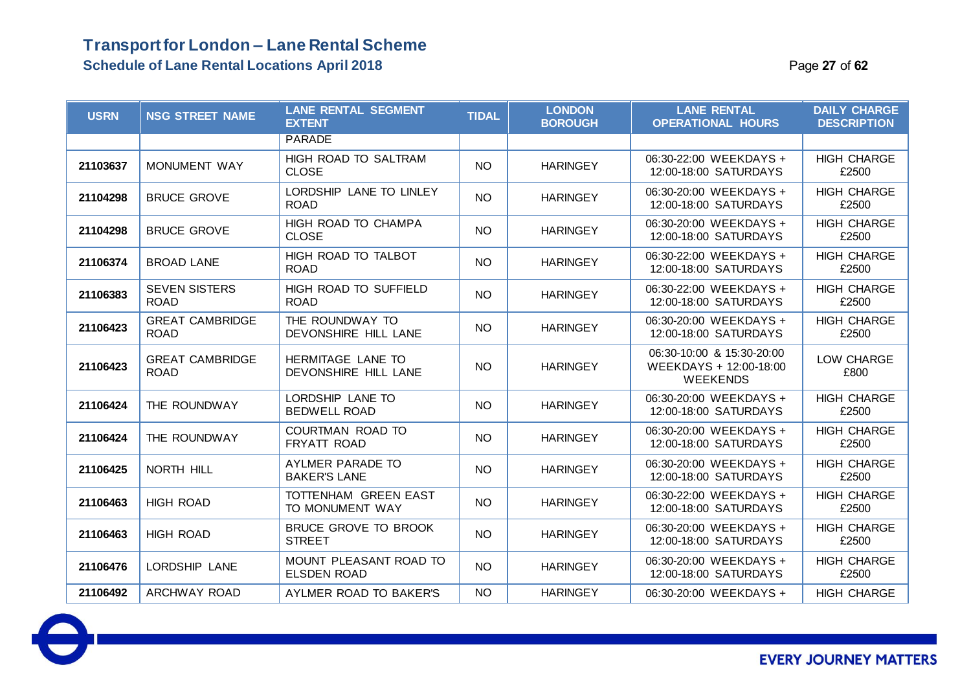### **Transport for London – Lane Rental Scheme Schedule of Lane Rental Locations April 2018** Page **27** of **62**

| <b>USRN</b> | <b>NSG STREET NAME</b>                | <b>LANE RENTAL SEGMENT</b><br><b>EXTENT</b>  | <b>TIDAL</b>    | <b>LONDON</b><br><b>BOROUGH</b> | <b>LANE RENTAL</b><br><b>OPERATIONAL HOURS</b>                         | <b>DAILY CHARGE</b><br><b>DESCRIPTION</b> |
|-------------|---------------------------------------|----------------------------------------------|-----------------|---------------------------------|------------------------------------------------------------------------|-------------------------------------------|
|             |                                       | <b>PARADE</b>                                |                 |                                 |                                                                        |                                           |
| 21103637    | <b>MONUMENT WAY</b>                   | HIGH ROAD TO SALTRAM<br><b>CLOSE</b>         | <b>NO</b>       | <b>HARINGEY</b>                 | 06:30-22:00 WEEKDAYS +<br>12:00-18:00 SATURDAYS                        | <b>HIGH CHARGE</b><br>£2500               |
| 21104298    | <b>BRUCE GROVE</b>                    | LORDSHIP LANE TO LINLEY<br><b>ROAD</b>       | <b>NO</b>       | <b>HARINGEY</b>                 | 06:30-20:00 WEEKDAYS +<br>12:00-18:00 SATURDAYS                        | <b>HIGH CHARGE</b><br>£2500               |
| 21104298    | <b>BRUCE GROVE</b>                    | HIGH ROAD TO CHAMPA<br><b>CLOSE</b>          | <b>NO</b>       | <b>HARINGEY</b>                 | 06:30-20:00 WEEKDAYS +<br>12:00-18:00 SATURDAYS                        | <b>HIGH CHARGE</b><br>£2500               |
| 21106374    | <b>BROAD LANE</b>                     | HIGH ROAD TO TALBOT<br><b>ROAD</b>           | <b>NO</b>       | <b>HARINGEY</b>                 | 06:30-22:00 WEEKDAYS +<br>12:00-18:00 SATURDAYS                        | <b>HIGH CHARGE</b><br>£2500               |
| 21106383    | <b>SEVEN SISTERS</b><br><b>ROAD</b>   | HIGH ROAD TO SUFFIELD<br><b>ROAD</b>         | <b>NO</b>       | <b>HARINGEY</b>                 | 06:30-22:00 WEEKDAYS +<br>12:00-18:00 SATURDAYS                        | <b>HIGH CHARGE</b><br>£2500               |
| 21106423    | <b>GREAT CAMBRIDGE</b><br><b>ROAD</b> | THE ROUNDWAY TO<br>DEVONSHIRE HILL LANE      | NO <sub>1</sub> | <b>HARINGEY</b>                 | 06:30-20:00 WEEKDAYS +<br>12:00-18:00 SATURDAYS                        | <b>HIGH CHARGE</b><br>£2500               |
| 21106423    | <b>GREAT CAMBRIDGE</b><br><b>ROAD</b> | HERMITAGE LANE TO<br>DEVONSHIRE HILL LANE    | <b>NO</b>       | <b>HARINGEY</b>                 | 06:30-10:00 & 15:30-20:00<br>WEEKDAYS + 12:00-18:00<br><b>WEEKENDS</b> | LOW CHARGE<br>£800                        |
| 21106424    | THE ROUNDWAY                          | LORDSHIP LANE TO<br><b>BEDWELL ROAD</b>      | <b>NO</b>       | <b>HARINGEY</b>                 | 06:30-20:00 WEEKDAYS +<br>12:00-18:00 SATURDAYS                        | <b>HIGH CHARGE</b><br>£2500               |
| 21106424    | THE ROUNDWAY                          | COURTMAN ROAD TO<br>FRYATT ROAD              | <b>NO</b>       | <b>HARINGEY</b>                 | 06:30-20:00 WEEKDAYS +<br>12:00-18:00 SATURDAYS                        | <b>HIGH CHARGE</b><br>£2500               |
| 21106425    | NORTH HILL                            | AYLMER PARADE TO<br><b>BAKER'S LANE</b>      | <b>NO</b>       | <b>HARINGEY</b>                 | 06:30-20:00 WEEKDAYS +<br>12:00-18:00 SATURDAYS                        | <b>HIGH CHARGE</b><br>£2500               |
| 21106463    | <b>HIGH ROAD</b>                      | TOTTENHAM GREEN EAST<br>TO MONUMENT WAY      | <b>NO</b>       | <b>HARINGEY</b>                 | 06:30-22:00 WEEKDAYS +<br>12:00-18:00 SATURDAYS                        | <b>HIGH CHARGE</b><br>£2500               |
| 21106463    | <b>HIGH ROAD</b>                      | <b>BRUCE GROVE TO BROOK</b><br><b>STREET</b> | NO              | <b>HARINGEY</b>                 | 06:30-20:00 WEEKDAYS +<br>12:00-18:00 SATURDAYS                        | <b>HIGH CHARGE</b><br>£2500               |
| 21106476    | LORDSHIP LANE                         | MOUNT PLEASANT ROAD TO<br><b>ELSDEN ROAD</b> | <b>NO</b>       | <b>HARINGEY</b>                 | 06:30-20:00 WEEKDAYS +<br>12:00-18:00 SATURDAYS                        | <b>HIGH CHARGE</b><br>£2500               |
| 21106492    | ARCHWAY ROAD                          | AYLMER ROAD TO BAKER'S                       | NO              | <b>HARINGEY</b>                 | 06:30-20:00 WEEKDAYS +                                                 | <b>HIGH CHARGE</b>                        |

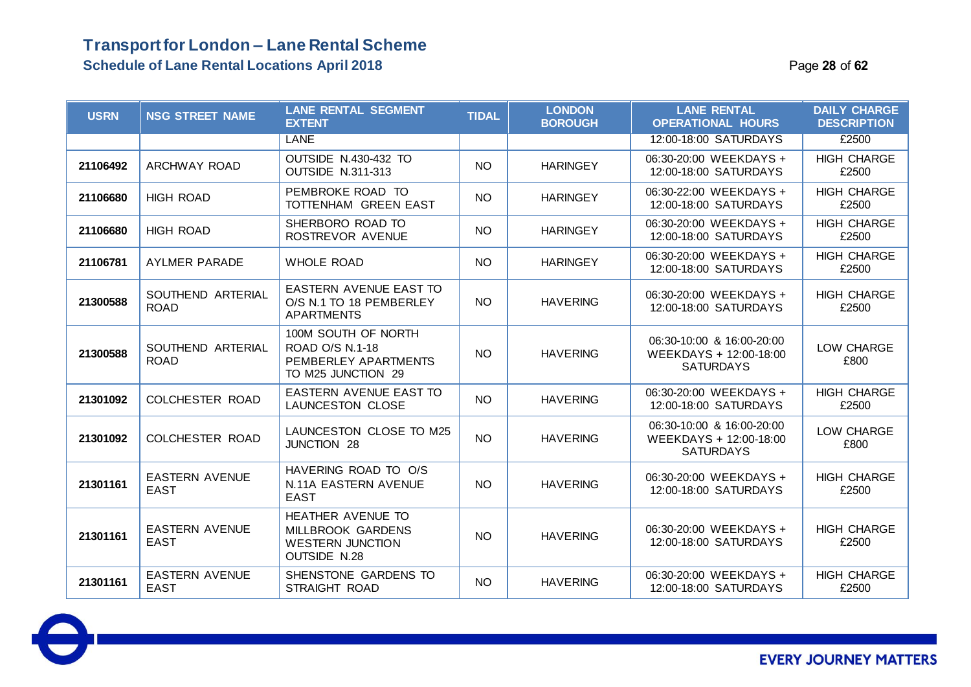### **Transport for London – Lane Rental Scheme Schedule of Lane Rental Locations April 2018** Page **28** of **62**

| <b>USRN</b> | <b>NSG STREET NAME</b>               | <b>LANE RENTAL SEGMENT</b><br><b>EXTENT</b>                                          | <b>TIDAL</b>    | <b>LONDON</b><br><b>BOROUGH</b> | <b>LANE RENTAL</b><br><b>OPERATIONAL HOURS</b>                          | <b>DAILY CHARGE</b><br><b>DESCRIPTION</b> |
|-------------|--------------------------------------|--------------------------------------------------------------------------------------|-----------------|---------------------------------|-------------------------------------------------------------------------|-------------------------------------------|
|             |                                      | LANE                                                                                 |                 |                                 | 12:00-18:00 SATURDAYS                                                   | £2500                                     |
| 21106492    | <b>ARCHWAY ROAD</b>                  | OUTSIDE N.430-432 TO<br><b>OUTSIDE N.311-313</b>                                     | <b>NO</b>       | <b>HARINGEY</b>                 | 06:30-20:00 WEEKDAYS +<br>12:00-18:00 SATURDAYS                         | <b>HIGH CHARGE</b><br>£2500               |
| 21106680    | <b>HIGH ROAD</b>                     | PEMBROKE ROAD TO<br>TOTTENHAM GREEN EAST                                             | <b>NO</b>       | <b>HARINGEY</b>                 | 06:30-22:00 WEEKDAYS +<br>12:00-18:00 SATURDAYS                         | <b>HIGH CHARGE</b><br>£2500               |
| 21106680    | <b>HIGH ROAD</b>                     | SHERBORO ROAD TO<br>ROSTREVOR AVENUE                                                 | <b>NO</b>       | <b>HARINGEY</b>                 | 06:30-20:00 WEEKDAYS +<br>12:00-18:00 SATURDAYS                         | <b>HIGH CHARGE</b><br>£2500               |
| 21106781    | <b>AYLMER PARADE</b>                 | <b>WHOLE ROAD</b>                                                                    | <b>NO</b>       | <b>HARINGEY</b>                 | 06:30-20:00 WEEKDAYS +<br>12:00-18:00 SATURDAYS                         | <b>HIGH CHARGE</b><br>£2500               |
| 21300588    | SOUTHEND ARTERIAL<br><b>ROAD</b>     | EASTERN AVENUE EAST TO<br>O/S N.1 TO 18 PEMBERLEY<br><b>APARTMENTS</b>               | <b>NO</b>       | <b>HAVERING</b>                 | 06:30-20:00 WEEKDAYS +<br>12:00-18:00 SATURDAYS                         | <b>HIGH CHARGE</b><br>£2500               |
| 21300588    | SOUTHEND ARTERIAL<br><b>ROAD</b>     | 100M SOUTH OF NORTH<br>ROAD O/S N.1-18<br>PEMBERLEY APARTMENTS<br>TO M25 JUNCTION 29 | NO <sub>1</sub> | <b>HAVERING</b>                 | 06:30-10:00 & 16:00-20:00<br>WEEKDAYS + 12:00-18:00<br><b>SATURDAYS</b> | LOW CHARGE<br>£800                        |
| 21301092    | COLCHESTER ROAD                      | <b>EASTERN AVENUE EAST TO</b><br><b>LAUNCESTON CLOSE</b>                             | NO <sub>1</sub> | <b>HAVERING</b>                 | 06:30-20:00 WEEKDAYS +<br>12:00-18:00 SATURDAYS                         | <b>HIGH CHARGE</b><br>£2500               |
| 21301092    | COLCHESTER ROAD                      | LAUNCESTON CLOSE TO M25<br>JUNCTION 28                                               | <b>NO</b>       | <b>HAVERING</b>                 | 06:30-10:00 & 16:00-20:00<br>WEEKDAYS + 12:00-18:00<br><b>SATURDAYS</b> | LOW CHARGE<br>£800                        |
| 21301161    | <b>EASTERN AVENUE</b><br><b>EAST</b> | HAVERING ROAD TO O/S<br>N.11A EASTERN AVENUE<br><b>EAST</b>                          | <b>NO</b>       | <b>HAVERING</b>                 | 06:30-20:00 WEEKDAYS +<br>12:00-18:00 SATURDAYS                         | <b>HIGH CHARGE</b><br>£2500               |
| 21301161    | <b>EASTERN AVENUE</b><br><b>EAST</b> | HEATHER AVENUE TO<br>MILLBROOK GARDENS<br><b>WESTERN JUNCTION</b><br>OUTSIDE N.28    | <b>NO</b>       | <b>HAVERING</b>                 | 06:30-20:00 WEEKDAYS +<br>12:00-18:00 SATURDAYS                         | <b>HIGH CHARGE</b><br>£2500               |
| 21301161    | <b>EASTERN AVENUE</b><br><b>EAST</b> | SHENSTONE GARDENS TO<br>STRAIGHT ROAD                                                | <b>NO</b>       | <b>HAVERING</b>                 | 06:30-20:00 WEEKDAYS +<br>12:00-18:00 SATURDAYS                         | <b>HIGH CHARGE</b><br>£2500               |

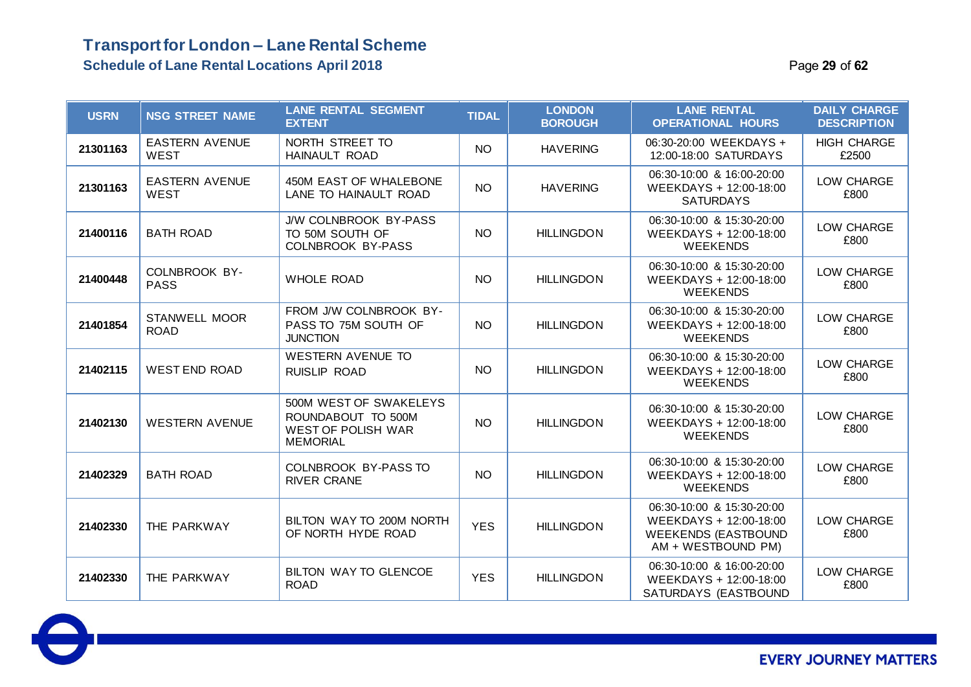### **Transport for London – Lane Rental Scheme Schedule of Lane Rental Locations April 2018** Page **29** of **62**

| <b>USRN</b> | <b>NSG STREET NAME</b>               | <b>LANE RENTAL SEGMENT</b><br><b>EXTENT</b>                                                  | <b>TIDAL</b> | <b>LONDON</b><br><b>BOROUGH</b> | <b>LANE RENTAL</b><br><b>OPERATIONAL HOURS</b>                                                          | <b>DAILY CHARGE</b><br><b>DESCRIPTION</b> |
|-------------|--------------------------------------|----------------------------------------------------------------------------------------------|--------------|---------------------------------|---------------------------------------------------------------------------------------------------------|-------------------------------------------|
| 21301163    | <b>EASTERN AVENUE</b><br><b>WEST</b> | NORTH STREET TO<br><b>HAINAULT ROAD</b>                                                      | <b>NO</b>    | <b>HAVERING</b>                 | 06:30-20:00 WEEKDAYS +<br>12:00-18:00 SATURDAYS                                                         | <b>HIGH CHARGE</b><br>£2500               |
| 21301163    | <b>EASTERN AVENUE</b><br><b>WEST</b> | 450M EAST OF WHALEBONE<br>LANE TO HAINAULT ROAD                                              | <b>NO</b>    | <b>HAVERING</b>                 | 06:30-10:00 & 16:00-20:00<br>WEEKDAYS + 12:00-18:00<br><b>SATURDAYS</b>                                 | LOW CHARGE<br>£800                        |
| 21400116    | <b>BATH ROAD</b>                     | J/W COLNBROOK BY-PASS<br>TO 50M SOUTH OF<br><b>COLNBROOK BY-PASS</b>                         | <b>NO</b>    | <b>HILLINGDON</b>               | 06:30-10:00 & 15:30-20:00<br>WEEKDAYS + 12:00-18:00<br><b>WEEKENDS</b>                                  | LOW CHARGE<br>£800                        |
| 21400448    | COLNBROOK BY-<br><b>PASS</b>         | <b>WHOLE ROAD</b>                                                                            | <b>NO</b>    | <b>HILLINGDON</b>               | 06:30-10:00 & 15:30-20:00<br>WEEKDAYS + 12:00-18:00<br><b>WEEKENDS</b>                                  | LOW CHARGE<br>£800                        |
| 21401854    | <b>STANWELL MOOR</b><br><b>ROAD</b>  | FROM J/W COLNBROOK BY-<br>PASS TO 75M SOUTH OF<br><b>JUNCTION</b>                            | NO.          | <b>HILLINGDON</b>               | 06:30-10:00 & 15:30-20:00<br>WEEKDAYS + 12:00-18:00<br><b>WEEKENDS</b>                                  | LOW CHARGE<br>£800                        |
| 21402115    | <b>WEST END ROAD</b>                 | <b>WESTERN AVENUE TO</b><br>RUISLIP ROAD                                                     | <b>NO</b>    | <b>HILLINGDON</b>               | 06:30-10:00 & 15:30-20:00<br>WEEKDAYS + 12:00-18:00<br><b>WEEKENDS</b>                                  | LOW CHARGE<br>£800                        |
| 21402130    | <b>WESTERN AVENUE</b>                | 500M WEST OF SWAKELEYS<br>ROUNDABOUT TO 500M<br><b>WEST OF POLISH WAR</b><br><b>MEMORIAL</b> | <b>NO</b>    | <b>HILLINGDON</b>               | 06:30-10:00 & 15:30-20:00<br>WEEKDAYS + 12:00-18:00<br><b>WEEKENDS</b>                                  | LOW CHARGE<br>£800                        |
| 21402329    | <b>BATH ROAD</b>                     | COLNBROOK BY-PASS TO<br><b>RIVER CRANE</b>                                                   | <b>NO</b>    | <b>HILLINGDON</b>               | 06:30-10:00 & 15:30-20:00<br>WEEKDAYS + 12:00-18:00<br><b>WEEKENDS</b>                                  | LOW CHARGE<br>£800                        |
| 21402330    | THE PARKWAY                          | BILTON WAY TO 200M NORTH<br>OF NORTH HYDE ROAD                                               | <b>YES</b>   | <b>HILLINGDON</b>               | 06:30-10:00 & 15:30-20:00<br>WEEKDAYS + 12:00-18:00<br><b>WEEKENDS (EASTBOUND</b><br>AM + WESTBOUND PM) | LOW CHARGE<br>£800                        |
| 21402330    | THE PARKWAY                          | BILTON WAY TO GLENCOE<br><b>ROAD</b>                                                         | <b>YES</b>   | <b>HILLINGDON</b>               | 06:30-10:00 & 16:00-20:00<br>WEEKDAYS + 12:00-18:00<br>SATURDAYS (EASTBOUND                             | LOW CHARGE<br>£800                        |

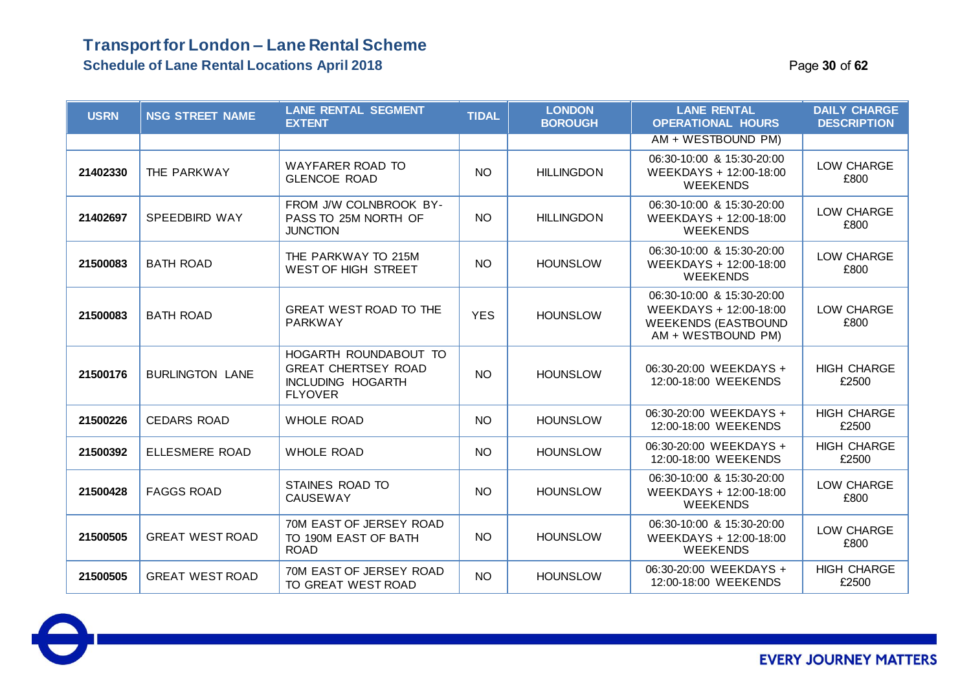### **Transport for London – Lane Rental Scheme Schedule of Lane Rental Locations April 2018** Page **30** of **62**

| <b>USRN</b> | <b>NSG STREET NAME</b> | <b>LANE RENTAL SEGMENT</b><br><b>EXTENT</b>                                                       | <b>TIDAL</b> | <b>LONDON</b><br><b>BOROUGH</b> | <b>LANE RENTAL</b><br><b>OPERATIONAL HOURS</b>                                                          | <b>DAILY CHARGE</b><br><b>DESCRIPTION</b> |
|-------------|------------------------|---------------------------------------------------------------------------------------------------|--------------|---------------------------------|---------------------------------------------------------------------------------------------------------|-------------------------------------------|
|             |                        |                                                                                                   |              |                                 | AM + WESTBOUND PM)                                                                                      |                                           |
| 21402330    | THE PARKWAY            | WAYFARER ROAD TO<br><b>GLENCOE ROAD</b>                                                           | <b>NO</b>    | <b>HILLINGDON</b>               | 06:30-10:00 & 15:30-20:00<br>WEEKDAYS + 12:00-18:00<br><b>WEEKENDS</b>                                  | LOW CHARGE<br>£800                        |
| 21402697    | <b>SPEEDBIRD WAY</b>   | FROM J/W COLNBROOK BY-<br>PASS TO 25M NORTH OF<br><b>JUNCTION</b>                                 | <b>NO</b>    | <b>HILLINGDON</b>               | 06:30-10:00 & 15:30-20:00<br>WEEKDAYS + 12:00-18:00<br><b>WEEKENDS</b>                                  | LOW CHARGE<br>£800                        |
| 21500083    | <b>BATH ROAD</b>       | THE PARKWAY TO 215M<br>WEST OF HIGH STREET                                                        | <b>NO</b>    | <b>HOUNSLOW</b>                 | 06:30-10:00 & 15:30-20:00<br>WEEKDAYS + 12:00-18:00<br><b>WEEKENDS</b>                                  | LOW CHARGE<br>£800                        |
| 21500083    | <b>BATH ROAD</b>       | <b>GREAT WEST ROAD TO THE</b><br><b>PARKWAY</b>                                                   | <b>YES</b>   | <b>HOUNSLOW</b>                 | 06:30-10:00 & 15:30-20:00<br>WEEKDAYS + 12:00-18:00<br><b>WEEKENDS (EASTBOUND</b><br>AM + WESTBOUND PM) | LOW CHARGE<br>£800                        |
| 21500176    | <b>BURLINGTON LANE</b> | HOGARTH ROUNDABOUT TO<br><b>GREAT CHERTSEY ROAD</b><br><b>INCLUDING HOGARTH</b><br><b>FLYOVER</b> | <b>NO</b>    | <b>HOUNSLOW</b>                 | 06:30-20:00 WEEKDAYS +<br>12:00-18:00 WEEKENDS                                                          | <b>HIGH CHARGE</b><br>£2500               |
| 21500226    | <b>CEDARS ROAD</b>     | <b>WHOLE ROAD</b>                                                                                 | <b>NO</b>    | <b>HOUNSLOW</b>                 | 06:30-20:00 WEEKDAYS +<br>12:00-18:00 WEEKENDS                                                          | <b>HIGH CHARGE</b><br>£2500               |
| 21500392    | <b>ELLESMERE ROAD</b>  | <b>WHOLE ROAD</b>                                                                                 | <b>NO</b>    | <b>HOUNSLOW</b>                 | 06:30-20:00 WEEKDAYS +<br>12:00-18:00 WEEKENDS                                                          | <b>HIGH CHARGE</b><br>£2500               |
| 21500428    | <b>FAGGS ROAD</b>      | STAINES ROAD TO<br><b>CAUSEWAY</b>                                                                | <b>NO</b>    | <b>HOUNSLOW</b>                 | 06:30-10:00 & 15:30-20:00<br>WEEKDAYS + 12:00-18:00<br><b>WEEKENDS</b>                                  | LOW CHARGE<br>£800                        |
| 21500505    | <b>GREAT WEST ROAD</b> | 70M EAST OF JERSEY ROAD<br>TO 190M EAST OF BATH<br><b>ROAD</b>                                    | <b>NO</b>    | <b>HOUNSLOW</b>                 | 06:30-10:00 & 15:30-20:00<br>WEEKDAYS + 12:00-18:00<br><b>WEEKENDS</b>                                  | LOW CHARGE<br>£800                        |
| 21500505    | <b>GREAT WEST ROAD</b> | 70M EAST OF JERSEY ROAD<br>TO GREAT WEST ROAD                                                     | <b>NO</b>    | <b>HOUNSLOW</b>                 | 06:30-20:00 WEEKDAYS +<br>12:00-18:00 WEEKENDS                                                          | <b>HIGH CHARGE</b><br>£2500               |

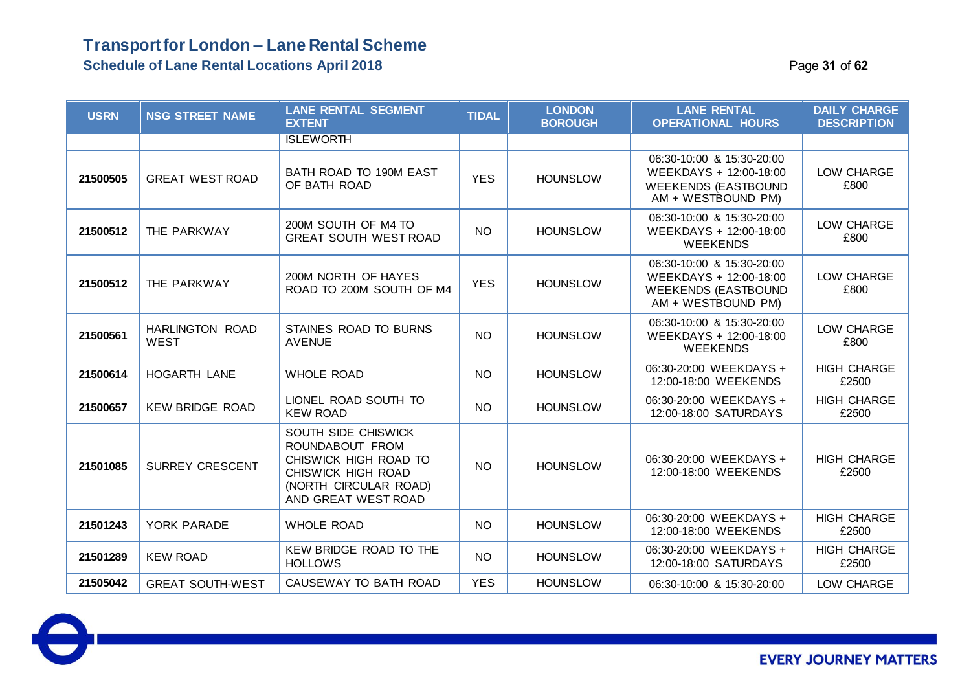### **Transport for London – Lane Rental Scheme Schedule of Lane Rental Locations April 2018** Page **31** of **62**

| <b>USRN</b> | <b>NSG STREET NAME</b>         | <b>LANE RENTAL SEGMENT</b><br><b>EXTENT</b>                                                                                           | <b>TIDAL</b>    | <b>LONDON</b><br><b>BOROUGH</b> | <b>LANE RENTAL</b><br><b>OPERATIONAL HOURS</b>                                                          | <b>DAILY CHARGE</b><br><b>DESCRIPTION</b> |
|-------------|--------------------------------|---------------------------------------------------------------------------------------------------------------------------------------|-----------------|---------------------------------|---------------------------------------------------------------------------------------------------------|-------------------------------------------|
|             |                                | <b>ISLEWORTH</b>                                                                                                                      |                 |                                 |                                                                                                         |                                           |
| 21500505    | <b>GREAT WEST ROAD</b>         | BATH ROAD TO 190M EAST<br>OF BATH ROAD                                                                                                | <b>YES</b>      | <b>HOUNSLOW</b>                 | 06:30-10:00 & 15:30-20:00<br>WEEKDAYS + 12:00-18:00<br><b>WEEKENDS (EASTBOUND</b><br>AM + WESTBOUND PM) | LOW CHARGE<br>£800                        |
| 21500512    | THE PARKWAY                    | 200M SOUTH OF M4 TO<br><b>GREAT SOUTH WEST ROAD</b>                                                                                   | NO <sub>1</sub> | <b>HOUNSLOW</b>                 | 06:30-10:00 & 15:30-20:00<br>WEEKDAYS + 12:00-18:00<br><b>WEEKENDS</b>                                  | LOW CHARGE<br>£800                        |
| 21500512    | THE PARKWAY                    | 200M NORTH OF HAYES<br>ROAD TO 200M SOUTH OF M4                                                                                       | <b>YES</b>      | <b>HOUNSLOW</b>                 | 06:30-10:00 & 15:30-20:00<br>WEEKDAYS + 12:00-18:00<br><b>WEEKENDS (EASTBOUND</b><br>AM + WESTBOUND PM) | LOW CHARGE<br>£800                        |
| 21500561    | HARLINGTON ROAD<br><b>WEST</b> | STAINES ROAD TO BURNS<br><b>AVENUE</b>                                                                                                | <b>NO</b>       | <b>HOUNSLOW</b>                 | 06:30-10:00 & 15:30-20:00<br>WEEKDAYS + 12:00-18:00<br><b>WEEKENDS</b>                                  | LOW CHARGE<br>£800                        |
| 21500614    | HOGARTH LANE                   | <b>WHOLE ROAD</b>                                                                                                                     | <b>NO</b>       | <b>HOUNSLOW</b>                 | 06:30-20:00 WEEKDAYS +<br>12:00-18:00 WEEKENDS                                                          | <b>HIGH CHARGE</b><br>£2500               |
| 21500657    | <b>KEW BRIDGE ROAD</b>         | LIONEL ROAD SOUTH TO<br><b>KEW ROAD</b>                                                                                               | <b>NO</b>       | <b>HOUNSLOW</b>                 | 06:30-20:00 WEEKDAYS +<br>12:00-18:00 SATURDAYS                                                         | <b>HIGH CHARGE</b><br>£2500               |
| 21501085    | <b>SURREY CRESCENT</b>         | SOUTH SIDE CHISWICK<br>ROUNDABOUT FROM<br>CHISWICK HIGH ROAD TO<br>CHISWICK HIGH ROAD<br>(NORTH CIRCULAR ROAD)<br>AND GREAT WEST ROAD | <b>NO</b>       | <b>HOUNSLOW</b>                 | 06:30-20:00 WEEKDAYS +<br>12:00-18:00 WEEKENDS                                                          | <b>HIGH CHARGE</b><br>£2500               |
| 21501243    | YORK PARADE                    | <b>WHOLE ROAD</b>                                                                                                                     | <b>NO</b>       | <b>HOUNSLOW</b>                 | 06:30-20:00 WEEKDAYS +<br>12:00-18:00 WEEKENDS                                                          | <b>HIGH CHARGE</b><br>£2500               |
| 21501289    | <b>KEW ROAD</b>                | KEW BRIDGE ROAD TO THE<br><b>HOLLOWS</b>                                                                                              | <b>NO</b>       | <b>HOUNSLOW</b>                 | 06:30-20:00 WEEKDAYS +<br>12:00-18:00 SATURDAYS                                                         | <b>HIGH CHARGE</b><br>£2500               |
| 21505042    | <b>GREAT SOUTH-WEST</b>        | CAUSEWAY TO BATH ROAD                                                                                                                 | <b>YES</b>      | <b>HOUNSLOW</b>                 | 06:30-10:00 & 15:30-20:00                                                                               | LOW CHARGE                                |

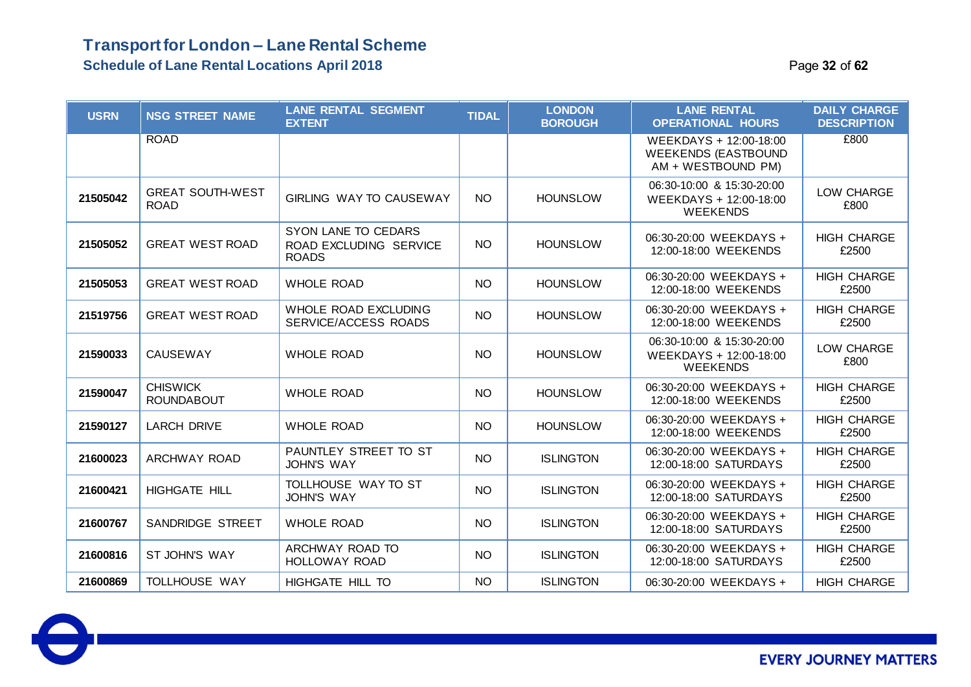#### **Transport for London – Lane Rental Scheme Schedule of Lane Rental Locations April 2018** Page **32** of **62**

| <b>USRN</b> | <b>NSG STREET NAME</b>                 | <b>LANE RENTAL SEGMENT</b><br><b>EXTENT</b>                   | <b>TIDAL</b> | <b>LONDON</b><br><b>BOROUGH</b> | <b>LANE RENTAL</b><br><b>OPERATIONAL HOURS</b>                             | <b>DAILY CHARGE</b><br><b>DESCRIPTION</b> |
|-------------|----------------------------------------|---------------------------------------------------------------|--------------|---------------------------------|----------------------------------------------------------------------------|-------------------------------------------|
|             | <b>ROAD</b>                            |                                                               |              |                                 | WEEKDAYS + 12:00-18:00<br><b>WEEKENDS (EASTBOUND</b><br>AM + WESTBOUND PM) | £800                                      |
| 21505042    | <b>GREAT SOUTH-WEST</b><br><b>ROAD</b> | GIRLING WAY TO CAUSEWAY                                       | <b>NO</b>    | <b>HOUNSLOW</b>                 | 06:30-10:00 & 15:30-20:00<br>WEEKDAYS + 12:00-18:00<br><b>WEEKENDS</b>     | LOW CHARGE<br>£800                        |
| 21505052    | <b>GREAT WEST ROAD</b>                 | SYON LANE TO CEDARS<br>ROAD EXCLUDING SERVICE<br><b>ROADS</b> | <b>NO</b>    | <b>HOUNSLOW</b>                 | 06:30-20:00 WEEKDAYS +<br>12:00-18:00 WEEKENDS                             | <b>HIGH CHARGE</b><br>£2500               |
| 21505053    | <b>GREAT WEST ROAD</b>                 | <b>WHOLE ROAD</b>                                             | <b>NO</b>    | <b>HOUNSLOW</b>                 | 06:30-20:00 WEEKDAYS +<br>12:00-18:00 WEEKENDS                             | <b>HIGH CHARGE</b><br>£2500               |
| 21519756    | <b>GREAT WEST ROAD</b>                 | WHOLE ROAD EXCLUDING<br>SERVICE/ACCESS ROADS                  | <b>NO</b>    | <b>HOUNSLOW</b>                 | 06:30-20:00 WEEKDAYS +<br>12:00-18:00 WEEKENDS                             | <b>HIGH CHARGE</b><br>£2500               |
| 21590033    | <b>CAUSEWAY</b>                        | <b>WHOLE ROAD</b>                                             | <b>NO</b>    | <b>HOUNSLOW</b>                 | 06:30-10:00 & 15:30-20:00<br>WEEKDAYS + 12:00-18:00<br><b>WEEKENDS</b>     | LOW CHARGE<br>£800                        |
| 21590047    | <b>CHISWICK</b><br><b>ROUNDABOUT</b>   | <b>WHOLE ROAD</b>                                             | <b>NO</b>    | <b>HOUNSLOW</b>                 | 06:30-20:00 WEEKDAYS +<br>12:00-18:00 WEEKENDS                             | <b>HIGH CHARGE</b><br>£2500               |
| 21590127    | <b>LARCH DRIVE</b>                     | <b>WHOLE ROAD</b>                                             | <b>NO</b>    | <b>HOUNSLOW</b>                 | 06:30-20:00 WEEKDAYS +<br>12:00-18:00 WEEKENDS                             | <b>HIGH CHARGE</b><br>£2500               |
| 21600023    | ARCHWAY ROAD                           | PAUNTLEY STREET TO ST<br><b>JOHN'S WAY</b>                    | <b>NO</b>    | <b>ISLINGTON</b>                | 06:30-20:00 WEEKDAYS +<br>12:00-18:00 SATURDAYS                            | <b>HIGH CHARGE</b><br>£2500               |
| 21600421    | HIGHGATE HILL                          | TOLLHOUSE WAY TO ST<br><b>JOHN'S WAY</b>                      | <b>NO</b>    | <b>ISLINGTON</b>                | 06:30-20:00 WEEKDAYS +<br>12:00-18:00 SATURDAYS                            | <b>HIGH CHARGE</b><br>£2500               |
| 21600767    | SANDRIDGE STREET                       | <b>WHOLE ROAD</b>                                             | <b>NO</b>    | <b>ISLINGTON</b>                | 06:30-20:00 WEEKDAYS +<br>12:00-18:00 SATURDAYS                            | <b>HIGH CHARGE</b><br>£2500               |
| 21600816    | ST JOHN'S WAY                          | ARCHWAY ROAD TO<br><b>HOLLOWAY ROAD</b>                       | <b>NO</b>    | <b>ISLINGTON</b>                | 06:30-20:00 WEEKDAYS +<br>12:00-18:00 SATURDAYS                            | <b>HIGH CHARGE</b><br>£2500               |
| 21600869    | TOLLHOUSE WAY                          | HIGHGATE HILL TO                                              | <b>NO</b>    | <b>ISLINGTON</b>                | 06:30-20:00 WEEKDAYS +                                                     | <b>HIGH CHARGE</b>                        |

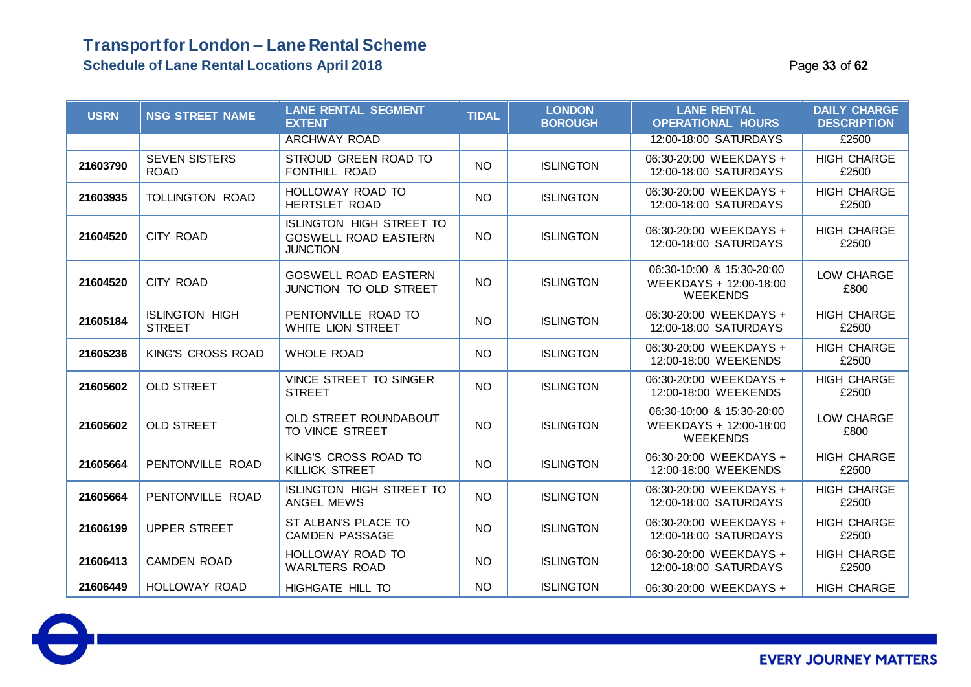### **Transport for London – Lane Rental Scheme Schedule of Lane Rental Locations April 2018 Page 13 of 62 Page 33** of 62

| <b>USRN</b> | <b>NSG STREET NAME</b>                 | <b>LANE RENTAL SEGMENT</b><br><b>EXTENT</b>                                       | <b>TIDAL</b>    | <b>LONDON</b><br><b>BOROUGH</b> | <b>LANE RENTAL</b><br><b>OPERATIONAL HOURS</b>                         | <b>DAILY CHARGE</b><br><b>DESCRIPTION</b> |
|-------------|----------------------------------------|-----------------------------------------------------------------------------------|-----------------|---------------------------------|------------------------------------------------------------------------|-------------------------------------------|
|             |                                        | <b>ARCHWAY ROAD</b>                                                               |                 |                                 | 12:00-18:00 SATURDAYS                                                  | £2500                                     |
| 21603790    | <b>SEVEN SISTERS</b><br><b>ROAD</b>    | STROUD GREEN ROAD TO<br>FONTHILL ROAD                                             | <b>NO</b>       | <b>ISLINGTON</b>                | 06:30-20:00 WEEKDAYS +<br>12:00-18:00 SATURDAYS                        | <b>HIGH CHARGE</b><br>£2500               |
| 21603935    | <b>TOLLINGTON ROAD</b>                 | HOLLOWAY ROAD TO<br><b>HERTSLET ROAD</b>                                          | <b>NO</b>       | <b>ISLINGTON</b>                | 06:30-20:00 WEEKDAYS +<br>12:00-18:00 SATURDAYS                        | <b>HIGH CHARGE</b><br>£2500               |
| 21604520    | <b>CITY ROAD</b>                       | <b>ISLINGTON HIGH STREET TO</b><br><b>GOSWELL ROAD EASTERN</b><br><b>JUNCTION</b> | <b>NO</b>       | <b>ISLINGTON</b>                | 06:30-20:00 WEEKDAYS +<br>12:00-18:00 SATURDAYS                        | <b>HIGH CHARGE</b><br>£2500               |
| 21604520    | CITY ROAD                              | <b>GOSWELL ROAD EASTERN</b><br>JUNCTION TO OLD STREET                             | NO              | <b>ISLINGTON</b>                | 06:30-10:00 & 15:30-20:00<br>WEEKDAYS + 12:00-18:00<br><b>WEEKENDS</b> | LOW CHARGE<br>£800                        |
| 21605184    | <b>ISLINGTON HIGH</b><br><b>STREET</b> | PENTONVILLE ROAD TO<br>WHITE LION STREET                                          | <b>NO</b>       | <b>ISLINGTON</b>                | 06:30-20:00 WEEKDAYS +<br>12:00-18:00 SATURDAYS                        | <b>HIGH CHARGE</b><br>£2500               |
| 21605236    | <b>KING'S CROSS ROAD</b>               | <b>WHOLE ROAD</b>                                                                 | NO              | <b>ISLINGTON</b>                | 06:30-20:00 WEEKDAYS +<br>12:00-18:00 WEEKENDS                         | <b>HIGH CHARGE</b><br>£2500               |
| 21605602    | <b>OLD STREET</b>                      | VINCE STREET TO SINGER<br><b>STREET</b>                                           | <b>NO</b>       | <b>ISLINGTON</b>                | 06:30-20:00 WEEKDAYS +<br>12:00-18:00 WEEKENDS                         | <b>HIGH CHARGE</b><br>£2500               |
| 21605602    | <b>OLD STREET</b>                      | OLD STREET ROUNDABOUT<br>TO VINCE STREET                                          | NO              | <b>ISLINGTON</b>                | 06:30-10:00 & 15:30-20:00<br>WEEKDAYS + 12:00-18:00<br><b>WEEKENDS</b> | LOW CHARGE<br>£800                        |
| 21605664    | PENTONVILLE ROAD                       | KING'S CROSS ROAD TO<br><b>KILLICK STREET</b>                                     | NO              | <b>ISLINGTON</b>                | 06:30-20:00 WEEKDAYS +<br>12:00-18:00 WEEKENDS                         | <b>HIGH CHARGE</b><br>£2500               |
| 21605664    | PENTONVILLE ROAD                       | <b>ISLINGTON HIGH STREET TO</b><br>ANGEL MEWS                                     | <b>NO</b>       | <b>ISLINGTON</b>                | 06:30-20:00 WEEKDAYS +<br>12:00-18:00 SATURDAYS                        | <b>HIGH CHARGE</b><br>£2500               |
| 21606199    | <b>UPPER STREET</b>                    | ST ALBAN'S PLACE TO<br><b>CAMDEN PASSAGE</b>                                      | NO              | <b>ISLINGTON</b>                | 06:30-20:00 WEEKDAYS +<br>12:00-18:00 SATURDAYS                        | <b>HIGH CHARGE</b><br>£2500               |
| 21606413    | <b>CAMDEN ROAD</b>                     | <b>HOLLOWAY ROAD TO</b><br><b>WARLTERS ROAD</b>                                   | NO              | <b>ISLINGTON</b>                | 06:30-20:00 WEEKDAYS +<br>12:00-18:00 SATURDAYS                        | <b>HIGH CHARGE</b><br>£2500               |
| 21606449    | <b>HOLLOWAY ROAD</b>                   | HIGHGATE HILL TO                                                                  | NO <sub>1</sub> | <b>ISLINGTON</b>                | 06:30-20:00 WEEKDAYS +                                                 | <b>HIGH CHARGE</b>                        |

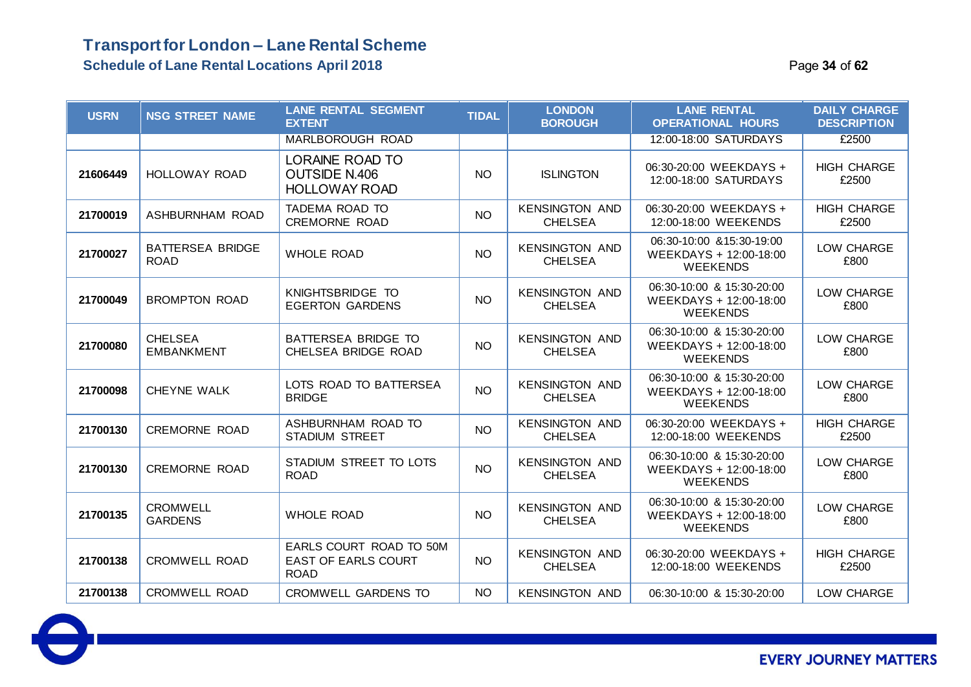### **Transport for London – Lane Rental Scheme Schedule of Lane Rental Locations April 2018** Page **34** of **62**

| <b>USRN</b> | <b>NSG STREET NAME</b>                 | <b>LANE RENTAL SEGMENT</b><br><b>EXTENT</b>                            | <b>TIDAL</b>    | <b>LONDON</b><br><b>BOROUGH</b>         | <b>LANE RENTAL</b><br><b>OPERATIONAL HOURS</b>                         | <b>DAILY CHARGE</b><br><b>DESCRIPTION</b> |
|-------------|----------------------------------------|------------------------------------------------------------------------|-----------------|-----------------------------------------|------------------------------------------------------------------------|-------------------------------------------|
|             |                                        | <b>MARLBOROUGH ROAD</b>                                                |                 |                                         | 12:00-18:00 SATURDAYS                                                  | £2500                                     |
| 21606449    | HOLLOWAY ROAD                          | <b>LORAINE ROAD TO</b><br><b>OUTSIDE N.406</b><br><b>HOLLOWAY ROAD</b> | NO <sub>1</sub> | <b>ISLINGTON</b>                        | 06:30-20:00 WEEKDAYS +<br>12:00-18:00 SATURDAYS                        | <b>HIGH CHARGE</b><br>£2500               |
| 21700019    | ASHBURNHAM ROAD                        | TADEMA ROAD TO<br><b>CREMORNE ROAD</b>                                 | <b>NO</b>       | <b>KENSINGTON AND</b><br><b>CHELSEA</b> | 06:30-20:00 WEEKDAYS +<br>12:00-18:00 WEEKENDS                         | <b>HIGH CHARGE</b><br>£2500               |
| 21700027    | <b>BATTERSEA BRIDGE</b><br><b>ROAD</b> | <b>WHOLE ROAD</b>                                                      | <b>NO</b>       | <b>KENSINGTON AND</b><br><b>CHELSEA</b> | 06:30-10:00 & 15:30-19:00<br>WEEKDAYS + 12:00-18:00<br><b>WEEKENDS</b> | LOW CHARGE<br>£800                        |
| 21700049    | <b>BROMPTON ROAD</b>                   | KNIGHTSBRIDGE TO<br><b>EGERTON GARDENS</b>                             | <b>NO</b>       | <b>KENSINGTON AND</b><br><b>CHELSEA</b> | 06:30-10:00 & 15:30-20:00<br>WEEKDAYS + 12:00-18:00<br><b>WEEKENDS</b> | LOW CHARGE<br>£800                        |
| 21700080    | <b>CHELSEA</b><br><b>EMBANKMENT</b>    | BATTERSEA BRIDGE TO<br>CHELSEA BRIDGE ROAD                             | <b>NO</b>       | <b>KENSINGTON AND</b><br><b>CHELSEA</b> | 06:30-10:00 & 15:30-20:00<br>WEEKDAYS + 12:00-18:00<br><b>WEEKENDS</b> | LOW CHARGE<br>£800                        |
| 21700098    | CHEYNE WALK                            | LOTS ROAD TO BATTERSEA<br><b>BRIDGE</b>                                | <b>NO</b>       | <b>KENSINGTON AND</b><br><b>CHELSEA</b> | 06:30-10:00 & 15:30-20:00<br>WEEKDAYS + 12:00-18:00<br><b>WEEKENDS</b> | LOW CHARGE<br>£800                        |
| 21700130    | <b>CREMORNE ROAD</b>                   | ASHBURNHAM ROAD TO<br><b>STADIUM STREET</b>                            | <b>NO</b>       | <b>KENSINGTON AND</b><br><b>CHELSEA</b> | 06:30-20:00 WEEKDAYS +<br>12:00-18:00 WEEKENDS                         | <b>HIGH CHARGE</b><br>£2500               |
| 21700130    | <b>CREMORNE ROAD</b>                   | STADIUM STREET TO LOTS<br><b>ROAD</b>                                  | <b>NO</b>       | <b>KENSINGTON AND</b><br><b>CHELSEA</b> | 06:30-10:00 & 15:30-20:00<br>WEEKDAYS + 12:00-18:00<br><b>WEEKENDS</b> | LOW CHARGE<br>£800                        |
| 21700135    | <b>CROMWELL</b><br><b>GARDENS</b>      | <b>WHOLE ROAD</b>                                                      | <b>NO</b>       | <b>KENSINGTON AND</b><br><b>CHELSEA</b> | 06:30-10:00 & 15:30-20:00<br>WEEKDAYS + 12:00-18:00<br><b>WEEKENDS</b> | LOW CHARGE<br>£800                        |
| 21700138    | <b>CROMWELL ROAD</b>                   | EARLS COURT ROAD TO 50M<br>EAST OF EARLS COURT<br><b>ROAD</b>          | <b>NO</b>       | <b>KENSINGTON AND</b><br><b>CHELSEA</b> | 06:30-20:00 WEEKDAYS +<br>12:00-18:00 WEEKENDS                         | <b>HIGH CHARGE</b><br>£2500               |
| 21700138    | <b>CROMWELL ROAD</b>                   | CROMWELL GARDENS TO                                                    | <b>NO</b>       | <b>KENSINGTON AND</b>                   | 06:30-10:00 & 15:30-20:00                                              | LOW CHARGE                                |

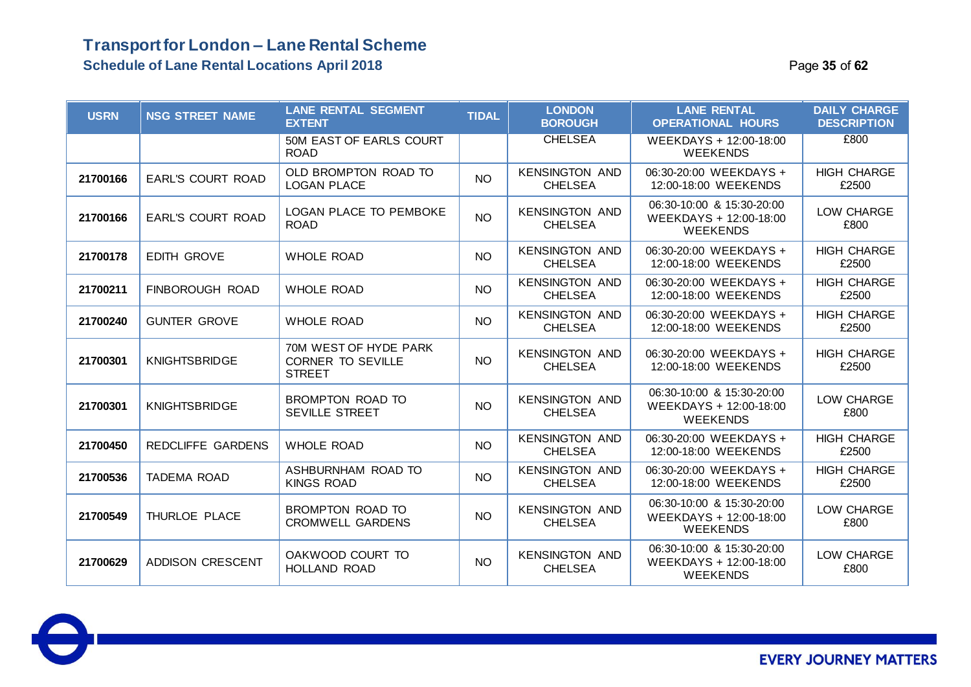### **Schedule of Lane Rental Locations April 2018 Page 15 of 62 Page 35** of 62

| <b>USRN</b> | <b>NSG STREET NAME</b>   | <b>LANE RENTAL SEGMENT</b><br><b>EXTENT</b>                        | <b>TIDAL</b> | <b>LONDON</b><br><b>BOROUGH</b>         | <b>LANE RENTAL</b><br><b>OPERATIONAL HOURS</b>                         | <b>DAILY CHARGE</b><br><b>DESCRIPTION</b> |
|-------------|--------------------------|--------------------------------------------------------------------|--------------|-----------------------------------------|------------------------------------------------------------------------|-------------------------------------------|
|             |                          | 50M EAST OF EARLS COURT<br><b>ROAD</b>                             |              | <b>CHELSEA</b>                          | WEEKDAYS + 12:00-18:00<br><b>WEEKENDS</b>                              | £800                                      |
| 21700166    | <b>EARL'S COURT ROAD</b> | OLD BROMPTON ROAD TO<br><b>LOGAN PLACE</b>                         | <b>NO</b>    | <b>KENSINGTON AND</b><br><b>CHELSEA</b> | 06:30-20:00 WEEKDAYS +<br>12:00-18:00 WEEKENDS                         | <b>HIGH CHARGE</b><br>£2500               |
| 21700166    | <b>EARL'S COURT ROAD</b> | <b>LOGAN PLACE TO PEMBOKE</b><br><b>ROAD</b>                       | <b>NO</b>    | <b>KENSINGTON AND</b><br><b>CHELSEA</b> | 06:30-10:00 & 15:30-20:00<br>WEEKDAYS + 12:00-18:00<br><b>WEEKENDS</b> | LOW CHARGE<br>£800                        |
| 21700178    | <b>EDITH GROVE</b>       | <b>WHOLE ROAD</b>                                                  | <b>NO</b>    | <b>KENSINGTON AND</b><br><b>CHELSEA</b> | 06:30-20:00 WEEKDAYS +<br>12:00-18:00 WEEKENDS                         | <b>HIGH CHARGE</b><br>£2500               |
| 21700211    | FINBOROUGH ROAD          | <b>WHOLE ROAD</b>                                                  | <b>NO</b>    | <b>KENSINGTON AND</b><br><b>CHELSEA</b> | 06:30-20:00 WEEKDAYS +<br>12:00-18:00 WEEKENDS                         | <b>HIGH CHARGE</b><br>£2500               |
| 21700240    | <b>GUNTER GROVE</b>      | <b>WHOLE ROAD</b>                                                  | <b>NO</b>    | <b>KENSINGTON AND</b><br><b>CHELSEA</b> | 06:30-20:00 WEEKDAYS +<br>12:00-18:00 WEEKENDS                         | <b>HIGH CHARGE</b><br>£2500               |
| 21700301    | <b>KNIGHTSBRIDGE</b>     | 70M WEST OF HYDE PARK<br><b>CORNER TO SEVILLE</b><br><b>STREET</b> | <b>NO</b>    | <b>KENSINGTON AND</b><br><b>CHELSEA</b> | 06:30-20:00 WEEKDAYS +<br>12:00-18:00 WEEKENDS                         | <b>HIGH CHARGE</b><br>£2500               |
| 21700301    | <b>KNIGHTSBRIDGE</b>     | BROMPTON ROAD TO<br>SEVILLE STREET                                 | <b>NO</b>    | <b>KENSINGTON AND</b><br><b>CHELSEA</b> | 06:30-10:00 & 15:30-20:00<br>WEEKDAYS + 12:00-18:00<br><b>WEEKENDS</b> | LOW CHARGE<br>£800                        |
| 21700450    | <b>REDCLIFFE GARDENS</b> | <b>WHOLE ROAD</b>                                                  | NO.          | <b>KENSINGTON AND</b><br><b>CHELSEA</b> | 06:30-20:00 WEEKDAYS +<br>12:00-18:00 WEEKENDS                         | <b>HIGH CHARGE</b><br>£2500               |
| 21700536    | TADEMA ROAD              | ASHBURNHAM ROAD TO<br><b>KINGS ROAD</b>                            | <b>NO</b>    | <b>KENSINGTON AND</b><br><b>CHELSEA</b> | 06:30-20:00 WEEKDAYS +<br>12:00-18:00 WEEKENDS                         | <b>HIGH CHARGE</b><br>£2500               |
| 21700549    | THURLOE PLACE            | BROMPTON ROAD TO<br><b>CROMWELL GARDENS</b>                        | <b>NO</b>    | <b>KENSINGTON AND</b><br><b>CHELSEA</b> | 06:30-10:00 & 15:30-20:00<br>WEEKDAYS + 12:00-18:00<br><b>WEEKENDS</b> | LOW CHARGE<br>£800                        |
| 21700629    | <b>ADDISON CRESCENT</b>  | OAKWOOD COURT TO<br>HOLLAND ROAD                                   | <b>NO</b>    | <b>KENSINGTON AND</b><br><b>CHELSEA</b> | 06:30-10:00 & 15:30-20:00<br>WEEKDAYS + 12:00-18:00<br><b>WEEKENDS</b> | LOW CHARGE<br>£800                        |

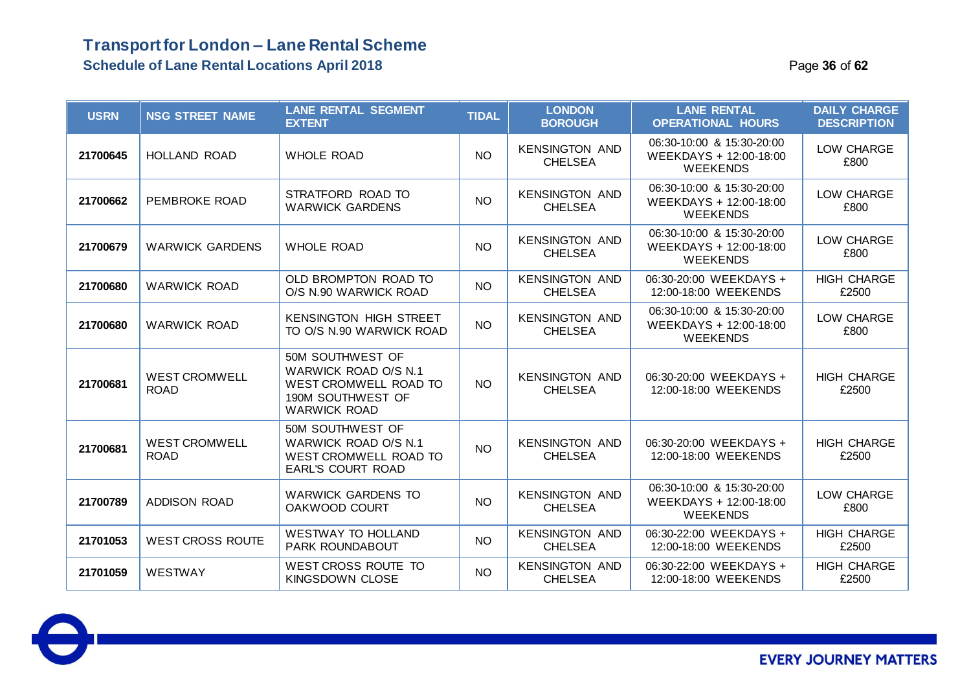### **Transport for London – Lane Rental Scheme Schedule of Lane Rental Locations April 2018 36 of** *5* **of** *62* **of** *63* **of** *62* **of** *63* **of** *63* **of** *63* **of** *63* **of** *63* **of** *63* **of** *63* **of** *63* **of** *63* **of** *63* **of** *63* **of** *63* **of** *63* **of** *63* **of** *63* **of** *63* **of** *63* **of**

| Page 36 of 62 |  |  |  |
|---------------|--|--|--|
|---------------|--|--|--|

| <b>USRN</b> | <b>NSG STREET NAME</b>              | <b>LANE RENTAL SEGMENT</b><br><b>EXTENT</b>                                                                   | <b>TIDAL</b> | <b>LONDON</b><br><b>BOROUGH</b>         | <b>LANE RENTAL</b><br><b>OPERATIONAL HOURS</b>                         | <b>DAILY CHARGE</b><br><b>DESCRIPTION</b> |
|-------------|-------------------------------------|---------------------------------------------------------------------------------------------------------------|--------------|-----------------------------------------|------------------------------------------------------------------------|-------------------------------------------|
| 21700645    | <b>HOLLAND ROAD</b>                 | <b>WHOLE ROAD</b>                                                                                             | <b>NO</b>    | <b>KENSINGTON AND</b><br><b>CHELSEA</b> | 06:30-10:00 & 15:30-20:00<br>WEEKDAYS + 12:00-18:00<br><b>WEEKENDS</b> | LOW CHARGE<br>£800                        |
| 21700662    | PEMBROKE ROAD                       | STRATFORD ROAD TO<br><b>WARWICK GARDENS</b>                                                                   | <b>NO</b>    | <b>KENSINGTON AND</b><br><b>CHELSEA</b> | 06:30-10:00 & 15:30-20:00<br>WEEKDAYS + 12:00-18:00<br><b>WEEKENDS</b> | LOW CHARGE<br>£800                        |
| 21700679    | <b>WARWICK GARDENS</b>              | <b>WHOLE ROAD</b>                                                                                             | <b>NO</b>    | <b>KENSINGTON AND</b><br><b>CHELSEA</b> | 06:30-10:00 & 15:30-20:00<br>WEEKDAYS + 12:00-18:00<br><b>WEEKENDS</b> | LOW CHARGE<br>£800                        |
| 21700680    | <b>WARWICK ROAD</b>                 | OLD BROMPTON ROAD TO<br>O/S N.90 WARWICK ROAD                                                                 | <b>NO</b>    | <b>KENSINGTON AND</b><br><b>CHELSEA</b> | 06:30-20:00 WEEKDAYS +<br>12:00-18:00 WEEKENDS                         | <b>HIGH CHARGE</b><br>£2500               |
| 21700680    | <b>WARWICK ROAD</b>                 | <b>KENSINGTON HIGH STREET</b><br>TO O/S N.90 WARWICK ROAD                                                     | <b>NO</b>    | <b>KENSINGTON AND</b><br><b>CHELSEA</b> | 06:30-10:00 & 15:30-20:00<br>WEEKDAYS + 12:00-18:00<br><b>WEEKENDS</b> | LOW CHARGE<br>£800                        |
| 21700681    | <b>WEST CROMWELL</b><br><b>ROAD</b> | 50M SOUTHWEST OF<br>WARWICK ROAD O/S N.1<br>WEST CROMWELL ROAD TO<br>190M SOUTHWEST OF<br><b>WARWICK ROAD</b> | <b>NO</b>    | <b>KENSINGTON AND</b><br><b>CHELSEA</b> | 06:30-20:00 WEEKDAYS +<br>12:00-18:00 WEEKENDS                         | <b>HIGH CHARGE</b><br>£2500               |
| 21700681    | <b>WEST CROMWELL</b><br><b>ROAD</b> | 50M SOUTHWEST OF<br>WARWICK ROAD O/S N.1<br><b>WEST CROMWELL ROAD TO</b><br><b>EARL'S COURT ROAD</b>          | <b>NO</b>    | <b>KENSINGTON AND</b><br><b>CHELSEA</b> | 06:30-20:00 WEEKDAYS +<br>12:00-18:00 WEEKENDS                         | <b>HIGH CHARGE</b><br>£2500               |
| 21700789    | <b>ADDISON ROAD</b>                 | <b>WARWICK GARDENS TO</b><br>OAKWOOD COURT                                                                    | <b>NO</b>    | <b>KENSINGTON AND</b><br><b>CHELSEA</b> | 06:30-10:00 & 15:30-20:00<br>WEEKDAYS + 12:00-18:00<br><b>WEEKENDS</b> | LOW CHARGE<br>£800                        |
| 21701053    | <b>WEST CROSS ROUTE</b>             | <b>WESTWAY TO HOLLAND</b><br><b>PARK ROUNDABOUT</b>                                                           | <b>NO</b>    | <b>KENSINGTON AND</b><br><b>CHELSEA</b> | 06:30-22:00 WEEKDAYS +<br>12:00-18:00 WEEKENDS                         | <b>HIGH CHARGE</b><br>£2500               |
| 21701059    | WESTWAY                             | <b>WEST CROSS ROUTE TO</b><br><b>KINGSDOWN CLOSE</b>                                                          | <b>NO</b>    | <b>KENSINGTON AND</b><br><b>CHELSEA</b> | 06:30-22:00 WEEKDAYS +<br>12:00-18:00 WEEKENDS                         | <b>HIGH CHARGE</b><br>£2500               |

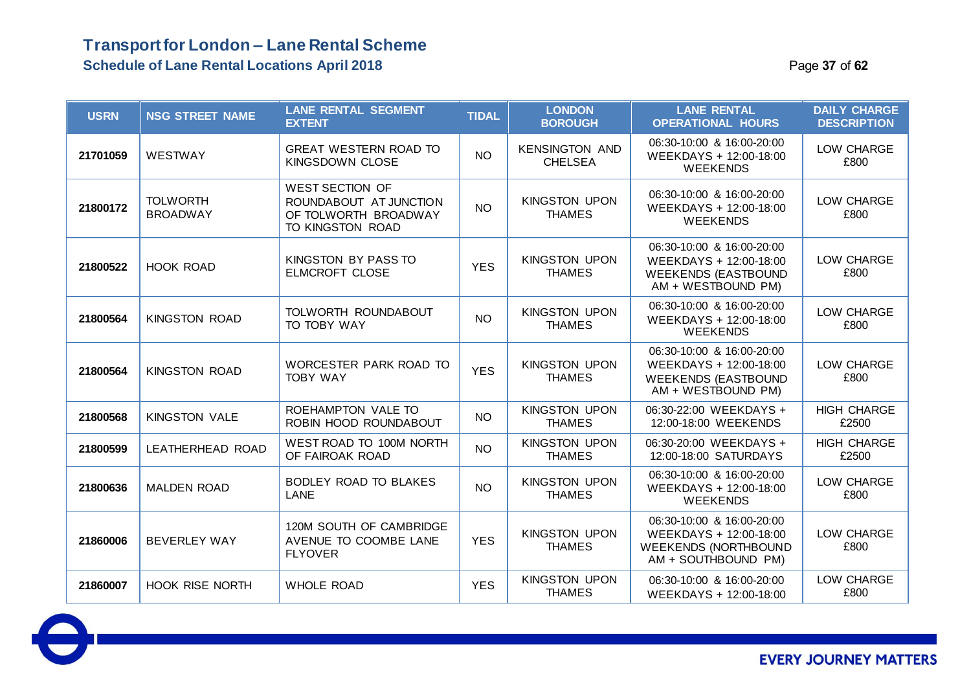### **Transport for London – Lane Rental Scheme Schedule of Lane Rental Locations April 2018** Page **37** of **62**

| <b>USRN</b> | <b>NSG STREET NAME</b>             | <b>LANE RENTAL SEGMENT</b><br><b>EXTENT</b>                                                  | <b>TIDAL</b> | <b>LONDON</b><br><b>BOROUGH</b>         | <b>LANE RENTAL</b><br><b>OPERATIONAL HOURS</b>                                                            | <b>DAILY CHARGE</b><br><b>DESCRIPTION</b> |
|-------------|------------------------------------|----------------------------------------------------------------------------------------------|--------------|-----------------------------------------|-----------------------------------------------------------------------------------------------------------|-------------------------------------------|
| 21701059    | WESTWAY                            | <b>GREAT WESTERN ROAD TO</b><br>KINGSDOWN CLOSE                                              | <b>NO</b>    | <b>KENSINGTON AND</b><br><b>CHELSEA</b> | 06:30-10:00 & 16:00-20:00<br>WEEKDAYS + 12:00-18:00<br><b>WEEKENDS</b>                                    | LOW CHARGE<br>£800                        |
| 21800172    | <b>TOLWORTH</b><br><b>BROADWAY</b> | <b>WEST SECTION OF</b><br>ROUNDABOUT AT JUNCTION<br>OF TOLWORTH BROADWAY<br>TO KINGSTON ROAD | <b>NO</b>    | <b>KINGSTON UPON</b><br><b>THAMES</b>   | 06:30-10:00 & 16:00-20:00<br>WEEKDAYS + 12:00-18:00<br><b>WEEKENDS</b>                                    | LOW CHARGE<br>£800                        |
| 21800522    | <b>HOOK ROAD</b>                   | KINGSTON BY PASS TO<br><b>ELMCROFT CLOSE</b>                                                 | <b>YES</b>   | <b>KINGSTON UPON</b><br><b>THAMES</b>   | 06:30-10:00 & 16:00-20:00<br>WEEKDAYS + 12:00-18:00<br><b>WEEKENDS (EASTBOUND</b><br>AM + WESTBOUND PM)   | LOW CHARGE<br>£800                        |
| 21800564    | <b>KINGSTON ROAD</b>               | TOLWORTH ROUNDABOUT<br>TO TOBY WAY                                                           | <b>NO</b>    | <b>KINGSTON UPON</b><br><b>THAMES</b>   | 06:30-10:00 & 16:00-20:00<br>WEEKDAYS + 12:00-18:00<br><b>WEEKENDS</b>                                    | LOW CHARGE<br>£800                        |
| 21800564    | <b>KINGSTON ROAD</b>               | WORCESTER PARK ROAD TO<br><b>TOBY WAY</b>                                                    | <b>YES</b>   | <b>KINGSTON UPON</b><br><b>THAMES</b>   | 06:30-10:00 & 16:00-20:00<br>WEEKDAYS + 12:00-18:00<br><b>WEEKENDS (EASTBOUND</b><br>AM + WESTBOUND PM)   | LOW CHARGE<br>£800                        |
| 21800568    | <b>KINGSTON VALE</b>               | ROEHAMPTON VALE TO<br>ROBIN HOOD ROUNDABOUT                                                  | <b>NO</b>    | <b>KINGSTON UPON</b><br><b>THAMES</b>   | 06:30-22:00 WEEKDAYS +<br>12:00-18:00 WEEKENDS                                                            | <b>HIGH CHARGE</b><br>£2500               |
| 21800599    | LEATHERHEAD ROAD                   | WEST ROAD TO 100M NORTH<br>OF FAIROAK ROAD                                                   | <b>NO</b>    | <b>KINGSTON UPON</b><br><b>THAMES</b>   | 06:30-20:00 WEEKDAYS +<br>12:00-18:00 SATURDAYS                                                           | <b>HIGH CHARGE</b><br>£2500               |
| 21800636    | <b>MALDEN ROAD</b>                 | <b>BODLEY ROAD TO BLAKES</b><br>LANE                                                         | <b>NO</b>    | <b>KINGSTON UPON</b><br><b>THAMES</b>   | 06:30-10:00 & 16:00-20:00<br>WEEKDAYS + 12:00-18:00<br><b>WEEKENDS</b>                                    | LOW CHARGE<br>£800                        |
| 21860006    | <b>BEVERLEY WAY</b>                | 120M SOUTH OF CAMBRIDGE<br>AVENUE TO COOMBE LANE<br><b>FLYOVER</b>                           | <b>YES</b>   | <b>KINGSTON UPON</b><br><b>THAMES</b>   | 06:30-10:00 & 16:00-20:00<br>WEEKDAYS + 12:00-18:00<br><b>WEEKENDS (NORTHBOUND</b><br>AM + SOUTHBOUND PM) | LOW CHARGE<br>£800                        |
| 21860007    | <b>HOOK RISE NORTH</b>             | <b>WHOLE ROAD</b>                                                                            | <b>YES</b>   | <b>KINGSTON UPON</b><br><b>THAMES</b>   | 06:30-10:00 & 16:00-20:00<br>WEEKDAYS + 12:00-18:00                                                       | LOW CHARGE<br>£800                        |

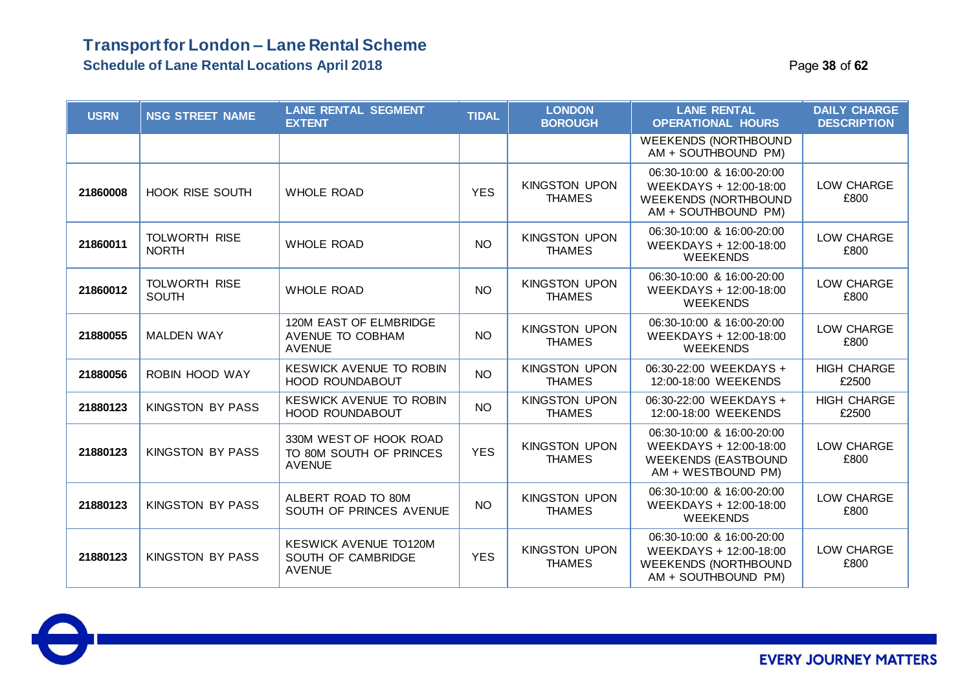### **Transport for London – Lane Rental Scheme Schedule of Lane Rental Locations April 2018 Page 18 of 62 Page 38** of 62

| <b>USRN</b> | <b>NSG STREET NAME</b>               | <b>LANE RENTAL SEGMENT</b><br><b>EXTENT</b>                         | <b>TIDAL</b> | <b>LONDON</b><br><b>BOROUGH</b>       | <b>LANE RENTAL</b><br><b>OPERATIONAL HOURS</b>                                                            | <b>DAILY CHARGE</b><br><b>DESCRIPTION</b> |
|-------------|--------------------------------------|---------------------------------------------------------------------|--------------|---------------------------------------|-----------------------------------------------------------------------------------------------------------|-------------------------------------------|
|             |                                      |                                                                     |              |                                       | <b>WEEKENDS (NORTHBOUND</b><br>AM + SOUTHBOUND PM)                                                        |                                           |
| 21860008    | <b>HOOK RISE SOUTH</b>               | <b>WHOLE ROAD</b>                                                   | <b>YES</b>   | <b>KINGSTON UPON</b><br><b>THAMES</b> | 06:30-10:00 & 16:00-20:00<br>WEEKDAYS + 12:00-18:00<br><b>WEEKENDS (NORTHBOUND</b><br>AM + SOUTHBOUND PM) | LOW CHARGE<br>£800                        |
| 21860011    | <b>TOLWORTH RISE</b><br><b>NORTH</b> | <b>WHOLE ROAD</b>                                                   | <b>NO</b>    | <b>KINGSTON UPON</b><br><b>THAMES</b> | 06:30-10:00 & 16:00-20:00<br>WEEKDAYS + 12:00-18:00<br><b>WEEKENDS</b>                                    | LOW CHARGE<br>£800                        |
| 21860012    | <b>TOLWORTH RISE</b><br><b>SOUTH</b> | <b>WHOLE ROAD</b>                                                   | <b>NO</b>    | <b>KINGSTON UPON</b><br><b>THAMES</b> | 06:30-10:00 & 16:00-20:00<br>WEEKDAYS + 12:00-18:00<br><b>WEEKENDS</b>                                    | LOW CHARGE<br>£800                        |
| 21880055    | <b>MALDEN WAY</b>                    | 120M EAST OF ELMBRIDGE<br>AVENUE TO COBHAM<br><b>AVENUE</b>         | <b>NO</b>    | <b>KINGSTON UPON</b><br><b>THAMES</b> | 06:30-10:00 & 16:00-20:00<br>WEEKDAYS + 12:00-18:00<br><b>WEEKENDS</b>                                    | LOW CHARGE<br>£800                        |
| 21880056    | ROBIN HOOD WAY                       | <b>KESWICK AVENUE TO ROBIN</b><br><b>HOOD ROUNDABOUT</b>            | <b>NO</b>    | <b>KINGSTON UPON</b><br><b>THAMES</b> | 06:30-22:00 WEEKDAYS +<br>12:00-18:00 WEEKENDS                                                            | <b>HIGH CHARGE</b><br>£2500               |
| 21880123    | <b>KINGSTON BY PASS</b>              | <b>KESWICK AVENUE TO ROBIN</b><br><b>HOOD ROUNDABOUT</b>            | <b>NO</b>    | <b>KINGSTON UPON</b><br><b>THAMES</b> | 06:30-22:00 WEEKDAYS +<br>12:00-18:00 WEEKENDS                                                            | <b>HIGH CHARGE</b><br>£2500               |
| 21880123    | KINGSTON BY PASS                     | 330M WEST OF HOOK ROAD<br>TO 80M SOUTH OF PRINCES<br><b>AVENUE</b>  | <b>YES</b>   | <b>KINGSTON UPON</b><br><b>THAMES</b> | 06:30-10:00 & 16:00-20:00<br>WEEKDAYS + 12:00-18:00<br><b>WEEKENDS (EASTBOUND</b><br>AM + WESTBOUND PM)   | LOW CHARGE<br>£800                        |
| 21880123    | <b>KINGSTON BY PASS</b>              | ALBERT ROAD TO 80M<br>SOUTH OF PRINCES AVENUE                       | <b>NO</b>    | <b>KINGSTON UPON</b><br><b>THAMES</b> | 06:30-10:00 & 16:00-20:00<br>WEEKDAYS + 12:00-18:00<br><b>WEEKENDS</b>                                    | LOW CHARGE<br>£800                        |
| 21880123    | <b>KINGSTON BY PASS</b>              | <b>KESWICK AVENUE TO120M</b><br>SOUTH OF CAMBRIDGE<br><b>AVENUE</b> | <b>YES</b>   | <b>KINGSTON UPON</b><br><b>THAMES</b> | 06:30-10:00 & 16:00-20:00<br>WEEKDAYS + 12:00-18:00<br><b>WEEKENDS (NORTHBOUND</b><br>AM + SOUTHBOUND PM) | LOW CHARGE<br>£800                        |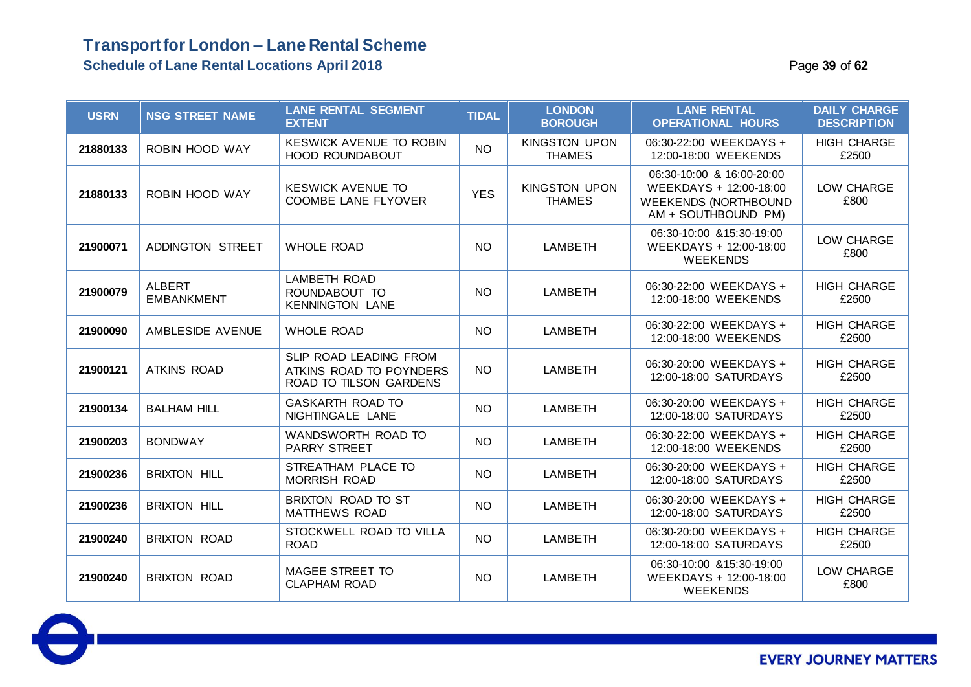| <b>USRN</b> | <b>NSG STREET NAME</b>             | <b>LANE RENTAL SEGMENT</b><br><b>EXTENT</b>                                 | <b>TIDAL</b> | <b>LONDON</b><br><b>BOROUGH</b>       | <b>LANE RENTAL</b><br><b>OPERATIONAL HOURS</b>                                                            | <b>DAILY CHARGE</b><br><b>DESCRIPTION</b> |
|-------------|------------------------------------|-----------------------------------------------------------------------------|--------------|---------------------------------------|-----------------------------------------------------------------------------------------------------------|-------------------------------------------|
| 21880133    | ROBIN HOOD WAY                     | <b>KESWICK AVENUE TO ROBIN</b><br><b>HOOD ROUNDABOUT</b>                    | <b>NO</b>    | <b>KINGSTON UPON</b><br><b>THAMES</b> | 06:30-22:00 WEEKDAYS +<br>12:00-18:00 WEEKENDS                                                            | <b>HIGH CHARGE</b><br>£2500               |
| 21880133    | ROBIN HOOD WAY                     | <b>KESWICK AVENUE TO</b><br>COOMBE LANE FLYOVER                             | <b>YES</b>   | <b>KINGSTON UPON</b><br><b>THAMES</b> | 06:30-10:00 & 16:00-20:00<br>WEEKDAYS + 12:00-18:00<br><b>WEEKENDS (NORTHBOUND</b><br>AM + SOUTHBOUND PM) | LOW CHARGE<br>£800                        |
| 21900071    | ADDINGTON STREET                   | <b>WHOLE ROAD</b>                                                           | <b>NO</b>    | <b>LAMBETH</b>                        | 06:30-10:00 & 15:30-19:00<br>WEEKDAYS + 12:00-18:00<br><b>WEEKENDS</b>                                    | LOW CHARGE<br>£800                        |
| 21900079    | <b>ALBERT</b><br><b>EMBANKMENT</b> | <b>LAMBETH ROAD</b><br>ROUNDABOUT TO<br><b>KENNINGTON LANE</b>              | <b>NO</b>    | LAMBETH                               | 06:30-22:00 WEEKDAYS +<br>12:00-18:00 WEEKENDS                                                            | <b>HIGH CHARGE</b><br>£2500               |
| 21900090    | AMBLESIDE AVENUE                   | <b>WHOLE ROAD</b>                                                           | <b>NO</b>    | <b>LAMBETH</b>                        | 06:30-22:00 WEEKDAYS +<br>12:00-18:00 WEEKENDS                                                            | <b>HIGH CHARGE</b><br>£2500               |
| 21900121    | <b>ATKINS ROAD</b>                 | SLIP ROAD LEADING FROM<br>ATKINS ROAD TO POYNDERS<br>ROAD TO TILSON GARDENS | <b>NO</b>    | <b>LAMBETH</b>                        | 06:30-20:00 WEEKDAYS +<br>12:00-18:00 SATURDAYS                                                           | <b>HIGH CHARGE</b><br>£2500               |
| 21900134    | <b>BALHAM HILL</b>                 | <b>GASKARTH ROAD TO</b><br>NIGHTINGALE LANE                                 | <b>NO</b>    | <b>LAMBETH</b>                        | 06:30-20:00 WEEKDAYS +<br>12:00-18:00 SATURDAYS                                                           | <b>HIGH CHARGE</b><br>£2500               |
| 21900203    | <b>BONDWAY</b>                     | WANDSWORTH ROAD TO<br><b>PARRY STREET</b>                                   | <b>NO</b>    | LAMBETH                               | 06:30-22:00 WEEKDAYS +<br>12:00-18:00 WEEKENDS                                                            | <b>HIGH CHARGE</b><br>£2500               |
| 21900236    | <b>BRIXTON HILL</b>                | STREATHAM PLACE TO<br><b>MORRISH ROAD</b>                                   | <b>NO</b>    | LAMBETH                               | 06:30-20:00 WEEKDAYS +<br>12:00-18:00 SATURDAYS                                                           | <b>HIGH CHARGE</b><br>£2500               |
| 21900236    | <b>BRIXTON HILL</b>                | BRIXTON ROAD TO ST<br><b>MATTHEWS ROAD</b>                                  | <b>NO</b>    | <b>LAMBETH</b>                        | 06:30-20:00 WEEKDAYS +<br>12:00-18:00 SATURDAYS                                                           | <b>HIGH CHARGE</b><br>£2500               |
| 21900240    | <b>BRIXTON ROAD</b>                | STOCKWELL ROAD TO VILLA<br><b>ROAD</b>                                      | <b>NO</b>    | <b>LAMBETH</b>                        | 06:30-20:00 WEEKDAYS +<br>12:00-18:00 SATURDAYS                                                           | <b>HIGH CHARGE</b><br>£2500               |
| 21900240    | <b>BRIXTON ROAD</b>                | <b>MAGEE STREET TO</b><br><b>CLAPHAM ROAD</b>                               | <b>NO</b>    | <b>LAMBETH</b>                        | 06:30-10:00 & 15:30-19:00<br>WEEKDAYS + 12:00-18:00<br><b>WEEKENDS</b>                                    | LOW CHARGE<br>£800                        |

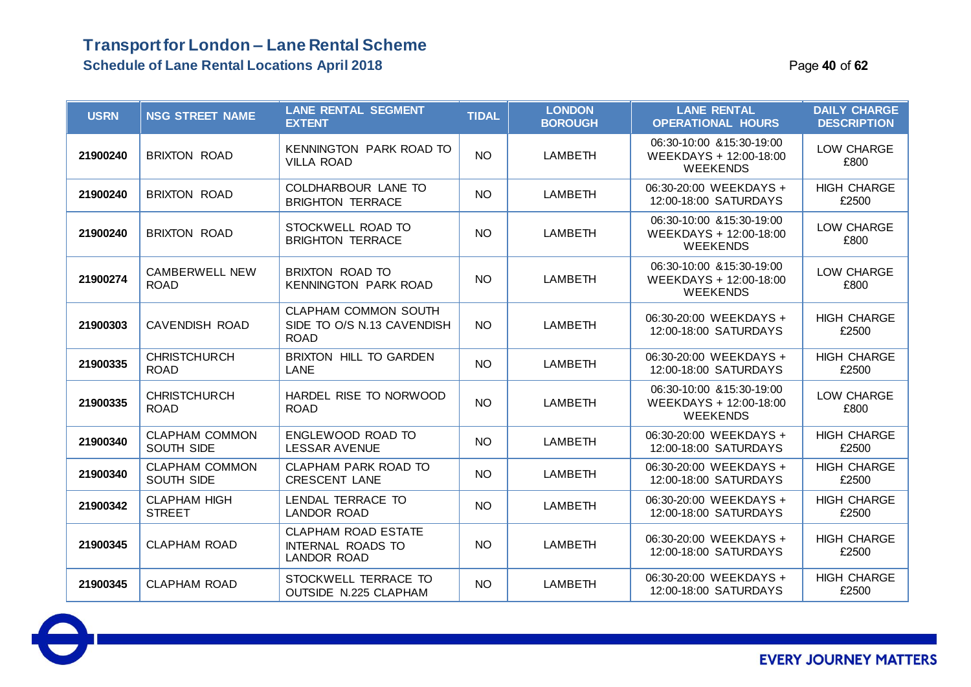### **Transport for London – Lane Rental Scheme Schedule of Lane Rental Locations April 2018** Page **40** of **62**

| <b>USRN</b> | <b>NSG STREET NAME</b>               | <b>LANE RENTAL SEGMENT</b><br><b>EXTENT</b>                                  | <b>TIDAL</b>    | <b>LONDON</b><br><b>BOROUGH</b> | <b>LANE RENTAL</b><br><b>OPERATIONAL HOURS</b>                         | <b>DAILY CHARGE</b><br><b>DESCRIPTION</b> |
|-------------|--------------------------------------|------------------------------------------------------------------------------|-----------------|---------------------------------|------------------------------------------------------------------------|-------------------------------------------|
| 21900240    | <b>BRIXTON ROAD</b>                  | KENNINGTON PARK ROAD TO<br><b>VILLA ROAD</b>                                 | <b>NO</b>       | <b>LAMBETH</b>                  | 06:30-10:00 & 15:30-19:00<br>WEEKDAYS + 12:00-18:00<br><b>WEEKENDS</b> | LOW CHARGE<br>£800                        |
| 21900240    | <b>BRIXTON ROAD</b>                  | COLDHARBOUR LANE TO<br><b>BRIGHTON TERRACE</b>                               | <b>NO</b>       | <b>LAMBETH</b>                  | 06:30-20:00 WEEKDAYS +<br>12:00-18:00 SATURDAYS                        | <b>HIGH CHARGE</b><br>£2500               |
| 21900240    | <b>BRIXTON ROAD</b>                  | STOCKWELL ROAD TO<br><b>BRIGHTON TERRACE</b>                                 | NO <sub>1</sub> | LAMBETH                         | 06:30-10:00 & 15:30-19:00<br>WEEKDAYS + 12:00-18:00<br><b>WEEKENDS</b> | LOW CHARGE<br>£800                        |
| 21900274    | <b>CAMBERWELL NEW</b><br><b>ROAD</b> | <b>BRIXTON ROAD TO</b><br><b>KENNINGTON PARK ROAD</b>                        | NO <sub>1</sub> | <b>LAMBETH</b>                  | 06:30-10:00 & 15:30-19:00<br>WEEKDAYS + 12:00-18:00<br><b>WEEKENDS</b> | LOW CHARGE<br>£800                        |
| 21900303    | <b>CAVENDISH ROAD</b>                | CLAPHAM COMMON SOUTH<br>SIDE TO O/S N.13 CAVENDISH<br><b>ROAD</b>            | <b>NO</b>       | <b>LAMBETH</b>                  | 06:30-20:00 WEEKDAYS +<br>12:00-18:00 SATURDAYS                        | <b>HIGH CHARGE</b><br>£2500               |
| 21900335    | <b>CHRISTCHURCH</b><br><b>ROAD</b>   | <b>BRIXTON HILL TO GARDEN</b><br>LANE                                        | <b>NO</b>       | <b>LAMBETH</b>                  | 06:30-20:00 WEEKDAYS +<br>12:00-18:00 SATURDAYS                        | <b>HIGH CHARGE</b><br>£2500               |
| 21900335    | <b>CHRISTCHURCH</b><br><b>ROAD</b>   | HARDEL RISE TO NORWOOD<br><b>ROAD</b>                                        | <b>NO</b>       | <b>LAMBETH</b>                  | 06:30-10:00 & 15:30-19:00<br>WEEKDAYS + 12:00-18:00<br><b>WEEKENDS</b> | LOW CHARGE<br>£800                        |
| 21900340    | <b>CLAPHAM COMMON</b><br>SOUTH SIDE  | ENGLEWOOD ROAD TO<br><b>LESSAR AVENUE</b>                                    | <b>NO</b>       | <b>LAMBETH</b>                  | 06:30-20:00 WEEKDAYS +<br>12:00-18:00 SATURDAYS                        | <b>HIGH CHARGE</b><br>£2500               |
| 21900340    | <b>CLAPHAM COMMON</b><br>SOUTH SIDE  | CLAPHAM PARK ROAD TO<br><b>CRESCENT LANE</b>                                 | <b>NO</b>       | <b>LAMBETH</b>                  | 06:30-20:00 WEEKDAYS +<br>12:00-18:00 SATURDAYS                        | <b>HIGH CHARGE</b><br>£2500               |
| 21900342    | <b>CLAPHAM HIGH</b><br><b>STREET</b> | LENDAL TERRACE TO<br><b>LANDOR ROAD</b>                                      | <b>NO</b>       | <b>LAMBETH</b>                  | 06:30-20:00 WEEKDAYS +<br>12:00-18:00 SATURDAYS                        | <b>HIGH CHARGE</b><br>£2500               |
| 21900345    | <b>CLAPHAM ROAD</b>                  | <b>CLAPHAM ROAD ESTATE</b><br><b>INTERNAL ROADS TO</b><br><b>LANDOR ROAD</b> | <b>NO</b>       | <b>LAMBETH</b>                  | 06:30-20:00 WEEKDAYS +<br>12:00-18:00 SATURDAYS                        | <b>HIGH CHARGE</b><br>£2500               |
| 21900345    | <b>CLAPHAM ROAD</b>                  | STOCKWELL TERRACE TO<br><b>OUTSIDE N.225 CLAPHAM</b>                         | <b>NO</b>       | <b>LAMBETH</b>                  | 06:30-20:00 WEEKDAYS +<br>12:00-18:00 SATURDAYS                        | <b>HIGH CHARGE</b><br>£2500               |

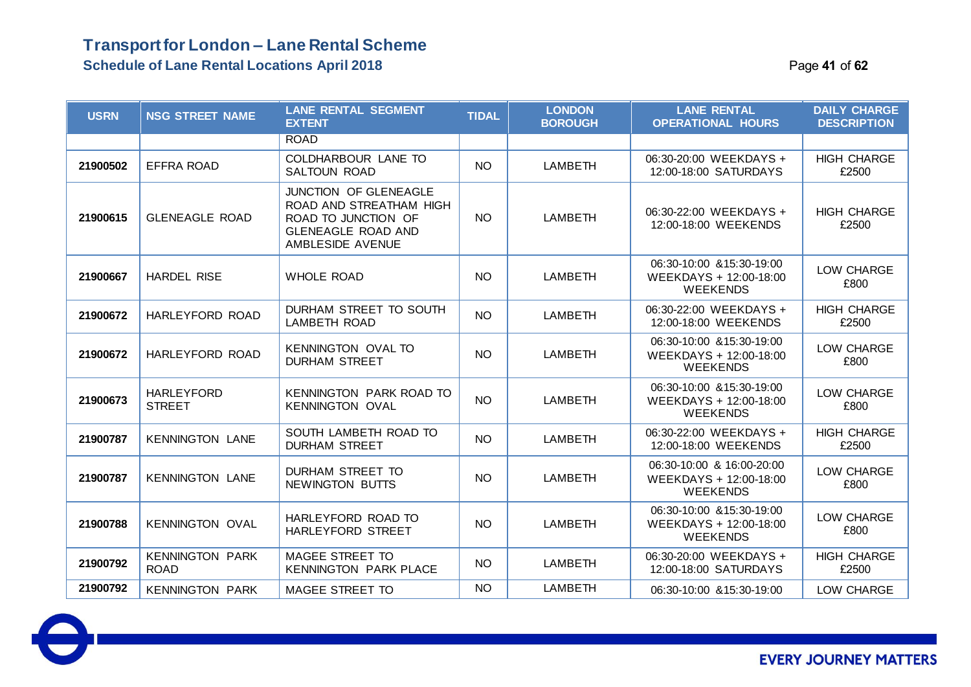### **Transport for London – Lane Rental Scheme Schedule of Lane Rental Locations April 2018** Page **41** of **62**

| <b>USRN</b> | <b>NSG STREET NAME</b>                | <b>LANE RENTAL SEGMENT</b><br><b>EXTENT</b>                                                                              | <b>TIDAL</b> | <b>LONDON</b><br><b>BOROUGH</b> | <b>LANE RENTAL</b><br><b>OPERATIONAL HOURS</b>                         | <b>DAILY CHARGE</b><br><b>DESCRIPTION</b> |
|-------------|---------------------------------------|--------------------------------------------------------------------------------------------------------------------------|--------------|---------------------------------|------------------------------------------------------------------------|-------------------------------------------|
|             |                                       | <b>ROAD</b>                                                                                                              |              |                                 |                                                                        |                                           |
| 21900502    | <b>EFFRA ROAD</b>                     | COLDHARBOUR LANE TO<br><b>SALTOUN ROAD</b>                                                                               | <b>NO</b>    | <b>LAMBETH</b>                  | 06:30-20:00 WEEKDAYS +<br>12:00-18:00 SATURDAYS                        | <b>HIGH CHARGE</b><br>£2500               |
| 21900615    | <b>GLENEAGLE ROAD</b>                 | JUNCTION OF GLENEAGLE<br>ROAD AND STREATHAM HIGH<br>ROAD TO JUNCTION OF<br><b>GLENEAGLE ROAD AND</b><br>AMBLESIDE AVENUE | <b>NO</b>    | <b>LAMBETH</b>                  | 06:30-22:00 WEEKDAYS +<br>12:00-18:00 WEEKENDS                         | <b>HIGH CHARGE</b><br>£2500               |
| 21900667    | <b>HARDEL RISE</b>                    | <b>WHOLE ROAD</b>                                                                                                        | <b>NO</b>    | <b>LAMBETH</b>                  | 06:30-10:00 & 15:30-19:00<br>WEEKDAYS + 12:00-18:00<br><b>WEEKENDS</b> | LOW CHARGE<br>£800                        |
| 21900672    | HARLEYFORD ROAD                       | DURHAM STREET TO SOUTH<br><b>LAMBETH ROAD</b>                                                                            | <b>NO</b>    | <b>LAMBETH</b>                  | 06:30-22:00 WEEKDAYS +<br>12:00-18:00 WEEKENDS                         | <b>HIGH CHARGE</b><br>£2500               |
| 21900672    | HARLEYFORD ROAD                       | <b>KENNINGTON OVAL TO</b><br><b>DURHAM STREET</b>                                                                        | NO           | <b>LAMBETH</b>                  | 06:30-10:00 & 15:30-19:00<br>WEEKDAYS + 12:00-18:00<br><b>WEEKENDS</b> | LOW CHARGE<br>£800                        |
| 21900673    | <b>HARLEYFORD</b><br><b>STREET</b>    | <b>KENNINGTON PARK ROAD TO</b><br><b>KENNINGTON OVAL</b>                                                                 | <b>NO</b>    | <b>LAMBETH</b>                  | 06:30-10:00 & 15:30-19:00<br>WEEKDAYS + 12:00-18:00<br><b>WEEKENDS</b> | LOW CHARGE<br>£800                        |
| 21900787    | <b>KENNINGTON LANE</b>                | SOUTH LAMBETH ROAD TO<br><b>DURHAM STREET</b>                                                                            | <b>NO</b>    | <b>LAMBETH</b>                  | 06:30-22:00 WEEKDAYS +<br>12:00-18:00 WEEKENDS                         | <b>HIGH CHARGE</b><br>£2500               |
| 21900787    | <b>KENNINGTON LANE</b>                | <b>DURHAM STREET TO</b><br>NEWINGTON BUTTS                                                                               | <b>NO</b>    | <b>LAMBETH</b>                  | 06:30-10:00 & 16:00-20:00<br>WEEKDAYS + 12:00-18:00<br><b>WEEKENDS</b> | LOW CHARGE<br>£800                        |
| 21900788    | <b>KENNINGTON OVAL</b>                | HARLEYFORD ROAD TO<br>HARLEYFORD STREET                                                                                  | NO           | <b>LAMBETH</b>                  | 06:30-10:00 & 15:30-19:00<br>WEEKDAYS + 12:00-18:00<br><b>WEEKENDS</b> | LOW CHARGE<br>£800                        |
| 21900792    | <b>KENNINGTON PARK</b><br><b>ROAD</b> | MAGEE STREET TO<br><b>KENNINGTON PARK PLACE</b>                                                                          | NO           | <b>LAMBETH</b>                  | 06:30-20:00 WEEKDAYS +<br>12:00-18:00 SATURDAYS                        | <b>HIGH CHARGE</b><br>£2500               |
| 21900792    | <b>KENNINGTON PARK</b>                | <b>MAGEE STREET TO</b>                                                                                                   | NO           | <b>LAMBETH</b>                  | 06:30-10:00 & 15:30-19:00                                              | LOW CHARGE                                |

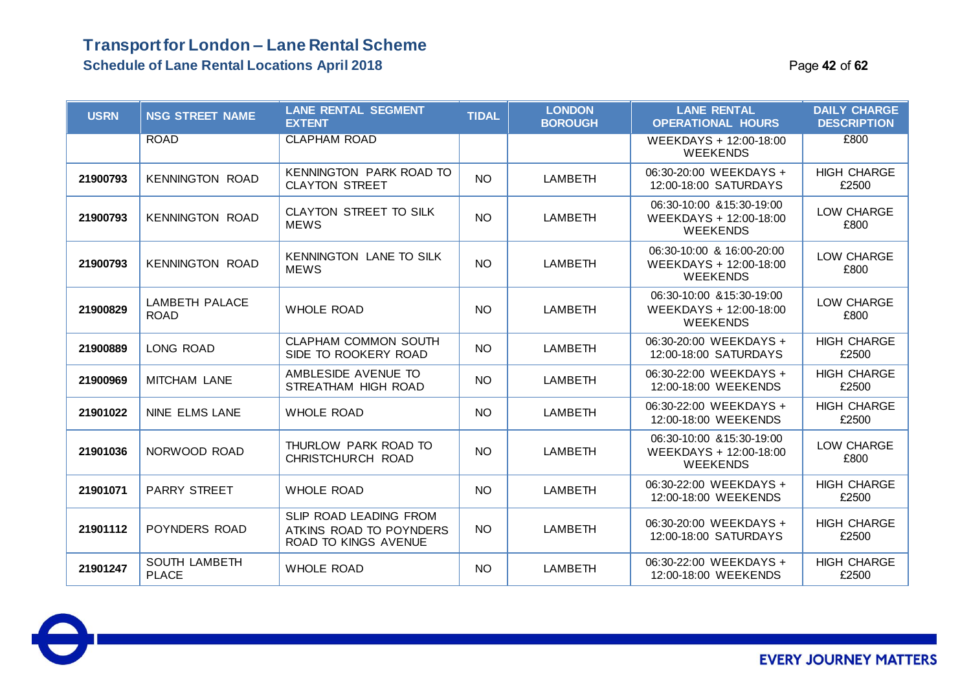### **Transport for London – Lane Rental Scheme Schedule of Lane Rental Locations April 2018 According to the Case of Page 42** of **62** of **62** of **62** of **62** of **62** of **62** of **62** of **62** of **62** of **62** of **62** of **62** of **62** of **62** of **62** of **62** of **62** of

| Page 42 of 62 |  |  |  |
|---------------|--|--|--|
|---------------|--|--|--|

| <b>USRN</b> | <b>NSG STREET NAME</b>               | <b>LANE RENTAL SEGMENT</b><br><b>EXTENT</b>                                             | <b>TIDAL</b>    | <b>LONDON</b><br><b>BOROUGH</b> | <b>LANE RENTAL</b><br><b>OPERATIONAL HOURS</b>                         | <b>DAILY CHARGE</b><br><b>DESCRIPTION</b> |
|-------------|--------------------------------------|-----------------------------------------------------------------------------------------|-----------------|---------------------------------|------------------------------------------------------------------------|-------------------------------------------|
|             | <b>ROAD</b>                          | <b>CLAPHAM ROAD</b>                                                                     |                 |                                 | WEEKDAYS + 12:00-18:00<br><b>WEEKENDS</b>                              | £800                                      |
| 21900793    | <b>KENNINGTON ROAD</b>               | KENNINGTON PARK ROAD TO<br><b>CLAYTON STREET</b>                                        | <b>NO</b>       | LAMBETH                         | 06:30-20:00 WEEKDAYS +<br>12:00-18:00 SATURDAYS                        | <b>HIGH CHARGE</b><br>£2500               |
| 21900793    | <b>KENNINGTON ROAD</b>               | CLAYTON STREET TO SILK<br><b>MEWS</b>                                                   | <b>NO</b>       | <b>LAMBETH</b>                  | 06:30-10:00 & 15:30-19:00<br>WEEKDAYS + 12:00-18:00<br><b>WEEKENDS</b> | LOW CHARGE<br>£800                        |
| 21900793    | <b>KENNINGTON ROAD</b>               | <b>KENNINGTON LANE TO SILK</b><br><b>MEWS</b>                                           | <b>NO</b>       | <b>LAMBETH</b>                  | 06:30-10:00 & 16:00-20:00<br>WEEKDAYS + 12:00-18:00<br><b>WEEKENDS</b> | LOW CHARGE<br>£800                        |
| 21900829    | LAMBETH PALACE<br><b>ROAD</b>        | <b>WHOLE ROAD</b>                                                                       | NO <sub>1</sub> | <b>LAMBETH</b>                  | 06:30-10:00 & 15:30-19:00<br>WEEKDAYS + 12:00-18:00<br><b>WEEKENDS</b> | LOW CHARGE<br>£800                        |
| 21900889    | LONG ROAD                            | CLAPHAM COMMON SOUTH<br>SIDE TO ROOKERY ROAD                                            | <b>NO</b>       | <b>LAMBETH</b>                  | 06:30-20:00 WEEKDAYS +<br>12:00-18:00 SATURDAYS                        | <b>HIGH CHARGE</b><br>£2500               |
| 21900969    | MITCHAM LANE                         | AMBLESIDE AVENUE TO<br>STREATHAM HIGH ROAD                                              | <b>NO</b>       | <b>LAMBETH</b>                  | 06:30-22:00 WEEKDAYS +<br>12:00-18:00 WEEKENDS                         | <b>HIGH CHARGE</b><br>£2500               |
| 21901022    | <b>NINE ELMS LANE</b>                | <b>WHOLE ROAD</b>                                                                       | <b>NO</b>       | <b>LAMBETH</b>                  | 06:30-22:00 WEEKDAYS +<br>12:00-18:00 WEEKENDS                         | <b>HIGH CHARGE</b><br>£2500               |
| 21901036    | NORWOOD ROAD                         | THURLOW PARK ROAD TO<br>CHRISTCHURCH ROAD                                               | <b>NO</b>       | <b>LAMBETH</b>                  | 06:30-10:00 & 15:30-19:00<br>WEEKDAYS + 12:00-18:00<br><b>WEEKENDS</b> | LOW CHARGE<br>£800                        |
| 21901071    | <b>PARRY STREET</b>                  | <b>WHOLE ROAD</b>                                                                       | <b>NO</b>       | <b>LAMBETH</b>                  | 06:30-22:00 WEEKDAYS +<br>12:00-18:00 WEEKENDS                         | <b>HIGH CHARGE</b><br>£2500               |
| 21901112    | POYNDERS ROAD                        | <b>SLIP ROAD LEADING FROM</b><br>ATKINS ROAD TO POYNDERS<br><b>ROAD TO KINGS AVENUE</b> | NO.             | <b>LAMBETH</b>                  | 06:30-20:00 WEEKDAYS +<br>12:00-18:00 SATURDAYS                        | <b>HIGH CHARGE</b><br>£2500               |
| 21901247    | <b>SOUTH LAMBETH</b><br><b>PLACE</b> | <b>WHOLE ROAD</b>                                                                       | <b>NO</b>       | LAMBETH                         | 06:30-22:00 WEEKDAYS +<br>12:00-18:00 WEEKENDS                         | <b>HIGH CHARGE</b><br>£2500               |

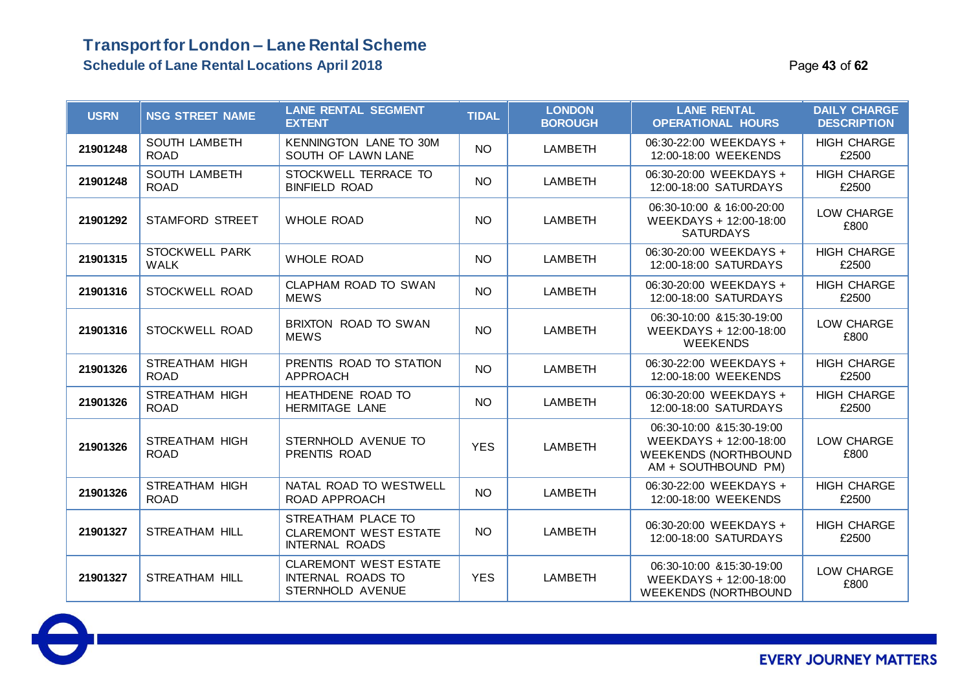| <b>USRN</b> | <b>NSG STREET NAME</b>               | <b>LANE RENTAL SEGMENT</b><br><b>EXTENT</b>                                  | <b>TIDAL</b> | <b>LONDON</b><br><b>BOROUGH</b> | <b>LANE RENTAL</b><br><b>OPERATIONAL HOURS</b>                                                            | <b>DAILY CHARGE</b><br><b>DESCRIPTION</b> |
|-------------|--------------------------------------|------------------------------------------------------------------------------|--------------|---------------------------------|-----------------------------------------------------------------------------------------------------------|-------------------------------------------|
| 21901248    | <b>SOUTH LAMBETH</b><br><b>ROAD</b>  | <b>KENNINGTON LANE TO 30M</b><br>SOUTH OF LAWN LANE                          | <b>NO</b>    | <b>LAMBETH</b>                  | 06:30-22:00 WEEKDAYS +<br>12:00-18:00 WEEKENDS                                                            | <b>HIGH CHARGE</b><br>£2500               |
| 21901248    | <b>SOUTH LAMBETH</b><br><b>ROAD</b>  | STOCKWELL TERRACE TO<br><b>BINFIELD ROAD</b>                                 | <b>NO</b>    | <b>LAMBETH</b>                  | 06:30-20:00 WEEKDAYS +<br>12:00-18:00 SATURDAYS                                                           | <b>HIGH CHARGE</b><br>£2500               |
| 21901292    | STAMFORD STREET                      | <b>WHOLE ROAD</b>                                                            | <b>NO</b>    | <b>LAMBETH</b>                  | 06:30-10:00 & 16:00-20:00<br>WEEKDAYS + 12:00-18:00<br><b>SATURDAYS</b>                                   | LOW CHARGE<br>£800                        |
| 21901315    | <b>STOCKWELL PARK</b><br><b>WALK</b> | <b>WHOLE ROAD</b>                                                            | <b>NO</b>    | <b>LAMBETH</b>                  | 06:30-20:00 WEEKDAYS +<br>12:00-18:00 SATURDAYS                                                           | <b>HIGH CHARGE</b><br>£2500               |
| 21901316    | STOCKWELL ROAD                       | CLAPHAM ROAD TO SWAN<br><b>MEWS</b>                                          | <b>NO</b>    | <b>LAMBETH</b>                  | 06:30-20:00 WEEKDAYS +<br>12:00-18:00 SATURDAYS                                                           | <b>HIGH CHARGE</b><br>£2500               |
| 21901316    | STOCKWELL ROAD                       | BRIXTON ROAD TO SWAN<br><b>MEWS</b>                                          | <b>NO</b>    | <b>LAMBETH</b>                  | 06:30-10:00 & 15:30-19:00<br>WEEKDAYS + 12:00-18:00<br><b>WEEKENDS</b>                                    | LOW CHARGE<br>£800                        |
| 21901326    | <b>STREATHAM HIGH</b><br><b>ROAD</b> | PRENTIS ROAD TO STATION<br><b>APPROACH</b>                                   | <b>NO</b>    | <b>LAMBETH</b>                  | 06:30-22:00 WEEKDAYS +<br>12:00-18:00 WEEKENDS                                                            | <b>HIGH CHARGE</b><br>£2500               |
| 21901326    | <b>STREATHAM HIGH</b><br><b>ROAD</b> | HEATHDENE ROAD TO<br><b>HERMITAGE LANE</b>                                   | <b>NO</b>    | <b>LAMBETH</b>                  | 06:30-20:00 WEEKDAYS +<br>12:00-18:00 SATURDAYS                                                           | <b>HIGH CHARGE</b><br>£2500               |
| 21901326    | <b>STREATHAM HIGH</b><br><b>ROAD</b> | STERNHOLD AVENUE TO<br>PRENTIS ROAD                                          | <b>YES</b>   | <b>LAMBETH</b>                  | 06:30-10:00 & 15:30-19:00<br>WEEKDAYS + 12:00-18:00<br><b>WEEKENDS (NORTHBOUND</b><br>AM + SOUTHBOUND PM) | LOW CHARGE<br>£800                        |
| 21901326    | <b>STREATHAM HIGH</b><br><b>ROAD</b> | NATAL ROAD TO WESTWELL<br>ROAD APPROACH                                      | <b>NO</b>    | <b>LAMBETH</b>                  | 06:30-22:00 WEEKDAYS +<br>12:00-18:00 WEEKENDS                                                            | <b>HIGH CHARGE</b><br>£2500               |
| 21901327    | <b>STREATHAM HILL</b>                | STREATHAM PLACE TO<br><b>CLAREMONT WEST ESTATE</b><br><b>INTERNAL ROADS</b>  | <b>NO</b>    | <b>LAMBETH</b>                  | 06:30-20:00 WEEKDAYS +<br>12:00-18:00 SATURDAYS                                                           | <b>HIGH CHARGE</b><br>£2500               |
| 21901327    | <b>STREATHAM HILL</b>                | <b>CLAREMONT WEST ESTATE</b><br><b>INTERNAL ROADS TO</b><br>STERNHOLD AVENUE | <b>YES</b>   | <b>LAMBETH</b>                  | 06:30-10:00 & 15:30-19:00<br>WEEKDAYS + 12:00-18:00<br><b>WEEKENDS (NORTHBOUND</b>                        | LOW CHARGE<br>£800                        |

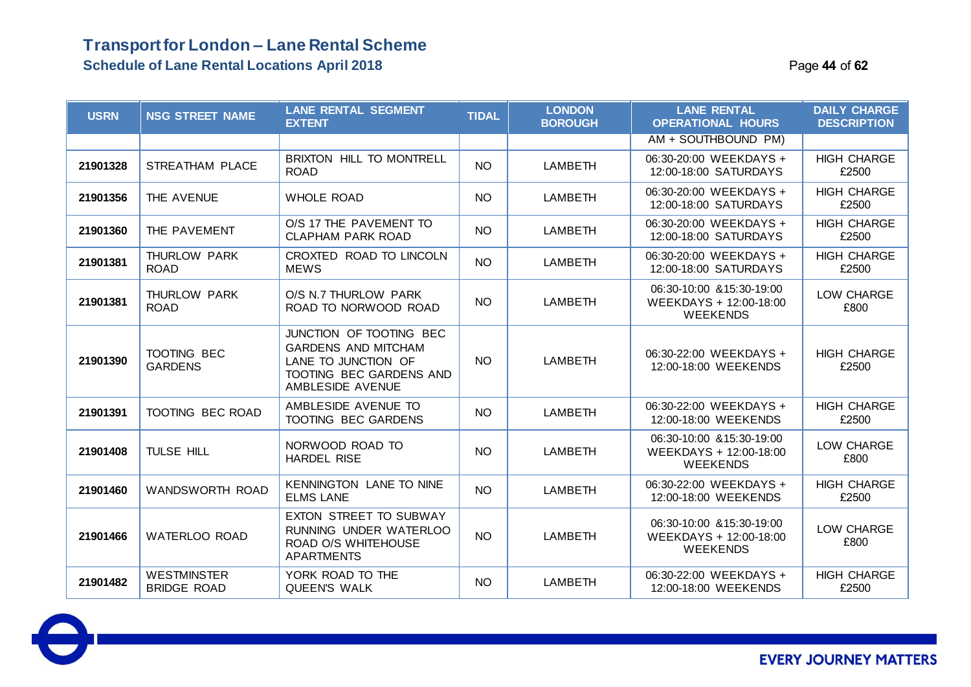#### **Transport for London – Lane Rental Scheme Schedule of Lane Rental Locations April 2018** Page **44** of **62**

| <b>USRN</b> | <b>NSG STREET NAME</b>                   | <b>LANE RENTAL SEGMENT</b><br><b>EXTENT</b>                                                                                 | <b>TIDAL</b> | <b>LONDON</b><br><b>BOROUGH</b> | <b>LANE RENTAL</b><br><b>OPERATIONAL HOURS</b>                         | <b>DAILY CHARGE</b><br><b>DESCRIPTION</b> |
|-------------|------------------------------------------|-----------------------------------------------------------------------------------------------------------------------------|--------------|---------------------------------|------------------------------------------------------------------------|-------------------------------------------|
|             |                                          |                                                                                                                             |              |                                 | AM + SOUTHBOUND PM)                                                    |                                           |
| 21901328    | STREATHAM PLACE                          | <b>BRIXTON HILL TO MONTRELL</b><br><b>ROAD</b>                                                                              | <b>NO</b>    | LAMBETH                         | 06:30-20:00 WEEKDAYS +<br>12:00-18:00 SATURDAYS                        | <b>HIGH CHARGE</b><br>£2500               |
| 21901356    | THE AVENUE                               | <b>WHOLE ROAD</b>                                                                                                           | <b>NO</b>    | LAMBETH                         | 06:30-20:00 WEEKDAYS +<br>12:00-18:00 SATURDAYS                        | <b>HIGH CHARGE</b><br>£2500               |
| 21901360    | THE PAVEMENT                             | O/S 17 THE PAVEMENT TO<br><b>CLAPHAM PARK ROAD</b>                                                                          | <b>NO</b>    | LAMBETH                         | 06:30-20:00 WEEKDAYS +<br>12:00-18:00 SATURDAYS                        | <b>HIGH CHARGE</b><br>£2500               |
| 21901381    | THURLOW PARK<br><b>ROAD</b>              | CROXTED ROAD TO LINCOLN<br><b>MEWS</b>                                                                                      | <b>NO</b>    | LAMBETH                         | 06:30-20:00 WEEKDAYS +<br>12:00-18:00 SATURDAYS                        | <b>HIGH CHARGE</b><br>£2500               |
| 21901381    | THURLOW PARK<br><b>ROAD</b>              | O/S N.7 THURLOW PARK<br>ROAD TO NORWOOD ROAD                                                                                | <b>NO</b>    | <b>LAMBETH</b>                  | 06:30-10:00 & 15:30-19:00<br>WEEKDAYS + 12:00-18:00<br><b>WEEKENDS</b> | LOW CHARGE<br>£800                        |
| 21901390    | <b>TOOTING BEC</b><br><b>GARDENS</b>     | JUNCTION OF TOOTING BEC<br><b>GARDENS AND MITCHAM</b><br>LANE TO JUNCTION OF<br>TOOTING BEC GARDENS AND<br>AMBLESIDE AVENUE | <b>NO</b>    | <b>LAMBETH</b>                  | 06:30-22:00 WEEKDAYS +<br>12:00-18:00 WEEKENDS                         | <b>HIGH CHARGE</b><br>£2500               |
| 21901391    | TOOTING BEC ROAD                         | AMBLESIDE AVENUE TO<br>TOOTING BEC GARDENS                                                                                  | <b>NO</b>    | <b>LAMBETH</b>                  | 06:30-22:00 WEEKDAYS +<br>12:00-18:00 WEEKENDS                         | <b>HIGH CHARGE</b><br>£2500               |
| 21901408    | TULSE HILL                               | NORWOOD ROAD TO<br><b>HARDEL RISE</b>                                                                                       | <b>NO</b>    | <b>LAMBETH</b>                  | 06:30-10:00 & 15:30-19:00<br>WEEKDAYS + 12:00-18:00<br><b>WEEKENDS</b> | LOW CHARGE<br>£800                        |
| 21901460    | WANDSWORTH ROAD                          | <b>KENNINGTON LANE TO NINE</b><br><b>ELMS LANE</b>                                                                          | <b>NO</b>    | <b>LAMBETH</b>                  | 06:30-22:00 WEEKDAYS +<br>12:00-18:00 WEEKENDS                         | <b>HIGH CHARGE</b><br>£2500               |
| 21901466    | WATERLOO ROAD                            | EXTON STREET TO SUBWAY<br>RUNNING UNDER WATERLOO<br>ROAD O/S WHITEHOUSE<br><b>APARTMENTS</b>                                | <b>NO</b>    | LAMBETH                         | 06:30-10:00 & 15:30-19:00<br>WEEKDAYS + 12:00-18:00<br><b>WEEKENDS</b> | LOW CHARGE<br>£800                        |
| 21901482    | <b>WESTMINSTER</b><br><b>BRIDGE ROAD</b> | YORK ROAD TO THE<br><b>QUEEN'S WALK</b>                                                                                     | NO.          | <b>LAMBETH</b>                  | 06:30-22:00 WEEKDAYS +<br>12:00-18:00 WEEKENDS                         | <b>HIGH CHARGE</b><br>£2500               |

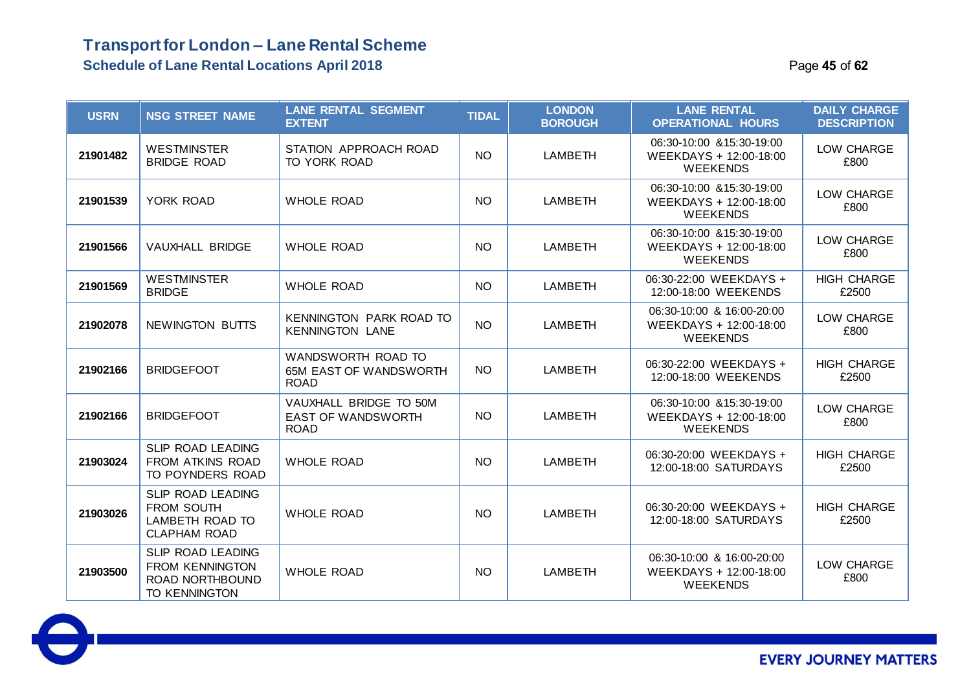### **Transport for London – Lane Rental Scheme Schedule of Lane Rental Locations April 2018** Page **45** of **62**

| <b>USRN</b> | <b>NSG STREET NAME</b>                                                          | <b>LANE RENTAL SEGMENT</b><br><b>EXTENT</b>                        | <b>TIDAL</b> | <b>LONDON</b><br><b>BOROUGH</b> | <b>LANE RENTAL</b><br><b>OPERATIONAL HOURS</b>                         | <b>DAILY CHARGE</b><br><b>DESCRIPTION</b> |
|-------------|---------------------------------------------------------------------------------|--------------------------------------------------------------------|--------------|---------------------------------|------------------------------------------------------------------------|-------------------------------------------|
| 21901482    | <b>WESTMINSTER</b><br><b>BRIDGE ROAD</b>                                        | STATION APPROACH ROAD<br>TO YORK ROAD                              | <b>NO</b>    | <b>LAMBETH</b>                  | 06:30-10:00 & 15:30-19:00<br>WEEKDAYS + 12:00-18:00<br><b>WEEKENDS</b> | LOW CHARGE<br>£800                        |
| 21901539    | YORK ROAD                                                                       | <b>WHOLE ROAD</b>                                                  | <b>NO</b>    | <b>LAMBETH</b>                  | 06:30-10:00 & 15:30-19:00<br>WEEKDAYS + 12:00-18:00<br><b>WEEKENDS</b> | LOW CHARGE<br>£800                        |
| 21901566    | VAUXHALL BRIDGE                                                                 | <b>WHOLE ROAD</b>                                                  | <b>NO</b>    | LAMBETH                         | 06:30-10:00 & 15:30-19:00<br>WEEKDAYS + 12:00-18:00<br><b>WEEKENDS</b> | LOW CHARGE<br>£800                        |
| 21901569    | <b>WESTMINSTER</b><br><b>BRIDGE</b>                                             | <b>WHOLE ROAD</b>                                                  | <b>NO</b>    | LAMBETH                         | 06:30-22:00 WEEKDAYS +<br>12:00-18:00 WEEKENDS                         | <b>HIGH CHARGE</b><br>£2500               |
| 21902078    | NEWINGTON BUTTS                                                                 | KENNINGTON PARK ROAD TO<br><b>KENNINGTON LANE</b>                  | <b>NO</b>    | LAMBETH                         | 06:30-10:00 & 16:00-20:00<br>WEEKDAYS + 12:00-18:00<br><b>WEEKENDS</b> | LOW CHARGE<br>£800                        |
| 21902166    | <b>BRIDGEFOOT</b>                                                               | WANDSWORTH ROAD TO<br><b>65M EAST OF WANDSWORTH</b><br><b>ROAD</b> | NO.          | <b>LAMBETH</b>                  | 06:30-22:00 WEEKDAYS +<br>12:00-18:00 WEEKENDS                         | <b>HIGH CHARGE</b><br>£2500               |
| 21902166    | <b>BRIDGEFOOT</b>                                                               | VAUXHALL BRIDGE TO 50M<br><b>EAST OF WANDSWORTH</b><br><b>ROAD</b> | <b>NO</b>    | <b>LAMBETH</b>                  | 06:30-10:00 & 15:30-19:00<br>WEEKDAYS + 12:00-18:00<br><b>WEEKENDS</b> | LOW CHARGE<br>£800                        |
| 21903024    | SLIP ROAD LEADING<br>FROM ATKINS ROAD<br>TO POYNDERS ROAD                       | <b>WHOLE ROAD</b>                                                  | NO.          | <b>LAMBETH</b>                  | 06:30-20:00 WEEKDAYS +<br>12:00-18:00 SATURDAYS                        | <b>HIGH CHARGE</b><br>£2500               |
| 21903026    | SLIP ROAD LEADING<br>FROM SOUTH<br>LAMBETH ROAD TO<br><b>CLAPHAM ROAD</b>       | <b>WHOLE ROAD</b>                                                  | <b>NO</b>    | <b>LAMBETH</b>                  | 06:30-20:00 WEEKDAYS +<br>12:00-18:00 SATURDAYS                        | <b>HIGH CHARGE</b><br>£2500               |
| 21903500    | SLIP ROAD LEADING<br><b>FROM KENNINGTON</b><br>ROAD NORTHBOUND<br>TO KENNINGTON | <b>WHOLE ROAD</b>                                                  | <b>NO</b>    | LAMBETH                         | 06:30-10:00 & 16:00-20:00<br>WEEKDAYS + 12:00-18:00<br><b>WEEKENDS</b> | LOW CHARGE<br>£800                        |

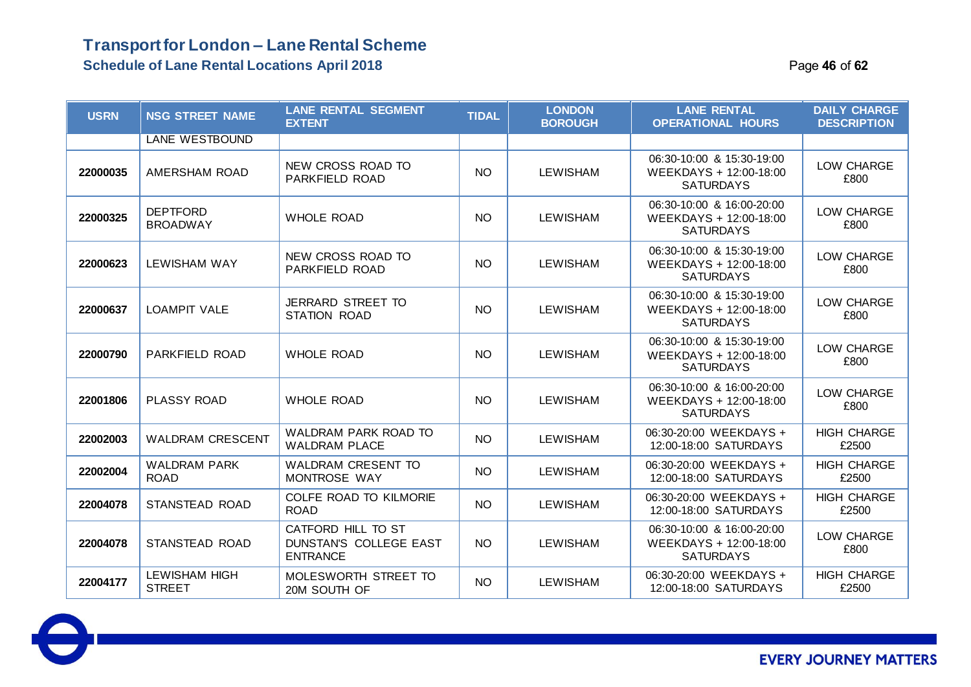### **Transport for London – Lane Rental Scheme Schedule of Lane Rental Locations April 2018 Page 16** of **62 Page 46** of **62**

| <b>USRN</b> | <b>NSG STREET NAME</b>                | <b>LANE RENTAL SEGMENT</b><br><b>EXTENT</b>                     | <b>TIDAL</b> | <b>LONDON</b><br><b>BOROUGH</b> | <b>LANE RENTAL</b><br><b>OPERATIONAL HOURS</b>                          | <b>DAILY CHARGE</b><br><b>DESCRIPTION</b> |
|-------------|---------------------------------------|-----------------------------------------------------------------|--------------|---------------------------------|-------------------------------------------------------------------------|-------------------------------------------|
|             | <b>LANE WESTBOUND</b>                 |                                                                 |              |                                 |                                                                         |                                           |
| 22000035    | AMERSHAM ROAD                         | NEW CROSS ROAD TO<br>PARKFIELD ROAD                             | <b>NO</b>    | <b>LEWISHAM</b>                 | 06:30-10:00 & 15:30-19:00<br>WEEKDAYS + 12:00-18:00<br><b>SATURDAYS</b> | LOW CHARGE<br>£800                        |
| 22000325    | <b>DEPTFORD</b><br><b>BROADWAY</b>    | <b>WHOLE ROAD</b>                                               | <b>NO</b>    | <b>LEWISHAM</b>                 | 06:30-10:00 & 16:00-20:00<br>WEEKDAYS + 12:00-18:00<br><b>SATURDAYS</b> | LOW CHARGE<br>£800                        |
| 22000623    | <b>LEWISHAM WAY</b>                   | NEW CROSS ROAD TO<br>PARKFIELD ROAD                             | <b>NO</b>    | <b>LEWISHAM</b>                 | 06:30-10:00 & 15:30-19:00<br>WEEKDAYS + 12:00-18:00<br><b>SATURDAYS</b> | LOW CHARGE<br>£800                        |
| 22000637    | <b>LOAMPIT VALE</b>                   | <b>JERRARD STREET TO</b><br>STATION ROAD                        | <b>NO</b>    | <b>LEWISHAM</b>                 | 06:30-10:00 & 15:30-19:00<br>WEEKDAYS + 12:00-18:00<br><b>SATURDAYS</b> | LOW CHARGE<br>£800                        |
| 22000790    | <b>PARKFIELD ROAD</b>                 | <b>WHOLE ROAD</b>                                               | <b>NO</b>    | <b>LEWISHAM</b>                 | 06:30-10:00 & 15:30-19:00<br>WEEKDAYS + 12:00-18:00<br><b>SATURDAYS</b> | LOW CHARGE<br>£800                        |
| 22001806    | PLASSY ROAD                           | <b>WHOLE ROAD</b>                                               | <b>NO</b>    | <b>LEWISHAM</b>                 | 06:30-10:00 & 16:00-20:00<br>WEEKDAYS + 12:00-18:00<br><b>SATURDAYS</b> | LOW CHARGE<br>£800                        |
| 22002003    | <b>WALDRAM CRESCENT</b>               | <b>WALDRAM PARK ROAD TO</b><br><b>WALDRAM PLACE</b>             | <b>NO</b>    | <b>LEWISHAM</b>                 | 06:30-20:00 WEEKDAYS +<br>12:00-18:00 SATURDAYS                         | <b>HIGH CHARGE</b><br>£2500               |
| 22002004    | <b>WALDRAM PARK</b><br><b>ROAD</b>    | <b>WALDRAM CRESENT TO</b><br>MONTROSE WAY                       | <b>NO</b>    | <b>LEWISHAM</b>                 | 06:30-20:00 WEEKDAYS +<br>12:00-18:00 SATURDAYS                         | <b>HIGH CHARGE</b><br>£2500               |
| 22004078    | STANSTEAD ROAD                        | COLFE ROAD TO KILMORIE<br><b>ROAD</b>                           | <b>NO</b>    | <b>LEWISHAM</b>                 | 06:30-20:00 WEEKDAYS +<br>12:00-18:00 SATURDAYS                         | <b>HIGH CHARGE</b><br>£2500               |
| 22004078    | STANSTEAD ROAD                        | CATFORD HILL TO ST<br>DUNSTAN'S COLLEGE EAST<br><b>ENTRANCE</b> | <b>NO</b>    | <b>LEWISHAM</b>                 | 06:30-10:00 & 16:00-20:00<br>WEEKDAYS + 12:00-18:00<br><b>SATURDAYS</b> | LOW CHARGE<br>£800                        |
| 22004177    | <b>LEWISHAM HIGH</b><br><b>STREET</b> | MOLESWORTH STREET TO<br>20M SOUTH OF                            | <b>NO</b>    | <b>LEWISHAM</b>                 | 06:30-20:00 WEEKDAYS +<br>12:00-18:00 SATURDAYS                         | <b>HIGH CHARGE</b><br>£2500               |

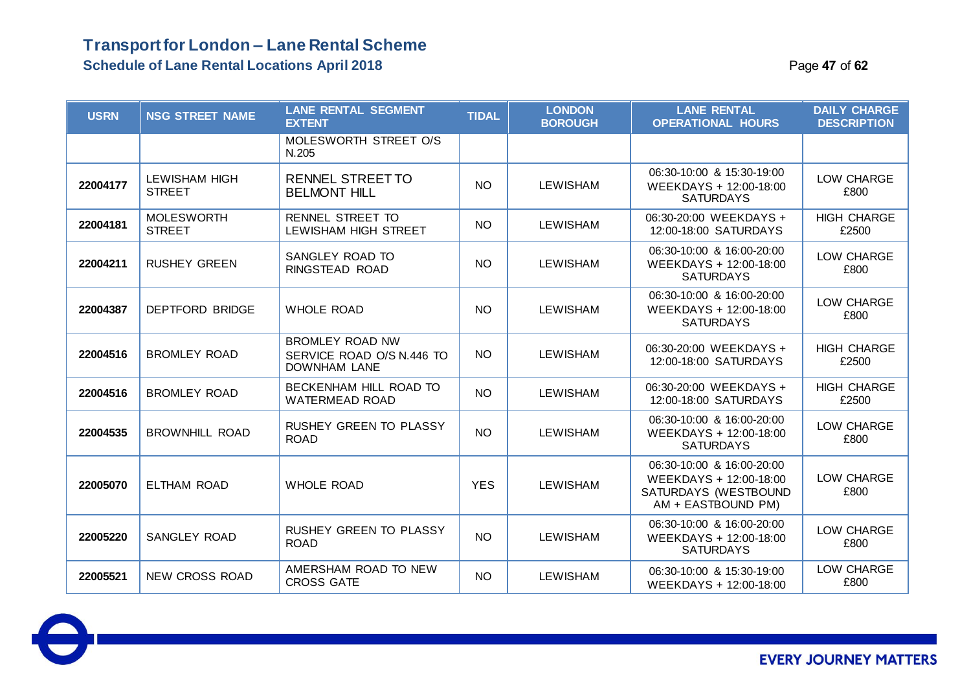#### **Schedule of Lane Rental Locations April 2018** Page **47** of **62**

| <b>USRN</b> | <b>NSG STREET NAME</b>                | <b>LANE RENTAL SEGMENT</b><br><b>EXTENT</b>                                | <b>TIDAL</b> | <b>LONDON</b><br><b>BOROUGH</b> | <b>LANE RENTAL</b><br><b>OPERATIONAL HOURS</b>                                                    | <b>DAILY CHARGE</b><br><b>DESCRIPTION</b> |
|-------------|---------------------------------------|----------------------------------------------------------------------------|--------------|---------------------------------|---------------------------------------------------------------------------------------------------|-------------------------------------------|
|             |                                       | MOLESWORTH STREET O/S<br>N.205                                             |              |                                 |                                                                                                   |                                           |
| 22004177    | <b>LEWISHAM HIGH</b><br><b>STREET</b> | <b>RENNEL STREET TO</b><br><b>BELMONT HILL</b>                             | <b>NO</b>    | <b>LEWISHAM</b>                 | 06:30-10:00 & 15:30-19:00<br>WEEKDAYS + 12:00-18:00<br><b>SATURDAYS</b>                           | LOW CHARGE<br>£800                        |
| 22004181    | <b>MOLESWORTH</b><br><b>STREET</b>    | <b>RENNEL STREET TO</b><br>LEWISHAM HIGH STREET                            | <b>NO</b>    | <b>LEWISHAM</b>                 | 06:30-20:00 WEEKDAYS +<br>12:00-18:00 SATURDAYS                                                   | <b>HIGH CHARGE</b><br>£2500               |
| 22004211    | <b>RUSHEY GREEN</b>                   | SANGLEY ROAD TO<br>RINGSTEAD ROAD                                          | <b>NO</b>    | <b>LEWISHAM</b>                 | 06:30-10:00 & 16:00-20:00<br>WEEKDAYS + 12:00-18:00<br><b>SATURDAYS</b>                           | LOW CHARGE<br>£800                        |
| 22004387    | <b>DEPTFORD BRIDGE</b>                | <b>WHOLE ROAD</b>                                                          | <b>NO</b>    | <b>LEWISHAM</b>                 | 06:30-10:00 & 16:00-20:00<br>WEEKDAYS + 12:00-18:00<br><b>SATURDAYS</b>                           | LOW CHARGE<br>£800                        |
| 22004516    | <b>BROMLEY ROAD</b>                   | <b>BROMLEY ROAD NW</b><br>SERVICE ROAD O/S N.446 TO<br><b>DOWNHAM LANE</b> | <b>NO</b>    | <b>LEWISHAM</b>                 | 06:30-20:00 WEEKDAYS +<br>12:00-18:00 SATURDAYS                                                   | <b>HIGH CHARGE</b><br>£2500               |
| 22004516    | <b>BROMLEY ROAD</b>                   | BECKENHAM HILL ROAD TO<br><b>WATERMEAD ROAD</b>                            | <b>NO</b>    | <b>LEWISHAM</b>                 | 06:30-20:00 WEEKDAYS +<br>12:00-18:00 SATURDAYS                                                   | <b>HIGH CHARGE</b><br>£2500               |
| 22004535    | <b>BROWNHILL ROAD</b>                 | RUSHEY GREEN TO PLASSY<br><b>ROAD</b>                                      | <b>NO</b>    | <b>LEWISHAM</b>                 | 06:30-10:00 & 16:00-20:00<br>WEEKDAYS + 12:00-18:00<br><b>SATURDAYS</b>                           | LOW CHARGE<br>£800                        |
| 22005070    | <b>ELTHAM ROAD</b>                    | <b>WHOLE ROAD</b>                                                          | <b>YES</b>   | <b>LEWISHAM</b>                 | 06:30-10:00 & 16:00-20:00<br>WEEKDAYS + 12:00-18:00<br>SATURDAYS (WESTBOUND<br>AM + EASTBOUND PM) | LOW CHARGE<br>£800                        |
| 22005220    | SANGLEY ROAD                          | <b>RUSHEY GREEN TO PLASSY</b><br><b>ROAD</b>                               | <b>NO</b>    | <b>LEWISHAM</b>                 | 06:30-10:00 & 16:00-20:00<br>WEEKDAYS + 12:00-18:00<br><b>SATURDAYS</b>                           | LOW CHARGE<br>£800                        |
| 22005521    | <b>NEW CROSS ROAD</b>                 | AMERSHAM ROAD TO NEW<br><b>CROSS GATE</b>                                  | <b>NO</b>    | <b>LEWISHAM</b>                 | 06:30-10:00 & 15:30-19:00<br>WEEKDAYS + 12:00-18:00                                               | LOW CHARGE<br>£800                        |

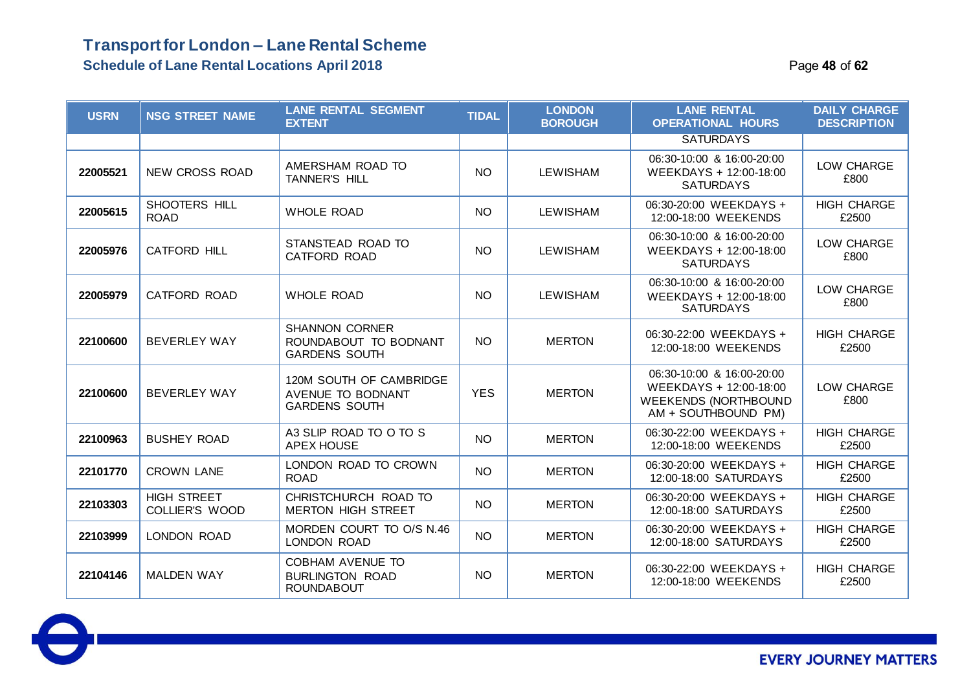### **Transport for London – Lane Rental Scheme Schedule of Lane Rental Locations April 2018 Page 18 of 62 Page 48** of 62

| <b>USRN</b> | <b>NSG STREET NAME</b>               | <b>LANE RENTAL SEGMENT</b><br><b>EXTENT</b>                            | <b>TIDAL</b> | <b>LONDON</b><br><b>BOROUGH</b> | <b>LANE RENTAL</b><br><b>OPERATIONAL HOURS</b>                                                            | <b>DAILY CHARGE</b><br><b>DESCRIPTION</b> |
|-------------|--------------------------------------|------------------------------------------------------------------------|--------------|---------------------------------|-----------------------------------------------------------------------------------------------------------|-------------------------------------------|
|             |                                      |                                                                        |              |                                 | <b>SATURDAYS</b>                                                                                          |                                           |
| 22005521    | <b>NEW CROSS ROAD</b>                | AMERSHAM ROAD TO<br><b>TANNER'S HILL</b>                               | <b>NO</b>    | <b>LEWISHAM</b>                 | 06:30-10:00 & 16:00-20:00<br>WEEKDAYS + 12:00-18:00<br><b>SATURDAYS</b>                                   | LOW CHARGE<br>£800                        |
| 22005615    | SHOOTERS HILL<br><b>ROAD</b>         | <b>WHOLE ROAD</b>                                                      | <b>NO</b>    | <b>LEWISHAM</b>                 | 06:30-20:00 WEEKDAYS +<br>12:00-18:00 WEEKENDS                                                            | <b>HIGH CHARGE</b><br>£2500               |
| 22005976    | <b>CATFORD HILL</b>                  | STANSTEAD ROAD TO<br><b>CATFORD ROAD</b>                               | <b>NO</b>    | <b>LEWISHAM</b>                 | 06:30-10:00 & 16:00-20:00<br>WEEKDAYS + 12:00-18:00<br><b>SATURDAYS</b>                                   | LOW CHARGE<br>£800                        |
| 22005979    | <b>CATFORD ROAD</b>                  | <b>WHOLE ROAD</b>                                                      | <b>NO</b>    | <b>LEWISHAM</b>                 | 06:30-10:00 & 16:00-20:00<br>WEEKDAYS + 12:00-18:00<br><b>SATURDAYS</b>                                   | LOW CHARGE<br>£800                        |
| 22100600    | <b>BEVERLEY WAY</b>                  | <b>SHANNON CORNER</b><br>ROUNDABOUT TO BODNANT<br><b>GARDENS SOUTH</b> | <b>NO</b>    | <b>MERTON</b>                   | 06:30-22:00 WEEKDAYS +<br>12:00-18:00 WEEKENDS                                                            | <b>HIGH CHARGE</b><br>£2500               |
| 22100600    | <b>BEVERLEY WAY</b>                  | 120M SOUTH OF CAMBRIDGE<br>AVENUE TO BODNANT<br><b>GARDENS SOUTH</b>   | <b>YES</b>   | <b>MERTON</b>                   | 06:30-10:00 & 16:00-20:00<br>WEEKDAYS + 12:00-18:00<br><b>WEEKENDS (NORTHBOUND</b><br>AM + SOUTHBOUND PM) | LOW CHARGE<br>£800                        |
| 22100963    | <b>BUSHEY ROAD</b>                   | A3 SLIP ROAD TO O TO S<br><b>APEX HOUSE</b>                            | <b>NO</b>    | <b>MERTON</b>                   | 06:30-22:00 WEEKDAYS +<br>12:00-18:00 WEEKENDS                                                            | <b>HIGH CHARGE</b><br>£2500               |
| 22101770    | <b>CROWN LANE</b>                    | LONDON ROAD TO CROWN<br><b>ROAD</b>                                    | <b>NO</b>    | <b>MERTON</b>                   | 06:30-20:00 WEEKDAYS +<br>12:00-18:00 SATURDAYS                                                           | <b>HIGH CHARGE</b><br>£2500               |
| 22103303    | <b>HIGH STREET</b><br>COLLIER'S WOOD | CHRISTCHURCH ROAD TO<br><b>MERTON HIGH STREET</b>                      | <b>NO</b>    | <b>MERTON</b>                   | 06:30-20:00 WEEKDAYS +<br>12:00-18:00 SATURDAYS                                                           | <b>HIGH CHARGE</b><br>£2500               |
| 22103999    | LONDON ROAD                          | MORDEN COURT TO O/S N.46<br>LONDON ROAD                                | <b>NO</b>    | <b>MERTON</b>                   | 06:30-20:00 WEEKDAYS +<br>12:00-18:00 SATURDAYS                                                           | <b>HIGH CHARGE</b><br>£2500               |
| 22104146    | <b>MALDEN WAY</b>                    | COBHAM AVENUE TO<br><b>BURLINGTON ROAD</b><br><b>ROUNDABOUT</b>        | <b>NO</b>    | <b>MERTON</b>                   | 06:30-22:00 WEEKDAYS +<br>12:00-18:00 WEEKENDS                                                            | <b>HIGH CHARGE</b><br>£2500               |

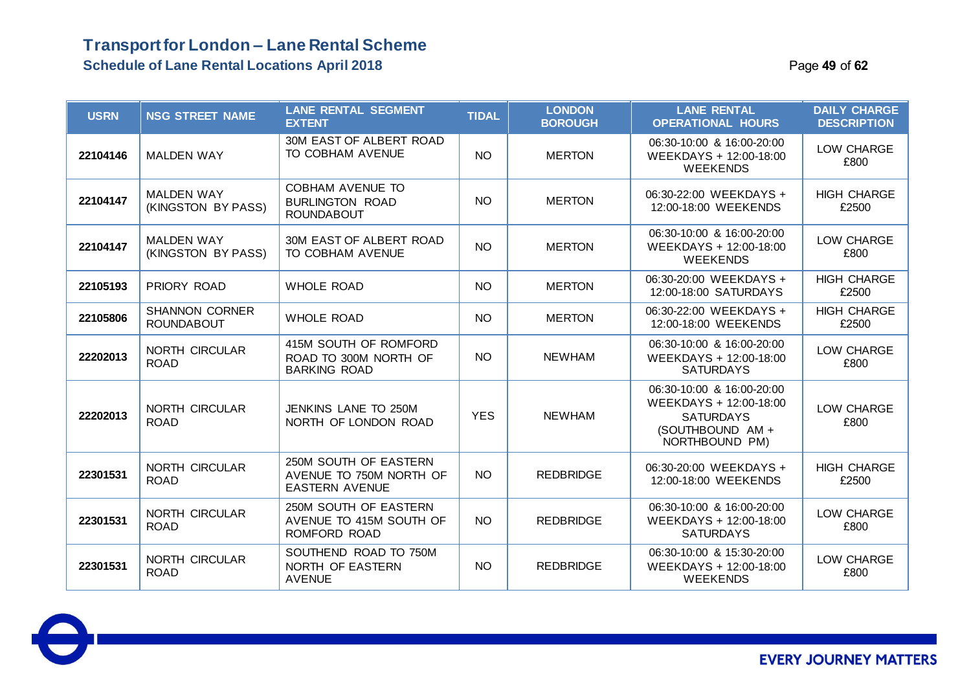### **Transport for London – Lane Rental Scheme Schedule of Lane Rental Locations April 2018** Page **49** of **62**

| <b>USRN</b> | <b>NSG STREET NAME</b>                     | <b>LANE RENTAL SEGMENT</b><br><b>EXTENT</b>                               | <b>TIDAL</b> | <b>LONDON</b><br><b>BOROUGH</b> | <b>LANE RENTAL</b><br><b>OPERATIONAL HOURS</b>                                                                | <b>DAILY CHARGE</b><br><b>DESCRIPTION</b> |
|-------------|--------------------------------------------|---------------------------------------------------------------------------|--------------|---------------------------------|---------------------------------------------------------------------------------------------------------------|-------------------------------------------|
| 22104146    | <b>MALDEN WAY</b>                          | 30M EAST OF ALBERT ROAD<br>TO COBHAM AVENUE                               | <b>NO</b>    | <b>MERTON</b>                   | 06:30-10:00 & 16:00-20:00<br>WEEKDAYS + 12:00-18:00<br><b>WEEKENDS</b>                                        | LOW CHARGE<br>£800                        |
| 22104147    | <b>MALDEN WAY</b><br>(KINGSTON BY PASS)    | COBHAM AVENUE TO<br><b>BURLINGTON ROAD</b><br><b>ROUNDABOUT</b>           | <b>NO</b>    | <b>MERTON</b>                   | 06:30-22:00 WEEKDAYS +<br>12:00-18:00 WEEKENDS                                                                | <b>HIGH CHARGE</b><br>£2500               |
| 22104147    | <b>MALDEN WAY</b><br>(KINGSTON BY PASS)    | 30M EAST OF ALBERT ROAD<br>TO COBHAM AVENUE                               | <b>NO</b>    | <b>MERTON</b>                   | 06:30-10:00 & 16:00-20:00<br>WEEKDAYS + 12:00-18:00<br><b>WEEKENDS</b>                                        | LOW CHARGE<br>£800                        |
| 22105193    | PRIORY ROAD                                | <b>WHOLE ROAD</b>                                                         | NO.          | <b>MERTON</b>                   | 06:30-20:00 WEEKDAYS +<br>12:00-18:00 SATURDAYS                                                               | <b>HIGH CHARGE</b><br>£2500               |
| 22105806    | <b>SHANNON CORNER</b><br><b>ROUNDABOUT</b> | <b>WHOLE ROAD</b>                                                         | <b>NO</b>    | <b>MERTON</b>                   | 06:30-22:00 WEEKDAYS +<br>12:00-18:00 WEEKENDS                                                                | <b>HIGH CHARGE</b><br>£2500               |
| 22202013    | NORTH CIRCULAR<br><b>ROAD</b>              | 415M SOUTH OF ROMFORD<br>ROAD TO 300M NORTH OF<br><b>BARKING ROAD</b>     | <b>NO</b>    | <b>NEWHAM</b>                   | 06:30-10:00 & 16:00-20:00<br>WEEKDAYS + 12:00-18:00<br><b>SATURDAYS</b>                                       | LOW CHARGE<br>£800                        |
| 22202013    | NORTH CIRCULAR<br><b>ROAD</b>              | JENKINS LANE TO 250M<br>NORTH OF LONDON ROAD                              | <b>YES</b>   | <b>NEWHAM</b>                   | 06:30-10:00 & 16:00-20:00<br>WEEKDAYS + 12:00-18:00<br><b>SATURDAYS</b><br>(SOUTHBOUND AM +<br>NORTHBOUND PM) | LOW CHARGE<br>£800                        |
| 22301531    | NORTH CIRCULAR<br><b>ROAD</b>              | 250M SOUTH OF EASTERN<br>AVENUE TO 750M NORTH OF<br><b>EASTERN AVENUE</b> | <b>NO</b>    | <b>REDBRIDGE</b>                | 06:30-20:00 WEEKDAYS +<br>12:00-18:00 WEEKENDS                                                                | <b>HIGH CHARGE</b><br>£2500               |
| 22301531    | <b>NORTH CIRCULAR</b><br><b>ROAD</b>       | 250M SOUTH OF EASTERN<br>AVENUE TO 415M SOUTH OF<br>ROMFORD ROAD          | <b>NO</b>    | <b>REDBRIDGE</b>                | 06:30-10:00 & 16:00-20:00<br>WEEKDAYS + 12:00-18:00<br><b>SATURDAYS</b>                                       | LOW CHARGE<br>£800                        |
| 22301531    | NORTH CIRCULAR<br><b>ROAD</b>              | SOUTHEND ROAD TO 750M<br>NORTH OF EASTERN<br><b>AVENUE</b>                | <b>NO</b>    | <b>REDBRIDGE</b>                | 06:30-10:00 & 15:30-20:00<br>WEEKDAYS + 12:00-18:00<br><b>WEEKENDS</b>                                        | LOW CHARGE<br>£800                        |

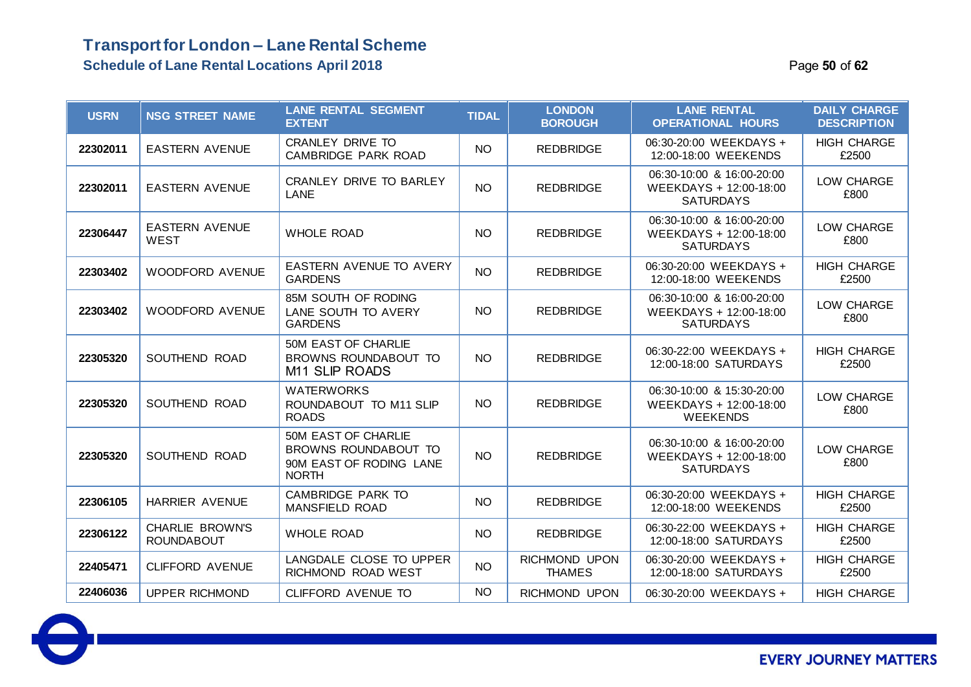| <b>USRN</b> | <b>NSG STREET NAME</b>                      | <b>LANE RENTAL SEGMENT</b><br><b>EXTENT</b>                                            | <b>TIDAL</b> | <b>LONDON</b><br><b>BOROUGH</b> | <b>LANE RENTAL</b><br><b>OPERATIONAL HOURS</b>                          | <b>DAILY CHARGE</b><br><b>DESCRIPTION</b> |
|-------------|---------------------------------------------|----------------------------------------------------------------------------------------|--------------|---------------------------------|-------------------------------------------------------------------------|-------------------------------------------|
| 22302011    | <b>EASTERN AVENUE</b>                       | <b>CRANLEY DRIVE TO</b><br>CAMBRIDGE PARK ROAD                                         | <b>NO</b>    | <b>REDBRIDGE</b>                | 06:30-20:00 WEEKDAYS +<br>12:00-18:00 WEEKENDS                          | <b>HIGH CHARGE</b><br>£2500               |
| 22302011    | <b>EASTERN AVENUE</b>                       | CRANLEY DRIVE TO BARLEY<br>LANE                                                        | <b>NO</b>    | <b>REDBRIDGE</b>                | 06:30-10:00 & 16:00-20:00<br>WEEKDAYS + 12:00-18:00<br><b>SATURDAYS</b> | LOW CHARGE<br>£800                        |
| 22306447    | <b>EASTERN AVENUE</b><br><b>WEST</b>        | <b>WHOLE ROAD</b>                                                                      | <b>NO</b>    | <b>REDBRIDGE</b>                | 06:30-10:00 & 16:00-20:00<br>WEEKDAYS + 12:00-18:00<br><b>SATURDAYS</b> | LOW CHARGE<br>£800                        |
| 22303402    | <b>WOODFORD AVENUE</b>                      | EASTERN AVENUE TO AVERY<br><b>GARDENS</b>                                              | <b>NO</b>    | <b>REDBRIDGE</b>                | 06:30-20:00 WEEKDAYS +<br>12:00-18:00 WEEKENDS                          | <b>HIGH CHARGE</b><br>£2500               |
| 22303402    | <b>WOODFORD AVENUE</b>                      | 85M SOUTH OF RODING<br>LANE SOUTH TO AVERY<br><b>GARDENS</b>                           | <b>NO</b>    | <b>REDBRIDGE</b>                | 06:30-10:00 & 16:00-20:00<br>WEEKDAYS + 12:00-18:00<br><b>SATURDAYS</b> | LOW CHARGE<br>£800                        |
| 22305320    | SOUTHEND ROAD                               | <b>50M EAST OF CHARLIE</b><br>BROWNS ROUNDABOUT TO<br>M <sub>11</sub> SLIP ROADS       | <b>NO</b>    | <b>REDBRIDGE</b>                | 06:30-22:00 WEEKDAYS +<br>12:00-18:00 SATURDAYS                         | <b>HIGH CHARGE</b><br>£2500               |
| 22305320    | SOUTHEND ROAD                               | <b>WATERWORKS</b><br>ROUNDABOUT TO M11 SLIP<br><b>ROADS</b>                            | <b>NO</b>    | <b>REDBRIDGE</b>                | 06:30-10:00 & 15:30-20:00<br>WEEKDAYS + 12:00-18:00<br><b>WEEKENDS</b>  | LOW CHARGE<br>£800                        |
| 22305320    | SOUTHEND ROAD                               | 50M EAST OF CHARLIE<br>BROWNS ROUNDABOUT TO<br>90M EAST OF RODING LANE<br><b>NORTH</b> | <b>NO</b>    | <b>REDBRIDGE</b>                | 06:30-10:00 & 16:00-20:00<br>WEEKDAYS + 12:00-18:00<br><b>SATURDAYS</b> | LOW CHARGE<br>£800                        |
| 22306105    | HARRIER AVENUE                              | <b>CAMBRIDGE PARK TO</b><br><b>MANSFIELD ROAD</b>                                      | <b>NO</b>    | <b>REDBRIDGE</b>                | 06:30-20:00 WEEKDAYS +<br>12:00-18:00 WEEKENDS                          | <b>HIGH CHARGE</b><br>£2500               |
| 22306122    | <b>CHARLIE BROWN'S</b><br><b>ROUNDABOUT</b> | <b>WHOLE ROAD</b>                                                                      | <b>NO</b>    | <b>REDBRIDGE</b>                | 06:30-22:00 WEEKDAYS +<br>12:00-18:00 SATURDAYS                         | <b>HIGH CHARGE</b><br>£2500               |
| 22405471    | <b>CLIFFORD AVENUE</b>                      | LANGDALE CLOSE TO UPPER<br>RICHMOND ROAD WEST                                          | <b>NO</b>    | RICHMOND UPON<br><b>THAMES</b>  | 06:30-20:00 WEEKDAYS +<br>12:00-18:00 SATURDAYS                         | <b>HIGH CHARGE</b><br>£2500               |
| 22406036    | <b>UPPER RICHMOND</b>                       | <b>CLIFFORD AVENUE TO</b>                                                              | <b>NO</b>    | RICHMOND UPON                   | 06:30-20:00 WEEKDAYS +                                                  | <b>HIGH CHARGE</b>                        |

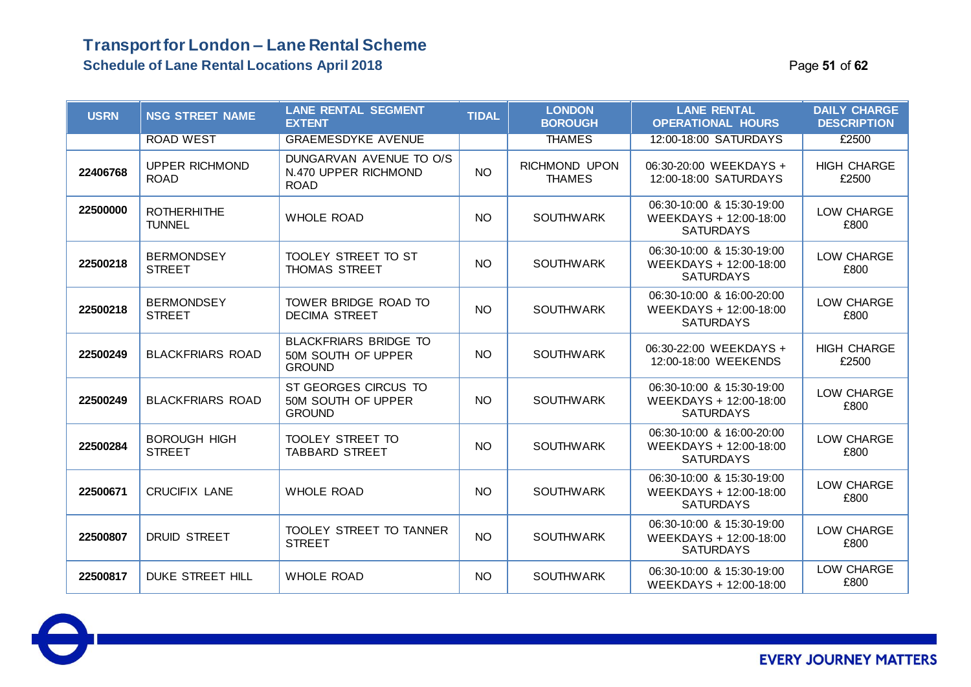| <b>USRN</b> | <b>NSG STREET NAME</b>               | <b>LANE RENTAL SEGMENT</b><br><b>EXTENT</b>                         | <b>TIDAL</b> | <b>LONDON</b><br><b>BOROUGH</b> | <b>LANE RENTAL</b><br><b>OPERATIONAL HOURS</b>                          | <b>DAILY CHARGE</b><br><b>DESCRIPTION</b> |
|-------------|--------------------------------------|---------------------------------------------------------------------|--------------|---------------------------------|-------------------------------------------------------------------------|-------------------------------------------|
|             | <b>ROAD WEST</b>                     | <b>GRAEMESDYKE AVENUE</b>                                           |              | <b>THAMES</b>                   | 12:00-18:00 SATURDAYS                                                   | £2500                                     |
| 22406768    | <b>UPPER RICHMOND</b><br><b>ROAD</b> | DUNGARVAN AVENUE TO O/S<br>N.470 UPPER RICHMOND<br><b>ROAD</b>      | <b>NO</b>    | RICHMOND UPON<br><b>THAMES</b>  | 06:30-20:00 WEEKDAYS +<br>12:00-18:00 SATURDAYS                         | <b>HIGH CHARGE</b><br>£2500               |
| 22500000    | <b>ROTHERHITHE</b><br><b>TUNNEL</b>  | <b>WHOLE ROAD</b>                                                   | <b>NO</b>    | <b>SOUTHWARK</b>                | 06:30-10:00 & 15:30-19:00<br>WEEKDAYS + 12:00-18:00<br><b>SATURDAYS</b> | LOW CHARGE<br>£800                        |
| 22500218    | <b>BERMONDSEY</b><br><b>STREET</b>   | TOOLEY STREET TO ST<br><b>THOMAS STREET</b>                         | <b>NO</b>    | <b>SOUTHWARK</b>                | 06:30-10:00 & 15:30-19:00<br>WEEKDAYS + 12:00-18:00<br><b>SATURDAYS</b> | LOW CHARGE<br>£800                        |
| 22500218    | <b>BERMONDSEY</b><br><b>STREET</b>   | TOWER BRIDGE ROAD TO<br><b>DECIMA STREET</b>                        | <b>NO</b>    | <b>SOUTHWARK</b>                | 06:30-10:00 & 16:00-20:00<br>WEEKDAYS + 12:00-18:00<br><b>SATURDAYS</b> | LOW CHARGE<br>£800                        |
| 22500249    | <b>BLACKFRIARS ROAD</b>              | <b>BLACKFRIARS BRIDGE TO</b><br>50M SOUTH OF UPPER<br><b>GROUND</b> | <b>NO</b>    | <b>SOUTHWARK</b>                | 06:30-22:00 WEEKDAYS +<br>12:00-18:00 WEEKENDS                          | <b>HIGH CHARGE</b><br>£2500               |
| 22500249    | <b>BLACKFRIARS ROAD</b>              | ST GEORGES CIRCUS TO<br>50M SOUTH OF UPPER<br><b>GROUND</b>         | NO           | SOUTHWARK                       | 06:30-10:00 & 15:30-19:00<br>WEEKDAYS + 12:00-18:00<br><b>SATURDAYS</b> | LOW CHARGE<br>£800                        |
| 22500284    | <b>BOROUGH HIGH</b><br><b>STREET</b> | TOOLEY STREET TO<br><b>TABBARD STREET</b>                           | NO.          | <b>SOUTHWARK</b>                | 06:30-10:00 & 16:00-20:00<br>WEEKDAYS + 12:00-18:00<br><b>SATURDAYS</b> | LOW CHARGE<br>£800                        |
| 22500671    | <b>CRUCIFIX LANE</b>                 | <b>WHOLE ROAD</b>                                                   | NO.          | <b>SOUTHWARK</b>                | 06:30-10:00 & 15:30-19:00<br>WEEKDAYS + 12:00-18:00<br><b>SATURDAYS</b> | LOW CHARGE<br>£800                        |
| 22500807    | <b>DRUID STREET</b>                  | <b>TOOLEY STREET TO TANNER</b><br><b>STREET</b>                     | <b>NO</b>    | <b>SOUTHWARK</b>                | 06:30-10:00 & 15:30-19:00<br>WEEKDAYS + 12:00-18:00<br><b>SATURDAYS</b> | LOW CHARGE<br>£800                        |
| 22500817    | <b>DUKE STREET HILL</b>              | <b>WHOLE ROAD</b>                                                   | <b>NO</b>    | <b>SOUTHWARK</b>                | 06:30-10:00 & 15:30-19:00<br>WEEKDAYS + 12:00-18:00                     | LOW CHARGE<br>£800                        |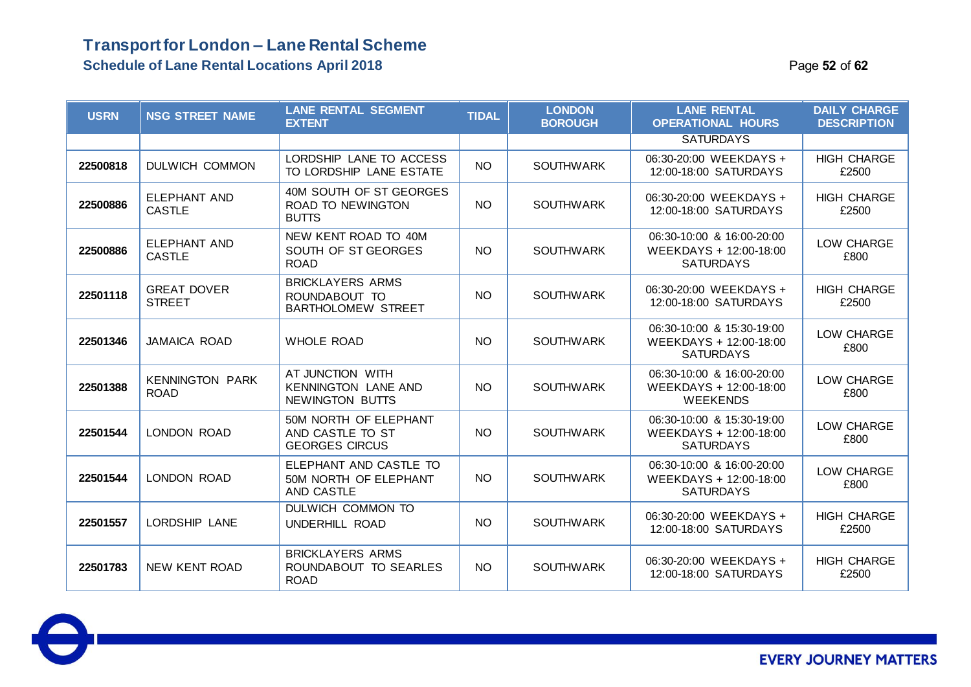### **Transport for London – Lane Rental Scheme Schedule of Lane Rental Locations April 2018** Page **52** of **62**

| <b>USRN</b> | <b>NSG STREET NAME</b>                | <b>LANE RENTAL SEGMENT</b><br><b>EXTENT</b>                              | <b>TIDAL</b> | <b>LONDON</b><br><b>BOROUGH</b> | <b>LANE RENTAL</b><br><b>OPERATIONAL HOURS</b>                          | <b>DAILY CHARGE</b><br><b>DESCRIPTION</b> |
|-------------|---------------------------------------|--------------------------------------------------------------------------|--------------|---------------------------------|-------------------------------------------------------------------------|-------------------------------------------|
|             |                                       |                                                                          |              |                                 | <b>SATURDAYS</b>                                                        |                                           |
| 22500818    | DULWICH COMMON                        | LORDSHIP LANE TO ACCESS<br>TO LORDSHIP LANE ESTATE                       | <b>NO</b>    | <b>SOUTHWARK</b>                | 06:30-20:00 WEEKDAYS +<br>12:00-18:00 SATURDAYS                         | <b>HIGH CHARGE</b><br>£2500               |
| 22500886    | <b>ELEPHANT AND</b><br><b>CASTLE</b>  | 40M SOUTH OF ST GEORGES<br>ROAD TO NEWINGTON<br><b>BUTTS</b>             | NO.          | <b>SOUTHWARK</b>                | 06:30-20:00 WEEKDAYS +<br>12:00-18:00 SATURDAYS                         | <b>HIGH CHARGE</b><br>£2500               |
| 22500886    | ELEPHANT AND<br><b>CASTLE</b>         | NEW KENT ROAD TO 40M<br>SOUTH OF ST GEORGES<br><b>ROAD</b>               | <b>NO</b>    | <b>SOUTHWARK</b>                | 06:30-10:00 & 16:00-20:00<br>WEEKDAYS + 12:00-18:00<br><b>SATURDAYS</b> | LOW CHARGE<br>£800                        |
| 22501118    | <b>GREAT DOVER</b><br><b>STREET</b>   | <b>BRICKLAYERS ARMS</b><br>ROUNDABOUT TO<br><b>BARTHOLOMEW STREET</b>    | NO.          | <b>SOUTHWARK</b>                | 06:30-20:00 WEEKDAYS +<br>12:00-18:00 SATURDAYS                         | <b>HIGH CHARGE</b><br>£2500               |
| 22501346    | <b>JAMAICA ROAD</b>                   | <b>WHOLE ROAD</b>                                                        | <b>NO</b>    | <b>SOUTHWARK</b>                | 06:30-10:00 & 15:30-19:00<br>WEEKDAYS + 12:00-18:00<br><b>SATURDAYS</b> | LOW CHARGE<br>£800                        |
| 22501388    | <b>KENNINGTON PARK</b><br><b>ROAD</b> | AT JUNCTION WITH<br><b>KENNINGTON LANE AND</b><br><b>NEWINGTON BUTTS</b> | NO.          | <b>SOUTHWARK</b>                | 06:30-10:00 & 16:00-20:00<br>WEEKDAYS + 12:00-18:00<br><b>WEEKENDS</b>  | LOW CHARGE<br>£800                        |
| 22501544    | LONDON ROAD                           | 50M NORTH OF ELEPHANT<br>AND CASTLE TO ST<br><b>GEORGES CIRCUS</b>       | <b>NO</b>    | <b>SOUTHWARK</b>                | 06:30-10:00 & 15:30-19:00<br>WEEKDAYS + 12:00-18:00<br><b>SATURDAYS</b> | LOW CHARGE<br>£800                        |
| 22501544    | LONDON ROAD                           | ELEPHANT AND CASTLE TO<br>50M NORTH OF ELEPHANT<br>AND CASTLE            | <b>NO</b>    | <b>SOUTHWARK</b>                | 06:30-10:00 & 16:00-20:00<br>WEEKDAYS + 12:00-18:00<br><b>SATURDAYS</b> | LOW CHARGE<br>£800                        |
| 22501557    | <b>LORDSHIP LANE</b>                  | DULWICH COMMON TO<br>UNDERHILL ROAD                                      | <b>NO</b>    | <b>SOUTHWARK</b>                | 06:30-20:00 WEEKDAYS +<br>12:00-18:00 SATURDAYS                         | <b>HIGH CHARGE</b><br>£2500               |
| 22501783    | NEW KENT ROAD                         | <b>BRICKLAYERS ARMS</b><br>ROUNDABOUT TO SEARLES<br><b>ROAD</b>          | NO.          | <b>SOUTHWARK</b>                | 06:30-20:00 WEEKDAYS +<br>12:00-18:00 SATURDAYS                         | <b>HIGH CHARGE</b><br>£2500               |

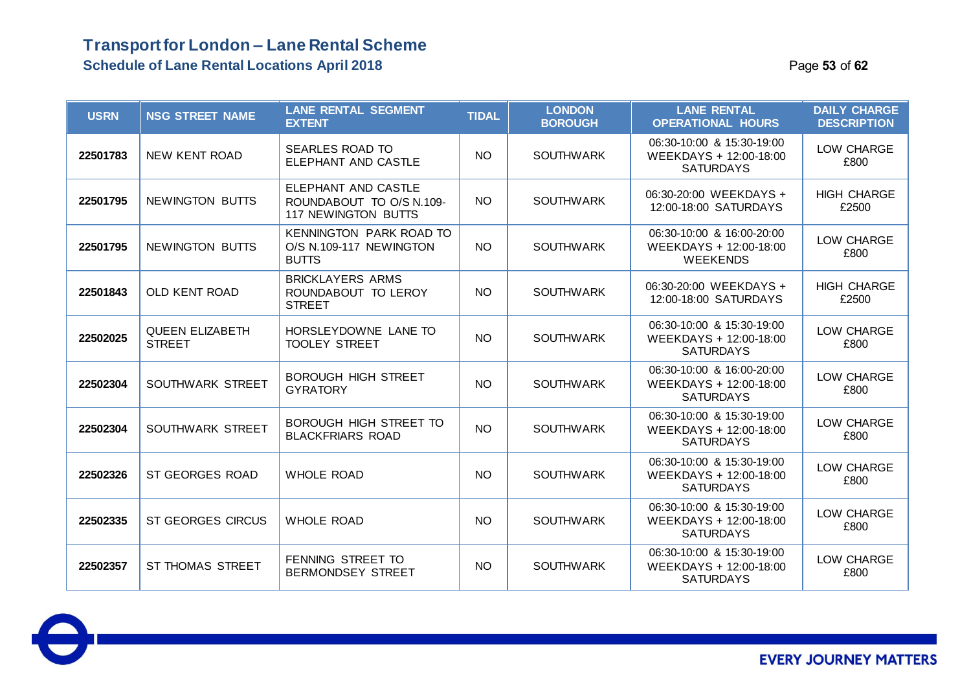### **Transport for London – Lane Rental Scheme Schedule of Lane Rental Locations April 2018 Page 13 of 62 Page 53** of 62

| <b>USRN</b> | <b>NSG STREET NAME</b>                  | <b>LANE RENTAL SEGMENT</b><br><b>EXTENT</b>                            | <b>TIDAL</b> | <b>LONDON</b><br><b>BOROUGH</b> | <b>LANE RENTAL</b><br><b>OPERATIONAL HOURS</b>                          | <b>DAILY CHARGE</b><br><b>DESCRIPTION</b> |
|-------------|-----------------------------------------|------------------------------------------------------------------------|--------------|---------------------------------|-------------------------------------------------------------------------|-------------------------------------------|
| 22501783    | <b>NEW KENT ROAD</b>                    | <b>SEARLES ROAD TO</b><br>ELEPHANT AND CASTLE                          | <b>NO</b>    | <b>SOUTHWARK</b>                | 06:30-10:00 & 15:30-19:00<br>WEEKDAYS + 12:00-18:00<br><b>SATURDAYS</b> | LOW CHARGE<br>£800                        |
| 22501795    | NEWINGTON BUTTS                         | ELEPHANT AND CASTLE<br>ROUNDABOUT TO O/S N.109-<br>117 NEWINGTON BUTTS | NO.          | <b>SOUTHWARK</b>                | 06:30-20:00 WEEKDAYS +<br>12:00-18:00 SATURDAYS                         | <b>HIGH CHARGE</b><br>£2500               |
| 22501795    | NEWINGTON BUTTS                         | KENNINGTON PARK ROAD TO<br>O/S N.109-117 NEWINGTON<br><b>BUTTS</b>     | NO.          | <b>SOUTHWARK</b>                | 06:30-10:00 & 16:00-20:00<br>WEEKDAYS + 12:00-18:00<br><b>WEEKENDS</b>  | LOW CHARGE<br>£800                        |
| 22501843    | <b>OLD KENT ROAD</b>                    | <b>BRICKLAYERS ARMS</b><br>ROUNDABOUT TO LEROY<br><b>STREET</b>        | NO           | <b>SOUTHWARK</b>                | 06:30-20:00 WEEKDAYS +<br>12:00-18:00 SATURDAYS                         | <b>HIGH CHARGE</b><br>£2500               |
| 22502025    | <b>QUEEN ELIZABETH</b><br><b>STREET</b> | HORSLEYDOWNE LANE TO<br><b>TOOLEY STREET</b>                           | <b>NO</b>    | <b>SOUTHWARK</b>                | 06:30-10:00 & 15:30-19:00<br>WEEKDAYS + 12:00-18:00<br><b>SATURDAYS</b> | LOW CHARGE<br>£800                        |
| 22502304    | SOUTHWARK STREET                        | <b>BOROUGH HIGH STREET</b><br><b>GYRATORY</b>                          | <b>NO</b>    | <b>SOUTHWARK</b>                | 06:30-10:00 & 16:00-20:00<br>WEEKDAYS + 12:00-18:00<br><b>SATURDAYS</b> | LOW CHARGE<br>£800                        |
| 22502304    | <b>SOUTHWARK STREET</b>                 | BOROUGH HIGH STREET TO<br><b>BLACKFRIARS ROAD</b>                      | <b>NO</b>    | <b>SOUTHWARK</b>                | 06:30-10:00 & 15:30-19:00<br>WEEKDAYS + 12:00-18:00<br><b>SATURDAYS</b> | LOW CHARGE<br>£800                        |
| 22502326    | ST GEORGES ROAD                         | <b>WHOLE ROAD</b>                                                      | <b>NO</b>    | <b>SOUTHWARK</b>                | 06:30-10:00 & 15:30-19:00<br>WEEKDAYS + 12:00-18:00<br><b>SATURDAYS</b> | LOW CHARGE<br>£800                        |
| 22502335    | <b>ST GEORGES CIRCUS</b>                | <b>WHOLE ROAD</b>                                                      | <b>NO</b>    | <b>SOUTHWARK</b>                | 06:30-10:00 & 15:30-19:00<br>WEEKDAYS + 12:00-18:00<br><b>SATURDAYS</b> | LOW CHARGE<br>£800                        |
| 22502357    | ST THOMAS STREET                        | FENNING STREET TO<br><b>BERMONDSEY STREET</b>                          | <b>NO</b>    | <b>SOUTHWARK</b>                | 06:30-10:00 & 15:30-19:00<br>WEEKDAYS + 12:00-18:00<br><b>SATURDAYS</b> | LOW CHARGE<br>£800                        |

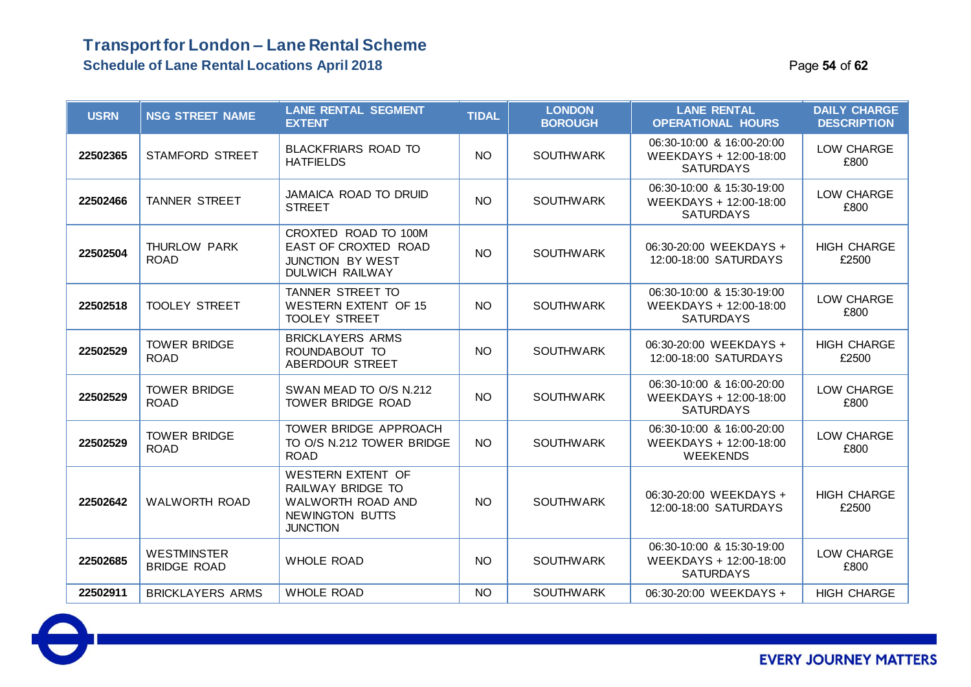### **Transport for London – Lane Rental Scheme Schedule of Lane Rental Locations April 2018 Page 14 of 62 Page 54** of 62

| <b>USRN</b> | <b>NSG STREET NAME</b>                   | <b>LANE RENTAL SEGMENT</b><br><b>EXTENT</b>                                                                     | <b>TIDAL</b>    | <b>LONDON</b><br><b>BOROUGH</b> | <b>LANE RENTAL</b><br><b>OPERATIONAL HOURS</b>                          | <b>DAILY CHARGE</b><br><b>DESCRIPTION</b> |
|-------------|------------------------------------------|-----------------------------------------------------------------------------------------------------------------|-----------------|---------------------------------|-------------------------------------------------------------------------|-------------------------------------------|
| 22502365    | <b>STAMFORD STREET</b>                   | <b>BLACKFRIARS ROAD TO</b><br><b>HATFIELDS</b>                                                                  | <b>NO</b>       | <b>SOUTHWARK</b>                | 06:30-10:00 & 16:00-20:00<br>WEEKDAYS + 12:00-18:00<br><b>SATURDAYS</b> | LOW CHARGE<br>£800                        |
| 22502466    | TANNER STREET                            | <b>JAMAICA ROAD TO DRUID</b><br><b>STREET</b>                                                                   | <b>NO</b>       | <b>SOUTHWARK</b>                | 06:30-10:00 & 15:30-19:00<br>WEEKDAYS + 12:00-18:00<br><b>SATURDAYS</b> | LOW CHARGE<br>£800                        |
| 22502504    | THURLOW PARK<br><b>ROAD</b>              | CROXTED ROAD TO 100M<br>EAST OF CROXTED ROAD<br><b>JUNCTION BY WEST</b><br><b>DULWICH RAILWAY</b>               | <b>NO</b>       | <b>SOUTHWARK</b>                | 06:30-20:00 WEEKDAYS +<br>12:00-18:00 SATURDAYS                         | <b>HIGH CHARGE</b><br>£2500               |
| 22502518    | <b>TOOLEY STREET</b>                     | TANNER STREET TO<br><b>WESTERN EXTENT OF 15</b><br><b>TOOLEY STREET</b>                                         | <b>NO</b>       | <b>SOUTHWARK</b>                | 06:30-10:00 & 15:30-19:00<br>WEEKDAYS + 12:00-18:00<br><b>SATURDAYS</b> | LOW CHARGE<br>£800                        |
| 22502529    | <b>TOWER BRIDGE</b><br><b>ROAD</b>       | <b>BRICKLAYERS ARMS</b><br>ROUNDABOUT TO<br>ABERDOUR STREET                                                     | <b>NO</b>       | <b>SOUTHWARK</b>                | 06:30-20:00 WEEKDAYS +<br>12:00-18:00 SATURDAYS                         | <b>HIGH CHARGE</b><br>£2500               |
| 22502529    | <b>TOWER BRIDGE</b><br><b>ROAD</b>       | SWAN MEAD TO O/S N.212<br><b>TOWER BRIDGE ROAD</b>                                                              | <b>NO</b>       | <b>SOUTHWARK</b>                | 06:30-10:00 & 16:00-20:00<br>WEEKDAYS + 12:00-18:00<br><b>SATURDAYS</b> | LOW CHARGE<br>£800                        |
| 22502529    | <b>TOWER BRIDGE</b><br><b>ROAD</b>       | TOWER BRIDGE APPROACH<br>TO O/S N.212 TOWER BRIDGE<br><b>ROAD</b>                                               | NO <sub>1</sub> | <b>SOUTHWARK</b>                | 06:30-10:00 & 16:00-20:00<br>WEEKDAYS + 12:00-18:00<br><b>WEEKENDS</b>  | LOW CHARGE<br>£800                        |
| 22502642    | <b>WALWORTH ROAD</b>                     | <b>WESTERN EXTENT OF</b><br>RAILWAY BRIDGE TO<br>WALWORTH ROAD AND<br><b>NEWINGTON BUTTS</b><br><b>JUNCTION</b> | NO <sub>1</sub> | <b>SOUTHWARK</b>                | 06:30-20:00 WEEKDAYS +<br>12:00-18:00 SATURDAYS                         | <b>HIGH CHARGE</b><br>£2500               |
| 22502685    | <b>WESTMINSTER</b><br><b>BRIDGE ROAD</b> | <b>WHOLE ROAD</b>                                                                                               | <b>NO</b>       | <b>SOUTHWARK</b>                | 06:30-10:00 & 15:30-19:00<br>WEEKDAYS + 12:00-18:00<br><b>SATURDAYS</b> | LOW CHARGE<br>£800                        |
| 22502911    | <b>BRICKLAYERS ARMS</b>                  | <b>WHOLE ROAD</b>                                                                                               | <b>NO</b>       | <b>SOUTHWARK</b>                | 06:30-20:00 WEEKDAYS +                                                  | <b>HIGH CHARGE</b>                        |

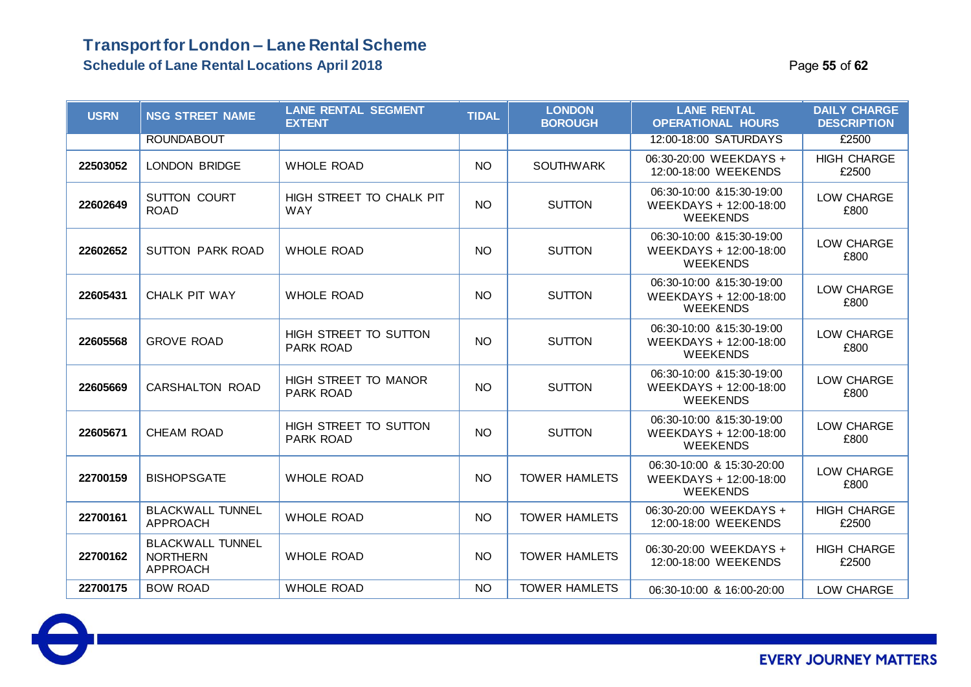### **Transport for London – Lane Rental Scheme Schedule of Lane Rental Locations April 2018 Page 12.13 and 2018** Page 15 of 62

| <b>USRN</b> | <b>NSG STREET NAME</b>                                        | <b>LANE RENTAL SEGMENT</b><br><b>EXTENT</b>     | <b>TIDAL</b> | <b>LONDON</b><br><b>BOROUGH</b> | <b>LANE RENTAL</b><br><b>OPERATIONAL HOURS</b>                         | <b>DAILY CHARGE</b><br><b>DESCRIPTION</b> |
|-------------|---------------------------------------------------------------|-------------------------------------------------|--------------|---------------------------------|------------------------------------------------------------------------|-------------------------------------------|
|             | <b>ROUNDABOUT</b>                                             |                                                 |              |                                 | 12:00-18:00 SATURDAYS                                                  | £2500                                     |
| 22503052    | <b>LONDON BRIDGE</b>                                          | <b>WHOLE ROAD</b>                               | <b>NO</b>    | <b>SOUTHWARK</b>                | 06:30-20:00 WEEKDAYS +<br>12:00-18:00 WEEKENDS                         | <b>HIGH CHARGE</b><br>£2500               |
| 22602649    | <b>SUTTON COURT</b><br><b>ROAD</b>                            | HIGH STREET TO CHALK PIT<br><b>WAY</b>          | <b>NO</b>    | <b>SUTTON</b>                   | 06:30-10:00 & 15:30-19:00<br>WEEKDAYS + 12:00-18:00<br><b>WEEKENDS</b> | LOW CHARGE<br>£800                        |
| 22602652    | <b>SUTTON PARK ROAD</b>                                       | <b>WHOLE ROAD</b>                               | <b>NO</b>    | <b>SUTTON</b>                   | 06:30-10:00 & 15:30-19:00<br>WEEKDAYS + 12:00-18:00<br><b>WEEKENDS</b> | LOW CHARGE<br>£800                        |
| 22605431    | CHALK PIT WAY                                                 | <b>WHOLE ROAD</b>                               | <b>NO</b>    | <b>SUTTON</b>                   | 06:30-10:00 & 15:30-19:00<br>WEEKDAYS + 12:00-18:00<br><b>WEEKENDS</b> | LOW CHARGE<br>£800                        |
| 22605568    | <b>GROVE ROAD</b>                                             | HIGH STREET TO SUTTON<br><b>PARK ROAD</b>       | <b>NO</b>    | <b>SUTTON</b>                   | 06:30-10:00 & 15:30-19:00<br>WEEKDAYS + 12:00-18:00<br><b>WEEKENDS</b> | LOW CHARGE<br>£800                        |
| 22605669    | <b>CARSHALTON ROAD</b>                                        | <b>HIGH STREET TO MANOR</b><br><b>PARK ROAD</b> | <b>NO</b>    | <b>SUTTON</b>                   | 06:30-10:00 & 15:30-19:00<br>WEEKDAYS + 12:00-18:00<br><b>WEEKENDS</b> | LOW CHARGE<br>£800                        |
| 22605671    | <b>CHEAM ROAD</b>                                             | HIGH STREET TO SUTTON<br><b>PARK ROAD</b>       | <b>NO</b>    | <b>SUTTON</b>                   | 06:30-10:00 & 15:30-19:00<br>WEEKDAYS + 12:00-18:00<br><b>WEEKENDS</b> | LOW CHARGE<br>£800                        |
| 22700159    | <b>BISHOPSGATE</b>                                            | <b>WHOLE ROAD</b>                               | <b>NO</b>    | <b>TOWER HAMLETS</b>            | 06:30-10:00 & 15:30-20:00<br>WEEKDAYS + 12:00-18:00<br><b>WEEKENDS</b> | LOW CHARGE<br>£800                        |
| 22700161    | <b>BLACKWALL TUNNEL</b><br><b>APPROACH</b>                    | <b>WHOLE ROAD</b>                               | <b>NO</b>    | <b>TOWER HAMLETS</b>            | 06:30-20:00 WEEKDAYS +<br>12:00-18:00 WEEKENDS                         | <b>HIGH CHARGE</b><br>£2500               |
| 22700162    | <b>BLACKWALL TUNNEL</b><br><b>NORTHERN</b><br><b>APPROACH</b> | <b>WHOLE ROAD</b>                               | <b>NO</b>    | <b>TOWER HAMLETS</b>            | 06:30-20:00 WEEKDAYS +<br>12:00-18:00 WEEKENDS                         | <b>HIGH CHARGE</b><br>£2500               |
| 22700175    | <b>BOW ROAD</b>                                               | <b>WHOLE ROAD</b>                               | <b>NO</b>    | <b>TOWER HAMLETS</b>            | 06:30-10:00 & 16:00-20:00                                              | LOW CHARGE                                |

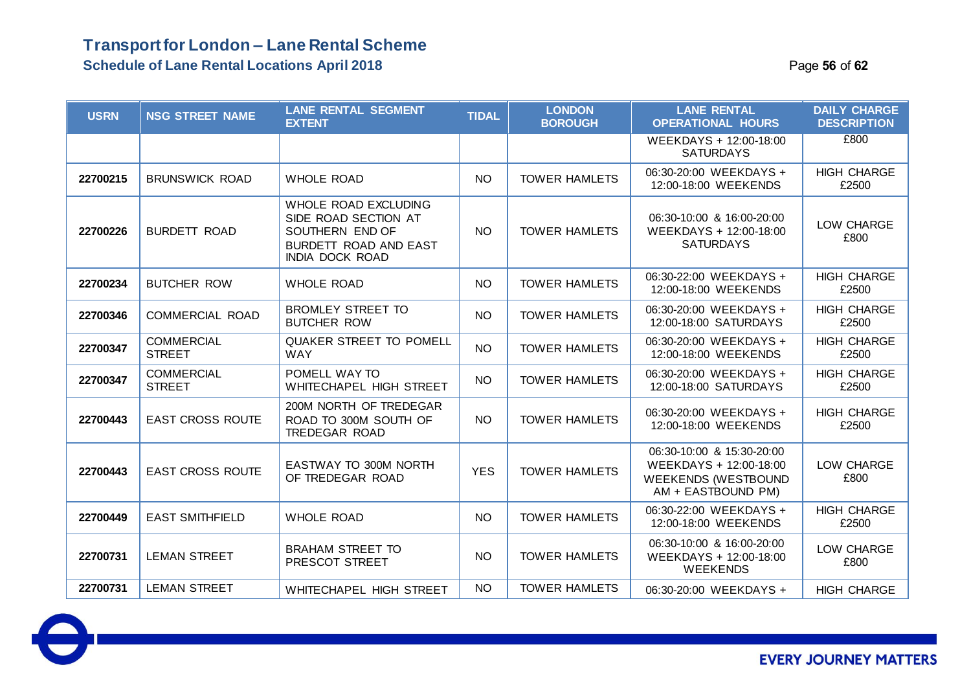### **Transport for London – Lane Rental Scheme Schedule of Lane Rental Locations April 2018 Page 16 of 62 Page 56** of 62

| <b>USRN</b> | <b>NSG STREET NAME</b>             | <b>LANE RENTAL SEGMENT</b><br><b>EXTENT</b>                                                                        | <b>TIDAL</b> | <b>LONDON</b><br><b>BOROUGH</b> | <b>LANE RENTAL</b><br><b>OPERATIONAL HOURS</b>                                                          | <b>DAILY CHARGE</b><br><b>DESCRIPTION</b> |
|-------------|------------------------------------|--------------------------------------------------------------------------------------------------------------------|--------------|---------------------------------|---------------------------------------------------------------------------------------------------------|-------------------------------------------|
|             |                                    |                                                                                                                    |              |                                 | WEEKDAYS + 12:00-18:00<br><b>SATURDAYS</b>                                                              | £800                                      |
| 22700215    | <b>BRUNSWICK ROAD</b>              | <b>WHOLE ROAD</b>                                                                                                  | <b>NO</b>    | <b>TOWER HAMLETS</b>            | 06:30-20:00 WEEKDAYS +<br>12:00-18:00 WEEKENDS                                                          | <b>HIGH CHARGE</b><br>£2500               |
| 22700226    | <b>BURDETT ROAD</b>                | WHOLE ROAD EXCLUDING<br>SIDE ROAD SECTION AT<br>SOUTHERN END OF<br>BURDETT ROAD AND EAST<br><b>INDIA DOCK ROAD</b> | <b>NO</b>    | <b>TOWER HAMLETS</b>            | 06:30-10:00 & 16:00-20:00<br>WEEKDAYS + 12:00-18:00<br><b>SATURDAYS</b>                                 | LOW CHARGE<br>£800                        |
| 22700234    | <b>BUTCHER ROW</b>                 | <b>WHOLE ROAD</b>                                                                                                  | <b>NO</b>    | <b>TOWER HAMLETS</b>            | 06:30-22:00 WEEKDAYS +<br>12:00-18:00 WEEKENDS                                                          | <b>HIGH CHARGE</b><br>£2500               |
| 22700346    | <b>COMMERCIAL ROAD</b>             | <b>BROMLEY STREET TO</b><br><b>BUTCHER ROW</b>                                                                     | <b>NO</b>    | <b>TOWER HAMLETS</b>            | 06:30-20:00 WEEKDAYS +<br>12:00-18:00 SATURDAYS                                                         | <b>HIGH CHARGE</b><br>£2500               |
| 22700347    | <b>COMMERCIAL</b><br><b>STREET</b> | <b>QUAKER STREET TO POMELL</b><br><b>WAY</b>                                                                       | <b>NO</b>    | <b>TOWER HAMLETS</b>            | 06:30-20:00 WEEKDAYS +<br>12:00-18:00 WEEKENDS                                                          | <b>HIGH CHARGE</b><br>£2500               |
| 22700347    | <b>COMMERCIAL</b><br><b>STREET</b> | POMELL WAY TO<br><b>WHITECHAPEL HIGH STREET</b>                                                                    | <b>NO</b>    | <b>TOWER HAMLETS</b>            | 06:30-20:00 WEEKDAYS +<br>12:00-18:00 SATURDAYS                                                         | <b>HIGH CHARGE</b><br>£2500               |
| 22700443    | <b>EAST CROSS ROUTE</b>            | 200M NORTH OF TREDEGAR<br>ROAD TO 300M SOUTH OF<br>TREDEGAR ROAD                                                   | <b>NO</b>    | <b>TOWER HAMLETS</b>            | 06:30-20:00 WEEKDAYS +<br>12:00-18:00 WEEKENDS                                                          | <b>HIGH CHARGE</b><br>£2500               |
| 22700443    | <b>EAST CROSS ROUTE</b>            | <b>EASTWAY TO 300M NORTH</b><br>OF TREDEGAR ROAD                                                                   | <b>YES</b>   | <b>TOWER HAMLETS</b>            | 06:30-10:00 & 15:30-20:00<br>WEEKDAYS + 12:00-18:00<br><b>WEEKENDS (WESTBOUND</b><br>AM + EASTBOUND PM) | LOW CHARGE<br>£800                        |
| 22700449    | <b>EAST SMITHFIELD</b>             | <b>WHOLE ROAD</b>                                                                                                  | <b>NO</b>    | <b>TOWER HAMLETS</b>            | 06:30-22:00 WEEKDAYS +<br>12:00-18:00 WEEKENDS                                                          | <b>HIGH CHARGE</b><br>£2500               |
| 22700731    | <b>LEMAN STREET</b>                | <b>BRAHAM STREET TO</b><br>PRESCOT STREET                                                                          | <b>NO</b>    | <b>TOWER HAMLETS</b>            | 06:30-10:00 & 16:00-20:00<br>WEEKDAYS + 12:00-18:00<br><b>WEEKENDS</b>                                  | LOW CHARGE<br>£800                        |
| 22700731    | <b>LEMAN STREET</b>                | <b>WHITECHAPEL HIGH STREET</b>                                                                                     | NO.          | <b>TOWER HAMLETS</b>            | 06:30-20:00 WEEKDAYS +                                                                                  | <b>HIGH CHARGE</b>                        |

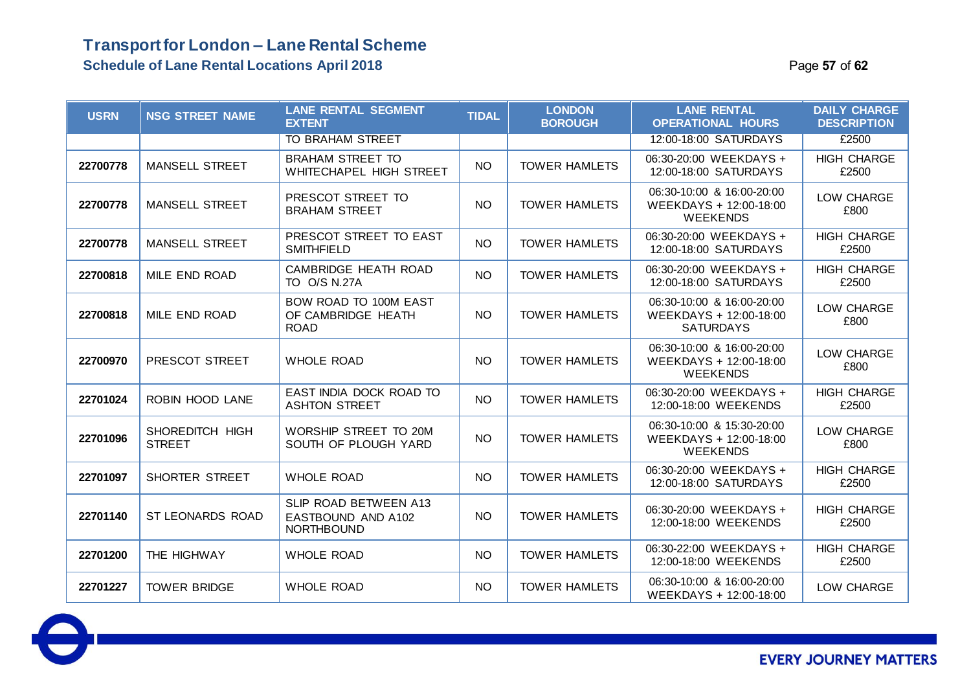### **Transport for London – Lane Rental Scheme Schedule of Lane Rental Locations April 2018** Page **57** of **62**

| <b>USRN</b> | <b>NSG STREET NAME</b>           | <b>LANE RENTAL SEGMENT</b><br><b>EXTENT</b>                             | <b>TIDAL</b>    | <b>LONDON</b><br><b>BOROUGH</b> | <b>LANE RENTAL</b><br><b>OPERATIONAL HOURS</b>                          | <b>DAILY CHARGE</b><br><b>DESCRIPTION</b> |
|-------------|----------------------------------|-------------------------------------------------------------------------|-----------------|---------------------------------|-------------------------------------------------------------------------|-------------------------------------------|
|             |                                  | <b>TO BRAHAM STREET</b>                                                 |                 |                                 | 12:00-18:00 SATURDAYS                                                   | £2500                                     |
| 22700778    | <b>MANSELL STREET</b>            | <b>BRAHAM STREET TO</b><br>WHITECHAPEL HIGH STREET                      | <b>NO</b>       | <b>TOWER HAMLETS</b>            | 06:30-20:00 WEEKDAYS +<br>12:00-18:00 SATURDAYS                         | <b>HIGH CHARGE</b><br>£2500               |
| 22700778    | <b>MANSELL STREET</b>            | PRESCOT STREET TO<br><b>BRAHAM STREET</b>                               | <b>NO</b>       | <b>TOWER HAMLETS</b>            | 06:30-10:00 & 16:00-20:00<br>WEEKDAYS + 12:00-18:00<br><b>WEEKENDS</b>  | LOW CHARGE<br>£800                        |
| 22700778    | <b>MANSELL STREET</b>            | PRESCOT STREET TO EAST<br><b>SMITHFIELD</b>                             | <b>NO</b>       | <b>TOWER HAMLETS</b>            | 06:30-20:00 WEEKDAYS +<br>12:00-18:00 SATURDAYS                         | <b>HIGH CHARGE</b><br>£2500               |
| 22700818    | MILE END ROAD                    | CAMBRIDGE HEATH ROAD<br>TO O/S N.27A                                    | NO <sub>1</sub> | <b>TOWER HAMLETS</b>            | 06:30-20:00 WEEKDAYS +<br>12:00-18:00 SATURDAYS                         | <b>HIGH CHARGE</b><br>£2500               |
| 22700818    | MILE END ROAD                    | BOW ROAD TO 100M EAST<br>OF CAMBRIDGE HEATH<br><b>ROAD</b>              | <b>NO</b>       | <b>TOWER HAMLETS</b>            | 06:30-10:00 & 16:00-20:00<br>WEEKDAYS + 12:00-18:00<br><b>SATURDAYS</b> | LOW CHARGE<br>£800                        |
| 22700970    | PRESCOT STREET                   | <b>WHOLE ROAD</b>                                                       | <b>NO</b>       | <b>TOWER HAMLETS</b>            | 06:30-10:00 & 16:00-20:00<br>WEEKDAYS + 12:00-18:00<br><b>WEEKENDS</b>  | LOW CHARGE<br>£800                        |
| 22701024    | ROBIN HOOD LANE                  | EAST INDIA DOCK ROAD TO<br><b>ASHTON STREET</b>                         | <b>NO</b>       | <b>TOWER HAMLETS</b>            | 06:30-20:00 WEEKDAYS +<br>12:00-18:00 WEEKENDS                          | <b>HIGH CHARGE</b><br>£2500               |
| 22701096    | SHOREDITCH HIGH<br><b>STREET</b> | WORSHIP STREET TO 20M<br>SOUTH OF PLOUGH YARD                           | <b>NO</b>       | <b>TOWER HAMLETS</b>            | 06:30-10:00 & 15:30-20:00<br>WEEKDAYS + 12:00-18:00<br><b>WEEKENDS</b>  | LOW CHARGE<br>£800                        |
| 22701097    | <b>SHORTER STREET</b>            | <b>WHOLE ROAD</b>                                                       | <b>NO</b>       | <b>TOWER HAMLETS</b>            | 06:30-20:00 WEEKDAYS +<br>12:00-18:00 SATURDAYS                         | <b>HIGH CHARGE</b><br>£2500               |
| 22701140    | <b>ST LEONARDS ROAD</b>          | <b>SLIP ROAD BETWEEN A13</b><br>EASTBOUND AND A102<br><b>NORTHBOUND</b> | <b>NO</b>       | <b>TOWER HAMLETS</b>            | 06:30-20:00 WEEKDAYS +<br>12:00-18:00 WEEKENDS                          | <b>HIGH CHARGE</b><br>£2500               |
| 22701200    | THE HIGHWAY                      | <b>WHOLE ROAD</b>                                                       | <b>NO</b>       | <b>TOWER HAMLETS</b>            | 06:30-22:00 WEEKDAYS +<br>12:00-18:00 WEEKENDS                          | <b>HIGH CHARGE</b><br>£2500               |
| 22701227    | <b>TOWER BRIDGE</b>              | <b>WHOLE ROAD</b>                                                       | <b>NO</b>       | <b>TOWER HAMLETS</b>            | 06:30-10:00 & 16:00-20:00<br>WEEKDAYS + 12:00-18:00                     | LOW CHARGE                                |

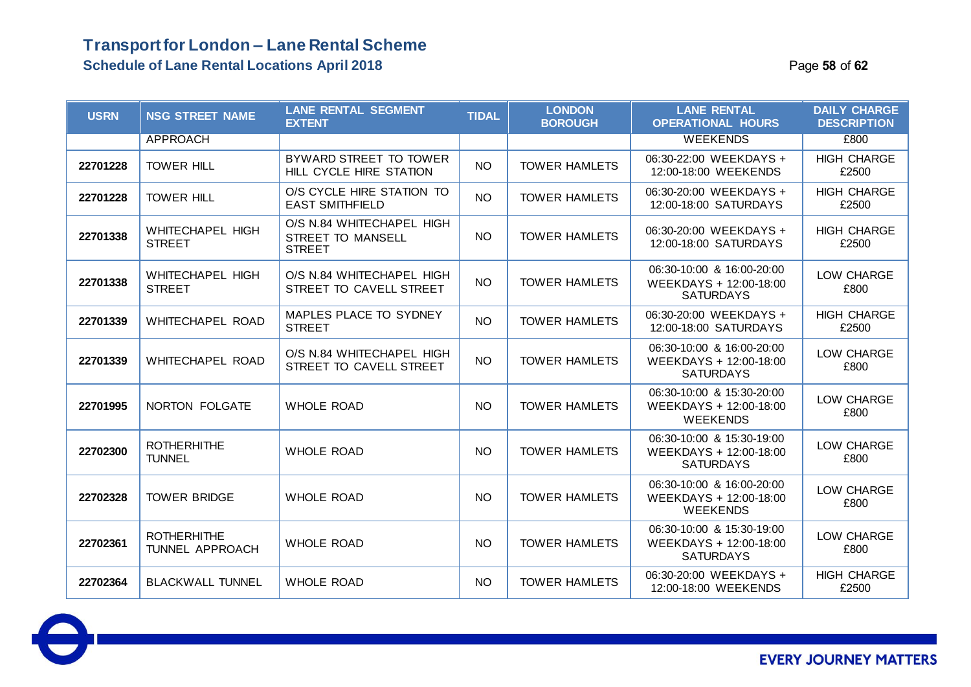### **Transport for London – Lane Rental Scheme Schedule of Lane Rental Locations April 2018 Page 12 of 52** Page 13 of 62

| <b>USRN</b> | <b>NSG STREET NAME</b>                       | <b>LANE RENTAL SEGMENT</b><br><b>EXTENT</b>                     | <b>TIDAL</b> | <b>LONDON</b><br><b>BOROUGH</b> | <b>LANE RENTAL</b><br><b>OPERATIONAL HOURS</b>                          | <b>DAILY CHARGE</b><br><b>DESCRIPTION</b> |
|-------------|----------------------------------------------|-----------------------------------------------------------------|--------------|---------------------------------|-------------------------------------------------------------------------|-------------------------------------------|
|             | <b>APPROACH</b>                              |                                                                 |              |                                 | <b>WEEKENDS</b>                                                         | £800                                      |
| 22701228    | <b>TOWER HILL</b>                            | BYWARD STREET TO TOWER<br>HILL CYCLE HIRE STATION               | <b>NO</b>    | <b>TOWER HAMLETS</b>            | 06:30-22:00 WEEKDAYS +<br>12:00-18:00 WEEKENDS                          | <b>HIGH CHARGE</b><br>£2500               |
| 22701228    | <b>TOWER HILL</b>                            | O/S CYCLE HIRE STATION TO<br><b>EAST SMITHFIELD</b>             | <b>NO</b>    | <b>TOWER HAMLETS</b>            | 06:30-20:00 WEEKDAYS +<br>12:00-18:00 SATURDAYS                         | <b>HIGH CHARGE</b><br>£2500               |
| 22701338    | <b>WHITECHAPEL HIGH</b><br><b>STREET</b>     | O/S N.84 WHITECHAPEL HIGH<br>STREET TO MANSELL<br><b>STREET</b> | <b>NO</b>    | <b>TOWER HAMLETS</b>            | 06:30-20:00 WEEKDAYS +<br>12:00-18:00 SATURDAYS                         | <b>HIGH CHARGE</b><br>£2500               |
| 22701338    | <b>WHITECHAPEL HIGH</b><br><b>STREET</b>     | O/S N.84 WHITECHAPEL HIGH<br>STREET TO CAVELL STREET            | <b>NO</b>    | <b>TOWER HAMLETS</b>            | 06:30-10:00 & 16:00-20:00<br>WEEKDAYS + 12:00-18:00<br><b>SATURDAYS</b> | LOW CHARGE<br>£800                        |
| 22701339    | WHITECHAPEL ROAD                             | MAPLES PLACE TO SYDNEY<br><b>STREET</b>                         | <b>NO</b>    | <b>TOWER HAMLETS</b>            | 06:30-20:00 WEEKDAYS +<br>12:00-18:00 SATURDAYS                         | <b>HIGH CHARGE</b><br>£2500               |
| 22701339    | WHITECHAPEL ROAD                             | O/S N.84 WHITECHAPEL HIGH<br>STREET TO CAVELL STREET            | <b>NO</b>    | <b>TOWER HAMLETS</b>            | 06:30-10:00 & 16:00-20:00<br>WEEKDAYS + 12:00-18:00<br><b>SATURDAYS</b> | LOW CHARGE<br>£800                        |
| 22701995    | NORTON FOLGATE                               | <b>WHOLE ROAD</b>                                               | <b>NO</b>    | <b>TOWER HAMLETS</b>            | 06:30-10:00 & 15:30-20:00<br>WEEKDAYS + 12:00-18:00<br><b>WEEKENDS</b>  | LOW CHARGE<br>£800                        |
| 22702300    | <b>ROTHERHITHE</b><br><b>TUNNEL</b>          | <b>WHOLE ROAD</b>                                               | <b>NO</b>    | <b>TOWER HAMLETS</b>            | 06:30-10:00 & 15:30-19:00<br>WEEKDAYS + 12:00-18:00<br><b>SATURDAYS</b> | LOW CHARGE<br>£800                        |
| 22702328    | <b>TOWER BRIDGE</b>                          | <b>WHOLE ROAD</b>                                               | <b>NO</b>    | <b>TOWER HAMLETS</b>            | 06:30-10:00 & 16:00-20:00<br>WEEKDAYS + 12:00-18:00<br><b>WEEKENDS</b>  | LOW CHARGE<br>£800                        |
| 22702361    | <b>ROTHERHITHE</b><br><b>TUNNEL APPROACH</b> | <b>WHOLE ROAD</b>                                               | <b>NO</b>    | <b>TOWER HAMLETS</b>            | 06:30-10:00 & 15:30-19:00<br>WEEKDAYS + 12:00-18:00<br><b>SATURDAYS</b> | LOW CHARGE<br>£800                        |
| 22702364    | <b>BLACKWALL TUNNEL</b>                      | <b>WHOLE ROAD</b>                                               | <b>NO</b>    | <b>TOWER HAMLETS</b>            | 06:30-20:00 WEEKDAYS +<br>12:00-18:00 WEEKENDS                          | <b>HIGH CHARGE</b><br>£2500               |

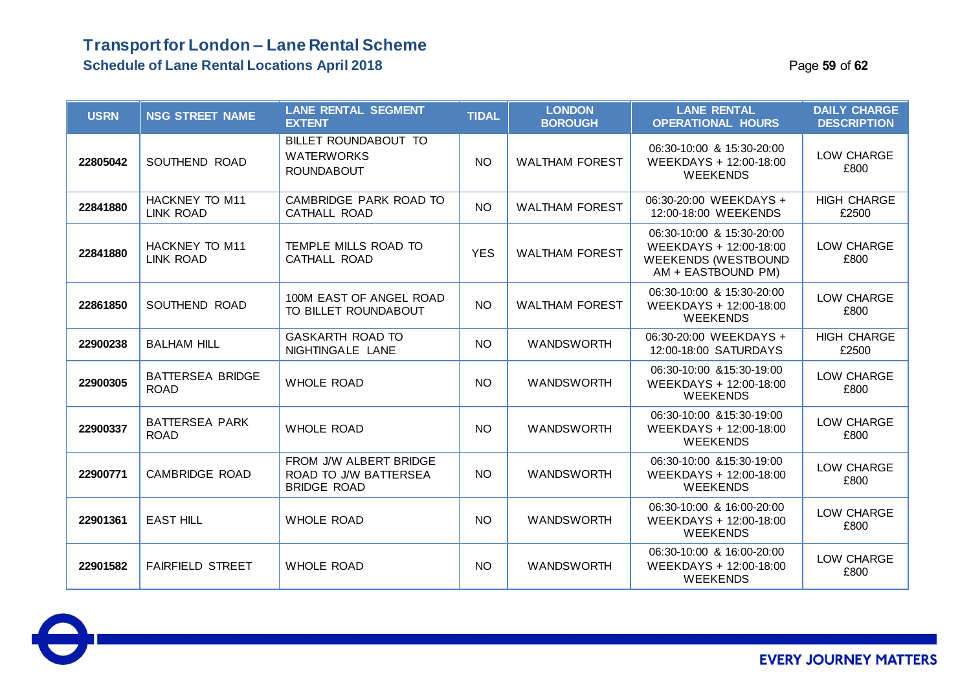### **Transport for London – Lane Rental Scheme Schedule of Lane Rental Locations April 2018 Page 19 of 62 Page 59** of 62

| <b>USRN</b> | <b>NSG STREET NAME</b>                    | <b>LANE RENTAL SEGMENT</b><br><b>EXTENT</b>                           | <b>TIDAL</b> | <b>LONDON</b><br><b>BOROUGH</b> | <b>LANE RENTAL</b><br><b>OPERATIONAL HOURS</b>                                                          | <b>DAILY CHARGE</b><br><b>DESCRIPTION</b> |
|-------------|-------------------------------------------|-----------------------------------------------------------------------|--------------|---------------------------------|---------------------------------------------------------------------------------------------------------|-------------------------------------------|
| 22805042    | SOUTHEND ROAD                             | BILLET ROUNDABOUT TO<br><b>WATERWORKS</b><br><b>ROUNDABOUT</b>        | <b>NO</b>    | <b>WALTHAM FOREST</b>           | 06:30-10:00 & 15:30-20:00<br>WEEKDAYS + 12:00-18:00<br><b>WEEKENDS</b>                                  | LOW CHARGE<br>£800                        |
| 22841880    | <b>HACKNEY TO M11</b><br><b>LINK ROAD</b> | CAMBRIDGE PARK ROAD TO<br><b>CATHALL ROAD</b>                         | <b>NO</b>    | <b>WALTHAM FOREST</b>           | 06:30-20:00 WEEKDAYS +<br>12:00-18:00 WEEKENDS                                                          | <b>HIGH CHARGE</b><br>£2500               |
| 22841880    | <b>HACKNEY TO M11</b><br><b>LINK ROAD</b> | TEMPLE MILLS ROAD TO<br>CATHALL ROAD                                  | <b>YES</b>   | <b>WALTHAM FOREST</b>           | 06:30-10:00 & 15:30-20:00<br>WEEKDAYS + 12:00-18:00<br><b>WEEKENDS (WESTBOUND</b><br>AM + EASTBOUND PM) | LOW CHARGE<br>£800                        |
| 22861850    | SOUTHEND ROAD                             | 100M EAST OF ANGEL ROAD<br>TO BILLET ROUNDABOUT                       | NO.          | <b>WALTHAM FOREST</b>           | 06:30-10:00 & 15:30-20:00<br>WEEKDAYS + 12:00-18:00<br><b>WEEKENDS</b>                                  | LOW CHARGE<br>£800                        |
| 22900238    | <b>BALHAM HILL</b>                        | <b>GASKARTH ROAD TO</b><br>NIGHTINGALE LANE                           | <b>NO</b>    | <b>WANDSWORTH</b>               | 06:30-20:00 WEEKDAYS +<br>12:00-18:00 SATURDAYS                                                         | <b>HIGH CHARGE</b><br>£2500               |
| 22900305    | <b>BATTERSEA BRIDGE</b><br><b>ROAD</b>    | <b>WHOLE ROAD</b>                                                     | <b>NO</b>    | <b>WANDSWORTH</b>               | 06:30-10:00 & 15:30-19:00<br>WEEKDAYS + 12:00-18:00<br><b>WEEKENDS</b>                                  | LOW CHARGE<br>£800                        |
| 22900337    | <b>BATTERSEA PARK</b><br><b>ROAD</b>      | <b>WHOLE ROAD</b>                                                     | <b>NO</b>    | <b>WANDSWORTH</b>               | 06:30-10:00 & 15:30-19:00<br>WEEKDAYS + 12:00-18:00<br><b>WEEKENDS</b>                                  | LOW CHARGE<br>£800                        |
| 22900771    | <b>CAMBRIDGE ROAD</b>                     | FROM J/W ALBERT BRIDGE<br>ROAD TO J/W BATTERSEA<br><b>BRIDGE ROAD</b> | <b>NO</b>    | <b>WANDSWORTH</b>               | 06:30-10:00 & 15:30-19:00<br>WEEKDAYS + 12:00-18:00<br><b>WEEKENDS</b>                                  | LOW CHARGE<br>£800                        |
| 22901361    | <b>EAST HILL</b>                          | <b>WHOLE ROAD</b>                                                     | <b>NO</b>    | <b>WANDSWORTH</b>               | 06:30-10:00 & 16:00-20:00<br>WEEKDAYS + 12:00-18:00<br><b>WEEKENDS</b>                                  | LOW CHARGE<br>£800                        |
| 22901582    | <b>FAIRFIELD STREET</b>                   | <b>WHOLE ROAD</b>                                                     | <b>NO</b>    | <b>WANDSWORTH</b>               | 06:30-10:00 & 16:00-20:00<br>WEEKDAYS + 12:00-18:00<br><b>WEEKENDS</b>                                  | LOW CHARGE<br>£800                        |

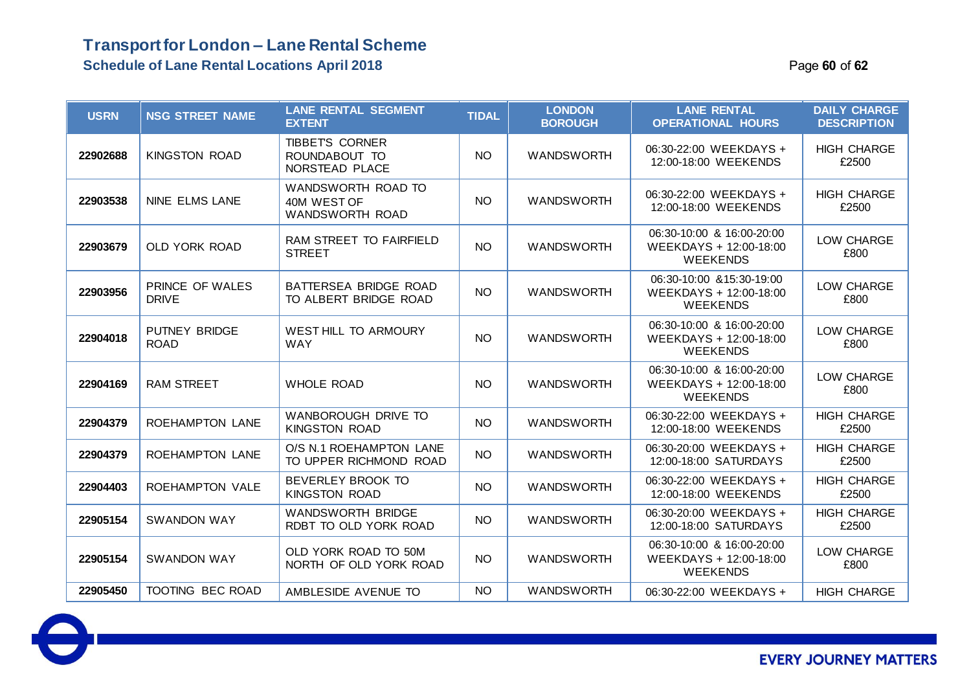### **Transport for London – Lane Rental Scheme Schedule of Lane Rental Locations April 2018** Page **60** of **62**

| <b>USRN</b> | <b>NSG STREET NAME</b>              | <b>LANE RENTAL SEGMENT</b><br><b>EXTENT</b>              | <b>TIDAL</b> | <b>LONDON</b><br><b>BOROUGH</b> | <b>LANE RENTAL</b><br><b>OPERATIONAL HOURS</b>                         | <b>DAILY CHARGE</b><br><b>DESCRIPTION</b> |
|-------------|-------------------------------------|----------------------------------------------------------|--------------|---------------------------------|------------------------------------------------------------------------|-------------------------------------------|
| 22902688    | <b>KINGSTON ROAD</b>                | <b>TIBBETS CORNER</b><br>ROUNDABOUT TO<br>NORSTEAD PLACE | <b>NO</b>    | <b>WANDSWORTH</b>               | 06:30-22:00 WEEKDAYS +<br>12:00-18:00 WEEKENDS                         | <b>HIGH CHARGE</b><br>£2500               |
| 22903538    | <b>NINE ELMS LANE</b>               | WANDSWORTH ROAD TO<br>40M WEST OF<br>WANDSWORTH ROAD     | <b>NO</b>    | <b>WANDSWORTH</b>               | 06:30-22:00 WEEKDAYS +<br>12:00-18:00 WEEKENDS                         | <b>HIGH CHARGE</b><br>£2500               |
| 22903679    | OLD YORK ROAD                       | RAM STREET TO FAIRFIELD<br><b>STREET</b>                 | <b>NO</b>    | <b>WANDSWORTH</b>               | 06:30-10:00 & 16:00-20:00<br>WEEKDAYS + 12:00-18:00<br><b>WEEKENDS</b> | LOW CHARGE<br>£800                        |
| 22903956    | PRINCE OF WALES<br><b>DRIVE</b>     | BATTERSEA BRIDGE ROAD<br>TO ALBERT BRIDGE ROAD           | <b>NO</b>    | <b>WANDSWORTH</b>               | 06:30-10:00 & 15:30-19:00<br>WEEKDAYS + 12:00-18:00<br><b>WEEKENDS</b> | LOW CHARGE<br>£800                        |
| 22904018    | <b>PUTNEY BRIDGE</b><br><b>ROAD</b> | <b>WEST HILL TO ARMOURY</b><br><b>WAY</b>                | <b>NO</b>    | <b>WANDSWORTH</b>               | 06:30-10:00 & 16:00-20:00<br>WEEKDAYS + 12:00-18:00<br><b>WEEKENDS</b> | LOW CHARGE<br>£800                        |
| 22904169    | <b>RAM STREET</b>                   | <b>WHOLE ROAD</b>                                        | <b>NO</b>    | <b>WANDSWORTH</b>               | 06:30-10:00 & 16:00-20:00<br>WEEKDAYS + 12:00-18:00<br><b>WEEKENDS</b> | LOW CHARGE<br>£800                        |
| 22904379    | <b>ROEHAMPTON LANE</b>              | WANBOROUGH DRIVE TO<br><b>KINGSTON ROAD</b>              | <b>NO</b>    | <b>WANDSWORTH</b>               | 06:30-22:00 WEEKDAYS +<br>12:00-18:00 WEEKENDS                         | <b>HIGH CHARGE</b><br>£2500               |
| 22904379    | ROEHAMPTON LANE                     | O/S N.1 ROEHAMPTON LANE<br>TO UPPER RICHMOND ROAD        | <b>NO</b>    | <b>WANDSWORTH</b>               | 06:30-20:00 WEEKDAYS +<br>12:00-18:00 SATURDAYS                        | <b>HIGH CHARGE</b><br>£2500               |
| 22904403    | ROEHAMPTON VALE                     | BEVERLEY BROOK TO<br><b>KINGSTON ROAD</b>                | <b>NO</b>    | <b>WANDSWORTH</b>               | 06:30-22:00 WEEKDAYS +<br>12:00-18:00 WEEKENDS                         | <b>HIGH CHARGE</b><br>£2500               |
| 22905154    | <b>SWANDON WAY</b>                  | <b>WANDSWORTH BRIDGE</b><br>RDBT TO OLD YORK ROAD        | <b>NO</b>    | <b>WANDSWORTH</b>               | 06:30-20:00 WEEKDAYS +<br>12:00-18:00 SATURDAYS                        | <b>HIGH CHARGE</b><br>£2500               |
| 22905154    | <b>SWANDON WAY</b>                  | OLD YORK ROAD TO 50M<br>NORTH OF OLD YORK ROAD           | <b>NO</b>    | <b>WANDSWORTH</b>               | 06:30-10:00 & 16:00-20:00<br>WEEKDAYS + 12:00-18:00<br><b>WEEKENDS</b> | LOW CHARGE<br>£800                        |
| 22905450    | TOOTING BEC ROAD                    | AMBLESIDE AVENUE TO                                      | <b>NO</b>    | <b>WANDSWORTH</b>               | 06:30-22:00 WEEKDAYS +                                                 | <b>HIGH CHARGE</b>                        |

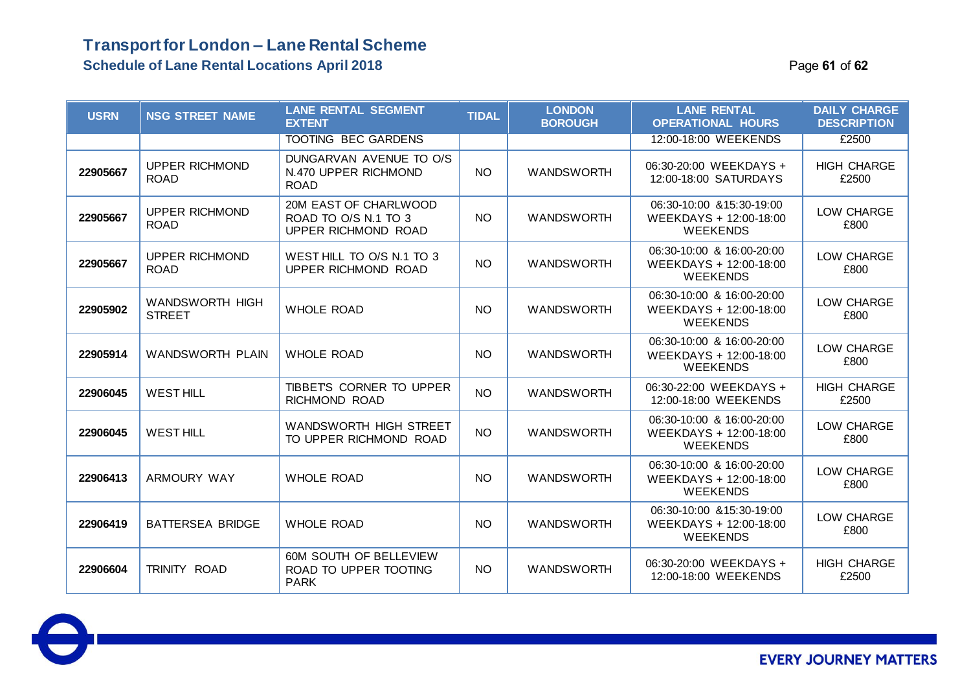#### **Transport for London – Lane Rental Scheme Schedule of Lane Rental Locations April 2018 Page 12 of 52 Page 61** of 62

| <b>USRN</b> | <b>NSG STREET NAME</b>               | <b>LANE RENTAL SEGMENT</b><br><b>EXTENT</b>                          | <b>TIDAL</b> | <b>LONDON</b><br><b>BOROUGH</b> | <b>LANE RENTAL</b><br><b>OPERATIONAL HOURS</b>                         | <b>DAILY CHARGE</b><br><b>DESCRIPTION</b> |
|-------------|--------------------------------------|----------------------------------------------------------------------|--------------|---------------------------------|------------------------------------------------------------------------|-------------------------------------------|
|             |                                      | <b>TOOTING BEC GARDENS</b>                                           |              |                                 | 12:00-18:00 WEEKENDS                                                   | £2500                                     |
| 22905667    | <b>UPPER RICHMOND</b><br><b>ROAD</b> | DUNGARVAN AVENUE TO O/S<br>N.470 UPPER RICHMOND<br><b>ROAD</b>       | <b>NO</b>    | <b>WANDSWORTH</b>               | 06:30-20:00 WEEKDAYS +<br>12:00-18:00 SATURDAYS                        | <b>HIGH CHARGE</b><br>£2500               |
| 22905667    | <b>UPPER RICHMOND</b><br><b>ROAD</b> | 20M EAST OF CHARLWOOD<br>ROAD TO O/S N.1 TO 3<br>UPPER RICHMOND ROAD | NO.          | <b>WANDSWORTH</b>               | 06:30-10:00 & 15:30-19:00<br>WEEKDAYS + 12:00-18:00<br><b>WEEKENDS</b> | LOW CHARGE<br>£800                        |
| 22905667    | <b>UPPER RICHMOND</b><br><b>ROAD</b> | WEST HILL TO O/S N.1 TO 3<br>UPPER RICHMOND ROAD                     | <b>NO</b>    | <b>WANDSWORTH</b>               | 06:30-10:00 & 16:00-20:00<br>WEEKDAYS + 12:00-18:00<br><b>WEEKENDS</b> | LOW CHARGE<br>£800                        |
| 22905902    | WANDSWORTH HIGH<br><b>STREET</b>     | <b>WHOLE ROAD</b>                                                    | <b>NO</b>    | <b>WANDSWORTH</b>               | 06:30-10:00 & 16:00-20:00<br>WEEKDAYS + 12:00-18:00<br><b>WEEKENDS</b> | LOW CHARGE<br>£800                        |
| 22905914    | <b>WANDSWORTH PLAIN</b>              | <b>WHOLE ROAD</b>                                                    | NO.          | <b>WANDSWORTH</b>               | 06:30-10:00 & 16:00-20:00<br>WEEKDAYS + 12:00-18:00<br><b>WEEKENDS</b> | LOW CHARGE<br>£800                        |
| 22906045    | <b>WEST HILL</b>                     | TIBBETS CORNER TO UPPER<br>RICHMOND ROAD                             | <b>NO</b>    | <b>WANDSWORTH</b>               | 06:30-22:00 WEEKDAYS +<br>12:00-18:00 WEEKENDS                         | <b>HIGH CHARGE</b><br>£2500               |
| 22906045    | <b>WEST HILL</b>                     | WANDSWORTH HIGH STREET<br>TO UPPER RICHMOND ROAD                     | NO.          | <b>WANDSWORTH</b>               | 06:30-10:00 & 16:00-20:00<br>WEEKDAYS + 12:00-18:00<br><b>WEEKENDS</b> | LOW CHARGE<br>£800                        |
| 22906413    | <b>ARMOURY WAY</b>                   | <b>WHOLE ROAD</b>                                                    | <b>NO</b>    | <b>WANDSWORTH</b>               | 06:30-10:00 & 16:00-20:00<br>WEEKDAYS + 12:00-18:00<br><b>WEEKENDS</b> | LOW CHARGE<br>£800                        |
| 22906419    | <b>BATTERSEA BRIDGE</b>              | <b>WHOLE ROAD</b>                                                    | NO.          | <b>WANDSWORTH</b>               | 06:30-10:00 & 15:30-19:00<br>WEEKDAYS + 12:00-18:00<br><b>WEEKENDS</b> | LOW CHARGE<br>£800                        |
| 22906604    | TRINITY ROAD                         | 60M SOUTH OF BELLEVIEW<br>ROAD TO UPPER TOOTING<br><b>PARK</b>       | <b>NO</b>    | <b>WANDSWORTH</b>               | 06:30-20:00 WEEKDAYS +<br>12:00-18:00 WEEKENDS                         | <b>HIGH CHARGE</b><br>£2500               |